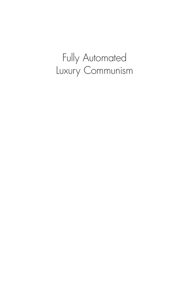Fully Automated Luxury Communism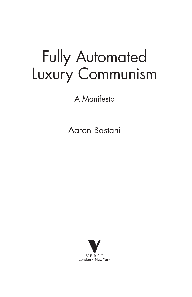# Fully Automated Luxury Communism

A Manifesto

Aaron Bastani

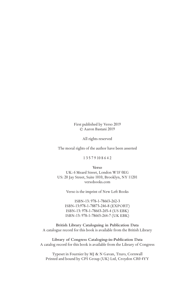First published by Verso 2019 © Aaron Bastani 2019

All rights reserved

The moral rights of the author have been asserted

1 3 5 7 9 10 8 6 4 2

**Verso**

UK: 6 Meard Street, London W1F 0EG US: 20 Jay Street, Suite 1010, Brooklyn, NY 11201 versobooks.com

Verso is the imprint of New Left Books

ISBN-13: 978-1-78663-262-3 ISBN-13:978-1-78873-246-8 (EXPORT) ISBN-13: 978-1-78663-265-4 (US EBK) ISBN-13: 978-1-78663-264-7 (UK EBK)

**British Library Cataloguing in Publication Data** A catalogue record for this book is available from the British Library

**Library of Congress Cataloging-in-Publication Data** A catalog record for this book is available from the Library of Congress

Typeset in Fournier by MJ & N Gavan, Truro, Cornwall Printed and bound by CPI Group (UK) Ltd, Croydon CR0 4YY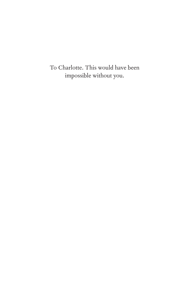To Charlotte. This would have been impossible without you.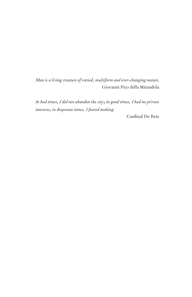*Man is a living creature of varied, multiform and ever-changing nature.* Giovanni Pico della Mirandola

*In bad times, I did not abandon the city; in good times, I had no private interests; in desperate times, I feared nothing.*

Cardinal De Retz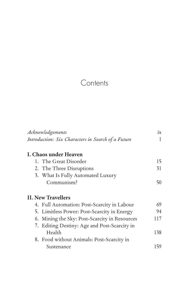## **Contents**

| Acknowledgements                                   | ix  |
|----------------------------------------------------|-----|
| Introduction: Six Characters in Search of a Future | 1   |
|                                                    |     |
| I. Chaos under Heaven                              |     |
| 1. The Great Disorder                              | 15  |
| 2. The Three Disruptions                           | 31  |
| 3. What Is Fully Automated Luxury                  |     |
| Communism?                                         | 50  |
|                                                    |     |
| <b>II. New Travellers</b>                          |     |
| 4. Full Automation: Post-Scarcity in Labour        | 69  |
| 5. Limitless Power: Post-Scarcity in Energy        | 94  |
| 6. Mining the Sky: Post-Scarcity in Resources      | 117 |
| 7. Editing Destiny: Age and Post-Scarcity in       |     |
| Health                                             | 138 |
| 8. Food without Animals: Post-Scarcity in          |     |
| Sustenance                                         | 159 |
|                                                    |     |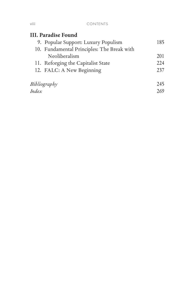viii contents

#### **III. Paradise Found**

|              | 9. Popular Support: Luxury Populism        | 185 |
|--------------|--------------------------------------------|-----|
|              | 10. Fundamental Principles: The Break with |     |
|              | Neoliberalism                              | 201 |
|              | 11. Reforging the Capitalist State         | 224 |
|              | 12. FALC: A New Beginning                  | 237 |
|              |                                            |     |
| Bibliography |                                            | 245 |

*Index* 269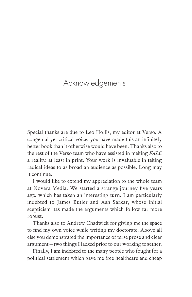### Acknowledgements

Special thanks are due to Leo Hollis, my editor at Verso. A congenial yet critical voice, you have made this an infinitely better book than it otherwise would have been. Thanks also to the rest of the Verso team who have assisted in making *FALC* a reality, at least in print. Your work is invaluable in taking radical ideas to as broad an audience as possible. Long may it continue.

I would like to extend my appreciation to the whole team at Novara Media. We started a strange journey five years ago, which has taken an interesting turn. I am particularly indebted to James Butler and Ash Sarkar, whose initial scepticism has made the arguments which follow far more robust.

Thanks also to Andrew Chadwick for giving me the space to find my own voice while writing my doctorate. Above all else you demonstrated the importance of terse prose and clear argument – two things I lacked prior to our working together.

Finally, I am indebted to the many people who fought for a political settlement which gave me free healthcare and cheap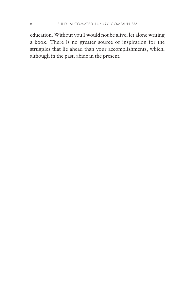education. Without you I would not be alive, let alone writing a book. There is no greater source of inspiration for the struggles that lie ahead than your accomplishments, which, although in the past, abide in the present.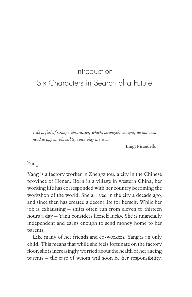# Introduction Six Characters in Search of a Future

*Life is full of strange absurdities, which, strangely enough, do not even need to appear plausible, since they are true.* 

Luigi Pirandello

#### Yang

Yang is a factory worker in Zhengzhou, a city in the Chinese province of Henan. Born in a village in western China, her working life has corresponded with her country becoming the workshop of the world. She arrived in the city a decade ago, and since then has created a decent life for herself. While her job is exhausting – shifts often run from eleven to thirteen hours a day – Yang considers herself lucky. She is financially independent and earns enough to send money home to her parents.

Like many of her friends and co-workers, Yang is an only child. This means that while she feels fortunate on the factory floor, she is increasingly worried about the health of her ageing parents – the care of whom will soon be her responsibility.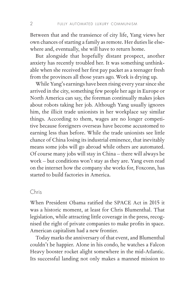Between that and the transience of city life, Yang views her own chances of starting a family as remote. Her duties lie elsewhere and, eventually, she will have to return home.

But alongside that hopefully distant prospect, another anxiety has recently troubled her. It was something unthinkable when she received her first pay packet as a teenager fresh from the provinces all those years ago. Work is drying up.

While Yang's earnings have been rising every year since she arrived in the city, something few people her age in Europe or North America can say, the foreman continually makes jokes about robots taking her job. Although Yang usually ignores him, the illicit trade unionists in her workplace say similar things. According to them, wages are no longer competitive because foreigners overseas have become accustomed to earning less than before. While the trade unionists see little chance of China losing its industrial eminence, that inevitably means some jobs will go abroad while others are automated. Of course many jobs will stay in China – there will always be work – but conditions won't stay as they are. Yang even read on the internet how the company she works for, Foxconn, has started to build factories in America.

#### Chris

When President Obama ratified the SPACE Act in 2015 it was a historic moment, at least for Chris Blumenthal. That legislation, while attracting little coverage in the press, recognised the right of private companies to make profits in space. American capitalism had a new frontier.

Today marks the anniversary of that event, and Blumenthal couldn't be happier. Alone in his condo, he watches a Falcon Heavy booster rocket alight somewhere in the mid-Atlantic. Its successful landing not only makes a manned mission to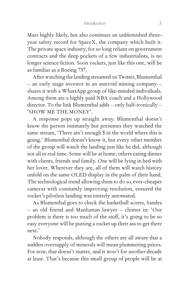Mars highly likely, but also continues an unblemished threeyear safety record for SpaceX, the company which built it. The private space industry, for so long reliant on government contracts and the deep pockets of a few industrialists, is no longer science fiction. Soon rockets, just like this one, will be as familiar as a Boeing 737.

After watching the landing streamed on Twitter, Blumenthal – an early stage investor in an asteroid mining company – shares it with a WhatsApp group of like-minded individuals. Among them are a highly paid NBA coach and a Hollywood director. To the link Blumenthal adds – only half-ironically – 'SHOW ME THE MONEY'.

A response pops up straight away. Blumenthal doesn't know the person intimately but presumes they watched the same stream, 'There ain't enough \$ in the world where this is going.' Blumenthal doesn't know it, but every other member of the group will watch the landing just like he did, although not all in real time. Some will be at home, others eating dinner with clients, friends and family. One will be lying in bed with her lover. Wherever they are, all of them will watch history unfold on the same OLED display in the palm of their hand. The technological trend allowing them to do so, ever-cheaper cameras with constantly improving resolution, ensured the rocket's pilotless landing was entirely automated.

As Blumenthal goes to check the basketball scores, Sandra – an old friend and Manhattan lawyer – chimes in: 'Our problem is there is too much of the stuff, it's going to be so easy everyone will be putting a rocket up their ass to get there next.'

Nobody responds, although the others are all aware that a sudden oversupply of minerals will mean plummeting prices. For now, that doesn't matter, and it won't for another decade at least. That's because this small group of people will be at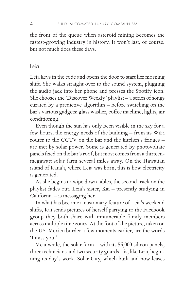the front of the queue when asteroid mining becomes the fastest-growing industry in history. It won't last, of course, but not much does these days.

#### Leia

Leia keys in the code and opens the door to start her morning shift. She walks straight over to the sound system, plugging the audio jack into her phone and presses the Spotify icon. She chooses the 'Discover Weekly' playlist – a series of songs curated by a predictive algorithm – before switching on the bar's various gadgets: glass washer, coffee machine, lights, air conditioning.

Even though the sun has only been visible in the sky for a few hours, the energy needs of the building – from its WiFi router to the CCTV on the bar and the kitchen's fridges – are met by solar power. Some is generated by photovoltaic panels fixed on the bar's roof, but most comes from a thirteenmegawatt solar farm several miles away. On the Hawaiian island of Kaua'i, where Leia was born, this is how electricity is generated.

As she begins to wipe down tables, the second track on the playlist fades out. Leia's sister, Kai – presently studying in California – is messaging her.

In what has become a customary feature of Leia's weekend shifts, Kai sends pictures of herself partying to the Facebook group they both share with innumerable family members across multiple time zones. At the foot of the picture, taken on the US–Mexico border a few moments earlier, are the words 'I miss you.'

Meanwhile, the solar farm – with its 55,000 silicon panels, three technicians and two security guards – is, like Leia, beginning its day's work. Solar City, which built and now leases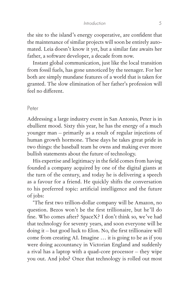#### *Introduction* 5

the site to the island's energy cooperative, are confident that the maintenance of similar projects will soon be entirely automated. Leia doesn't know it yet, but a similar fate awaits her father, a software developer, a decade from now.

Instant global communication, just like the local transition from fossil fuels, has gone unnoticed by the teenager. For her both are simply mundane features of a world that is taken for granted. The slow elimination of her father's profession will feel no different.

#### Peter

Addressing a large industry event in San Antonio, Peter is in ebullient mood. Sixty this year, he has the energy of a much younger man – primarily as a result of regular injections of human growth hormone. These days he takes great pride in two things: the baseball team he owns and making ever more bullish statements about the future of technology.

His expertise and legitimacy in the field comes from having founded a company acquired by one of the digital giants at the turn of the century, and today he is delivering a speech as a favour for a friend. He quickly shifts the conversation to his preferred topic: artificial intelligence and the future of jobs:

'The first two trillion-dollar company will be Amazon, no question. Bezos won't be the first trillionaire, but he 'll do fine. Who comes after? SpaceX? I don't think so, we've had that technology for seventy years, and soon everyone will be doing it – but good luck to Elon. No, the first trillionaire will come from creating AI. Imagine … it is going to be as if you were doing accountancy in Victorian England and suddenly a rival has a laptop with a quad-core processor – they wipe you out. And jobs? Once that technology is rolled out most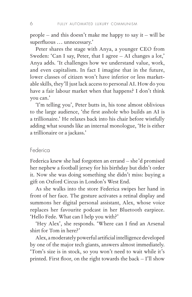people – and this doesn't make me happy to say it – will be superfluous … unnecessary.'

Peter shares the stage with Anya, a younger CEO from Sweden: 'Can I say, Peter, that I agree – AI changes a lot,' Anya adds. 'It challenges how we understand value, work, and even capitalism. In fact I imagine that in the future, lower classes of citizen won't have inferior or less marketable skills, they'll just lack access to personal AI. How do you have a fair labour market when that happens? I don't think you can.'

'I'm telling you', Peter butts in, his tone almost oblivious to the large audience, 'the first asshole who builds an AI is a trillionaire.' He relaxes back into his chair before wistfully adding what sounds like an internal monologue, 'He is either a trillionaire or a jackass.'

#### Federica

Federica knew she had forgotten an errand – she'd promised her nephew a football jersey for his birthday but didn't order it. Now she was doing something she didn't miss: buying a gift on Oxford Circus in London's West End.

As she walks into the store Federica swipes her hand in front of her face. The gesture activates a retinal display and summons her digital personal assistant, Alex, whose voice replaces her favourite podcast in her Bluetooth earpiece. 'Hello Fede. What can I help you with?'

'Hey Alex', she responds. 'Where can I find an Arsenal shirt for Tom in here?'

Alex, a moderately powerful artificial intelligence developed by one of the major tech giants, answers almost immediately. 'Tom's size is in stock, so you won't need to wait while it's printed. First floor, on the right towards the back – I'll show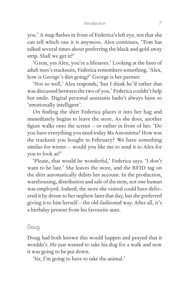#### *Introduction* 7

you.' A map flashes in front of Federica's left eye, not that she can tell which one it is anymore. Alex continues, 'Tom has talked several times about preferring the black and gold away strip. Shall we get it?'

'Great, yes Alex, you're a lifesaver.' Looking at the lines of adult men's tracksuits, Federica remembers something. 'Alex, how is George's diet going?' George is her partner.

'Not so well,' Alex responds, 'but I think he'd rather that was discussed between the two of you.' Federica couldn't help but smile. Digital personal assistants hadn't always been so 'emotionally intelligent'.

On finding the shirt Federica places it into her bag and immediately begins to leave the store. As she does, another figure walks onto the screen – or rather in front of her. 'Do you have everything you need today Ms Antonietta? How was the tracksuit you bought in February? We have something similar for winter – would you like me to send it to Alex for you to look at?'

'Please, that would be wonderful,' Federica says. 'I don't want to be late.' She leaves the store, and the RFID tag on the shirt automatically debits her account. In the production, warehousing, distribution and sale of the item, not one human was employed. Indeed, the store she visited could have delivered it by drone to her nephew later that day, but she preferred giving it to him herself – the old-fashioned way. After all, it's a birthday present from his favourite aunt.

#### Doug

Doug had both known this would happen and prayed that it wouldn't. He just wanted to take his dog for a walk and now it was going to be put down.

'Sir, I'm going to have to take the animal.'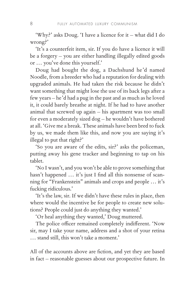'Why?' asks Doug. 'I have a licence for it – what did I do wrong?'

'It's a counterfeit item, sir. If you do have a licence it will be a forgery – you are either handling illegally edited goods or … you've done this yourself.'

Doug had bought the dog, a Dachshund he 'd named Noodle, from a breeder who had a reputation for dealing with upgraded animals. He had taken the risk because he didn't want something that might lose the use of its back legs after a few years – he'd had a pug in the past and as much as he loved it, it could barely breathe at night. If he had to have another animal that screwed up again – his apartment was too small for even a moderately sized dog – he wouldn't have bothered at all. 'Give me a break. These animals have been bred to fuck by us, we made them like this, and now you are saying it's illegal to put that right?'

'So you are aware of the edits, sir?' asks the policeman, putting away his gene tracker and beginning to tap on his tablet.

'No I wasn't, and you won't be able to prove something that hasn't happened ... it's just I find all this nonsense of scanning for "Frankenstein" animals and crops and people … it's fucking ridiculous.'

'It's the law, sir. If we didn't have these rules in place, then where would the incentive be for people to create new solutions? People could just do anything they wanted.'

'Or heal anything they wanted,' Doug muttered.

The police officer remained completely indifferent. 'Now sir, may I take your name, address and a shot of your retina … stand still, this won't take a moment.'

All of the accounts above are fiction, and yet they are based in fact – reasonable guesses about our prospective future. In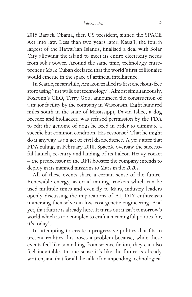#### *Introduction* 9

2015 Barack Obama, then US president, signed the SPACE Act into law. Less than two years later, Kaua'i, the fourth largest of the Hawai'ian Islands, finalised a deal with Solar City allowing the island to meet its entire electricity needs from solar power. Around the same time, technology entrepreneur Mark Cuban declared that the world's first trillionaire would emerge in the space of artificial intelligence.

In Seattle, meanwhile, Amazon trialled its first checkout-free store using 'just walk out technology'. Almost simultaneously, Foxconn's CEO, Terry Gou, announced the construction of a major facility by the company in Wisconsin. Eight hundred miles south in the state of Mississippi, David Ishee, a dog breeder and biohacker, was refused permission by the FDA to edit the genome of dogs he bred in order to eliminate a specific but common condition. His response? That he might do it anyway as an act of civil disobedience. A year after that FDA ruling, in February 2018, SpaceX oversaw the successful launch, re-entry and landing of its Falcon Heavy rocket – the predecessor to the BFR booster the company intends to deploy in its manned missions to Mars in the 2020s.

All of these events share a certain sense of the future. Renewable energy, asteroid mining, rockets which can be used multiple times and even fly to Mars, industry leaders openly discussing the implications of AI, DIY enthusiasts immersing themselves in low-cost genetic engineering. And yet, that future is already here. It turns out it isn't tomorrow's world which is too complex to craft a meaningful politics for, it's today's.

In attempting to create a progressive politics that fits to present realities this poses a problem because, while these events feel like something from science fiction, they can also feel inevitable. In one sense it's like the future is already written, and that for all the talk of an impending technological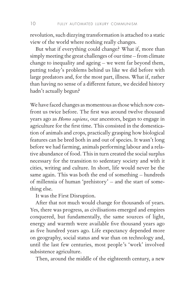revolution, such dizzying transformation is attached to a static view of the world where nothing really changes.

But what if everything could change? What if, more than simply meeting the great challenges of our time – from climate change to inequality and ageing – we went far beyond them, putting today's problems behind us like we did before with large predators and, for the most part, illness. What if, rather than having no sense of a different future, we decided history hadn't actually begun?

We have faced changes as momentous as those which now confront us twice before. The first was around twelve thousand years ago as *Homo sapiens*, our ancestors, began to engage in agriculture for the first time. This consisted in the domestication of animals and crops, practically grasping how biological features can be bred both in and out of species. It wasn't long before we had farming, animals performing labour and a relative abundance of food. This in turn created the social surplus necessary for the transition to sedentary society and with it cities, writing and culture. In short, life would never be the same again. This was both the end of something – hundreds of millennia of human 'prehistory' – and the start of something else.

It was the First Disruption.

After that not much would change for thousands of years. Yes, there was progress, as civilisations emerged and empires conquered, but fundamentally, the same sources of light, energy and warmth were available five thousand years ago as five hundred years ago. Life expectancy depended more on geography, social status and war than on technology and, until the last few centuries, most people 's 'work' involved subsistence agriculture.

Then, around the middle of the eighteenth century, a new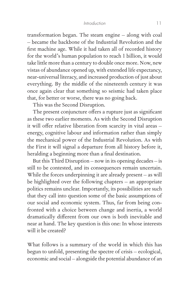transformation began. The steam engine – along with coal – became the backbone of the Industrial Revolution and the first machine age. While it had taken all of recorded history for the world's human population to reach 1 billion, it would take little more than a century to double once more. Now, new vistas of abundance opened up, with extended life expectancy, near-universal literacy, and increased production of just about everything. By the middle of the nineteenth century it was once again clear that something so seismic had taken place that, for better or worse, there was no going back.

This was the Second Disruption.

The present conjuncture offers a rupture just as significant as these two earlier moments. As with the Second Disruption it will offer relative liberation from scarcity in vital areas – energy, cognitive labour and information rather than simply the mechanical power of the Industrial Revolution. As with the First it will signal a departure from all history before it, heralding a beginning more than a final destination.

But this Third Disruption – now in its opening decades – is still to be contested, and its consequences remain uncertain. While the forces underpinning it are already present – as will be highlighted over the following chapters – an appropriate politics remains unclear. Importantly, its possibilities are such that they call into question some of the basic assumptions of our social and economic system. Thus, far from being confronted with a choice between change and inertia, a world dramatically different from our own is both inevitable and near at hand. The key question is this one: In whose interests will it be created?

What follows is a summary of the world in which this has begun to unfold, presenting the spectre of crisis – ecological, economic and social – alongside the potential abundance of an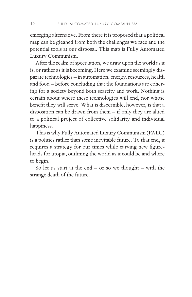emerging alternative. From there it is proposed that a political map can be gleaned from both the challenges we face and the potential tools at our disposal. This map is Fully Automated Luxury Communism.

After the realm of speculation, we draw upon the world as it is, or rather as it is becoming. Here we examine seemingly disparate technologies – in automation, energy, resources, health and food – before concluding that the foundations are cohering for a society beyond both scarcity and work. Nothing is certain about where these technologies will end, nor whose benefit they will serve. What is discernible, however, is that a disposition can be drawn from them – if only they are allied to a political project of collective solidarity and individual happiness.

This is why Fully Automated Luxury Communism (FALC) is a politics rather than some inevitable future. To that end, it requires a strategy for our times while carving new figureheads for utopia, outlining the world as it could be and where to begin.

So let us start at the end  $-$  or so we thought  $-$  with the strange death of the future.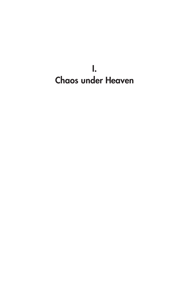I. Chaos under Heaven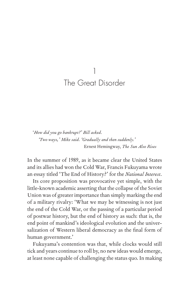## 1 The Great Disorder

'*How did you go bankrupt?' Bill asked. 'Two ways,' Mike said. 'Gradually and then suddenly.'*  Ernest Hemingway, *The Sun Also Rises*

In the summer of 1989, as it became clear the United States and its allies had won the Cold War, Francis Fukuyama wrote an essay titled 'The End of History?' for the *National Interest*.

Its core proposition was provocative yet simple, with the little-known academic asserting that the collapse of the Soviet Union was of greater importance than simply marking the end of a military rivalry: 'What we may be witnessing is not just the end of the Cold War, or the passing of a particular period of postwar history, but the end of history as such: that is, the end point of mankind's ideological evolution and the universalization of Western liberal democracy as the final form of human government.'

Fukuyama's contention was that, while clocks would still tick and years continue to roll by, no new ideas would emerge, at least none capable of challenging the status quo. In making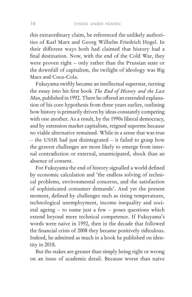this extraordinary claim, he referenced the unlikely authorities of Karl Marx and Georg Wilhelm Friedrich Hegel. In their different ways both had claimed that history had a final destination. Now, with the end of the Cold War, they were proven right – only rather than the Prussian state or the downfall of capitalism, the twilight of ideology was Big Macs and Coca-Cola.

Fukuyama swiftly became an intellectual superstar, turning the essay into his first book *The End of History and the Last Man*, published in 1992. There he offered an extended explanation of his core hypothesis from three years earlier, outlining how history is primarily driven by ideas constantly competing with one another. As a result, by the 1990s liberal democracy, and by extension market capitalism, reigned supreme because no viable alternative remained. While in a sense that was true – the USSR had just disintegrated – it failed to grasp how the gravest challenges are more likely to emerge from internal contradiction or external, unanticipated, shock than an absence of consent.

For Fukuyama the end of history signalled a world defined by economic calculation and 'the endless solving of technical problems, environmental concerns, and the satisfaction of sophisticated consumer demands'. And yet the present moment, defined by challenges such as rising temperatures, technological unemployment, income inequality and societal ageing – to name just a few – poses questions which extend beyond mere technical competence. If Fukuyama's words were naive in 1992, then in the decade that followed the financial crisis of 2008 they became positively ridiculous. Indeed, he admitted as much in a book he published on identity in 2018.

But the stakes are greater than simply being right or wrong on an issue of academic detail. Because worse than naive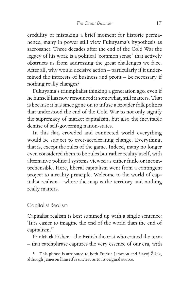credulity or mistaking a brief moment for historic permanence, many in power still view Fukuyama's hypothesis as sacrosanct. Three decades after the end of the Cold War the legacy of his work is a political 'common sense' that actively obstructs us from addressing the great challenges we face. After all, why would decisive action – particularly if it undermined the interests of business and profit – be necessary if nothing really changes?

Fukuyama's triumphalist thinking a generation ago, even if he himself has now renounced it somewhat, still matters. That is because it has since gone on to infuse a broader folk politics that understood the end of the Cold War to not only signify the supremacy of market capitalism, but also the inevitable demise of self-governing nation-states.

In this flat, crowded and connected world everything would be subject to ever-accelerating change. Everything, that is, except the rules of the game. Indeed, many no longer even considered them to be rules but rather reality itself, with alternative political systems viewed as either futile or incomprehensible. Here, liberal capitalism went from a contingent project to a reality principle. Welcome to the world of capitalist realism – where the map is the territory and nothing really matters.

#### Capitalist Realism

Capitalist realism is best summed up with a single sentence: 'It is easier to imagine the end of the world than the end of capitalism.'\*

For Mark Fisher – the British theorist who coined the term – that catchphrase captures the very essence of our era, with

This phrase is attributed to both Fredric Jameson and Slavoj Žižek, although Jameson himself is unclear as to its original source.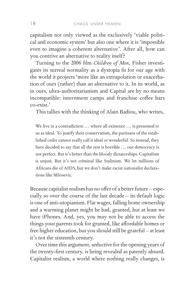capitalism not only viewed as the exclusively 'viable political and economic system' but also one where it is 'impossible even to imagine a coherent alternative '. After all, how can you contrive an alternative to reality itself?

Turning to the 2006 film *Children of Men*, Fisher investigates its surreal normality as a dystopia fit for our age with the world it projects 'more like an extrapolation or exacerbation of ours (rather) than an alternative to it. In its world, as in ours, ultra-authoritarianism and Capital are by no means incompatible: internment camps and franchise coffee bars co-exist.'

This tallies with the thinking of Alain Badiou, who writes,

We live in a contradiction … where all existence … is presented to us as ideal. To justify their conservatism, the partisans of the established order cannot really call it ideal or wonderful. So instead, they have decided to say that all the rest is horrible … our democracy is not perfect. But it's better than the bloody dictatorships. Capitalism is unjust. But it's not criminal like Stalinism. We let millions of Africans die of AIDS, but we don't make racist nationalist declarations like Milosevic.

Because capitalist realism has no offer of a better future – especially so over the course of the last decade – its default logic is one of anti-utopianism. Flat wages, falling home ownership and a warming planet might be bad, granted, but at least we have iPhones. And, yes, you may not be able to access the things your parents took for granted, like affordable homes or free higher education, but you should still be grateful – at least it's not the sixteenth century.

Over time this argument, seductive for the opening years of the twenty-first century, is being revealed as patently absurd. Capitalist realism, a world where nothing really changes, is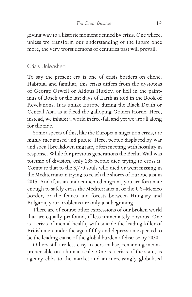giving way to a historic moment defined by crisis. One where, unless we transform our understanding of the future once more, the very worst demons of centuries past will prevail.

#### Crisis Unleashed

To say the present era is one of crisis borders on cliché. Habitual and familiar, this crisis differs from the dystopias of George Orwell or Aldous Huxley, or hell in the paintings of Bosch or the last days of Earth as told in the Book of Revelations*.* It is unlike Europe during the Black Death or Central Asia as it faced the galloping Golden Horde. Here, instead, we inhabit a world in free-fall and yet we are all along for the ride.

Some aspects of this, like the European migration crisis, are highly mediatised and public. Here, people displaced by war and social breakdown migrate, often meeting with hostility in response. While for previous generations the Berlin Wall was totemic of division, only 235 people died trying to cross it. Compare that to the 3,770 souls who died or went missing in the Mediterranean trying to reach the shores of Europe just in 2015. And if, as an undocumented migrant, you are fortunate enough to safely cross the Mediterranean, or the US–Mexico border, or the fences and forests between Hungary and Bulgaria, your problems are only just beginning.

There are of course other expressions of our broken world that are equally profound, if less immediately obvious. One is a crisis of mental health, with suicide the leading killer of British men under the age of fifty and depression expected to be the leading cause of the global burden of disease by 2030.

Others still are less easy to personalise, remaining incomprehensible on a human scale. One is a crisis of the state, as agency ebbs to the market and an increasingly globalised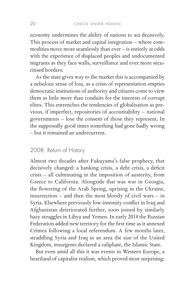economy undermines the ability of nations to act decisively. This process of market and capital integration – where commodities move more seamlessly than ever – is entirely at odds with the experience of displaced peoples and undocumented migrants as they face walls, surveillance and ever more securitised borders.

As the state gives way to the market this is accompanied by a nebulous sense of loss, as a crisis of representation empties democratic institutions of authority and citizens come to view them as little more than conduits for the interests of corrupt elites. This entrenches the tendencies of globalisation as previous, if imperfect, repositories of accountability – national governments – lose the consent of those they represent. In the supposedly good times something had gone badly wrong – but it remained an undercurrent.

#### 2008: Return of History

Almost two decades after Fukuyama's false prophecy, that decisively changed: a banking crisis, a debt crisis, a deficit crisis – all culminating in the imposition of austerity, from Greece to California. Alongside that was war in Georgia, the flowering of the Arab Spring, uprising in the Ukraine, insurrection – and then the most bloody of civil wars – in Syria. Elsewhere previously low-intensity conflict in Iraq and Afghanistan deteriorated further, soon joined by similarly hazy struggles in Libya and Yemen. In early 2014 the Russian Federation added new territory for the first time as it annexed Crimea following a local referendum. A few months later, straddling Syria and Iraq in an area the size of the United Kingdom, insurgents declared a caliphate, the Islamic State.

But even amid all this it was events in Western Europe, a heartland of capitalist realism, which proved most surprising: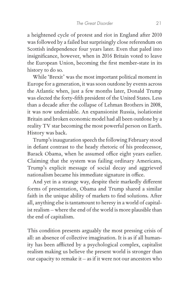a heightened cycle of protest and riot in England after 2010 was followed by a failed but surprisingly close referendum on Scottish independence four years later. Even that paled into insignificance, however, when in 2016 Britain voted to leave the European Union, becoming the first member-state in its history to do so.

While 'Brexit' was the most important political moment in Europe for a generation, it was soon outdone by events across the Atlantic when, just a few months later, Donald Trump was elected the forty-fifth president of the United States. Less than a decade after the collapse of Lehman Brothers in 2008, it was now undeniable. An expansionist Russia, isolationist Britain and broken economic model had all been outdone by a reality TV star becoming the most powerful person on Earth. History was back.

Trump's inauguration speech the following February stood in defiant contrast to the heady rhetoric of his predecessor, Barack Obama, when he assumed office eight years earlier. Claiming that the system was failing ordinary Americans, Trump's explicit message of social decay and aggrieved nationalism became his immediate signature in office.

And yet in a strange way, despite their markedly different forms of presentation, Obama and Trump shared a similar faith in the unique ability of markets to find solutions. After all, anything else is tantamount to heresy in a world of capitalist realism – where the end of the world is more plausible than the end of capitalism.

This condition presents arguably the most pressing crisis of all: an absence of collective imagination. It is as if all humanity has been afflicted by a psychological complex, capitalist realism making us believe the present world is stronger than our capacity to remake it  $-$  as if it were not our ancestors who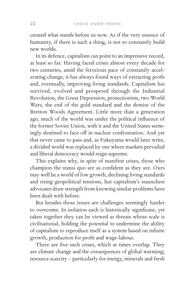created what stands before us now. As if the very essence of humanity, if there is such a thing, is not to constantly build new worlds.

In its defence, capitalism can point to an impressive record, at least so far. Having faced crises almost every decade for two centuries, amid the ferocious pace of constantly accelerating change, it has always found ways of extracting profit and, eventually, improving living standards. Capitalism has survived, evolved and prospered through the Industrial Revolution, the Great Depression, protectionism, two World Wars, the end of the gold standard and the demise of the Bretton Woods Agreement. Little more than a generation ago, much of the world was under the political influence of the former Soviet Union, with it and the United States seemingly destined to face off in nuclear confrontation. And yet that never came to pass and, as Fukuyama would later write, a divided world was replaced by one where markets prevailed and liberal democracy would reign supreme.

This explains why, in spite of manifest crises, those who champion the status quo are as confident as they are. Ours may well be a world of low growth, declining living standards and rising geopolitical tensions, but capitalism's staunchest advocates draw strength from knowing similar problems have been dealt with before.

But besides those issues are challenges seemingly harder to overcome. In isolation each is historically significant, yet taken together they can be viewed as threats whose scale is civilisational, holding the potential to undermine the ability of capitalism to reproduce itself as a system based on infinite growth, production for profit and wage-labour.

There are five such crises, which at times overlap. They are climate change and the consequences of global warming; resource scarcity – particularly for energy, minerals and fresh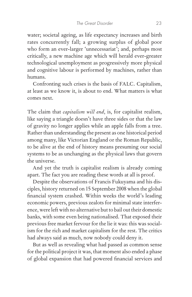water; societal ageing, as life expectancy increases and birth rates concurrently fall; a growing surplus of global poor who form an ever-larger 'unnecessariat'; and, perhaps most critically, a new machine age which will herald ever-greater technological unemployment as progressively more physical and cognitive labour is performed by machines, rather than humans.

Confronting such crises is the basis of FALC. Capitalism, at least as we know it, is about to end. What matters is what comes next.

The claim that *capitalism will end*, is, for capitalist realism, like saying a triangle doesn't have three sides or that the law of gravity no longer applies while an apple falls from a tree. Rather than understanding the present as one historical period among many, like Victorian England or the Roman Republic, to be alive at the end of history means presuming our social systems to be as unchanging as the physical laws that govern the universe.

And yet the truth is capitalist realism is already coming apart. The fact you are reading these words at all is proof.

Despite the observations of Francis Fukuyama and his disciples, history returned on 15 September 2008 when the global financial system crashed. Within weeks the world's leading economic powers, previous zealots for minimal state interference, were left with no alternative but to bail out their domestic banks, with some even being nationalised. That exposed their previous free market fervour for the lie it was: this was socialism for the rich and market capitalism for the rest. The critics had always said as much, now nobody could deny it.

But as well as revealing what had passed as common sense for the political project it was, that moment also ended a phase of global expansion that had powered financial services and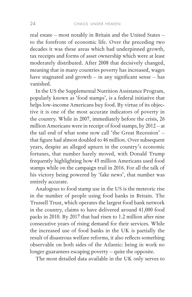real estate – most notably in Britain and the United States – to the forefront of economic life. Over the preceding two decades it was these areas which had underpinned growth, tax receipts and forms of asset ownership which were at least moderately distributed. After 2008 that decisively changed, meaning that in many countries poverty has increased, wages have stagnated and growth – in any significant sense – has vanished.

In the US the Supplemental Nutrition Assistance Program, popularly known as 'food stamps', is a federal initiative that helps low-income Americans buy food. By virtue of its objective it is one of the most accurate indicators of poverty in the country. While in 2007, immediately before the crisis, 26 million Americans were in receipt of food stamps, by 2012 – at the tail end of what some now call 'the Great Recession' – that figure had almost doubled to 46 million. Over subsequent years, despite an alleged upturn in the country's economic fortunes, that number barely moved, with Donald Trump frequently highlighting how 43 million Americans used food stamps while on the campaign trail in 2016. For all the talk of his victory being powered by 'fake news', that number was entirely accurate.

Analogous to food stamp use in the US is the meteoric rise in the number of people using food banks in Britain. The Trussell Trust, which operates the largest food bank network in the country, claims to have delivered around 41,000 food packs in 2010. By 2017 that had risen to 1.2 million after nine consecutive years of rising demand for their services. While the increased use of food banks in the UK is partially the result of disastrous welfare reforms, it also reflects something observable on both sides of the Atlantic: being in work no longer guarantees escaping poverty – quite the opposite.

The most detailed data available in the UK only serves to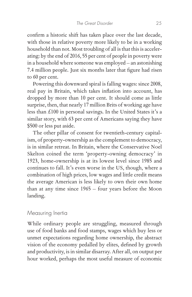confirm a historic shift has taken place over the last decade, with those in relative poverty more likely to be in a working household than not. Most troubling of all is that this is accelerating: by the end of 2016, 55 per cent of people in poverty were in a household where someone was employed – an astonishing 7.4 million people. Just six months later that figure had risen to 60 per cent.

Powering this downward spiral is falling wages: since 2008, real pay in Britain, which takes inflation into account, has dropped by more than 10 per cent. It should come as little surprise, then, that nearly 17 million Brits of working age have less than £100 in personal savings. In the United States it's a similar story, with 63 per cent of Americans saying they have \$500 or less put aside.

The other pillar of consent for twentieth-century capitalism, of property-ownership as the complement to democracy, is in similar retreat. In Britain, where the Conservative Noel Skelton coined the term 'property-owning democracy' in 1923, home-ownership is at its lowest level since 1985 and continues to fall. It's even worse in the US, though, where a combination of high prices, low wages and little credit means the average American is less likely to own their own home than at any time since 1965 – four years before the Moon landing.

#### Measuring Inertia

While ordinary people are struggling, measured through use of food banks and food stamps, wages which buy less or unmet expectations regarding home ownership, the abstract vision of the economy pedalled by elites, defined by growth and productivity, is in similar disarray. After all, on output per hour worked, perhaps the most useful measure of economic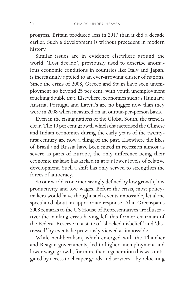progress, Britain produced less in 2017 than it did a decade earlier. Such a development is without precedent in modern history.

Similar issues are in evidence elsewhere around the world. 'Lost decade', previously used to describe anomalous economic conditions in countries like Italy and Japan, is increasingly applied to an ever-growing cluster of nations. Since the crisis of 2008, Greece and Spain have seen unemployment go beyond 25 per cent, with youth unemployment touching double that. Elsewhere, economies such as Hungary, Austria, Portugal and Latvia's are no bigger now than they were in 2008 when measured on an output-per-person basis.

Even in the rising nations of the Global South, the trend is clear. The 10 per cent growth which characterised the Chinese and Indian economies during the early years of the twentyfirst century are now a thing of the past. Elsewhere the likes of Brazil and Russia have been mired in recession almost as severe as parts of Europe, the only difference being their economic malaise has kicked in at far lower levels of relative development. Such a shift has only served to strengthen the forces of autocracy.

So our world is one increasingly defined by low growth, low productivity and low wages. Before the crisis, most policymakers would have thought such events impossible, let alone speculated about an appropriate response. Alan Greenspan's 2008 remarks to the US House of Representatives are illustrative: the banking crisis having left this former chairman of the Federal Reserve in a state of 'shocked disbelief ' and 'distressed' by events he previously viewed as impossible.

While neoliberalism, which emerged with the Thatcher and Reagan governments, led to higher unemployment and lower wage growth, for more than a generation this was mitigated by access to cheaper goods and services – by relocating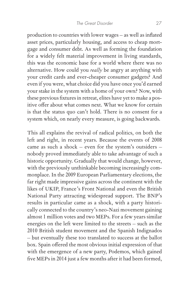production to countries with lower wages – as well as inflated asset prices, particularly housing, and access to cheap mortgage and consumer debt. As well as forming the foundation for a widely felt material improvement in living standards, this was the economic base for a world where there was no alternative. How could you *really* be angry at anything with your credit cards and ever-cheaper consumer gadgets? And even if you were, what choice did you have once you'd earned your stake in the system with a home of your own? Now, with these previous fixtures in retreat, elites have yet to make a positive offer about what comes next. What we know for certain is that the status quo can't hold. There is no consent for a system which, on nearly every measure, is going backwards.

This all explains the revival of radical politics, on both the left and right, in recent years. Because the events of 2008 came as such a shock – even for the system's outsiders – nobody proved immediately able to take advantage of such a historic opportunity. Gradually that would change, however, with the previously unthinkable becoming increasingly commonplace. In the 2009 European Parliamentary elections, the far right made impressive gains across the continent with the likes of UKIP, France 's Front National and even the British National Party attracting widespread support. The BNP's results in particular came as a shock, with a party historically connected to the country's neo-Nazi movement gaining almost 1 million votes and two MEPs. For a few years similar energies on the left were limited to the streets – such as the 2010 British student movement and the Spanish Indignados – but eventually these too translated to success at the ballot box. Spain offered the most obvious initial expression of that with the emergence of a new party, Podemos, which gained five MEPs in 2014 just a few months after it had been formed,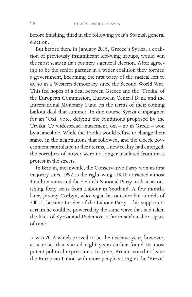before finishing third in the following year's Spanish general election.

But before then, in January 2015, Greece's Syriza, a coalition of previously insignificant left-wing groups, would win the most seats in that country's general election. After agreeing to be the senior partner in a wider coalition they formed a government, becoming the first party of the radical left to do so in a Western democracy since the Second World War. This fed hopes of a deal between Greece and the 'Troika' of the European Commission, European Central Bank and the International Monetary Fund on the terms of their coming bailout deal that summer. In due course Syriza campaigned for an 'Oxi' vote, defying the conditions proposed by the Troika. To widespread amazement, oxi – no in Greek – won by a landslide. While the Troika would refuse to change their stance in the negotiations that followed, and the Greek government capitulated to their terms, a new reality had emerged: the corridors of power were no longer insulated from mass protest in the streets.

In Britain, meanwhile, the Conservative Party won its first majority since 1992 as the right-wing UKIP attracted almost 4 million votes and the Scottish National Party took an astonishing forty seats from Labour in Scotland. A few months later, Jeremy Corbyn, who began his outsider bid at odds of 200–1, became Leader of the Labour Party – his supporters certain he could be powered by the same wave that had taken the likes of Syriza and Podemos so far in such a short space of time.

It was 2016 which proved to be the decisive year, however, as a crisis that started eight years earlier found its most potent political expressions. In June, Britain voted to leave the European Union with more people voting in the 'Brexit'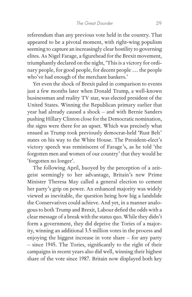referendum than any previous vote held in the country. That appeared to be a pivotal moment, with right-wing populism seeming to capture an increasingly clear hostility to governing elites. As Nigel Farage, a figurehead for the Brexit movement, triumphantly declared on the night, 'This is a victory for ordinary people, for good people, for decent people … the people who've had enough of the merchant bankers.'

Yet even the shock of Brexit paled in comparison to events just a few months later when Donald Trump, a well-known businessman and reality TV star, was elected president of the United States. Winning the Republican primary earlier that year had already caused a shock – and with Bernie Sanders pushing Hillary Clinton close for the Democratic nomination, the signs were there for an upset. Which was precisely what ensued as Trump took previously democrat-held 'Rust Belt' states on his way to the White House. The President-elect's victory speech was reminiscent of Farage 's, as he told 'the forgotten men and women of our country' that they would be 'forgotten no longer'.

The following April, buoyed by the perception of a zeitgeist seemingly to her advantage, Britain's new Prime Minister Theresa May called a general election to cement her party's grip on power. An enhanced majority was widely viewed as inevitable, the question being how big a landslide the Conservatives could achieve. And yet, in a manner analogous to both Trump and Brexit, Labour defied the odds with a clear message of a break with the status quo. While they didn't form a government, they did deprive the Tories of a majority, winning an additional 3.5 million votes in the process and enjoying the biggest increase in vote share – for any party – since 1945. The Tories, significantly to the right of their campaigns in recent years also did well, winning their highest share of the vote since 1987. Britain now displayed both key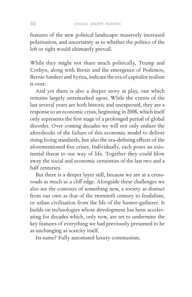features of the new political landscape: massively increased polarisation, and uncertainty as to whether the politics of the left or right would ultimately prevail.

While they might not share much politically, Trump and Corbyn, along with Brexit and the emergence of Podemos, Bernie Sanders and Syriza, indicate the era of capitalist realism is over.

And yet there is also a deeper story at play, one which remains largely unremarked upon. While the events of the last several years are both historic and unexpected, they are a response to an economic crisis, beginning in 2008, which itself only represents the first stage of a prolonged period of global disorder. Over coming decades we will not only endure the aftershocks of the failure of this economic model to deliver rising living standards, but also the era-defining effects of the aforementioned five crises. Individually, each poses an existential threat to our way of life. Together they could blow away the social and economic certainties of the last two and a half centuries.

But there is a deeper layer still, because we are at a crossroads as much as a cliff edge. Alongside these challenges we also see the contours of something new, a society as distinct from our own as that of the twentieth century to feudalism, or urban civilisation from the life of the hunter-gatherer. It builds on technologies whose development has been accelerating for decades which, only now, are set to undermine the key features of everything we had previously presumed to be as unchanging as scarcity itself.

Its name? Fully automated luxury communism.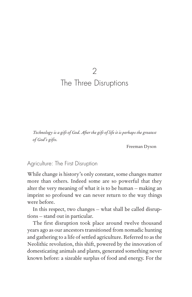# $\mathcal{P}$ The Three Disruptions

*Technology is a gift of God. After the gift of life it is perhaps the greatest of God's gifts.*

Freeman Dyson

### Agriculture: The First Disruption

While change is history's only constant, some changes matter more than others. Indeed some are so powerful that they alter the very meaning of what it is to be human – making an imprint so profound we can never return to the way things were before.

In this respect, two changes – what shall be called disruptions – stand out in particular.

The first disruption took place around twelve thousand years ago as our ancestors transitioned from nomadic hunting and gathering to a life of settled agriculture. Referred to as the Neolithic revolution, this shift, powered by the innovation of domesticating animals and plants, generated something never known before: a sizeable surplus of food and energy. For the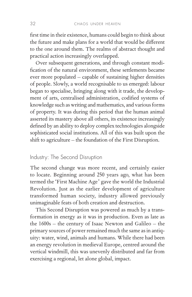first time in their existence, humans could begin to think about the future and make plans for a world that would be different to the one around them. The realms of abstract thought and practical action increasingly overlapped.

Over subsequent generations, and through constant modification of the natural environment, these settlements became ever more populated – capable of sustaining higher densities of people. Slowly, a world recognisable to us emerged: labour began to specialise, bringing along with it trade, the development of arts, centralised administration, codified systems of knowledge such as writing and mathematics, and various forms of property. It was during this period that the human animal asserted its mastery above all others, its existence increasingly defined by an ability to deploy complex technologies alongside sophisticated social institutions. All of this was built upon the shift to agriculture – the foundation of the First Disruption.

### Industry: The Second Disruption

The second change was more recent, and certainly easier to locate. Beginning around 250 years ago, what has been termed the 'First Machine Age' gave the world the Industrial Revolution. Just as the earlier development of agriculture transformed human society, industry allowed previously unimaginable feats of both creation and destruction.

This Second Disruption was powered as much by a transformation in energy as it was in production. Even as late as the 1600s – the century of Isaac Newton and Galileo – the primary sources of power remained much the same as in antiquity: water, wind, animals and humans. While there had been an energy revolution in medieval Europe, centred around the vertical windmill, this was unevenly distributed and far from exercising a regional, let alone global, impact.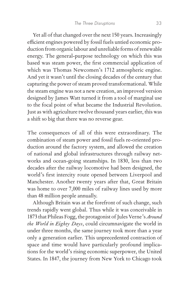Yet all of that changed over the next 150 years. Increasingly efficient engines powered by fossil fuels untied economic production from organic labour and unreliable forms of renewable energy. The general-purpose technology on which this was based was steam power, the first commercial application of which was Thomas Newcomen's 1712 atmospheric engine. And yet it wasn't until the closing decades of the century that capturing the power of steam proved transformational. While the steam engine was not a new creation, an improved version designed by James Watt turned it from a tool of marginal use to the focal point of what became the Industrial Revolution. Just as with agriculture twelve thousand years earlier, this was a shift so big that there was no reverse gear.

The consequences of all of this were extraordinary. The combination of steam power and fossil fuels re-oriented production around the factory system, and allowed the creation of national and global infrastructures through railway networks and ocean-going steamships. In 1830, less than two decades after the railway locomotive had been designed, the world's first intercity route opened between Liverpool and Manchester. Another twenty years after that, Great Britain was home to over 7,000 miles of railway lines used by more than 48 million people annually.

Although Britain was at the forefront of such change, such trends rapidly went global. Thus while it was conceivable in 1873 that Phileas Fogg, the protagonist of Jules Verne's *Around the World in Eighty Days*, could circumnavigate the world in under three months, the same journey took more than a year only a generation earlier. This unprecedented contraction of space and time would have particularly profound implications for the world's rising economic superpower, the United States. In 1847, the journey from New York to Chicago took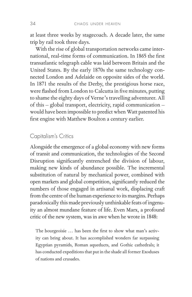at least three weeks by stagecoach. A decade later, the same trip by rail took three days.

With the rise of global transportation networks came international, real-time forms of communication. In 1865 the first transatlantic telegraph cable was laid between Britain and the United States. By the early 1870s the same technology connected London and Adelaide on opposite sides of the world. In 1871 the results of the Derby, the prestigious horse race, were flashed from London to Calcutta in five minutes, putting to shame the eighty days of Verne's travelling adventurer. All of this – global transport, electricity, rapid communication – would have been impossible to predict when Watt patented his first engine with Matthew Boulton a century earlier.

# Capitalism's Critics

Alongside the emergence of a global economy with new forms of transit and communication, the technologies of the Second Disruption significantly entrenched the division of labour, making new kinds of abundance possible. The incremental substitution of natural by mechanical power, combined with open markets and global competition, significantly reduced the numbers of those engaged in artisanal work, displacing craft from the centre of the human experience to its margins. Perhaps paradoxically this made previously unthinkable feats of ingenuity an almost mundane feature of life. Even Marx, a profound critic of the new system, was in awe when he wrote in 1848:

The bourgeoisie … has been the first to show what man's activity can bring about. It has accomplished wonders far surpassing Egyptian pyramids, Roman aqueducts, and Gothic cathedrals; it has conducted expeditions that put in the shade all former Exoduses of nations and crusades.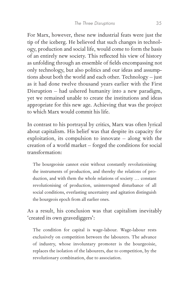For Marx, however, these new industrial feats were just the tip of the iceberg. He believed that such changes in technology, production and social life, would come to form the basis of an entirely new society. This reflected his view of history as unfolding through an ensemble of fields encompassing not only technology, but also politics and our ideas and assumptions about both the world and each other. Technology – just as it had done twelve thousand years earlier with the First Disruption – had ushered humanity into a new paradigm, yet we remained unable to create the institutions and ideas appropriate for this new age. Achieving that was the project to which Marx would commit his life.

In contrast to his portrayal by critics, Marx was often lyrical about capitalism. His belief was that despite its capacity for exploitation, its compulsion to innovate – along with the creation of a world market – forged the conditions for social transformation:

The bourgeoisie cannot exist without constantly revolutionising the instruments of production, and thereby the relations of production, and with them the whole relations of society … constant revolutionising of production, uninterrupted disturbance of all social conditions, everlasting uncertainty and agitation distinguish the bourgeois epoch from all earlier ones.

As a result, his conclusion was that capitalism inevitably 'created its own gravediggers':

The condition for capital is wage-labour. Wage-labour rests exclusively on competition between the labourers. The advance of industry, whose involuntary promoter is the bourgeoisie, replaces the isolation of the labourers, due to competition, by the revolutionary combination, due to association.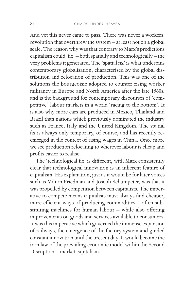And yet this never came to pass. There was never a workers' revolution that overthrew the system – at least not on a global scale. The reason why was that contrary to Marx's predictions capitalism could 'fix' – both spatially and technologically – the very problems it generated. The 'spatial fix' is what underpins contemporary globalisation, characterised by the global distribution and relocation of production. This was one of the solutions the bourgeoisie adopted to counter rising worker militancy in Europe and North America after the late 1960s, and is the background for contemporary discourses of 'competitive' labour markets in a world 'racing to the bottom'. It is also why more cars are produced in Mexico, Thailand and Brazil than nations which previously dominated the industry such as France, Italy and the United Kingdom. The spatial fix is always only temporary, of course, and has recently reemerged in the context of rising wages in China. Once more we see production relocating to wherever labour is cheap and profits easier to realise.

The 'technological fix' is different, with Marx consistently clear that technological innovation is an inherent feature of capitalism. His explanation, just as it would be for later voices such as Milton Friedman and Joseph Schumpeter, was that it was propelled by competition between capitalists. The imperative to compete means capitalists must always find cheaper, more efficient ways of producing commodities – often substituting machines for human labour – while also offering improvements on goods and services available to consumers. It was this imperative which governed the immense expansion of railways, the emergence of the factory system and guided constant innovation until the present day. It would become the iron law of the prevailing economic model within the Second Disruption – market capitalism.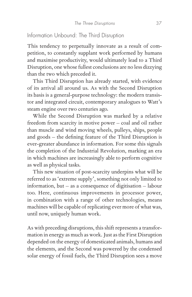# Information Unbound: The Third Disruption

This tendency to perpetually innovate as a result of competition, to constantly supplant work performed by humans and maximise productivity, would ultimately lead to a Third Disruption, one whose fullest conclusions are no less dizzying than the two which preceded it.

This Third Disruption has already started, with evidence of its arrival all around us. As with the Second Disruption its basis is a general-purpose technology: the modern transistor and integrated circuit, contemporary analogues to Watt's steam engine over two centuries ago.

While the Second Disruption was marked by a relative freedom from scarcity in motive power – coal and oil rather than muscle and wind moving wheels, pulleys, ships, people and goods – the defining feature of the Third Disruption is ever-greater abundance in information. For some this signals the completion of the Industrial Revolution, marking an era in which machines are increasingly able to perform cognitive as well as physical tasks.

This new situation of post-scarcity underpins what will be referred to as 'extreme supply', something not only limited to information, but – as a consequence of digitisation – labour too. Here, continuous improvements in processor power, in combination with a range of other technologies, means machines will be capable of replicating ever more of what was, until now, uniquely human work.

As with preceding disruptions, this shift represents a transformation in energy as much as work. Just as the First Disruption depended on the energy of domesticated animals, humans and the elements, and the Second was powered by the condensed solar energy of fossil fuels, the Third Disruption sees a move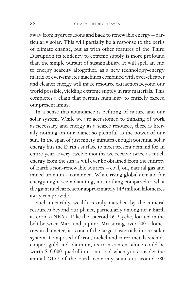away from hydrocarbons and back to renewable energy – particularly solar. This will partially be a response to the perils of climate change, but as with other features of the Third Disruption its tendency to extreme supply is more profound than the simple pursuit of sustainability. It will spell an end to energy scarcity altogether, as a new technology-energy matrix of ever-smarter machines combined with ever-cheaper and cleaner energy will make resource extraction beyond our world possible, yielding extreme supply in raw materials. This completes a chain that permits humanity to entirely exceed our present limits.

In a sense this abundance is befitting of nature and our solar system. While we are accustomed to thinking of work as necessary and energy as a scarce resource, there is literally nothing on our planet so plentiful as the power of our sun. In the span of just ninety minutes enough potential solar energy hits the Earth's surface to meet present demand for an entire year. Every twelve months we receive twice as much energy from the sun as will ever be obtained from the entirety of Earth's non-renewable sources – coal, oil, natural gas and mined uranium – combined. While rising global demand for energy might seem daunting, it is nothing compared to what the giant nuclear reactor approximately 149 million kilometres away can provide.

Such unearthly wealth is only matched by the mineral resources beyond our planet, particularly among near Earth asteroids (NEA). Take the asteroid 16 Psyche, located in the belt between Mars and Jupiter. Measuring over 200 kilometres in diameter, it is one of the largest asteroids in our solar system. Composed of iron, nickel and rarer metals such as copper, gold and platinum, its iron content alone could be worth \$10,000 quadrillion – not bad when you consider the annual GDP of the Earth economy stands at around \$80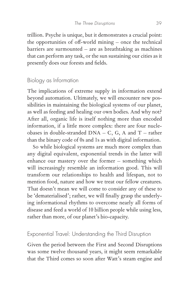trillion. Psyche is unique, but it demonstrates a crucial point: the opportunities of off-world mining – once the technical barriers are surmounted – are as breathtaking as machines that can perform any task, or the sun sustaining our cities as it presently does our forests and fields.

## Biology as Information

The implications of extreme supply in information extend beyond automation. Ultimately, we will encounter new possibilities in maintaining the biological systems of our planet, as well as feeding and healing our own bodies. And why not? After all, organic life is itself nothing more than encoded information, if a little more complex: there are four nucleobases in double-stranded  $DNA - C$ , G, A and T – rather than the binary code of 0s and 1s as with digital information.

So while biological systems are much more complex than any digital equivalent, exponential trends in the latter will enhance our mastery over the former – something which will increasingly resemble an information good. This will transform our relationships to health and lifespan, not to mention food, nature and how we treat our fellow creatures. That doesn't mean we will come to consider any of these to be 'dematerialised'; rather, we will finally grasp the underlying informational rhythms to overcome nearly all forms of disease and feed a world of 10 billion people while using less, rather than more, of our planet's bio-capacity.

## Exponential Travel: Understanding the Third Disruption

Given the period between the First and Second Disruptions was some twelve thousand years, it might seem remarkable that the Third comes so soon after Watt's steam engine and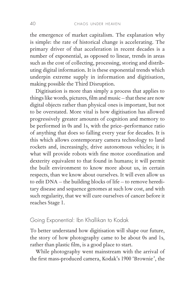the emergence of market capitalism. The explanation why is simple: the rate of historical change is accelerating. The primary driver of that acceleration in recent decades is a number of exponential, as opposed to linear, trends in areas such as the cost of collecting, processing, storing and distributing digital information. It is these exponential trends which underpin extreme supply in information and digitisation, making possible the Third Disruption.

Digitisation is more than simply a process that applies to things like words, pictures, film and music – that these are now digital objects rather than physical ones is important, but not to be overstated. More vital is how digitisation has allowed progressively greater amounts of cognition and memory to be performed in 0s and 1s, with the price–performance ratio of anything that does so falling every year for decades. It is this which allows contemporary camera technology to land rockets and, increasingly, drive autonomous vehicles; it is what will provide robots with fine motor coordination and dexterity equivalent to that found in humans; it will permit the built environment to know more about us, in certain respects, than we know about ourselves. It will even allow us to edit DNA – the building blocks of life – to remove hereditary disease and sequence genomes at such low cost, and with such regularity, that we will cure ourselves of cancer before it reaches Stage 1.

### Going Exponential: Ibn Khallikan to Kodak

To better understand how digitisation will shape our future, the story of how photography came to be about 0s and 1s, rather than plastic film, is a good place to start.

While photography went mainstream with the arrival of the first mass-produced camera, Kodak's 1900 'Brownie', the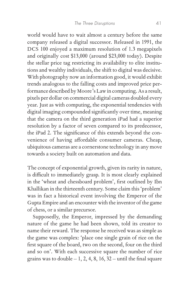world would have to wait almost a century before the same company released a digital successor. Released in 1991, the DCS 100 enjoyed a maximum resolution of 1.3 megapixels and originally cost \$13,000 (around \$23,000 today). Despite the stellar price tag restricting its availability to elite institutions and wealthy individuals, the shift to digital was decisive. With photography now an information good, it would exhibit trends analogous to the falling costs and improved price performance described by Moore's Law in computing. As a result, pixels per dollar on commercial digital cameras doubled every year. Just as with computing, the exponential tendencies with digital imaging compounded significantly over time, meaning that the camera on the third generation iPad had a superior resolution by a factor of seven compared to its predecessor, the iPad 2. The significance of this extends beyond the convenience of having affordable consumer cameras. Cheap, ubiquitous cameras are a cornerstone technology in any move towards a society built on automation and data.

The concept of exponential growth, given its rarity in nature, is difficult to immediately grasp. It is most clearly explained in the 'wheat and chessboard problem', first outlined by Ibn Khallikan in the thirteenth century. Some claim this 'problem' was in fact a historical event involving the Emperor of the Gupta Empire and an encounter with the inventor of the game of chess, or a similar precursor.

Supposedly, the Emperor, impressed by the demanding nature of the game he had been shown, told its creator to name their reward. The response he received was as simple as the game was complex: 'place one single grain of rice on the first square of the board, two on the second, four on the third and so on'. With each successive square the number of rice grains was to double  $-1$ , 2, 4, 8, 16, 32 – until the final square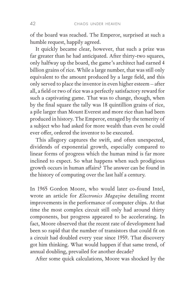of the board was reached. The Emperor, surprised at such a humble request, happily agreed.

It quickly became clear, however, that such a prize was far greater than he had anticipated. After thirty-two squares, only halfway up the board, the game's architect had earned 4 billion grains of rice. While a large number, that was still only equivalent to the amount produced by a large field, and this only served to place the inventor in even higher esteem – after all, a field or two of rice was a perfectly satisfactory reward for such a captivating game. That was to change, though, when by the final square the tally was 18 quintillion grains of rice, a pile larger than Mount Everest and more rice than had been produced in history. The Emperor, enraged by the temerity of a subject who had asked for more wealth than even he could ever offer, ordered the inventor to be executed.

This allegory captures the swift, and often unexpected, dividends of exponential growth, especially compared to linear forms of progress which the human mind is far more inclined to expect. So what happens when such prodigious growth occurs in human affairs? The answer can be found in the history of computing over the last half a century.

In 1965 Gordon Moore, who would later co-found Intel, wrote an article for *Electronics Magazine* detailing recent improvements in the performance of computer chips. At that time the most complex circuit still only had around thirty components, but progress appeared to be accelerating. In fact, Moore observed that the recent rate of development had been so rapid that the number of transistors that could fit on a circuit had doubled every year since 1959. That discovery got him thinking. What would happen if that same trend, of annual doubling, prevailed for another decade?

After some quick calculations, Moore was shocked by the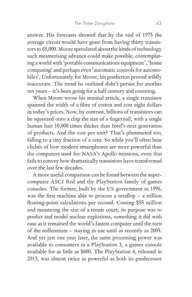answer. His forecasts showed that by the end of 1975 the average circuit would have gone from having thirty transistors to 65,000. Moore speculated about the kinds of technology such mesmerising advance could make possible, contemplating a world with 'portable communications equipment', 'home computing' and perhaps even 'automatic controls for automobiles'. Unfortunately for Moore, his prediction proved wildly inaccurate. The trend he outlined didn't persist for another ten years – it's been going for a half century and counting.

When Moore wrote his seminal article, a single transistor spanned the width of a fibre of cotton and cost eight dollars in today's prices. Now, by contrast, billions of transistors can be squeezed onto a chip the size of a fingernail, with a single human hair 10,000 times thicker than Intel's next generation of products. And the cost per unit? That's plummeted too, falling to a tiny fraction of a cent. So while you'll often hear clichés of how modern smartphones are more powerful than the computers used for NASA's Apollo missions, even that fails to convey how dramatically transistors have transformed over the last few decades.

A more useful comparison can be found between the supercomputer ASCI Red and the PlayStation family of games consoles. The former, built by the US government in 1996, was the first machine able to process a teraflop – a trillion floating-point calculations per second. Costing \$55 million and measuring the size of a tennis court, its purpose was to predict and model nuclear explosions, something it did with ease as it remained the world's fastest computer until the turn of the millennium – staying in use until as recently as 2005. And yet just one year later, the same processing power was available to consumers in a PlayStation 3, a games console available for as little as \$600. The PlayStation 4, released in 2013, was almost twice as powerful as both its predecessor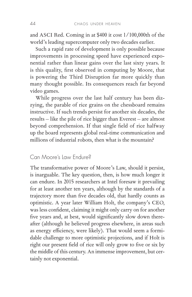and ASCI Red. Coming in at \$400 it cost 1/100,000th of the world's leading supercomputer only two decades earlier.

Such a rapid rate of development is only possible because improvements in processing speed have experienced exponential rather than linear gains over the last sixty years. It is this quality, first observed in computing by Moore, that is powering the Third Disruption far more quickly than many thought possible. Its consequences reach far beyond video games.

While progress over the last half century has been dizzying, the parable of rice grains on the chessboard remains instructive. If such trends persist for another six decades, the results – like the pile of rice bigger than Everest – are almost beyond comprehension. If that single field of rice halfway up the board represents global real-time communication and millions of industrial robots, then what is the mountain?

## Can Moore's Law Endure?

The transformative power of Moore's Law, should it persist, is inarguable. The key question, then, is how much longer it can endure. In 2015 researchers at Intel foresaw it prevailing for at least another ten years, although by the standards of a trajectory more than five decades old, that hardly counts as optimistic. A year later William Holt, the company's CEO, was less confident, claiming it might only carry on for another five years and, at best, would significantly slow down thereafter (although he believed progress elsewhere, in areas such as energy efficiency, were likely). That would seem a formidable challenge to more optimistic projections, and if Holt is right our present field of rice will only grow to five or six by the middle of this century. An immense improvement, but certainly not exponential.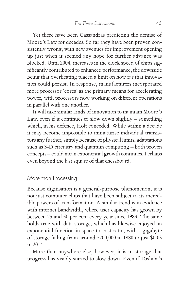Yet there have been Cassandras predicting the demise of Moore's Law for decades. So far they have been proven consistently wrong, with new avenues for improvement opening up just when it seemed any hope for further advance was blocked. Until 2004, increases in the clock speed of chips significantly contributed to enhanced performance, the downside being that overheating placed a limit on how far that innovation could persist. In response, manufacturers incorporated more processor 'cores' as the primary means for accelerating power, with processors now working on different operations in parallel with one another.

It will take similar kinds of innovation to maintain Moore's Law, even if it continues to slow down slightly – something which, in his defence, Holt conceded. While within a decade it may become impossible to miniaturise individual transistors any further, simply because of physical limits, adaptations such as 3-D circuitry and quantum computing – both proven concepts – could mean exponential growth continues. Perhaps even beyond the last square of that chessboard.

## More than Processing

Because digitisation is a general-purpose phenomenon, it is not just computer chips that have been subject to its incredible powers of transformation. A similar trend is in evidence with internet bandwidth, where user capacity has grown by between 25 and 50 per cent every year since 1983. The same holds true with data storage, which has likewise enjoyed an exponential function in space-to-cost ratio, with a gigabyte of storage falling from around \$200,000 in 1980 to just \$0.03 in 2014.

More than anywhere else, however, it is in storage that progress has visibly started to slow down. Even if Toshiba's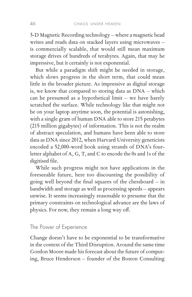3-D Magnetic Recording technology – where a magnetic head writes and reads data on stacked layers using microwaves – is commercially scalable, that would still mean maximum storage drives of hundreds of terabytes. Again, that may be impressive, but it certainly is not exponential.

But while a paradigm shift might be needed in storage, which slows progress in the short term, that could mean little in the broader picture. As impressive as digital storage is, we know that compared to storing data as DNA – which can be presumed as a hypothetical limit – we have barely scratched the surface. While technology like that might not be on your laptop anytime soon, the potential is astonishing, with a single gram of human DNA able to store 215 petabytes (215 million gigabytes) of information. This is not the realm of abstract speculation, and humans have been able to store data as DNA since 2012, when Harvard University geneticists encoded a 52,000-word book using strands of DNA's fourletter alphabet of A, G, T, and C to encode the 0s and 1s of the digitised file.

While such progress might not have applications in the foreseeable future, here too discounting the possibility of going well beyond the final squares of the chessboard – in bandwidth and storage as well as processing speeds – appears unwise. It seems increasingly reasonable to presume that the primary constraints on technological advance are the laws of physics. For now, they remain a long way off.

# The Power of Experience

Change doesn't have to be exponential to be transformative in the context of the Third Disruption. Around the same time Gordon Moore made his forecast about the future of computing, Bruce Henderson – founder of the Boston Consulting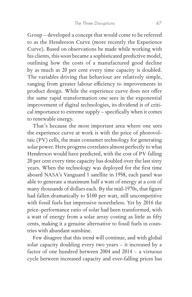Group – developed a concept that would come to be referred to as the Henderson Curve (more recently the Experience Curve). Based on observations he made while working with his clients, this soon became a sophisticated predictive model, outlining how the costs of a manufactured good decline by as much as 20 per cent every time capacity is doubled. The variables driving that behaviour are relatively simple, ranging from greater labour efficiency to improvements in product design. While the experience curve does not offer the same rapid transformation one sees in the exponential improvement of digital technologies, its dividend is of critical importance to extreme supply – specifically when it comes to renewable energy.

That's because the most important area where one sees the experience curve at work is with the price of photovoltaic (PV) cells, the main consumer technology for generating solar power. Here progress correlates almost perfectly to what Henderson would have predicted, with the cost of PV falling 20 per cent every time capacity has doubled over the last sixty years. When the technology was deployed for the first time aboard NASA's Vanguard 1 satellite in 1958, each panel was able to generate a maximum half a watt of energy at a cost of many thousands of dollars each. By the mid-1970s, that figure had fallen dramatically to \$100 per watt, still uncompetitive with fossil fuels but impressive nonetheless. Yet by 2016 the price–performance ratio of solar had been transformed, with a watt of energy from a solar array costing as little as fifty cents, making it a genuine alternative to fossil fuels in countries with abundant sunshine.

Few disagree that this trend will continue, and with global solar capacity doubling every two years – it increased by a factor of one hundred between 2004 and 2014 – a virtuous cycle between increased capacity and ever-falling prices has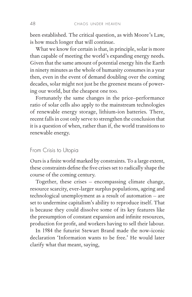been established. The critical question, as with Moore's Law, is how much longer that will continue.

What we know for certain is that, in principle, solar is more than capable of meeting the world's expanding energy needs. Given that the same amount of potential energy hits the Earth in ninety minutes as the whole of humanity consumes in a year then, even in the event of demand doubling over the coming decades, solar might not just be the greenest means of powering our world, but the cheapest one too.

Fortunately the same changes in the price–performance ratio of solar cells also apply to the mainstream technologies of renewable energy storage, lithium-ion batteries. There, recent falls in cost only serve to strengthen the conclusion that it is a question of when, rather than if, the world transitions to renewable energy.

## From Crisis to Utopia

Ours is a finite world marked by constraints. To a large extent, these constraints define the five crises set to radically shape the course of the coming century.

Together, these crises – encompassing climate change, resource scarcity, ever-larger surplus populations, ageing and technological unemployment as a result of automation – are set to undermine capitalism's ability to reproduce itself. That is because they could dissolve some of its key features like the presumption of constant expansion and infinite resources, production for profit, and workers having to sell their labour.

In 1984 the futurist Stewart Brand made the now-iconic declaration 'Information wants to be free.' He would later clarify what that meant, saying,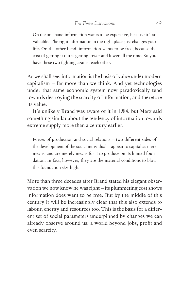On the one hand information wants to be expensive, because it's so valuable. The right information in the right place just changes your life. On the other hand, information wants to be free, because the cost of getting it out is getting lower and lower all the time. So you have these two fighting against each other.

As we shall see, information is the basis of value under modern capitalism – far more than we think. And yet technologies under that same economic system now paradoxically tend towards destroying the scarcity of information, and therefore its value.

It's unlikely Brand was aware of it in 1984, but Marx said something similar about the tendency of information towards extreme supply more than a century earlier:

Forces of production and social relations – two different sides of the development of the social individual – appear to capital as mere means, and are merely means for it to produce on its limited foundation. In fact, however, they are the material conditions to blow this foundation sky-high.

More than three decades after Brand stated his elegant observation we now know he was right – its plummeting cost shows information does want to be free. But by the middle of this century it will be increasingly clear that this also extends to labour, energy and resources too. This is the basis for a different set of social parameters underpinned by changes we can already observe around us: a world beyond jobs, profit and even scarcity.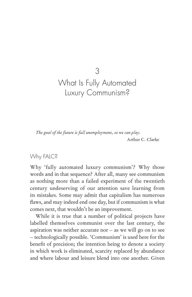# 3 What Is Fully Automated Luxury Communism?

*The goal of the future is full unemployment, so we can play.*  Arthur C. Clarke

## Why FALC?

Why 'fully automated luxury communism'? Why those words and in that sequence? After all, many see communism as nothing more than a failed experiment of the twentieth century undeserving of our attention save learning from its mistakes. Some may admit that capitalism has numerous flaws, and may indeed end one day, but if communism is what comes next, that wouldn't be an improvement.

While it is true that a number of political projects have labelled themselves communist over the last century, the aspiration was neither accurate nor  $-$  as we will go on to see – technologically possible. 'Communism' is used here for the benefit of precision; the intention being to denote a society in which work is eliminated, scarcity replaced by abundance and where labour and leisure blend into one another. Given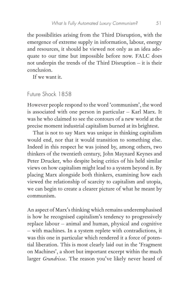the possibilities arising from the Third Disruption, with the emergence of extreme supply in information, labour, energy and resources, it should be viewed not only as an idea adequate to our time but impossible before now. FALC does not underpin the trends of the Third Disruption – it is their conclusion.

If we want it.

# Future Shock 1858

However people respond to the word 'communism', the word is associated with one person in particular – Karl Marx. It was he who claimed to see the contours of a new world at the precise moment industrial capitalism burned at its brightest.

That is not to say Marx was unique in thinking capitalism would end, nor that it would transition to something else. Indeed in this respect he was joined by, among others, two thinkers of the twentieth century, John Maynard Keynes and Peter Drucker, who despite being critics of his held similar views on how capitalism might lead to a system beyond it. By placing Marx alongside both thinkers, examining how each viewed the relationship of scarcity to capitalism and utopia, we can begin to create a clearer picture of what he meant by communism.

An aspect of Marx's thinking which remains underemphasised is how he recognised capitalism's tendency to progressively replace labour – animal and human, physical and cognitive – with machines. In a system replete with contradictions, it was this one in particular which rendered it a force of potential liberation. This is most clearly laid out in the 'Fragment on Machines', a short but important excerpt within the much larger *Grundrisse*. The reason you've likely never heard of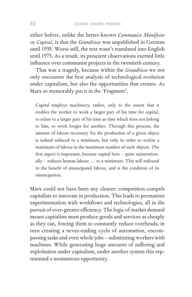either before, unlike the better-known *Communist Manifesto*  or *Capital*, is that the *Grundrisse* was unpublished in German until 1939. Worse still, the text wasn't translated into English until 1973. As a result, its prescient observations exerted little influence over communist projects in the twentieth century.

That was a tragedy, because within the *Grundrisse* we not only encounter the first analysis of technological evolution under capitalism, but also the opportunities that creates. As Marx so memorably put it in the 'Fragment',

Capital employs machinery, rather, only to the extent that it enables the worker to work a larger part of his time for capital, to relate to a larger part of his time as time which does not belong to him, to work longer for another. Through this process, the amount of labour necessary for the production of a given object is indeed reduced to a minimum, but only in order to realise a maximum of labour in the maximum number of such objects. The first aspect is important, because capital here – quite unintentionally – reduces human labour … to a minimum. This will redound to the benefit of emancipated labour, and is the condition of its emancipation.

Marx could not have been any clearer: competition compels capitalists to innovate in production. This leads to permanent experimentation with workflows and technologies, all in the pursuit of ever-greater efficiency. The logic of market demand means capitalists must produce goods and services as cheaply as they can, forcing them to constantly reduce overheads, in turn creating a never-ending cycle of automation, encompassing tasks and even whole jobs – substituting workers with machines. While generating huge amounts of suffering and exploitation under capitalism, under another system this represented a momentous opportunity.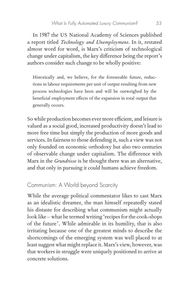In 1987 the US National Academy of Sciences published a report titled *Technology and Unemployment*. In it, restated almost word for word, is Marx's criticism of technological change under capitalism, the key difference being the report's authors consider such change to be wholly positive:

Historically and, we believe, for the foreseeable future, reductions in labour requirements per unit of output resulting from new process technologies have been and will be outweighed by the beneficial employment effects of the expansion in total output that generally occurs.

So while production becomes ever more efficient, and leisure is valued as a social good, increased productivity doesn't lead to more free time but simply the production of more goods and services. In fairness to those defending it, such a view was not only founded on economic orthodoxy but also two centuries of observable change under capitalism. The difference with Marx in the *Grundrisse* is he thought there was an alternative, and that only in pursuing it could humans achieve freedom.

# Communism: A World beyond Scarcity

While the average political commentator likes to cast Marx as an idealistic dreamer, the man himself repeatedly stated his distaste for describing what communism might actually look like – what he termed writing 'recipes for the cook-shops of the future '. While admirable in its humility, that is also irritating because one of the greatest minds to describe the shortcomings of the emerging system was well placed to at least suggest what might replace it. Marx's view, however, was that workers in struggle were uniquely positioned to arrive at concrete solutions.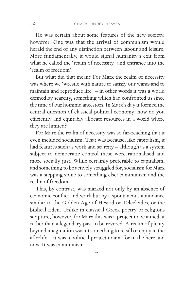He was certain about some features of the new society, however. One was that the arrival of communism would herald the end of any distinction between labour and leisure. More fundamentally, it would signal humanity's exit from what he called the 'realm of necessity' and entrance into the 'realm of freedom'.

But what did that mean? For Marx the realm of necessity was where we 'wrestle with nature to satisfy our wants and to maintain and reproduce life' – in other words it was a world defined by scarcity, something which had confronted us since the time of our hominid ancestors. In Marx's day it formed the central question of classical political economy: how do you efficiently and equitably allocate resources in a world where they are limited?

For Marx the realm of necessity was so far-reaching that it even included socialism. That was because, like capitalism, it had features such as work and scarcity – although as a system subject to democratic control these were rationalised and more socially just. While certainly preferable to capitalism, and something to be actively struggled for, socialism for Marx was a stepping stone to something else: communism and the realm of freedom.

This, by contrast, was marked not only by an absence of economic conflict and work but by a spontaneous abundance similar to the Golden Age of Hesiod or Telecleides, or the biblical Eden. Unlike in classical Greek poetry or religious scripture, however, for Marx this was a project to be aimed at rather than a legendary past to be revered. A realm of plenty beyond imagination wasn't something to recall or enjoy in the afterlife – it was a political project to aim for in the here and now. It was communism.

 $\sim$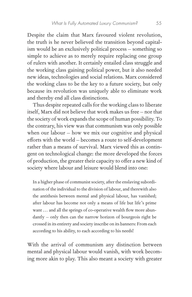Despite the claim that Marx favoured violent revolution, the truth is he never believed the transition beyond capitalism would be an exclusively political process – something so simple to achieve as to merely require replacing one group of rulers with another. It certainly entailed class struggle and the working class gaining political power, but it also needed new ideas, technologies and social relations. Marx considered the working class to be the key to a future society, but only because its revolution was uniquely able to eliminate work and thereby end all class distinctions.

Thus despite repeated calls for the working class to liberate itself, Marx did not believe that work makes us free – nor that the society of work expands the scope of human possibility. To the contrary, his view was that communism was only possible when our labour  $-$  how we mix our cognitive and physical efforts with the world – becomes a route to self-development rather than a means of survival. Marx viewed this as contingent on technological change: the more developed the forces of production, the greater their capacity to offer a new kind of society where labour and leisure would blend into one:

In a higher phase of communist society, after the enslaving subordination of the individual to the division of labour, and therewith also the antithesis between mental and physical labour, has vanished; after labour has become not only a means of life but life's prime want … and all the springs of co-operative wealth flow more abundantly – only then can the narrow horizon of bourgeois right be crossed in its entirety and society inscribe on its banners: From each according to his ability, to each according to his needs!

With the arrival of communism any distinction between mental and physical labour would vanish, with work becoming more akin to play. This also meant a society with greater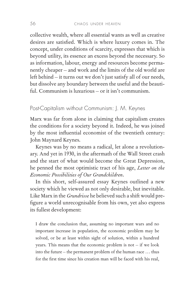collective wealth, where all essential wants as well as creative desires are satisfied. Which is where luxury comes in. The concept, under conditions of scarcity, expresses that which is beyond utility, its essence an excess beyond the necessary. So as information, labour, energy and resources become permanently cheaper – and work and the limits of the old world are left behind – it turns out we don't just satisfy all of our needs, but dissolve any boundary between the useful and the beautiful. Communism is luxurious – or it isn't communism.

## Post-Capitalism without Communism: J. M. Keynes

Marx was far from alone in claiming that capitalism creates the conditions for a society beyond it. Indeed, he was joined by the most influential economist of the twentieth century: John Maynard Keynes.

Keynes was by no means a radical, let alone a revolutionary. And yet in 1930, in the aftermath of the Wall Street crash and the start of what would become the Great Depression, he penned the most optimistic tract of his age, *Letter on the Economic Possibilities of Our Grandchildren*.

In this short, self-assured essay Keynes outlined a new society which he viewed as not only desirable, but inevitable. Like Marx in the *Grundrisse* he believed such a shift would prefigure a world unrecognisable from his own, yet also express its fullest development:

I draw the conclusion that, assuming no important wars and no important increase in population, the economic problem may be solved, or be at least within sight of solution, within a hundred years. This means that the economic problem is not – if we look into the future – the permanent problem of the human race … thus for the first time since his creation man will be faced with his real,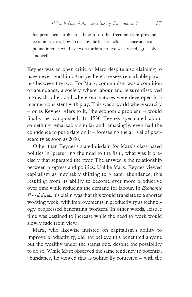his permanent problem – how to use his freedom from pressing economic cares, how to occupy the leisure, which science and compound interest will have won for him, to live wisely and agreeably and well.

Keynes was an open critic of Marx despite also claiming to have never read him. And yet here one sees remarkable parallels between the two. For Marx, communism was a condition of abundance, a society where labour and leisure dissolved into each other, and where our natures were developed in a manner consistent with play. This was a world where scarcity – or as Keynes refers to it, 'the economic problem' – would finally be vanquished. In 1930 Keynes speculated about something remarkably similar and, amazingly, even had the confidence to put a date on it – foreseeing the arrival of postscarcity as soon as 2030.

Other than Keynes's stated disdain for Marx's class-based politics in 'preferring the mud to the fish', what was it precisely that separated the two? The answer is the relationship between progress and politics. Unlike Marx, Keynes viewed capitalism as inevitably shifting to greater abundance, this resulting from its ability to become ever more productive over time while reducing the demand for labour. In *Economic Possibilities* his claim was that this would translate to a shorter working week, with improvements in productivity as technology progressed benefitting workers. In other words, leisure time was destined to increase while the need to work would slowly fade from view.

Marx, who likewise insisted on capitalism's ability to improve productivity, did not believe this benefitted anyone but the wealthy under the status quo, despite the possibility to do so. While Marx observed the same tendency to potential abundance, he viewed this as politically contested – with the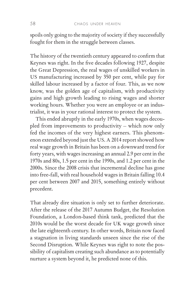spoils only going to the majority of society if they successfully fought for them in the struggle between classes.

The history of the twentieth century appeared to confirm that Keynes was right. In the five decades following 1927, despite the Great Depression, the real wages of unskilled workers in US manufacturing increased by 350 per cent, while pay for skilled labour increased by a factor of four. This, as we now know, was the golden age of capitalism, with productivity gains and high growth leading to rising wages and shorter working hours. Whether you were an employee or an industrialist, it was in your rational interest to protect the system.

This ended abruptly in the early 1970s, when wages decoupled from improvements to productivity – which now only fed the incomes of the very highest earners. This phenomenon extended beyond just the US. A 2014 report showed how real wage growth in Britain has been on a downward trend for forty years, with wages increasing an annual 2.9 per cent in the 1970s and 80s, 1.5 per cent in the 1990s, and 1.2 per cent in the 2000s. Since the 2008 crisis that incremental decline has gone into free-fall, with real household wages in Britain falling 10.4 per cent between 2007 and 2015, something entirely without precedent.

That already dire situation is only set to further deteriorate. After the release of the 2017 Autumn Budget, the Resolution Foundation, a London-based think tank, predicted that the 2010s would be the worst decade for UK wage growth since the late eighteenth century. In other words, Britain now faced a stagnation in living standards unseen since the rise of the Second Disruption. While Keynes was right to note the possibility of capitalism creating such abundance as to potentially nurture a system beyond it, he predicted none of this.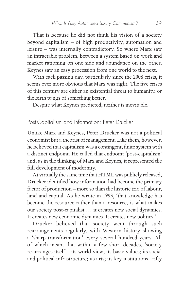That is because he did not think his vision of a society beyond capitalism – of high productivity, automation and leisure – was internally contradictory. So where Marx saw an intractable problem, between a system based on work and market rationing on one side and abundance on the other, Keynes saw an easy procession from one world to the next.

With each passing day, particularly since the 2008 crisis, it seems ever more obvious that Marx was right. The five crises of this century are either an existential threat to humanity, or the birth pangs of something better.

Despite what Keynes predicted, neither is inevitable.

# Post-Capitalism and Information: Peter Drucker

Unlike Marx and Keynes, Peter Drucker was not a political economist but a theorist of management. Like them, however, he believed that capitalism was a contingent, finite system with a distinct endpoint. He called that endpoint 'post-capitalism' and, as in the thinking of Marx and Keynes, it represented the full development of modernity.

At virtually the same time that HTML was publicly released, Drucker identified how information had become the primary factor of production – more so than the historic trio of labour, land and capital. As he wrote in 1993, 'that knowledge has become the resource rather than a resource, is what makes our society post-capitalist … it creates new social dynamics. It creates new economic dynamics. It creates new politics.'

Drucker believed that society went through such rearrangements regularly, with Western history showing a 'sharp transformation' every several hundred years. All of which meant that within a few short decades, 'society re-arranges itself – its world view; its basic values; its social and political infrastructure; its arts; its key institutions. Fifty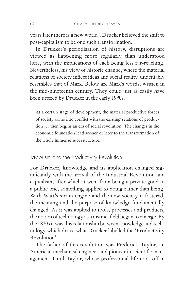years later there is a new world'. Drucker believed the shift to post-capitalism to be one such transformation.

In Drucker's periodisation of history, disruptions are viewed as happening more regularly than understood here, with the implications of each being less far-reaching. Nevertheless, his view of historic change, where the material relations of society inflect ideas and social reality, undeniably resembles that of Marx. Below are Marx's words, written in the mid-nineteenth century. They could just as easily have been uttered by Drucker in the early 1990s.

At a certain stage of development, the material productive forces of society come into conflict with the existing relations of production … then begins an era of social revolution. The changes in the economic foundation lead sooner or later to the transformation of the whole immense superstructure.

### Taylorism and the Productivity Revolution

For Drucker, knowledge and its application changed significantly with the arrival of the Industrial Revolution and capitalism, after which it went from being a private good to a public one, something applied to doing rather than being. With Watt's steam engine and the new society it fostered, the meaning and the purpose of knowledge fundamentally changed. As it was applied to tools, processes and products, the notion of technology as a distinct field began to emerge. By the 1870s it was this relationship between knowledge and technology which drove what Drucker labelled the 'Productivity Revolution'.

The father of this revolution was Frederick Taylor, an American mechanical engineer and pioneer in scientific management. Until Taylor, whose professional life took off in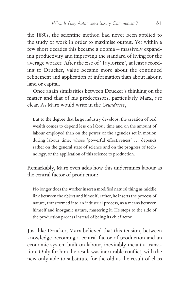the 1880s, the scientific method had never been applied to the study of work in order to maximise output. Yet within a few short decades this became a dogma – massively expanding productivity and improving the standard of living for the average worker. After the rise of 'Taylorism', at least according to Drucker, value became more about the continued refinement and application of information than about labour, land or capital.

Once again similarities between Drucker's thinking on the matter and that of his predecessors, particularly Marx, are clear. As Marx would write in the *Grundrisse*,

But to the degree that large industry develops, the creation of real wealth comes to depend less on labour time and on the amount of labour employed than on the power of the agencies set in motion during labour time, whose 'powerful effectiveness' … depends rather on the general state of science and on the progress of technology, or the application of this science to production.

Remarkably, Marx even adds how this undermines labour as the central factor of production:

No longer does the worker insert a modified natural thing as middle link between the object and himself; rather, he inserts the process of nature, transformed into an industrial process, as a means between himself and inorganic nature, mastering it. He steps to the side of the production process instead of being its chief actor.

Just like Drucker, Marx believed that this tension, between knowledge becoming a central factor of production and an economic system built on labour, inevitably meant a transition. Only for him the result was inexorable conflict, with the new only able to substitute for the old as the result of class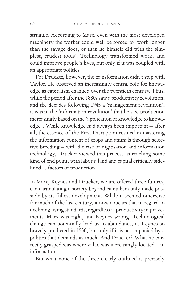struggle. According to Marx, even with the most developed machinery the worker could well be forced to 'work longer than the savage does, or than he himself did with the simplest, crudest tools'. Technology transformed work, and could improve people's lives, but only if it was coupled with an appropriate politics.

For Drucker, however, the transformation didn't stop with Taylor. He observed an increasingly central role for knowledge as capitalism changed over the twentieth century. Thus, while the period after the 1880s saw a productivity revolution, and the decades following 1945 a 'management revolution', it was in the 'information revolution' that he saw production increasingly based on the 'application of knowledge to knowledge'. While knowledge had always been important – after all, the essence of the First Disruption resided in mastering the information content of crops and animals through selective breeding – with the rise of digitisation and information technology, Drucker viewed this process as reaching some kind of end point, with labour, land and capital critically sidelined as factors of production.

In Marx, Keynes and Drucker, we are offered three futures, each articulating a society beyond capitalism only made possible by its fullest development. While it seemed otherwise for much of the last century, it now appears that in regard to declining living standards, regardless of productivity improvements, Marx was right, and Keynes wrong. Technological change can potentially lead us to abundance, as Keynes so bravely predicted in 1930, but only if it is accompanied by a politics that demands as much. And Drucker? What he correctly grasped was where value was increasingly located – in information.

But what none of the three clearly outlined is precisely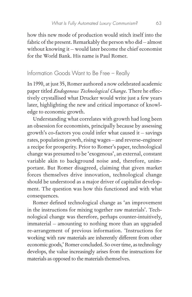how this new mode of production would stitch itself into the fabric of the present. Remarkably the person who did – almost without knowing it – would later become the chief economist for the World Bank. His name is Paul Romer.

## Information Goods Want to Be Free – Really

In 1990, at just 35, Romer authored a now celebrated academic paper titled *Endogenous Technological Change.* There he effectively crystallised what Drucker would write just a few years later, highlighting the new and critical importance of knowledge to economic growth.

Understanding what correlates with growth had long been an obsession for economists, principally because by assessing growth's co-factors you could infer what caused it – savings rates, population growth, rising wages – and reverse-engineer a recipe for prosperity. Prior to Romer's paper, technological change was presumed to be 'exogenous', an external, constant variable akin to background noise and, therefore, unimportant. But Romer disagreed, claiming that given market forces themselves drive innovation, technological change should be understood as a major driver of capitalist development. The question was how this functioned and with what consequences.

Romer defined technological change as 'an improvement in the instructions for mixing together raw materials'. Technological change was therefore, perhaps counter-intuitively, immaterial – amounting to nothing more than an upgraded re-arrangement of previous information. 'Instructions for working with raw materials are inherently different from other economic goods,' Romer concluded. So over time, as technology develops, the value increasingly arises from the instructions for materials as opposed to the materials themselves.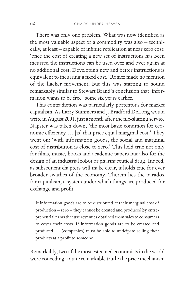There was only one problem. What was now identified as the most valuable aspect of a commodity was also – technically, at least – capable of infinite replication at near zero cost: 'once the cost of creating a new set of instructions has been incurred the instructions can be used over and over again at no additional cost. Developing new and better instructions is equivalent to incurring a fixed cost.' Romer made no mention of the hacker movement, but this was starting to sound remarkably similar to Stewart Brand's conclusion that 'information wants to be free' some six years earlier.

This contradiction was particularly portentous for market capitalism. As Larry Summers and J. Bradford DeLong would write in August 2001, just a month after the file-sharing service Napster was taken down, 'the most basic condition for economic efficiency … [is] that price equal marginal cost.' They went on: 'with information goods, the social and marginal cost of distribution is close to zero.' This held true not only for films, music, books and academic papers but also for the design of an industrial robot or pharmaceutical drug. Indeed, as subsequent chapters will make clear, it holds true for ever broader swathes of the economy. Therein lies the paradox for capitalism, a system under which things are produced for exchange and profit.

If information goods are to be distributed at their marginal cost of production – zero – they cannot be created and produced by entrepreneurial firms that use revenues obtained from sales to consumers to cover their costs. If information goods are to be created and produced … (companies) must be able to anticipate selling their products at a profit to someone.

Remarkably, two of the most esteemed economists in the world were conceding a quite remarkable truth: the price mechanism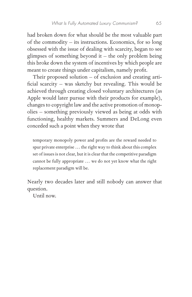had broken down for what should be the most valuable part of the commodity – its instructions. Economics, for so long obsessed with the issue of dealing with scarcity, began to see glimpses of something beyond it  $-$  the only problem being this broke down the system of incentives by which people are meant to create things under capitalism, namely profit.

Their proposed solution – of exclusion and creating artificial scarcity – was sketchy but revealing. This would be achieved through creating closed voluntary architectures (as Apple would later pursue with their products for example), changes to copyright law and the active promotion of monopolies – something previously viewed as being at odds with functioning, healthy markets. Summers and DeLong even conceded such a point when they wrote that

temporary monopoly power and profits are the reward needed to spur private enterprise … the right way to think about this complex set of issues is not clear, but it is clear that the competitive paradigm cannot be fully appropriate … we do not yet know what the right replacement paradigm will be.

Nearly two decades later and still nobody can answer that question.

Until now.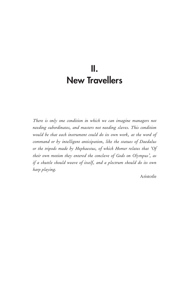# II. New Travellers

*There is only one condition in which we can imagine managers not needing subordinates, and masters not needing slaves. This condition would be that each instrument could do its own work, at the word of command or by intelligent anticipation, like the statues of Daedalus or the tripods made by Hephaestus, of which Homer relates that 'Of their own motion they entered the conclave of Gods on Olympus', as if a shuttle should weave of itself, and a plectrum should do its own harp playing.*

Aristotle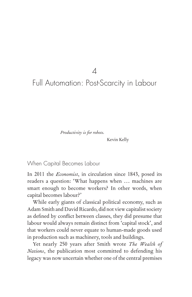$\varDelta$ 

## Full Automation: Post-Scarcity in Labour

*Productivity is for robots.* 

Kevin Kelly

#### When Capital Becomes Labour

In 2011 the *Economist*, in circulation since 1843, posed its readers a question: 'What happens when … machines are smart enough to become workers? In other words, when capital becomes labour?'

While early giants of classical political economy, such as Adam Smith and David Ricardo, did not view capitalist society as defined by conflict between classes, they did presume that labour would always remain distinct from 'capital stock', and that workers could never equate to human-made goods used in production such as machinery, tools and buildings.

Yet nearly 250 years after Smith wrote *The Wealth of Nations*, the publication most committed to defending his legacy was now uncertain whether one of the central premises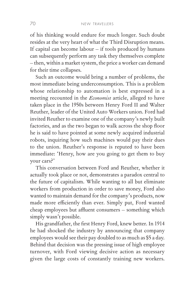of his thinking would endure for much longer. Such doubt resides at the very heart of what the Third Disruption means. If capital can become labour – if tools produced by humans can subsequently perform any task they themselves complete – then, within a market system, the price a worker can demand for their time collapses.

Such an outcome would bring a number of problems, the most immediate being underconsumption. This is a problem whose relationship to automation is best expressed in a meeting recounted in the *Economist* article, alleged to have taken place in the 1950s between Henry Ford II and Walter Reuther, leader of the United Auto Workers union. Ford had invited Reuther to examine one of the company's newly built factories, and as the two began to walk across the shop floor he is said to have pointed at some newly acquired industrial robots, inquiring how such machines would pay their dues to the union. Reuther's response is reputed to have been immediate: 'Henry, how are you going to get them to buy your cars?'

This conversation between Ford and Reuther, whether it actually took place or not, demonstrates a paradox central to the future of capitalism. While wanting to all but eliminate workers from production in order to save money, Ford also wanted to maintain demand for the company's products, now made more efficiently than ever. Simply put, Ford wanted cheap employees but affluent consumers – something which simply wasn't possible.

His grandfather, the first Henry Ford, knew better. In 1914 he had shocked the industry by announcing that company employees would see their pay doubled to as much as \$5 a day. Behind that decision was the pressing issue of high employee turnover, with Ford viewing decisive action as necessary given the large costs of constantly training new workers.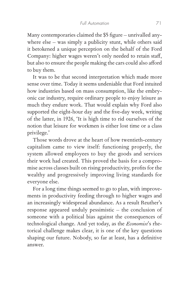Many contemporaries claimed the \$5 figure – unrivalled anywhere else – was simply a publicity stunt, while others said it betokened a unique perception on the behalf of the Ford Company: higher wages weren't only needed to retain staff, but also to ensure the people making the cars could also afford to buy them.

It was to be that second interpretation which made more sense over time. Today it seems undeniable that Ford intuited how industries based on mass consumption, like the embryonic car industry, require ordinary people to enjoy leisure as much they endure work. That would explain why Ford also supported the eight-hour day and the five-day week, writing of the latter, in 1926, 'It is high time to rid ourselves of the notion that leisure for workmen is either lost time or a class privilege.'

Those words drove at the heart of how twentieth-century capitalism came to view itself: functioning properly, the system allowed employees to buy the goods and services their work had created. This proved the basis for a compromise across classes built on rising productivity, profits for the wealthy and progressively improving living standards for everyone else.

For a long time things seemed to go to plan, with improvements in productivity feeding through to higher wages and an increasingly widespread abundance. As a result Reuther's response appeared unduly pessimistic – the conclusion of someone with a political bias against the consequences of technological change. And yet today, as the *Economist*'s rhetorical challenge makes clear, it is one of the key questions shaping our future. Nobody, so far at least, has a definitive answer.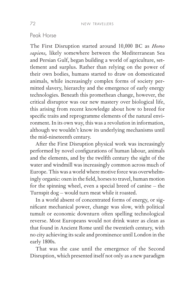#### Peak Horse

The First Disruption started around 10,000 BC as *Homo sapiens,* likely somewhere between the Mediterranean Sea and Persian Gulf, began building a world of agriculture, settlement and surplus. Rather than relying on the power of their own bodies, humans started to draw on domesticated animals, while increasingly complex forms of society permitted slavery, hierarchy and the emergence of early energy technologies. Beneath this promethean change, however, the critical disruptor was our new mastery over biological life, this arising from recent knowledge about how to breed for specific traits and reprogramme elements of the natural environment. In its own way, this was a revolution in information, although we wouldn't know its underlying mechanisms until the mid-nineteenth century.

After the First Disruption physical work was increasingly performed by novel configurations of human labour, animals and the elements, and by the twelfth century the sight of the water and windmill was increasingly common across much of Europe. This was a world where motive force was overwhelmingly organic: oxen in the field, horses to travel, human motion for the spinning wheel, even a special breed of canine – the Turnspit dog – would turn meat while it roasted.

In a world absent of concentrated forms of energy, or significant mechanical power, change was slow, with political tumult or economic downturn often spelling technological reverse. Most Europeans would not drink water as clean as that found in Ancient Rome until the twentieth century, with no city achieving its scale and prominence until London in the early 1800s.

That was the case until the emergence of the Second Disruption, which presented itself not only as a new paradigm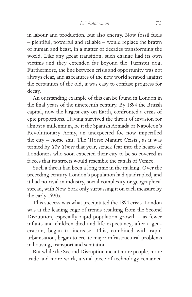in labour and production, but also energy. Now fossil fuels – plentiful, powerful and reliable – would replace the brawn of human and beast, in a matter of decades transforming the world. Like any great transition, such change had its own victims and they extended far beyond the Turnspit dog. Furthermore, the line between crisis and opportunity was not always clear, and as features of the new world scraped against the certainties of the old, it was easy to confuse progress for decay.

An outstanding example of this can be found in London in the final years of the nineteenth century. By 1894 the British capital, now the largest city on Earth, confronted a crisis of epic proportions. Having survived the threat of invasion for almost a millennium, be it the Spanish Armada or Napoleon's Revolutionary Army, an unexpected foe now imperilled the city – horse shit. The 'Horse Manure Crisis', as it was termed by *The Times* that year, struck fear into the hearts of Londoners who soon expected their city to be so covered in faeces that its streets would resemble the canals of Venice.

Such a threat had been a long time in the making. Over the preceding century London's population had quadrupled, and it had no rival in industry, social complexity or geographical spread, with New York only surpassing it on each measure by the early 1920s.

This success was what precipitated the 1894 crisis. London was at the leading edge of trends resulting from the Second Disruption, especially rapid population growth – as fewer infants and children died and life expectancy, after a generation, began to increase. This, combined with rapid urbanisation, began to create major infrastructural problems in housing, transport and sanitation.

But while the Second Disruption meant more people, more trade and more work, a vital piece of technology remained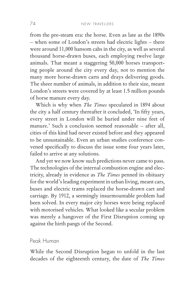from the pre-steam era: the horse. Even as late as the 1890s – when some of London's streets had electric lights – there were around 11,000 hansom cabs in the city, as well as several thousand horse-drawn buses, each employing twelve large animals. That meant a staggering 50,000 horses transporting people around the city every day, not to mention the many more horse-drawn carts and drays delivering goods. The sheer number of animals, in addition to their size, meant London's streets were covered by at least 1.5 million pounds of horse manure every day.

Which is why when *The Times* speculated in 1894 about the city a half century thereafter it concluded, 'In fifty years, every street in London will be buried under nine feet of manure.' Such a conclusion seemed reasonable – after all, cities of this kind had never existed before and they appeared to be unsustainable. Even an urban studies conference convened specifically to discuss the issue some four years later, failed to arrive at any solutions.

And yet we now know such predictions never came to pass. The technologies of the internal combustion engine and electricity, already in evidence as *The Times* penned its obituary for the world's leading experiment in urban living, meant cars, buses and electric trams replaced the horse-drawn cart and carriage. By 1912, a seemingly insurmountable problem had been solved. In every major city horses were being replaced with motorised vehicles. What looked like a secular problem was merely a hangover of the First Disruption coming up against the birth pangs of the Second.

## Peak Human

While the Second Disruption began to unfold in the last decades of the eighteenth century, the date of *The Times*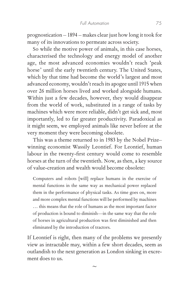prognostication – 1894 – makes clear just how long it took for many of its innovations to permeate across society.

So while the motive power of animals, in this case horses, characterised the technology and energy model of another age, the most advanced economies wouldn't reach 'peak horse' until the early twentieth century. The United States, which by that time had become the world's largest and most advanced economy, wouldn't reach its apogee until 1915 when over 26 million horses lived and worked alongside humans. Within just a few decades, however, they would disappear from the world of work, substituted in a range of tasks by machines which were more reliable, didn't get sick and, most importantly, led to far greater productivity. Paradoxical as it might seem, we employed animals like never before at the very moment they were becoming obsolete.

This was a theme returned to in 1983 by the Nobel Prize– winning economist Wassily Leontief. For Leontief, human labour in the twenty-first century would come to resemble horses at the turn of the twentieth. Now, as then, a key source of value-creation and wealth would become obsolete:

Computers and robots [will] replace humans in the exercise of mental functions in the same way as mechanical power replaced them in the performance of physical tasks. As time goes on, more and more complex mental functions will be performed by machines … this means that the role of humans as the most important factor of production is bound to diminish—in the same way that the role of horses in agricultural production was first diminished and then eliminated by the introduction of tractors.

If Leontief is right, then many of the problems we presently view as intractable may, within a few short decades, seem as outlandish to the next generation as London sinking in excrement does to us.

 $\sim$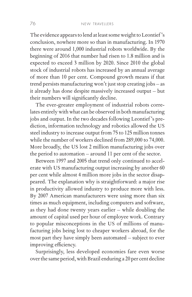The evidence appears to lend at least some weight to Leontief 's conclusion, nowhere more so than in manufacturing. In 1970 there were around 1,000 industrial robots worldwide. By the beginning of 2016 that number had risen to 1.8 million and is expected to exceed 3 million by 2020. Since 2010 the global stock of industrial robots has increased by an annual average of more than 10 per cent. Compound growth means if that trend persists manufacturing won't just stop creating jobs – as it already has done despite massively increased output – but their numbers will significantly decline.

The ever-greater employment of industrial robots correlates entirely with what can be observed in both manufacturing jobs and output. In the two decades following Leontief 's prediction, information technology and robotics allowed the US steel industry to increase output from 75 to 125 million tonnes while the number of workers declined from 289,000 to 74,000. More broadly, the US lost 2 million manufacturing jobs over the period to automation – around 11 per cent of the sector.

Between 1997 and 2005 that trend only continued to accelerate with US manufacturing output increasing by another 60 per cent while almost 4 million more jobs in the sector disappeared. The explanation why is straightforward: a major rise in productivity allowed industry to produce more with less. By 2007 American manufacturers were using more than six times as much equipment, including computers and software, as they had done twenty years earlier – while doubling the amount of capital used per hour of employee work. Contrary to popular misconceptions in the US of millions of manufacturing jobs being lost to cheaper workers abroad, for the most part they have simply been automated – subject to ever improving efficiency.

Surprisingly, less developed economies fare even worse over the same period, with Brazil enduring a 20 per cent decline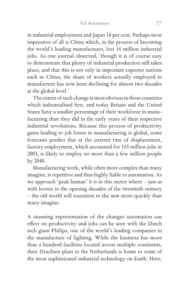in industrial employment and Japan 16 per cent. Perhaps most impressive of all is China which, in the process of becoming the world's leading manufacturer, lost 16 million industrial jobs. As one journal observed, 'though it is of course easy to demonstrate that plenty of industrial production still takes place, and that this is not only in important exporter nations such as China, the share of workers actually employed in manufacture has now been declining for almost two decades at the global level.'

The extent of such change is most obvious in those countries which industrialised first, and today Britain and the United States have a smaller percentage of their workforce in manufacturing than they did in the early years of their respective industrial revolutions. Because this process of productivity gains leading to job losses in manufacturing is global, some forecasts predict that at the current rate of displacement, factory employment, which accounted for 163 million jobs in 2003, is likely to employ no more than a few million people by 2040.

Manufacturing work, while often more complex than many imagine, is repetitive and thus highly liable to automation. As we approach 'peak human' it is in this sector where – just as with horses in the opening decades of the twentieth century – the old world will transition to the new more quickly than many imagine.

A stunning representation of the changes automation can effect on productivity and jobs can be seen with the Dutch tech giant Philips, one of the world's leading companies in the manufacture of lighting. While the business has more than a hundred facilities located across multiple continents, their Drachten plant in the Netherlands is home to some of the most sophisticated industrial technology on Earth. Here,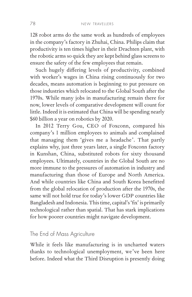128 robot arms do the same work as hundreds of employees in the company's factory in Zhuhai, China. Philips claim that productivity is ten times higher in their Drachten plant, with the robotic arms so quick they are kept behind glass screens to ensure the safety of the few employees that remain.

Such hugely differing levels of productivity, combined with worker's wages in China rising continuously for two decades, means automation is beginning to put pressure on those industries which relocated to the Global South after the 1970s. While many jobs in manufacturing remain there for now, lower levels of comparative development will count for little. Indeed it is estimated that China will be spending nearly \$60 billion a year on robotics by 2020.

In 2012 Terry Gou, CEO of Foxconn, compared his company's 1 million employees to animals and complained that managing them 'gives me a headache '. That partly explains why, just three years later, a single Foxconn factory in Kunshan, China, substituted robots for sixty thousand employees. Ultimately, countries in the Global South are no more immune to the pressures of automation in industry and manufacturing than those of Europe and North America. And while countries like China and South Korea benefitted from the global relocation of production after the 1970s, the same will not hold true for today's lower GDP countries like Bangladesh and Indonesia. This time, capital's 'fix' is primarily technological rather than spatial. That has stark implications for how poorer countries might navigate development.

## The End of Mass Agriculture

While it feels like manufacturing is in uncharted waters thanks to technological unemployment, we 've been here before. Indeed what the Third Disruption is presently doing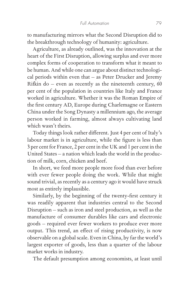to manufacturing mirrors what the Second Disruption did to the breakthrough technology of humanity: agriculture.

Agriculture, as already outlined, was the innovation at the heart of the First Disruption, allowing surplus and ever more complex forms of cooperation to transform what it meant to be human. And while one can argue about distinct technological periods within even that – as Peter Drucker and Jeremy Rifkin do – even as recently as the nineteenth century, 60 per cent of the population in countries like Italy and France worked in agriculture. Whether it was the Roman Empire of the first century AD, Europe during Charlemagne or Eastern China under the Song Dynasty a millennium ago, the average person worked in farming, almost always cultivating land which wasn't theirs.

Today things look rather different. Just 4 per cent of Italy's labour market is in agriculture, while the figure is less than 3 per cent for France, 2 per cent in the UK and 1 per cent in the United States – a nation which leads the world in the production of milk, corn, chicken and beef.

In short, we feed more people more food than ever before with ever fewer people doing the work. While that might sound trivial, as recently as a century ago it would have struck most as entirely implausible.

Similarly, by the beginning of the twenty-first century it was readily apparent that industries central to the Second Disruption – such as iron and steel production, as well as the manufacture of consumer durables like cars and electronic goods – required ever fewer workers to produce ever more output. This trend, an effect of rising productivity, is now observable on a global scale. Even in China, by far the world's largest exporter of goods, less than a quarter of the labour market works in industry.

The default presumption among economists, at least until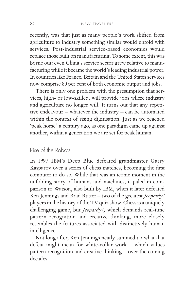recently, was that just as many people's work shifted from agriculture to industry something similar would unfold with services. Post-industrial service-based economies would replace those built on manufacturing. To some extent, this was borne out: even China's service sector grew relative to manufacturing while it became the world's leading industrial power. In countries like France, Britain and the United States services now comprise 80 per cent of both economic output and jobs.

There is only one problem with the presumption that services, high- or low-skilled, will provide jobs where industry and agriculture no longer will. It turns out that any repetitive endeavour – whatever the industry – can be automated within the context of rising digitisation. Just as we reached 'peak horse' a century ago, as one paradigm came up against another, within a generation we are set for peak human.

## Rise of the Robots

In 1997 IBM's Deep Blue defeated grandmaster Garry Kasparov over a series of chess matches, becoming the first computer to do so. While that was an iconic moment in the unfolding story of humans and machines, it paled in comparison to Watson, also built by IBM, when it later defeated Ken Jennings and Brad Rutter – two of the greatest *Jeopardy!* players in the history of the TV quiz show.Chess is a uniquely challenging game, but *Jeopardy!,* which demands real-time pattern recognition and creative thinking, more closely resembles the features associated with distinctively human intelligence.

Not long after, Ken Jennings neatly summed up what that defeat might mean for white-collar work – which values pattern recognition and creative thinking – over the coming decades.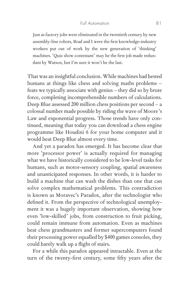Just as factory jobs were eliminated in the twentieth century by new assembly-line robots, Brad and I were the first knowledge-industry workers put out of work by the new generation of 'thinking' machines. 'Quiz show contestant' may be the first job made redundant by Watson, but I'm sure it won't be the last.

That was an insightful conclusion. While machines had bested humans at things like chess and solving maths problems – feats we typically associate with genius – they did so by brute force, completing incomprehensible numbers of calculations. Deep Blue assessed 200 million chess positions per second – a colossal number made possible by riding the wave of Moore's Law and exponential progress. Those trends have only continued, meaning that today you can download a chess engine programme like Houdini 6 for your home computer and it would beat Deep Blue almost every time.

And yet a paradox has emerged. It has become clear that more 'processor power' is actually required for managing what we have historically considered to be low-level tasks for humans, such as motor-sensory coupling, spatial awareness and unanticipated responses. In other words, it is harder to build a machine that can wash the dishes than one that can solve complex mathematical problems. This contradiction is known as Moravec's Paradox, after the technologist who defined it. From the perspective of technological unemployment it was a hugely important observation, showing how even 'low-skilled' jobs, from construction to fruit picking, could remain immune from automation. Even as machines beat chess grandmasters and former supercomputers found their processing power equalled by \$400 games consoles, they could barely walk up a flight of stairs.

For a while this paradox appeared intractable. Even at the turn of the twenty-first century, some fifty years after the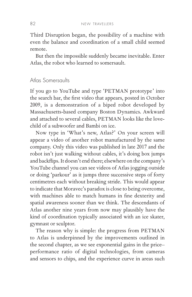Third Disruption began, the possibility of a machine with even the balance and coordination of a small child seemed remote.

But then the impossible suddenly became inevitable. Enter Atlas, the robot who learned to somersault.

## Atlas Somersaults

If you go to YouTube and type 'PETMAN prototype ' into the search bar, the first video that appears, posted in October 2009, is a demonstration of a biped robot developed by Massachusetts-based company Boston Dynamics. Awkward and attached to several cables, PETMAN looks like the lovechild of a subwoofer and Bambi on ice.

Now type in 'What's new, Atlas?' On your screen will appear a video of another robot manufactured by the same company. Only this video was published in late 2017 and the robot isn't just walking without cables, it's doing box jumps and backflips. It doesn't end there; elsewhere on the company's YouTube channel you can see videos of Atlas jogging outside or doing 'parkour' as it jumps three successive steps of forty centimetres each without breaking stride. This would appear to indicate that Moravec's paradox is close to being overcome, with machines able to match humans in fine dexterity and spatial awareness sooner than we think. The descendants of Atlas another nine years from now may plausibly have the kind of coordination typically associated with an ice skater, gymnast or sculptor.

The reason why is simple: the progress from PETMAN to Atlas is underpinned by the improvements outlined in the second chapter, as we see exponential gains in the price– performance ratio of digital technologies, from cameras and sensors to chips, and the experience curve in areas such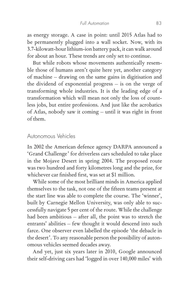as energy storage. A case in point: until 2015 Atlas had to be permanently plugged into a wall socket. Now, with its 3.7-kilowatt-hour lithium-ion battery pack, it can walk around for about an hour. These trends are only set to continue.

But while robots whose movements authentically resemble those of humans aren't quite here yet, another category of machine – drawing on the same gains in digitisation and the dividend of exponential progress – is on the verge of transforming whole industries. It is the leading edge of a transformation which will mean not only the loss of countless jobs, but entire professions. And just like the acrobatics of Atlas, nobody saw it coming – until it was right in front of them.

#### Autonomous Vehicles

In 2002 the American defence agency DARPA announced a 'Grand Challenge' for driverless cars scheduled to take place in the Mojave Desert in spring 2004. The proposed route was two hundred and forty kilometres long and the prize, for whichever car finished first, was set at \$1 million.

While some of the most brilliant minds in America applied themselves to the task, not one of the fifteen teams present at the start line was able to complete the course. The 'winner', built by Carnegie Mellon University, was only able to successfully navigate 5 per cent of the route. While the challenge had been ambitious – after all, the point was to stretch the entrants' abilities – few thought it would descend into such farce. One observer even labelled the episode 'the debacle in the desert'. To any reasonable person the possibility of autonomous vehicles seemed decades away.

And yet, just six years later in 2010, Google announced their self-driving cars had 'logged in over 140,000 miles' with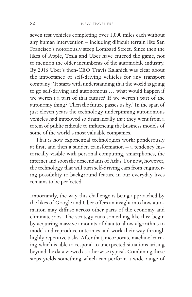seven test vehicles completing over 1,000 miles each without any human intervention – including difficult terrain like San Francisco's notoriously steep Lombard Street. Since then the likes of Apple, Tesla and Uber have entered the game, not to mention the older incumbents of the automobile industry. By 2016 Uber's then-CEO Travis Kalanick was clear about the importance of self-driving vehicles for any transport company: 'It starts with understanding that the world is going to go self-driving and autonomous … what would happen if we weren't a part of that future? If we weren't part of the autonomy thing? Then the future passes us by.' In the span of just eleven years the technology underpinning autonomous vehicles had improved so dramatically that they went from a totem of public ridicule to influencing the business models of some of the world's most valuable companies.

That is how exponential technologies work: ponderously at first, and then a sudden transformation – a tendency historically visible with personal computing, smartphones, the internet and soon the descendants of Atlas. For now, however, the technology that will turn self-driving cars from engineering possibility to background feature in our everyday lives remains to be perfected.

Importantly, the way this challenge is being approached by the likes of Google and Uber offers an insight into how automation may diffuse across other parts of the economy and eliminate jobs. The strategy runs something like this: begin by acquiring massive amounts of data to allow algorithms to model and reproduce outcomes and work their way through highly repetitive tasks. After that, incorporate machine learning which is able to respond to unexpected situations arising beyond the data viewed as otherwise typical. Combining these steps yields something which can perform a wide range of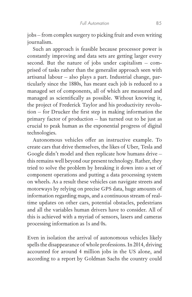jobs – from complex surgery to picking fruit and even writing journalism.

Such an approach is feasible because processor power is constantly improving and data sets are getting larger every second. But the nature of jobs under capitalism – comprised of tasks rather than the generalist approach seen with artisanal labour – also plays a part. Industrial change, particularly since the 1880s, has meant each job is reduced to a managed set of components, all of which are measured and managed as scientifically as possible. Without knowing it, the project of Frederick Taylor and his productivity revolution – for Drucker the first step in making information the primary factor of production – has turned out to be just as crucial to peak human as the exponential progress of digital technologies.

Autonomous vehicles offer an instructive example. To create cars that drive themselves, the likes of Uber, Tesla and Google didn't model and then replicate how humans drive – this remains well beyond our present technology. Rather, they tried to solve the problem by breaking it down into a set of component operations and putting a data processing system on wheels. As a result these vehicles can navigate streets and motorways by relying on precise GPS data, huge amounts of information regarding maps, and a continuous stream of realtime updates on other cars, potential obstacles, pedestrians and all the variables human drivers have to consider. All of this is achieved with a myriad of sensors, lasers and cameras processing information as 1s and 0s.

Even in isolation the arrival of autonomous vehicles likely spells the disappearance of whole professions. In 2014, driving accounted for around 4 million jobs in the US alone, and according to a report by Goldman Sachs the country could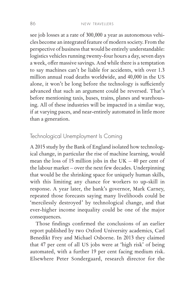see job losses at a rate of 300,000 a year as autonomous vehicles become an integrated feature of modern society. From the perspective of business that would be entirely understandable: logistics vehicles running twenty-four hours a day, seven days a week, offer massive savings. And while there is a temptation to say machines can't be liable for accidents, with over 1.3 million annual road deaths worldwide, and 40,000 in the US alone, it won't be long before the technology is sufficiently advanced that such an argument could be reversed. That's before mentioning taxis, buses, trains, planes and warehousing. All of these industries will be impacted in a similar way, if at varying paces, and near-entirely automated in little more than a generation.

## Technological Unemployment Is Coming

A 2015 study by the Bank of England isolated how technological change, in particular the rise of machine learning, would mean the loss of 15 million jobs in the  $UK - 40$  per cent of the labour market – over the next few decades. Underpinning that would be the shrinking space for uniquely human skills, with this limiting any chance for workers to up-skill in response. A year later, the bank's governor, Mark Carney, repeated those forecasts saying many livelihoods could be 'mercilessly destroyed' by technological change, and that ever-higher income inequality could be one of the major consequences.

Those findings confirmed the conclusions of an earlier report published by two Oxford University academics, Carl Benedikt Frey and Michael Osborne. In 2013 they claimed that 47 per cent of all US jobs were at 'high risk' of being automated, with a further 19 per cent facing medium risk. Elsewhere Peter Sondergaard, research director for the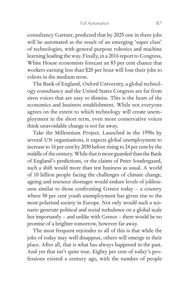consultancy Gartner, predicted that by 2025 one in three jobs will be automated as the result of an emerging 'super class' of technologies, with general purpose robotics and machine learning leading the way. Finally, in a 2016 report to Congress, White House economists forecast an 83 per cent chance that workers earning less than \$20 per hour will lose their jobs to robots in the medium term.

The Bank of England, Oxford University, a global technology consultancy and the United States Congress are far from siren voices that are easy to dismiss. This is the heart of the economics and business establishment. While not everyone agrees on the extent to which technology will create unemployment in the short term, even more conservative voices think unavoidable change is not far away.

Take the Millennium Project. Launched in the 1990s by several UN organisations, it expects global unemployment to increase to 16 per cent by 2030 before rising to 24 per cent by the middle of the century. While that is more guarded than the Bank of England's predictions, or the claims of Peter Sondergaard, such a shift would more than test business as usual. A world of 10 billion people facing the challenges of climate change, ageing and resource shortages would endure levels of joblessness similar to those confronting Greece today – a country where 50 per cent youth unemployment has given rise to the most polarised society in Europe. Not only would such a scenario generate political and social turbulence on a global scale but importantly – and unlike with Greece – there would be no promise of a brighter tomorrow, however far away.

The most frequent rejoinder to all of this is that while the jobs of today may well disappear, others will emerge in their place. After all, that is what has always happened in the past. And yet that isn't quite true. Eighty per cent of today's professions existed a century ago, with the number of people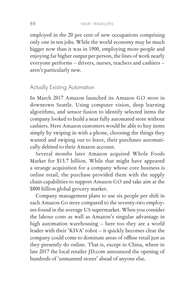employed in the 20 per cent of new occupations comprising only one in ten jobs. While the world economy may be much bigger now than it was in 1900, employing more people and enjoying far higher output per person, the lines of work nearly everyone performs – drivers, nurses, teachers and cashiers – aren't particularly new.

## Actually Existing Automation

In March 2017 Amazon launched its Amazon GO store in downtown Seattle. Using computer vision, deep learning algorithms, and sensor fusion to identify selected items the company looked to build a near fully automated store without cashiers. Here Amazon customers would be able to buy items simply by swiping in with a phone, choosing the things they wanted and swiping out to leave, their purchases automatically debited to their Amazon account.

Several months later Amazon acquired Whole Foods Market for \$13.7 billion. While that might have appeared a strange acquisition for a company whose core business is online retail, the purchase provided them with the supply chain capabilities to support Amazon GO and take aim at the \$800 billion global grocery market.

Company management plans to use six people per shift in each Amazon Go store compared to the seventy-two employees found in the average US supermarket. When you consider the labour costs as well as Amazon's singular advantage in high automation warehousing – here too they are a world leader with their 'KIVA' robot – it quickly becomes clear the company could come to dominate areas of offline retail just as they presently do online. That is, except in China, where in late 2017 the local retailer JD.com announced the opening of hundreds of 'unmanned stores' ahead of anyone else.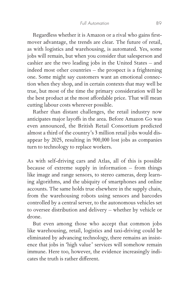Regardless whether it is Amazon or a rival who gains firstmover advantage, the trends are clear. The future of retail, as with logistics and warehousing, is automated. Yes, some jobs will remain, but when you consider that salesperson and cashier are the two leading jobs in the United States – and indeed most other countries – the prospect is a frightening one. Some might say customers want an emotional connection when they shop, and in certain contexts that may well be true, but most of the time the primary consideration will be the best product at the most affordable price. That will mean cutting labour costs wherever possible.

Rather than distant challenges, the retail industry now anticipates major layoffs in the area. Before Amazon Go was even announced, the British Retail Consortium predicted almost a third of the country's 3 million retail jobs would disappear by 2025, resulting in 900,000 lost jobs as companies turn to technology to replace workers.

As with self-driving cars and Atlas, all of this is possible because of extreme supply in information – from things like image and range sensors, to stereo cameras, deep learning algorithms, and the ubiquity of smartphones and online accounts. The same holds true elsewhere in the supply chain, from the warehousing robots using sensors and barcodes controlled by a central server, to the autonomous vehicles set to oversee distribution and delivery – whether by vehicle or drone.

But even among those who accept that common jobs like warehousing, retail, logistics and taxi-driving could be eliminated by advancing technology, there remains an insistence that jobs in 'high value' services will somehow remain immune. Here too, however, the evidence increasingly indicates the truth is rather different.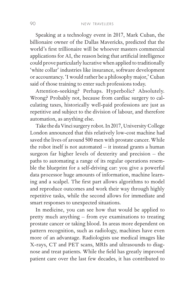Speaking at a technology event in 2017, Mark Cuban, the billionaire owner of the Dallas Mavericks, predicted that the world's first trillionaire will be whoever masters commercial applications for AI, the reason being that artificial intelligence could prove particularly lucrative when applied to traditionally 'white collar' industries like insurance, software development or accountancy. 'I would rather be a philosophy major,' Cuban said of those training to enter such professions today.

Attention-seeking? Perhaps. Hyperbolic? Absolutely. Wrong? Probably not, because from cardiac surgery to calculating taxes, historically well-paid professions are just as repetitive and subject to the division of labour, and therefore automation, as anything else.

Take the da Vinci surgery robot. In 2017, University College London announced that this relatively low-cost machine had saved the lives of around 500 men with prostate cancer. While the robot itself is not automated – it instead grants a human surgeon far higher levels of dexterity and precision – the paths to automating a range of its regular operations resemble the blueprint for a self-driving car: you give a powerful data processor huge amounts of information, machine learning and a scalpel. The first part allows algorithms to model and reproduce outcomes and work their way through highly repetitive tasks, while the second allows for immediate and smart responses to unexpected situations.

In medicine, you can see how that would be applied to pretty much anything – from eye examinations to treating prostate cancer or taking blood. In areas more dependent on pattern recognition, such as radiology, machines have even more of an advantage. Radiologists use medical images like X-rays, CT and PET scans, MRIs and ultrasounds to diagnose and treat patients. While the field has greatly improved patient care over the last few decades, it has contributed to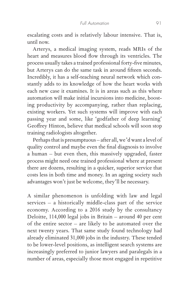escalating costs and is relatively labour intensive. That is, until now.

Arterys, a medical imaging system, reads MRIs of the heart and measures blood flow through its ventricles. The process usually takes a trained professional forty-five minutes, but Arterys can do the same task in around fifteen seconds. Incredibly, it has a self-teaching neural network which constantly adds to its knowledge of how the heart works with each new case it examines. It is in areas such as this where automation will make initial incursions into medicine, boosting productivity by accompanying, rather than replacing, existing workers. Yet such systems will improve with each passing year and some, like 'godfather of deep learning' Geoffrey Hinton, believe that medical schools will soon stop training radiologists altogether.

Perhaps that is presumptuous – after all, we'd want a level of quality control and maybe even the final diagnosis to involve a human – but even then, this massively upgraded, faster process might need one trained professional where at present there are dozens, resulting in a quicker, superior service that costs less in both time and money. In an ageing society such advantages won't just be welcome, they'll be necessary.

A similar phenomenon is unfolding with law and legal services – a historically middle-class part of the service economy. According to a 2016 study by the consultancy Deloitte, 114,000 legal jobs in Britain – around 40 per cent of the entire sector – are likely to be automated over the next twenty years. That same study found technology had already eliminated 31,000 jobs in the industry. These tended to be lower-level positions, as intelligent search systems are increasingly preferred to junior lawyers and paralegals in a number of areas, especially those most engaged in repetitive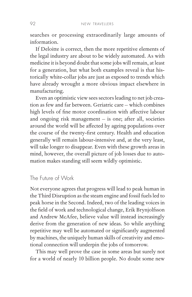searches or processing extraordinarily large amounts of information.

If Deloitte is correct, then the more repetitive elements of the legal industry are about to be widely automated. As with medicine it is beyond doubt that some jobs will remain, at least for a generation, but what both examples reveal is that historically white-collar jobs are just as exposed to trends which have already wrought a more obvious impact elsewhere in manufacturing.

Even an optimistic view sees sectors leading to net job creation as few and far between. Geriatric care – which combines high levels of fine motor coordination with affective labour and ongoing risk management – is one; after all, societies around the world will be affected by ageing populations over the course of the twenty-first century. Health and education generally will remain labour-intensive and, at the very least, will take longer to disappear. Even with these growth areas in mind, however, the overall picture of job losses due to automation makes standing still seem wildly optimistic.

## The Future of Work

Not everyone agrees that progress will lead to peak human in the Third Disruption as the steam engine and fossil fuels led to peak horse in the Second. Indeed, two of the leading voices in the field of work and technological change, Erik Brynjolfsson and Andrew McAfee, believe value will instead increasingly derive from the generation of new ideas. So while anything repetitive may well be automated or significantly augmented by machines, the uniquely human skills of creativity and emotional connection will underpin the jobs of tomorrow.

This may well prove the case in some areas but surely not for a world of nearly 10 billion people. No doubt some new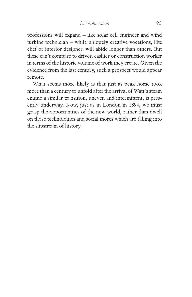professions will expand – like solar cell engineer and wind turbine technician – while uniquely creative vocations, like chef or interior designer, will abide longer than others. But these can't compare to driver, cashier or construction worker in terms of the historic volume of work they create. Given the evidence from the last century, such a prospect would appear remote.

What seems more likely is that just as peak horse took more than a century to unfold after the arrival of Watt's steam engine a similar transition, uneven and intermittent, is presently underway. Now, just as in London in 1894, we must grasp the opportunities of the new world, rather than dwell on those technologies and social mores which are falling into the slipstream of history.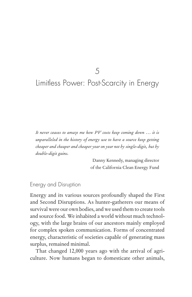5

## Limitless Power: Post-Scarcity in Energy

*It never ceases to amaze me how PV costs keep coming down … it is unparalleled in the history of energy use to have a source keep getting cheaper and cheaper and cheaper year on year not by single-digit, but by double-digit gains.* 

> Danny Kennedy, managing director of the California Clean Energy Fund

#### Energy and Disruption

Energy and its various sources profoundly shaped the First and Second Disruptions. As hunter-gatherers our means of survival were our own bodies, and we used them to create tools and source food. We inhabited a world without much technology, with the large brains of our ancestors mainly employed for complex spoken communication. Forms of concentrated energy, characteristic of societies capable of generating mass surplus, remained minimal.

That changed 12,000 years ago with the arrival of agriculture. Now humans began to domesticate other animals,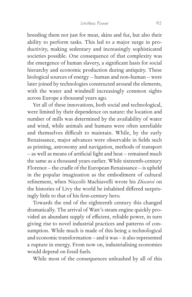breeding them not just for meat, skins and fur, but also their ability to perform tasks. This led to a major surge in productivity, making sedentary and increasingly sophisticated societies possible. One consequence of that complexity was the emergence of human slavery, a significant basis for social hierarchy and economic production during antiquity. These biological sources of energy – human and non-human – were later joined by technologies constructed around the elements, with the water and windmill increasingly common sights across Europe a thousand years ago.

Yet all of these innovations, both social and technological, were limited by their dependence on nature: the location and number of mills was determined by the availability of water and wind, while animals and humans were often unreliable and themselves difficult to maintain. While, by the early Renaissance, major advances were observable in fields such as printing, astronomy and navigation, methods of transport – as well as means of artificial light and heat – remained much the same as a thousand years earlier. While sixteenth-century Florence – the cradle of the European Renaissance – is upheld in the popular imagination as the embodiment of cultural refinement, when Niccolò Machiavelli wrote his *Discorsi* on the histories of Livy the world he inhabited differed surprisingly little to that of his first-century hero.

Towards the end of the eighteenth century this changed dramatically. The arrival of Watt's steam engine quickly provided an abundant supply of efficient, reliable power, in turn giving rise to novel industrial practices and patterns of consumption. While much is made of this being a technological and economic transformation – and it was – it also represented a rupture in energy. From now on, industrialising economies would depend on fossil fuels.

While most of the consequences unleashed by all of this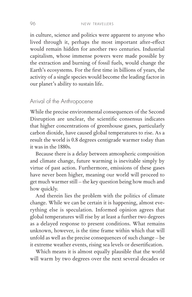in culture, science and politics were apparent to anyone who lived through it, perhaps the most important after-effect would remain hidden for another two centuries. Industrial capitalism, whose immense powers were made possible by the extraction and burning of fossil fuels, would change the Earth's ecosystems. For the first time in billions of years, the activity of a single species would become the leading factor in our planet's ability to sustain life.

#### Arrival of the Anthropocene

While the precise environmental consequences of the Second Disruption are unclear, the scientific consensus indicates that higher concentrations of greenhouse gases, particularly carbon dioxide, have caused global temperatures to rise. As a result the world is 0.8 degrees centigrade warmer today than it was in the 1880s.

Because there is a delay between atmospheric composition and climate change, future warming is inevitable simply by virtue of past action. Furthermore, emissions of these gases have never been higher, meaning our world will proceed to get much warmer still – the key question being how much and how quickly.

And therein lies the problem with the politics of climate change. While we can be certain it is happening, almost everything else is speculation. Informed opinion agrees that global temperatures will rise by at least a further two degrees as a delayed response to present conditions. What remains unknown, however, is the time frame within which that will unfold as well as the precise consequences of such change – be it extreme weather events, rising sea levels or desertification.

Which means it is almost equally plausible that the world will warm by two degrees over the next several decades or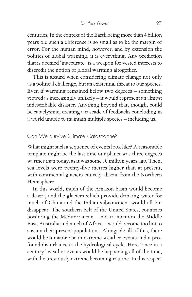centuries. In the context of the Earth being more than 4 billion years old such a difference is so small as to be the margin of error. For the human mind, however, and by extension the politics of global warming, it is everything. Any prediction that is deemed 'inaccurate' is a weapon for vested interests to discredit the notion of global warming altogether.

This is absurd when considering climate change not only as a political challenge, but an existential threat to our species. Even if warming remained below two degrees – something viewed as increasingly unlikely – it would represent an almost indescribable disaster. Anything beyond that, though, could be cataclysmic, creating a cascade of feedbacks concluding in a world unable to maintain multiple species – including us.

## Can We Survive Climate Catastrophe?

What might such a sequence of events look like? A reasonable template might be the last time our planet was three degrees warmer than today, as it was some 10 million years ago. Then, sea levels were twenty-five metres higher than at present, with continental glaciers entirely absent from the Northern Hemisphere.

In this world, much of the Amazon basin would become a desert, and the glaciers which provide drinking water for much of China and the Indian subcontinent would all but disappear. The southern belt of the United States, countries bordering the Mediterranean – not to mention the Middle East, Australia and much of Africa – would become too hot to sustain their present populations. Alongside all of this, there would be a major rise in extreme weather events and a profound disturbance to the hydrological cycle. Here 'once in a century' weather events would be happening all of the time, with the previously extreme becoming routine. In this respect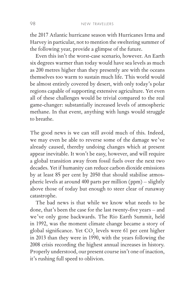the 2017 Atlantic hurricane season with Hurricanes Irma and Harvey in particular, not to mention the sweltering summer of the following year, provide a glimpse of the future.

Even this isn't the worst-case scenario, however. An Earth six degrees warmer than today would have sea levels as much as 200 metres higher than they presently are with the oceans themselves too warm to sustain much life. This world would be almost entirely covered by desert, with only today's polar regions capable of supporting extensive agriculture. Yet even all of these challenges would be trivial compared to the real game-changer: substantially increased levels of atmospheric methane. In that event, anything with lungs would struggle to breathe.

The good news is we can still avoid much of this. Indeed, we may even be able to reverse some of the damage we 've already caused, thereby undoing changes which at present appear inevitable. It won't be easy, however, and will require a global transition away from fossil fuels over the next two decades. Yet if humanity can reduce carbon dioxide emissions by at least 85 per cent by 2050 that should stabilise atmospheric levels at around 400 parts per million (ppm) – slightly above those of today but enough to steer clear of runaway catastrophe.

The bad news is that while we know what needs to be done, that's been the case for the last twenty-five years – and we 've only gone backwards. The Rio Earth Summit, held in 1992, was the moment climate change became a story of global significance. Yet  $\mathrm{CO}_2$  levels were 61 per cent higher in 2013 than they were in 1990, with the years following the 2008 crisis recording the highest annual increases in history. Properly understood, our present course isn't one of inaction, it's rushing full speed to oblivion.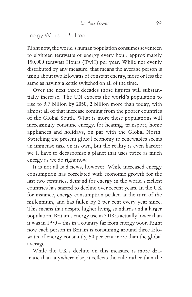## Energy Wants to Be Free

Right now, the world's human population consumes seventeen to eighteen terawatts of energy every hour, approximately 150,000 terawatt Hours (TwH) per year. While not evenly distributed by any measure, that means the average person is using about two kilowatts of constant energy, more or less the same as having a kettle switched on all of the time.

Over the next three decades those figures will substantially increase. The UN expects the world's population to rise to 9.7 billion by 2050, 2 billion more than today, with almost all of that increase coming from the poorer countries of the Global South. What is more these populations will increasingly consume energy, for heating, transport, home appliances and holidays, on par with the Global North. Switching the present global economy to renewables seems an immense task on its own, but the reality is even harder: we 'll have to decarbonise a planet that uses twice as much energy as we do right now.

It is not all bad news, however. While increased energy consumption has correlated with economic growth for the last two centuries, demand for energy in the world's richest countries has started to decline over recent years. In the UK for instance, energy consumption peaked at the turn of the millennium, and has fallen by 2 per cent every year since. This means that despite higher living standards and a larger population, Britain's energy use in 2018 is actually lower than it was in 1970 – this in a country far from energy poor. Right now each person in Britain is consuming around three kilowatts of energy constantly, 50 per cent more than the global average.

While the UK's decline on this measure is more dramatic than anywhere else, it reflects the rule rather than the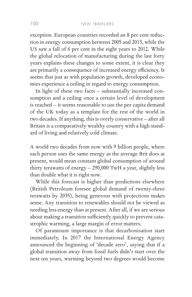exception. European countries recorded an 8 per cent reduction in energy consumption between 2005 and 2013, while the US saw a fall of 6 per cent in the eight years to 2012. While the global relocation of manufacturing during the last forty years explains these changes to some extent, it is clear they are primarily a consequence of increased energy efficiency. It seems that just as with population growth, developed economies experience a ceiling in regard to energy consumption.

In light of these two facts – substantially increased consumption and a ceiling once a certain level of development is reached – it seems reasonable to use the per capita demand of the UK today as a template for the rest of the world in two decades. If anything, this is overly conservative – after all Britain is a comparatively wealthy country with a high standard of living and relatively cold climate.

A world two decades from now with 9 billion people, where each person uses the same energy as the average Brit does at present, would mean constant global consumption of around thirty terawatts of energy  $-290,000$  TwH a year, slightly less than double what it is right now.

While this forecast is higher than predictions elsewhere (British Petroleum foresee global demand of twenty-three terawatts by 2035), being generous with projections makes sense. Any transition to renewables should not be viewed as needing less energy than at present. After all, if we are serious about making a transition sufficiently quickly to prevent catastrophic warming, a large margin of error matters.

Of paramount importance is that decarbonisation start immediately. In 2017 the International Energy Agency announced the beginning of 'decade zero', saying that if a global transition away from fossil fuels didn't start over the next ten years, warming beyond two degrees would become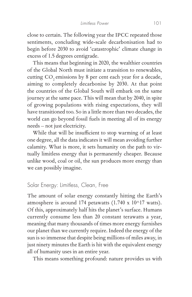close to certain. The following year the IPCC repeated those sentiments, concluding wide-scale decarbonisation had to begin before 2030 to avoid 'catastrophic' climate change in excess of 1.5 degrees centigrade.

This means that beginning in 2020, the wealthier countries of the Global North must initiate a transition to renewables, cutting CO<sub>2</sub> emissions by 8 per cent each year for a decade, aiming to completely decarbonise by 2030. At that point the countries of the Global South will embark on the same journey at the same pace. This will mean that by 2040, in spite of growing populations with rising expectations, they will have transitioned too. So in a little more than two decades, the world can go beyond fossil fuels in meeting all of its energy needs – not just electricity.

While that will be insufficient to stop warming of at least one degree, all the data indicates it will mean avoiding further calamity. What is more, it sets humanity on the path to virtually limitless energy that is permanently cheaper. Because unlike wood, coal or oil, the sun produces more energy than we can possibly imagine.

### Solar Energy: Limitless, Clean, Free

The amount of solar energy constantly hitting the Earth's atmosphere is around 174 petawatts (1.740 x 10^17 watts). Of this, approximately half hits the planet's surface. Humans currently consume less than 20 constant terawatts a year, meaning that many thousands of times more energy furnishes our planet than we currently require. Indeed the energy of the sun is so immense that despite being millions of miles away, in just ninety minutes the Earth is hit with the equivalent energy all of humanity uses in an entire year.

This means something profound: nature provides us with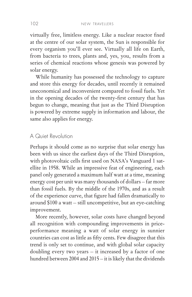virtually free, limitless energy. Like a nuclear reactor fixed at the centre of our solar system, the Sun is responsible for every organism you'll ever see. Virtually all life on Earth, from bacteria to trees, plants and, yes, you, results from a series of chemical reactions whose genesis was powered by solar energy.

While humanity has possessed the technology to capture and store this energy for decades, until recently it remained uneconomical and inconvenient compared to fossil fuels. Yet in the opening decades of the twenty-first century that has begun to change, meaning that just as the Third Disruption is powered by extreme supply in information and labour, the same also applies for energy.

#### A Quiet Revolution

Perhaps it should come as no surprise that solar energy has been with us since the earliest days of the Third Disruption, with photovoltaic cells first used on NASA's Vanguard 1 satellite in 1958. While an impressive feat of engineering, each panel only generated a maximum half watt at a time, meaning energy cost per unit was many thousands of dollars – far more than fossil fuels. By the middle of the 1970s, and as a result of the experience curve, that figure had fallen dramatically to around \$100 a watt – still uncompetitive, but an eye-catching improvement.

More recently, however, solar costs have changed beyond all recognition with compounding improvements in priceperformance meaning a watt of solar energy in sunnier countries can cost as little as fifty cents. Few disagree that this trend is only set to continue, and with global solar capacity doubling every two years – it increased by a factor of one hundred between 2004 and 2015 – it is likely that the dividends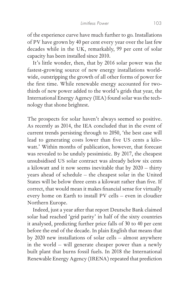of the experience curve have much further to go. Installations of PV have grown by 40 per cent every year over the last few decades while in the UK, remarkably, 99 per cent of solar capacity has been installed since 2010.

It's little wonder, then, that by 2016 solar power was the fastest-growing source of new energy installations worldwide, outstripping the growth of all other forms of power for the first time. While renewable energy accounted for twothirds of new power added to the world's grids that year, the International Energy Agency (IEA) found solar was the technology that shone brightest.

The prospects for solar haven't always seemed so positive. As recently as 2014, the IEA concluded that in the event of current trends persisting through to 2050, 'the best case will lead to generating costs lower than five US cents a kilowatt.' Within months of publication, however, that forecast was revealed to be unduly pessimistic. By 2017, the cheapest unsubsidised US solar contract was already below six cents a kilowatt and it now seems inevitable that by 2020 – thirty years ahead of schedule – the cheapest solar in the United States will be below three cents a kilowatt rather than five. If correct, that would mean it makes financial sense for virtually every home on Earth to install PV cells – even in cloudier Northern Europe.

Indeed, just a year after that report Deutsche Bank claimed solar had reached 'grid parity' in half of the sixty countries it analysed, predicting further price falls of 30 to 40 per cent before the end of the decade. In plain English that means that by 2020 new installations of solar cells – almost anywhere in the world – will generate cheaper power than a newly built plant that burns fossil fuels. In 2018 the International Renewable Energy Agency (IRENA) repeated that prediction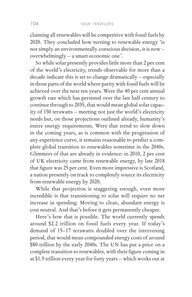claiming all renewables will be competitive with fossil fuels by 2020. They concluded how turning to renewable energy 'is not simply an environmentally conscious decision, it is now – overwhelmingly – a smart economic one'.

So while solar presently provides little more than 2 per cent of the world's electricity, trends observable for more than a decade indicate this is set to change dramatically – especially in those parts of the world where parity with fossil fuels will be achieved over the next ten years. Were the 40 per cent annual growth rate which has persisted over the last half century to continue through to 2035, that would mean global solar capacity of 150 terawatts – meeting not just the world's electricity needs but, on those projections outlined already, humanity's entire energy requirements. Were that trend to slow down in the coming years, as is common with the progression of any experience curve, it remains reasonable to predict a complete global transition to renewables sometime in the 2040s. Glimmers of that are already in evidence: in 2010, 2 per cent of UK electricity came from renewable energy, by late 2018 that figure was 25 per cent. Even more impressive is Scotland, a nation presently on track to completely source its electricity from renewable energy by 2020.

While that projection is staggering enough, even more incredible is that transitioning to solar will require no net increase in spending. Moving to clean, abundant energy is cost neutral. And that's before it gets permanently cheaper.

Here 's how that is possible. The world currently spends around \$2.2 trillion on fossil fuels every year. If today's demand of 15–17 terawatts doubled over the intervening period, that would mean compounded energy costs of around \$80 trillion by the early 2040s. The UN has put a price on a complete transition to renewables, with their figure coming in at \$1.9 trillion every year for forty years – which works out at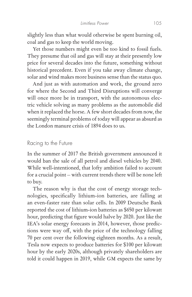slightly less than what would otherwise be spent burning oil, coal and gas to keep the world moving.

Yet those numbers might even be too kind to fossil fuels. They presume that oil and gas will stay at their presently low price for several decades into the future, something without historical precedent. Even if you take away climate change, solar and wind makes more business sense than the status quo.

And just as with automation and work, the ground zero for where the Second and Third Disruptions will converge will once more be in transport, with the autonomous electric vehicle solving as many problems as the automobile did when it replaced the horse. A few short decades from now, the seemingly terminal problems of today will appear as absurd as the London manure crisis of 1894 does to us.

#### Racing to the Future

In the summer of 2017 the British government announced it would ban the sale of all petrol and diesel vehicles by 2040. While well-intentioned, that lofty ambition failed to account for a crucial point – with current trends there will be none left to buy.

The reason why is that the cost of energy storage technologies, specifically lithium-ion batteries, are falling at an even-faster rate than solar cells. In 2009 Deutsche Bank reported the cost of lithium-ion batteries as \$650 per kilowatt hour, predicting that figure would halve by 2020. Just like the IEA's solar energy forecasts in 2014, however, those predictions were way off, with the price of the technology falling 70 per cent over the following eighteen months. As a result, Tesla now expects to produce batteries for \$100 per kilowatt hour by the early 2020s, although privately shareholders are told it could happen in 2019, while GM expects the same by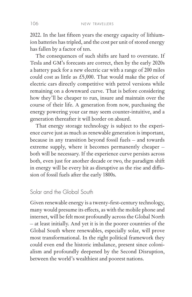2022. In the last fifteen years the energy capacity of lithiumion batteries has tripled, and the cost per unit of stored energy has fallen by a factor of ten.

The consequences of such shifts are hard to overstate. If Tesla and GM's forecasts are correct, then by the early 2020s a battery pack for a new electric car with a range of 200 miles could cost as little as £5,000. That would make the price of electric cars directly competitive with petrol versions while remaining on a downward curve. That is before considering how they'll be cheaper to run, insure and maintain over the course of their life. A generation from now, purchasing the energy powering your car may seem counter-intuitive, and a generation thereafter it will border on absurd.

That energy storage technology is subject to the experience curve just as much as renewable generation is important, because in any transition beyond fossil fuels – and towards extreme supply, where it becomes permanently cheaper – both will be necessary. If the experience curve persists across both, even just for another decade or two, the paradigm shift in energy will be every bit as disruptive as the rise and diffusion of fossil fuels after the early 1800s.

# Solar and the Global South

Given renewable energy is a twenty-first-century technology, many would presume its effects, as with the mobile phone and internet, will be felt most profoundly across the Global North – at least initially. And yet it is in the poorer countries of the Global South where renewables, especially solar, will prove most transformational. In the right political framework they could even end the historic imbalance, present since colonialism and profoundly deepened by the Second Disruption, between the world's wealthiest and poorest nations.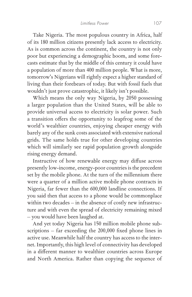Take Nigeria. The most populous country in Africa, half of its 180 million citizens presently lack access to electricity. As is common across the continent, the country is not only poor but experiencing a demographic boom, and some forecasts estimate that by the middle of this century it could have a population of more than 400 million people. What is more, tomorrow's Nigerians will rightly expect a higher standard of living than their forebears of today. But with fossil fuels that wouldn't just prove catastrophic, it likely isn't possible.

Which means the only way Nigeria, by 2050 possessing a larger population than the United States, will be able to provide universal access to electricity is solar power. Such a transition offers the opportunity to leapfrog some of the world's wealthier countries, enjoying cheaper energy with barely any of the sunk costs associated with extensive national grids. The same holds true for other developing countries which will similarly see rapid population growth alongside rising energy demand.

Instructive of how renewable energy may diffuse across presently low-income, energy-poor countries is the precedent set by the mobile phone. At the turn of the millennium there were a quarter of a million active mobile phone contracts in Nigeria, far fewer than the 600,000 landline connections. If you said then that access to a phone would be commonplace within two decades – in the absence of costly new infrastructure and with even the spread of electricity remaining mixed – you would have been laughed at.

And yet today Nigeria has 150 million mobile phone subscriptions – far exceeding the 200,000 fixed phone lines in active use. Meanwhile half the country has access to the internet. Importantly, this high level of connectivity has developed in a different manner to wealthier countries across Europe and North America. Rather than copying the sequence of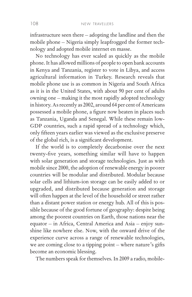infrastructure seen there – adopting the landline and then the mobile phone – Nigeria simply leapfrogged the former technology and adopted mobile internet en masse.

No technology has ever scaled as quickly as the mobile phone. It has allowed millions of people to open bank accounts in Kenya and Tanzania, register to vote in Libya, and access agricultural information in Turkey. Research reveals that mobile phone use is as common in Nigeria and South Africa as it is in the United States, with about 90 per cent of adults owning one – making it the most rapidly adopted technology in history. As recently as 2002, around 64 per cent of Americans possessed a mobile phone, a figure now beaten in places such as Tanzania, Uganda and Senegal. While these remain low-GDP countries, such a rapid spread of a technology which, only fifteen years earlier was viewed as the exclusive preserve of the global rich, is a significant development.

If the world is to completely decarbonise over the next twenty-five years, something similar will have to happen with solar generation and storage technologies. Just as with mobile since 2000, the adoption of renewable energy in poorer countries will be modular and distributed. Modular because solar cells and lithium-ion storage can be easily added to or upgraded, and distributed because generation and storage will often happen at the level of the household or street rather than a distant power station or energy hub. All of this is possible because of the good fortune of geography: despite being among the poorest countries on Earth, those nations near the equator – in Africa, Central America and Asia – enjoy sunshine like nowhere else. Now, with the onward drive of the experience curve across a range of renewable technologies, we are coming close to a tipping point – where nature's gifts become an economic blessing.

The numbers speak for themselves. In 2009 a radio, mobile-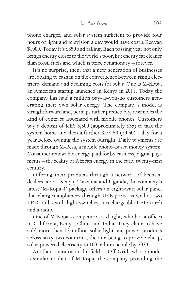phone charger, and solar system sufficient to provide four hours of light and television a day would have cost a Kenyan \$1000. Today it's \$350 and falling. Each passing year not only brings energy closer to the world's poor, but energy far cleaner than fossil fuels and which is price deflationary – forever.

It's no surprise, then, that a new generation of businesses are looking to cash in on the convergence between rising electricity demand and declining costs for solar. One is M-Kopa, an American startup launched in Kenya in 2011. Today the company has half a million pay-as-you-go customers generating their own solar energy. The company's model is straightforward and, perhaps rather predictably, resembles the kind of contract associated with mobile phones. Customers pay a deposit of KES 3,500 (approximately \$35) to take the system home and then a further KES 50 (\$0.50) a day for a year before owning the system outright. Daily payments are made through M-Pesa, a mobile phone–based money system. Consumer renewable energy paid for by cashless, digital payments – the reality of African energy in the early twenty-first century.

Offering their products through a network of licensed dealers across Kenya, Tanzania and Uganda, the company's latest 'M-Kopa 4' package offers an eight-watt solar panel that charges appliances through USB ports, as well as two LED bulbs with light switches, a rechargeable LED torch and a radio.

One of M-Kopa's competitors is d.light, who boast offices in California, Kenya, China and India. They claim to have sold more than 12 million solar light and power products across sixty-two countries, the aim being to provide cheap, solar-powered electricity to 100 million people by 2020.

Another operator in the field is Off-Grid, whose model is similar to that of M-Kopa, the company providing the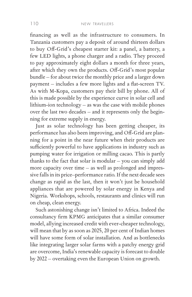financing as well as the infrastructure to consumers. In Tanzania customers pay a deposit of around thirteen dollars to buy Off-Grid's cheapest starter kit: a panel, a battery, a few LED lights, a phone charger and a radio. They proceed to pay approximately eight dollars a month for three years, after which they own the products. Off-Grid's most popular bundle – for about twice the monthly price and a larger down payment – includes a few more lights and a flat-screen TV. As with M-Kopa, customers pay their bill by phone. All of this is made possible by the experience curve in solar cell and lithium-ion technology – as was the case with mobile phones over the last two decades – and it represents only the beginning for extreme supply in energy.

Just as solar technology has been getting cheaper, its performance has also been improving, and Off-Grid are planning for a point in the near future when their products are sufficiently powerful to have applications in industry such as pumping water for irrigation or milling cacao. This is partly thanks to the fact that solar is modular – you can simply add more capacity over time – as well as prolonged and impressive falls in its price–performance ratio. If the next decade sees change as rapid as the last, then it won't just be household appliances that are powered by solar energy in Kenya and Nigeria. Workshops, schools, restaurants and clinics will run on cheap, clean energy.

Such astonishing change isn't limited to Africa. Indeed the consultancy firm KPMG anticipates that a similar consumer model, allying increased credit with ever-cheaper technology, will mean that by as soon as 2025, 20 per cent of Indian homes will have some form of solar installation. And as bottlenecks like integrating larger solar farms with a patchy energy grid are overcome, India's renewable capacity is forecast to double by 2022 – overtaking even the European Union on growth.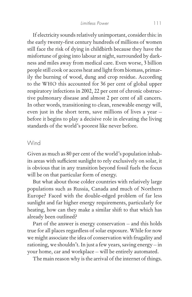If electricity sounds relatively unimportant, consider this: in the early twenty-first century hundreds of millions of women still face the risk of dying in childbirth because they have the misfortune of going into labour at night, surrounded by darkness and miles away from medical care. Even worse, 3 billion people still cook or access heat and light from biomass, primarily the burning of wood, dung and crop residue. According to the WHO this accounted for 36 per cent of global upper respiratory infections in 2002, 22 per cent of chronic obstructive pulmonary disease and almost 2 per cent of all cancers. In other words, transitioning to clean, renewable energy will, even just in the short term, save millions of lives a year – before it begins to play a decisive role in elevating the living standards of the world's poorest like never before.

#### **Wind**

Given as much as 80 per cent of the world's population inhabits areas with sufficient sunlight to rely exclusively on solar, it is obvious that in any transition beyond fossil fuels the focus will be on that particular form of energy.

But what about those colder countries with relatively large populations such as Russia, Canada and much of Northern Europe? Faced with the double-edged problem of far less sunlight and far higher energy requirements, particularly for heating, how can they make a similar shift to that which has already been outlined?

Part of the answer is energy conservation – and this holds true for all places regardless of solar exposure. While for now we might associate the idea of conservation with frugality and rationing, we shouldn't. In just a few years, saving energy – in your home, car and workplace – will be entirely automated.

The main reason why is the arrival of the internet of things.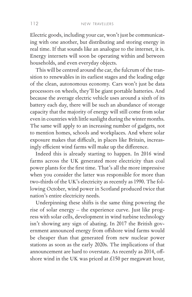Electric goods, including your car, won't just be communicating with one another, but distributing and storing energy in real time. If that sounds like an analogue to the internet, it is. Energy internets will soon be operating within and between households, and even everyday objects.

This will be centred around the car, the fulcrum of the transition to renewables in its earliest stages and the leading edge of the clean, autonomous economy. Cars won't just be data processors on wheels, they'll be giant portable batteries. And because the average electric vehicle uses around a sixth of its battery each day, there will be such an abundance of storage capacity that the majority of energy will still come from solar even in countries with little sunlight during the winter months. The same will apply to an increasing number of gadgets, not to mention homes, schools and workplaces. And where solar exposure makes that difficult, in places like Britain, increasingly efficient wind farms will make up the difference.

Indeed this is already starting to happen. In 2016 wind farms across the UK generated more electricity than coal power plants for the first time. That's all the more impressive when you consider the latter was responsible for more than two-thirds of the UK's electricity as recently as 1990. The following October, wind power in Scotland produced twice that nation's entire electricity needs.

Underpinning these shifts is the same thing powering the rise of solar energy – the experience curve. Just like progress with solar cells, development in wind turbine technology isn't showing any sign of abating. In 2017 the British government announced energy from offshore wind farms would be cheaper than that generated from new nuclear power stations as soon as the early 2020s. The implications of that announcement are hard to overstate. As recently as 2014, offshore wind in the UK was priced at  $£150$  per megawatt hour,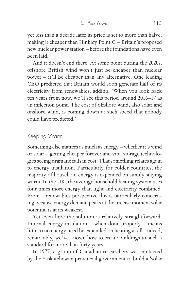yet less than a decade later its price is set to more than halve, making it cheaper than Hinkley Point C – Britain's proposed new nuclear power station – before the foundations have even been laid.

And it doesn't end there. At some point during the 2020s, offshore British wind won't just be cheaper than nuclear power – it'll be cheaper than any alternative. One leading CEO predicted that Britain would soon generate half of its electricity from renewables, adding, 'When you look back ten years from now, we'll see this period around 2016–17 as an inflection point. The cost of offshore wind, also solar and onshore wind, is coming down at such speed that nobody could have predicted.'

#### Keeping Warm

Something else matters as much as energy – whether it's wind or solar – getting cheaper forever and vital storage technologies seeing dramatic falls in cost. That something relates again to energy insulation. Particularly for colder countries, the majority of household energy is expended on simply staying warm. In the UK, the average household heating system uses four times more energy than light and electricity combined. From a renewables perspective this is particularly concerning because energy demand peaks at the precise moment solar potential is at its weakest.

Yet even here the solution is relatively straightforward. Internal energy insulation – when done properly – means little to no energy need be expended on heating at all. Indeed, remarkably, we've known how to create buildings to such a standard for more than forty years.

In 1977, a group of Canadian researchers was contacted by the Saskatchewan provincial government to build a 'solar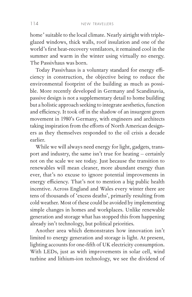home' suitable to the local climate. Nearly airtight with tripleglazed windows, thick walls, roof insulation and one of the world's first heat-recovery ventilators, it remained cool in the summer and warm in the winter using virtually no energy. The Passivhaus was born.

Today Passivhaus is a voluntary standard for energy efficiency in construction, the objective being to reduce the environmental footprint of the building as much as possible. More recently developed in Germany and Scandinavia, passive design is not a supplementary detail to home building but a holistic approach seeking to integrate aesthetics, function and efficiency. It took off in the shadow of an insurgent green movement in 1980's Germany, with engineers and architects taking inspiration from the efforts of North American designers as they themselves responded to the oil crisis a decade earlier.

While we will always need energy for light, gadgets, transport and industry, the same isn't true for heating – certainly not on the scale we see today. Just because the transition to renewables will mean cleaner, more abundant energy than ever, that's no excuse to ignore potential improvements in energy efficiency. That's not to mention a big public health incentive. Across England and Wales every winter there are tens of thousands of 'excess deaths', primarily resulting from cold weather. Most of these could be avoided by implementing simple changes in homes and workplaces. Unlike renewable generation and storage what has stopped this from happening already isn't technology, but political priorities.

Another area which demonstrates how innovation isn't limited to energy generation and storage is light. At present, lighting accounts for one-fifth of UK electricity consumption. With LEDs, just as with improvements in solar cell, wind turbine and lithium-ion technology, we see the dividend of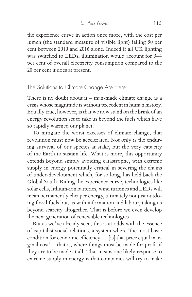the experience curve in action once more, with the cost per lumen (the standard measure of visible light) falling 90 per cent between 2010 and 2016 alone. Indeed if all UK lighting was switched to LEDs, illumination would account for 3–4 per cent of overall electricity consumption compared to the 20 per cent it does at present.

#### The Solutions to Climate Change Are Here

There is no doubt about it  $-$  man-made climate change is a crisis whose magnitude is without precedent in human history. Equally true, however, is that we now stand on the brink of an energy revolution set to take us beyond the fuels which have so rapidly warmed our planet.

To mitigate the worst excesses of climate change, that revolution must now be accelerated. Not only is the enduring survival of our species at stake, but the very capacity of the Earth to sustain life. What is more, this opportunity extends beyond simply avoiding catastrophe, with extreme supply in energy potentially critical in severing the chains of under-development which, for so long, has held back the Global South. Riding the experience curve, technologies like solar cells, lithium-ion batteries, wind turbines and LEDs will mean permanently cheaper energy, ultimately not just outdoing fossil fuels but, as with information and labour, taking us beyond scarcity altogether. That is before we even develop the next generation of renewable technologies.

But as we've already seen, this is at odds with the essence of capitalist social relations, a system where 'the most basic condition for economic efficiency … [is] that price equal marginal cost' – that is, where things must be made for profit if they are to be made at all. That means one likely response to extreme supply in energy is that companies will try to make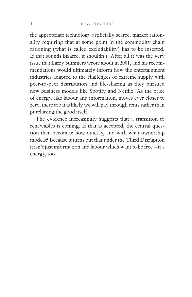the appropriate technology artificially scarce, market rationality requiring that at some point in the commodity chain rationing (what is called excludability) has to be inserted. If that sounds bizarre, it shouldn't. After all it was the very issue that Larry Summers wrote about in 2001, and his recommendations would ultimately inform how the entertainment industries adapted to the challenges of extreme supply with peer-to-peer distribution and file-sharing as they pursued new business models like Spotify and Netflix. As the price of energy, like labour and information, moves ever closer to zero, there too it is likely we will pay through rents rather than purchasing the good itself.

The evidence increasingly suggests that a transition to renewables is coming. If that is accepted, the central question then becomes: how quickly, and with what ownership models? Because it turns out that under the Third Disruption it isn't just information and labour which want to be free – it's energy, too.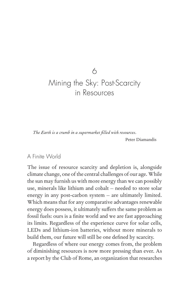# $\triangle$ Mining the Sky: Post-Scarcity in Resources

*The Earth is a crumb in a supermarket filled with resources*.

Peter Diamandis

#### A Finite World

The issue of resource scarcity and depletion is, alongside climate change, one of the central challenges of our age. While the sun may furnish us with more energy than we can possibly use, minerals like lithium and cobalt – needed to store solar energy in any post-carbon system – are ultimately limited. Which means that for any comparative advantages renewable energy does possess, it ultimately suffers the same problem as fossil fuels: ours is a finite world and we are fast approaching its limits. Regardless of the experience curve for solar cells, LEDs and lithium-ion batteries, without more minerals to build them, our future will still be one defined by scarcity.

Regardless of where our energy comes from, the problem of diminishing resources is now more pressing than ever. As a report by the Club of Rome, an organization that researches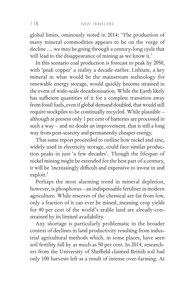global limits, ominously noted in 2014: 'The production of many mineral commodities appears to be on the verge of decline … we may be going through a century-long cycle that will lead to the disappearance of mining as we know it.'

In this scenario coal production is forecast to peak by 2050, with 'peak copper' a reality a decade earlier. Lithium, a key mineral in what would be the mainstream technology for renewable energy storage, would quickly become strained in the event of wide-scale decarbonisation. While the Earth likely has sufficient quantities of it for a complete transition away from fossil fuels, even if global demand doubled, that would still require stockpiles to be continually recycled. While plausible – although at present only 1 per cent of batteries are processed in such a way – and no doubt an improvement, that is still a long way from post-scarcity and permanently cheaper energy.

That same report proceeded to outline how nickel and zinc, widely used in electricity storage, could face similar production peaks in just 'a few decades'. Though the lifespan of nickel mining might be extended for the best part of a century, it will be 'increasingly difficult and expensive to invest in and exploit.'

Perhaps the most alarming trend in mineral depletion, however, is phosphorus – an indispensable fertiliser in modern agriculture. While reserves of the chemical are far from low, only a fraction of it can ever be mined, meaning crop yields for 40 per cent of the world's arable land are already constrained by its limited availability.

Any shortage is particularly problematic in the broader context of declines in land productivity resulting from industrial agricultural methods which, in some places, have seen soil fertility fall by as much as 50 per cent. In 2014, researchers from the University of Sheffield claimed British soil had only 100 harvests left as a result of intense over-farming. At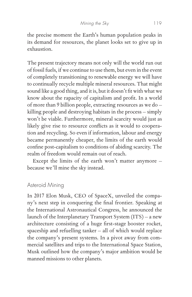the precise moment the Earth's human population peaks in its demand for resources, the planet looks set to give up in exhaustion.

The present trajectory means not only will the world run out of fossil fuels, if we continue to use them, but even in the event of completely transitioning to renewable energy we will have to continually recycle multiple mineral resources. That might sound like a good thing, and it is, but it doesn't fit with what we know about the rapacity of capitalism and profit. In a world of more than 9 billion people, extracting resources as we do – killing people and destroying habitats in the process – simply won't be viable. Furthermore, mineral scarcity would just as likely give rise to resource conflicts as it would to cooperation and recycling. So even if information, labour and energy became permanently cheaper, the limits of the earth would confine post-capitalism to conditions of abiding scarcity. The realm of freedom would remain out of reach.

Except the limits of the earth won't matter anymore – because we'll mine the sky instead.

#### Asteroid Mining

In 2017 Elon Musk, CEO of SpaceX, unveiled the company's next step in conquering the final frontier. Speaking at the International Astronautical Congress, he announced the launch of the Interplanetary Transport System (ITS) – a new architecture consisting of a huge first-stage booster rocket, spaceship and refuelling tanker – all of which would replace the company's present systems. In a pivot away from commercial satellites and trips to the International Space Station, Musk outlined how the company's major ambition would be manned missions to other planets.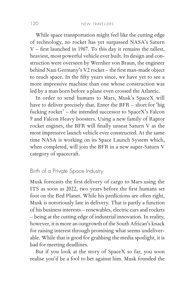While space transportation might feel like the cutting edge of technology, no rocket has yet surpassed NASA's Saturn V – first launched in 1967. To this day it remains the tallest, heaviest, most powerful vehicle ever built. Its design and construction were overseen by Wernher von Braun, the engineer behind Nazi Germany's V2 rocket – the first man-made object to reach space. In the fifty years since, we have yet to see a more impressive machine than one whose construction was led by a man born before a plane even crossed the Atlantic.

In order to send humans to Mars, Musk's SpaceX will have to deliver precisely that. Enter the BFR – short for 'big fucking rocket' – the intended successor to SpaceX's Falcon 9 and Falcon Heavy boosters. Using a new family of Raptor rocket engines, the BFR will finally unseat Saturn V as the most impressive launch vehicle ever constructed. At the same time NASA is working on its Space Launch System which, when completed, will join the BFR in a new super-Saturn V category of spacecraft.

#### Birth of a Private Space Industry

Musk forecasts the first delivery of cargo to Mars using the ITS as soon as 2022, two years before the first humans set foot on the Red Planet. While his predictions are often right, Musk is notoriously late in delivery. That is partly a function of his business interests – renewables, electric cars and rockets – being at the cutting edge of industrial innovation. In reality, however, it is more an outgrowth of the South African's knack for raising interest through promising what seems undeliverable. While that is good for grabbing the media spotlight, it is bad for meeting deadlines.

But if you look at the story of SpaceX so far, you soon realise you'd be a fool to bet against him. Musk founded the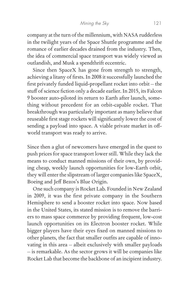company at the turn of the millennium, with NASA rudderless in the twilight years of the Space Shuttle programme and the romance of earlier decades drained from the industry. Then, the idea of commercial space transport was widely viewed as outlandish, and Musk a spendthrift eccentric.

Since then SpaceX has gone from strength to strength, achieving a litany of firsts. In 2008 it successfully launched the first privately funded liquid-propellant rocket into orbit – the stuff of science fiction only a decade earlier. In 2015, its Falcon 9 booster auto-piloted its return to Earth after launch, something without precedent for an orbit-capable rocket. That breakthrough was particularly important as many believe that reuseable first stage rockets will significantly lower the cost of sending a payload into space. A viable private market in offworld transport was ready to arrive.

Since then a glut of newcomers have emerged in the quest to push prices for space transport lower still. While they lack the means to conduct manned missions of their own, by providing cheap, weekly launch opportunities for low-Earth orbit, they will enter the slipstream of larger companies like SpaceX, Boeing and Jeff Bezos's Blue Origin.

One such company is Rocket Lab. Founded in New Zealand in 2009, it was the first private company in the Southern Hemisphere to send a booster rocket into space. Now based in the United States, its stated mission is to remove the barriers to mass space commerce by providing frequent, low-cost launch opportunities on its Electron booster rocket. While bigger players have their eyes fixed on manned missions to other planets, the fact that smaller outfits are capable of innovating in this area – albeit exclusively with smaller payloads – is remarkable. As the sector grows it will be companies like Rocket Lab that become the backbone of an incipient industry.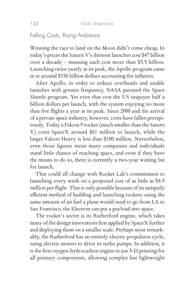#### Falling Costs, Rising Ambitions

Winning the race to land on the Moon didn't come cheap. In today's prices the Saturn V's thirteen launches cost \$47 billion over a decade – meaning each cost more than \$3.5 billion. Launching twice yearly at its peak, the Apollo program came in at around \$150 billion dollars accounting for inflation.

After Apollo, in order to reduce overheads and enable launches with greater frequency, NASA pursued the Space Shuttle program. Yet even that cost the US taxpayer half a billion dollars per launch, with the system enjoying no more than five flights a year at its peak. Since 2000 and the arrival of a private space industry, however, costs have fallen precipitously. Today a Falcon 9 rocket (much smaller than the Saturn V) costs SpaceX around \$61 million to launch, while the larger Falcon Heavy is less than \$100 million. Nevertheless, even those figures mean many companies and individuals stand little chance of reaching space, and even if they have the means to do so, there is currently a two-year waiting list for launch.

That could all change with Rocket Lab's commitment to launching every week on a projected cost of as little as \$4.9 million per flight. That is only possible because of its uniquely efficient method of building and launching rockets: using the same amount of jet fuel a plane would need to go from LA to San Francisco, the Electron can put a payload into space.

The rocket's secret is its Rutherford engine, which takes many of the design innovations first applied by SpaceX further and deploying them on a smaller scale. Perhaps most remarkably, the Rutherford has an entirely electric propulsion cycle, using electric motors to drive its turbo pumps. In addition, it is the first oxygen-hydrocarbon engine to use 3-D printing for all primary components, allowing complex but lightweight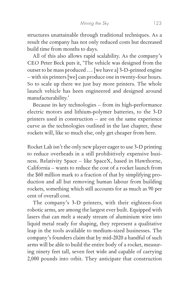structures unattainable through traditional techniques. As a result the company has not only reduced costs but decreased build time from months to days.

All of this also allows rapid scalability. As the company's CEO Peter Beck puts it, 'The vehicle was designed from the outset to be mass produced … [we have a] 3-D-printed engine – with six printers [we] can produce one in twenty-four hours. So to scale up there we just buy more printers. The whole launch vehicle has been engineered and designed around manufacturability.'

Because its key technologies – from its high-performance electric motors and lithium-polymer batteries, to the 3-D printers used in construction – are on the same experience curve as the technologies outlined in the last chapter, these rockets will, like so much else, only get cheaper from here.

Rocket Lab isn't the only new player eager to use 3-D printing to reduce overheads in a still prohibitively expensive business. Relativity Space – like SpaceX, based in Hawthorne, California – wants to reduce the cost of a rocket launch from the \$60 million mark to a fraction of that by simplifying production and all but removing human labour from building rockets, something which still accounts for as much as 90 per cent of overall cost.

The company's 3-D printers, with their eighteen-foot robotic arms, are among the largest ever built. Equipped with lasers that can melt a steady stream of aluminium wire into liquid metal ready for shaping, they represent a qualitative leap in the tools available to medium-sized businesses. The company's founders claim that by mid-2020 a handful of such arms will be able to build the entire body of a rocket, measuring ninety feet tall, seven feet wide and capable of carrying 2,000 pounds into orbit. They anticipate that construction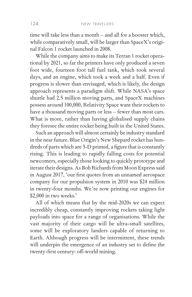time will take less than a month – and all for a booster which, while comparatively small, will be larger than SpaceX's original Falcon 1 rocket launched in 2008.

While the company aims to make its Terran 1 rocket operational by 2021, so far the printers have only produced a seven foot wide, fourteen foot tall fuel tank, which took several days, and an engine, which took a week and a half. Even if progress is slower than envisaged, which is likely, the design approach represents a paradigm shift. While NASA's space shuttle had 2.5 million moving parts, and SpaceX machines possess around 100,000, Relativity Space want their rockets to have a thousand moving parts or less – fewer than most cars. What is more, rather than having globalised supply chains they foresee the entire rocket being built in the United States.

Such an approach will almost certainly be industry standard in the near future. Blue Origin's New Shepard rocket has hundreds of parts which are 3-D printed, a figure that is constantly rising. This is leading to rapidly falling costs for potential newcomers, especially those looking to quickly prototype and iterate their designs. As Bob Richards from Moon Express said in August 2017, 'our first quotes from an unnamed aerospace company for our propulsion system in 2010 was \$24 million in twenty-four months. We're now printing our engines for \$2,000 in two weeks.'

All of which means that by the mid-2020s we can expect incredibly cheap, constantly improving rockets taking light payloads into space for a range of organisations. While the vast majority of their cargo will be ultra-small satellites, some will be exploratory landers capable of returning to Earth. Although progress will be intermittent, these trends will underpin the emergence of an industry set to define the twenty-first century: off-world mining.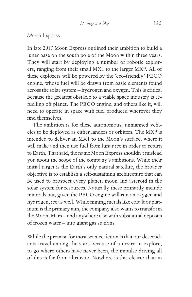#### Moon Express

In late 2017 Moon Express outlined their ambition to build a lunar base on the south pole of the Moon within three years. They will start by deploying a number of robotic explorers, ranging from their small MX1 to the larger MX9. All of these explorers will be powered by the 'eco-friendly' PECO engine, whose fuel will be drawn from basic elements found across the solar system – hydrogen and oxygen. This is critical because the greatest obstacle to a viable space industry is refuelling off planet. The PECO engine, and others like it, will need to operate in space with fuel produced wherever they find themselves.

The ambition is for these autonomous, unmanned vehicles to be deployed as either landers or orbiters. The MX9 is intended to deliver an MX1 to the Moon's surface, where it will make and then use fuel from lunar ice in order to return to Earth. That said, the name Moon Express shouldn't mislead you about the scope of the company's ambitions. While their initial target is the Earth's only natural satellite, the broader objective is to establish a self-sustaining architecture that can be used to prospect every planet, moon and asteroid in the solar system for resources. Naturally these primarily include minerals but, given the PECO engine will run on oxygen and hydrogen, ice as well. While mining metals like cobalt or platinum is the primary aim, the company also wants to transform the Moon, Mars – and anywhere else with substantial deposits of frozen water – into giant gas stations.

While the premise for most science fiction is that our descendants travel among the stars because of a desire to explore, to go where others have never been, the impulse driving all of this is far from altruistic. Nowhere is this clearer than in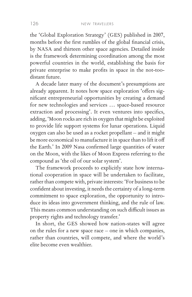the 'Global Exploration Strategy' (GES) published in 2007, months before the first rumbles of the global financial crisis, by NASA and thirteen other space agencies. Detailed inside is the framework determining coordination among the most powerful countries in the world, establishing the basis for private enterprise to make profits in space in the not-toodistant future.

A decade later many of the document's presumptions are already apparent. It notes how space exploration 'offers significant entrepreneurial opportunities by creating a demand for new technologies and services … space-based resource extraction and processing'. It even ventures into specifics, adding, 'Moon rocks are rich in oxygen that might be exploited to provide life support systems for lunar operations. Liquid oxygen can also be used as a rocket propellant – and it might be more economical to manufacture it in space than to lift it off the Earth.' In 2009 Nasa confirmed large quantities of water on the Moon, with the likes of Moon Express referring to the compound as 'the oil of our solar system'.

The framework proceeds to explicitly state how international cooperation in space will be undertaken to facilitate, rather than compete with, private interests: 'For business to be confident about investing, it needs the certainty of a long-term commitment to space exploration, the opportunity to introduce its ideas into government thinking, and the rule of law. This means common understanding on such difficult issues as property rights and technology transfer.'

In short, the GES showed how nation-states will agree on the rules for a new space race – one in which companies, rather than countries, will compete, and where the world's elite become even wealthier.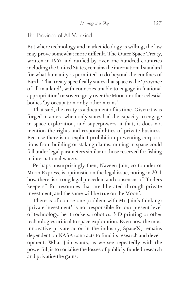## The Province of All Mankind

But where technology and market ideology is willing, the law may prove somewhat more difficult. The Outer Space Treaty, written in 1967 and ratified by over one hundred countries including the United States, remains the international standard for what humanity is permitted to do beyond the confines of Earth. That treaty specifically states that space is the 'province of all mankind', with countries unable to engage in 'national appropriation' or sovereignty over the Moon or other celestial bodies 'by occupation or by other means'.

That said, the treaty is a document of its time. Given it was forged in an era when only states had the capacity to engage in space exploration, and superpowers at that, it does not mention the rights and responsibilities of private business. Because there is no explicit prohibition preventing corporations from building or staking claims, mining in space could fall under legal parameters similar to those reserved for fishing in international waters.

Perhaps unsurprisingly then, Naveen Jain, co-founder of Moon Express, is optimistic on the legal issue, noting in 2011 how there 'is strong legal precedent and consensus of "finders keepers" for resources that are liberated through private investment, and the same will be true on the Moon'.

There is of course one problem with Mr Jain's thinking: 'private investment' is not responsible for our present level of technology, be it rockets, robotics, 3-D printing or other technologies critical to space exploration. Even now the most innovative private actor in the industry, SpaceX, remains dependent on NASA contracts to fund its research and development. What Jain wants, as we see repeatedly with the powerful, is to socialise the losses of publicly funded research and privatise the gains.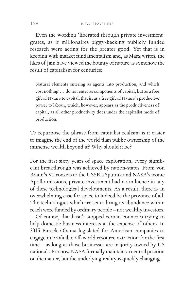Even the wording 'liberated through private investment' grates, as if millionaires piggy-backing publicly funded research were acting for the greater good. Yet that is in keeping with market fundamentalism and, as Marx writes, the likes of Jain have viewed the bounty of nature as somehow the result of capitalism for centuries:

Natural elements entering as agents into production, and which cost nothing … do not enter as components of capital, but as a free gift of Nature to capital, that is, as a free gift of Nature's productive power to labour, which, however, appears as the productiveness of capital, as all other productivity does under the capitalist mode of production.

To repurpose the phrase from capitalist realism: is it easier to imagine the end of the world than public ownership of the immense wealth beyond it? Why should it be?

For the first sixty years of space exploration, every significant breakthrough was achieved by nation-states. From von Braun's V2 rockets to the USSR's Sputnik and NASA's iconic Apollo missions, private investment had no influence in any of these technological developments. As a result, there is an overwhelming case for space to indeed be the province of all. The technologies which are set to bring its abundance within reach were funded by ordinary people – not wealthy investors.

Of course, that hasn't stopped certain countries trying to help domestic business interests at the expense of others. In 2015 Barack Obama legislated for American companies to engage in profitable off-world resource extraction for the first time – as long as those businesses are majority owned by US nationals. For now NASA formally maintains a neutral position on the matter, but the underlying reality is quickly changing.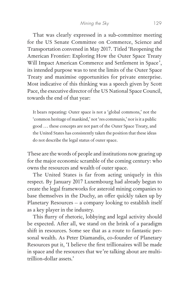That was clearly expressed in a sub-committee meeting for the US Senate Committee on Commerce, Science and Transportation convened in May 2017. Titled 'Reopening the American Frontier: Exploring How the Outer Space Treaty Will Impact American Commerce and Settlement in Space', its intended purpose was to test the limits of the Outer Space Treaty and maximise opportunities for private enterprise. Most indicative of this thinking was a speech given by Scott Pace, the executive director of the US National Space Council, towards the end of that year:

It bears repeating: Outer space is not a 'global commons,' not the 'common heritage of mankind,' not 'res communis,' nor is it a public good … these concepts are not part of the Outer Space Treaty, and the United States has consistently taken the position that these ideas do not describe the legal status of outer space.

These are the words of people and institutions now gearing up for the major economic scramble of the coming century: who owns the resources and wealth of outer space.

The United States is far from acting uniquely in this respect. By January 2017 Luxembourg had already begun to create the legal frameworks for asteroid mining companies to base themselves in the Duchy, an offer quickly taken up by Planetary Resources – a company looking to establish itself as a key player in the industry.

This flurry of rhetoric, lobbying and legal activity should be expected. After all, we stand on the brink of a paradigm shift in resources. Some see that as a route to fantastic personal wealth. As Peter Diamandis, co-founder of Planetary Resources put it, 'I believe the first trillionaires will be made in space and the resources that we're talking about are multitrillion-dollar assets.'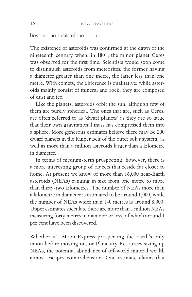Beyond the Limits of the Earth

The existence of asteroids was confirmed at the dawn of the nineteenth century when, in 1801, the minor planet Ceres was observed for the first time. Scientists would soon come to distinguish asteroids from meteorites, the former having a diameter greater than one metre, the latter less than one metre. With comets, the difference is qualitative: while asteroids mainly consist of mineral and rock, they are composed of dust and ice.

Like the planets, asteroids orbit the sun, although few of them are purely spherical. The ones that are, such as Ceres, are often referred to as 'dwarf planets' as they are so large that their own gravitational mass has compressed them into a sphere. More generous estimates believe there may be 200 dwarf planets in the Kuiper belt of the outer solar system, as well as more than a million asteroids larger than a kilometre in diameter.

In terms of medium-term prospecting, however, there is a more interesting group of objects that reside far closer to home. At present we know of more than 16,000 near-Earth asteroids (NEAs) ranging in size from one metre to more than thirty-two kilometres. The number of NEAs more than a kilometre in diameter is estimated to be around 1,000, while the number of NEAs wider than 140 metres is around 8,000. Upper estimates speculate there are more than 1 million NEAs measuring forty metres in diameter or less, of which around 1 per cent have been discovered.

Whether it's Moon Express prospecting the Earth's only moon before moving on, or Planetary Resources sizing up NEAs, the potential abundance of off-world mineral wealth almost escapes comprehension. One estimate claims that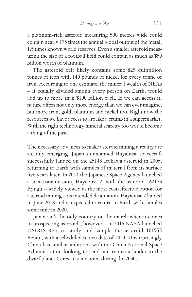a platinum-rich asteroid measuring 500 metres wide could contain nearly 175 times the annual global output of the metal, 1.5 times known world reserves. Even a smaller asteroid measuring the size of a football field could contain as much as \$50 billion worth of platinum.

The asteroid belt likely contains some 825 quintillion tonnes of iron with 140 pounds of nickel for every tonne of iron. According to one estimate, the mineral wealth of NEAs – if equally divided among every person on Earth, would add up to more than \$100 billion each. If we can access it, nature offers not only more energy than we can ever imagine, but more iron, gold, platinum and nickel too. Right now the resources we have access to are like a crumb in a supermarket. With the right technology mineral scarcity too would become a thing of the past.

The necessary advances to make asteroid mining a reality are steadily emerging. Japan's unmanned Hayabusa spacecraft successfully landed on the 25143 Itokawa asteroid in 2005, returning to Earth with samples of material from its surface five years later. In 2014 the Japanese Space Agency launched a successor mission, Hayabusa 2, with the asteroid 162173 Ryugu – widely viewed as the most cost-effective option for asteroid mining – its intended destination. Hayabusa 2 landed in June 2018 and is expected to return to Earth with samples some time in 2020.

Japan isn't the only country on the march when it comes to prospecting asteroids, however – in 2016 NASA launched OSIRIS-REx to study and sample the asteroid 101955 Bennu, with a scheduled return date of 2023. Unsurprisingly China has similar ambitions with the China National Space Administration looking to send and return a lander to the dwarf planet Ceres at some point during the 2030s.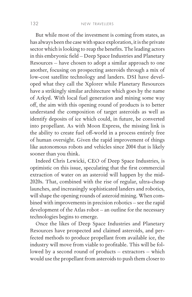But while most of the investment is coming from states, as has always been the case with space exploration, it is the private sector which is looking to reap the benefits. The leading actors in this embryonic field – Deep Space Industries and Planetary Resources – have chosen to adopt a similar approach to one another, focusing on prospecting asteroids through a mix of low-cost satellite technology and landers. DSI have developed what they call the Xplorer while Planetary Resources have a strikingly similar architecture which goes by the name of Arkyd. With local fuel generation and mining some way off, the aim with this opening round of products is to better understand the composition of target asteroids as well as identify deposits of ice which could, in future, be converted into propellant. As with Moon Express, the missing link is the ability to create fuel off-world in a process entirely free of human oversight. Given the rapid improvement of things like autonomous robots and vehicles since 2004 that is likely sooner than you think.

Indeed Chris Lewicki, CEO of Deep Space Industries, is optimistic on this issue, speculating that the first commercial extraction of water on an asteroid will happen by the mid-2020s. That, combined with the rise of regular, ultra-cheap launches, and increasingly sophisticated landers and robotics, will shape the opening rounds of asteroid mining. When combined with improvements in precision robotics – see the rapid development of the Atlas robot – an outline for the necessary technologies begins to emerge.

Once the likes of Deep Space Industries and Planetary Resources have prospected and claimed asteroids, and perfected methods to produce propellant from available ice, the industry will move from viable to profitable. This will be followed by a second round of products – extractors – which would use the propellant from asteroids to push them closer to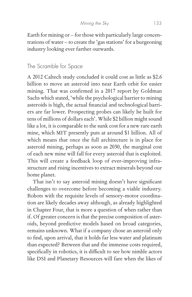Earth for mining or – for those with particularly large concentrations of water – to create the 'gas stations' for a burgeoning industry looking ever farther outwards.

## The Scramble for Space

A 2012 Caltech study concluded it could cost as little as \$2.6 billion to move an asteroid into near Earth orbit for easier mining. That was confirmed in a 2017 report by Goldman Sachs which stated, 'while the psychological barrier to mining asteroids is high, the actual financial and technological barriers are far lower. Prospecting probes can likely be built for tens of millions of dollars each'. While \$2 billion might sound like a lot, it is comparable to the sunk cost for a new rare earth mine, which MIT presently puts at around \$1 billion. All of which means that once the full architecture is in place for asteroid mining, perhaps as soon as 2030, the marginal cost of each new mine will fall for every asteroid that is exploited. This will create a feedback loop of ever-improving infrastructure and rising incentives to extract minerals beyond our home planet.

That isn't to say asteroid mining doesn't have significant challenges to overcome before becoming a viable industry. Robots with the requisite levels of sensory-motor coordination are likely decades away although, as already highlighted in Chapter Four, that is more a question of when rather than if. Of greater concern is that the precise composition of asteroids, beyond predictive models based on broad categories, remains unknown. What if a company chose an asteroid only to find, upon arrival, that it holds far less water and platinum than expected? Between that and the immense costs required, specifically in robotics, it is difficult to see how nimble actors like DSI and Planetary Resources will fare when the likes of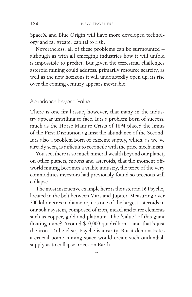SpaceX and Blue Origin will have more developed technology and far greater capital to risk.

Nevertheless, all of these problems can be surmounted – although as with all emerging industries how it will unfold is impossible to predict. But given the terrestrial challenges asteroid mining could address, primarily resource scarcity, as well as the new horizons it will undoubtedly open up, its rise over the coming century appears inevitable.

#### Abundance beyond Value

There is one final issue, however, that many in the industry appear unwilling to face. It is a problem born of success, much as the Horse Manure Crisis of 1894 placed the limits of the First Disruption against the abundance of the Second. It is also a problem born of extreme supply, which, as we've already seen, is difficult to reconcile with the price mechanism.

You see, there is so much mineral wealth beyond our planet, on other planets, moons and asteroids, that the moment offworld mining becomes a viable industry, the price of the very commodities investors had previously found so precious will collapse.

The most instructive example here is the asteroid 16 Psyche, located in the belt between Mars and Jupiter. Measuring over 200 kilometres in diameter, it is one of the largest asteroids in our solar system, composed of iron, nickel and rarer elements such as copper, gold and platinum. The 'value' of this giant floating mine? Around \$10,000 quadrillion – and that's just the iron. To be clear, Psyche is a rarity. But it demonstrates a crucial point: mining space would create such outlandish supply as to collapse prices on Earth.

 $\sim$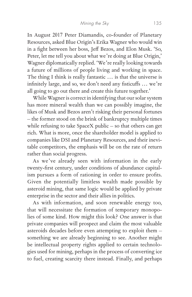In August 2017 Peter Diamandis, co-founder of Planetary Resources, asked Blue Origin's Erika Wagner who would win in a fight between her boss, Jeff Bezos, and Elon Musk. 'So, Peter, let me tell you about what we're doing at Blue Origin,' Wagner diplomatically replied. 'We're really looking towards a future of millions of people living and working in space. The thing I think is really fantastic … is that the universe is infinitely large, and so, we don't need any fisticuffs … we're all going to go out there and create this future together.'

While Wagner is correct in identifying that our solar system has more mineral wealth than we can possibly imagine, the likes of Musk and Bezos aren't risking their personal fortunes – the former stood on the brink of bankruptcy multiple times while refusing to take SpaceX public – so that others can get rich. What is more, once the shareholder model is applied to companies like DSI and Planetary Resources, and their inevitable competitors, the emphasis will be on the rate of return rather than social progress.

As we 've already seen with information in the early twenty-first century, under conditions of abundance capitalism pursues a form of rationing in order to ensure profits. Given the potentially limitless wealth made possible by asteroid mining, that same logic would be applied by private enterprise in the sector and their allies in politics.

As with information, and soon renewable energy too, that will necessitate the formation of temporary monopolies of some kind. How might this look? One answer is that private companies will prospect and claim the most valuable asteroids decades before even attempting to exploit them – something we are already beginning to see. Another might be intellectual property rights applied to certain technologies used for mining, perhaps in the process of converting ice to fuel, creating scarcity there instead. Finally, and perhaps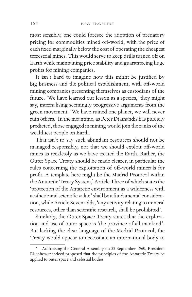most sensibly, one could foresee the adoption of predatory pricing for commodities mined off-world, with the price of each fixed marginally below the cost of operating the cheapest terrestrial mines. This would serve to keep drills turned off on Earth while maintaining price stability and guaranteeing huge profits for mining companies.

It isn't hard to imagine how this might be justified by big business and the political establishment, with off-world mining companies presenting themselves as custodians of the future. 'We have learned our lesson as a species,' they might say, internalising seemingly progressive arguments from the green movement. 'We have ruined one planet, we will never ruin others.' In the meantime, as Peter Diamandis has publicly predicted, those engaged in mining would join the ranks of the wealthiest people on Earth.

That isn't to say such abundant resources should not be managed responsibly, nor that we should exploit off-world mines as recklessly as we have treated the Earth. Rather, the Outer Space Treaty should be made clearer, in particular the rules concerning the exploitation of off-world minerals for profit. A template here might be the Madrid Protocol within the Antarctic Treaty System,\* Article Three of which states the 'protection of the Antarctic environment as a wilderness with aesthetic and scientific value' shall be a fundamental consideration, while Article Seven adds, 'any activity relating to mineral resources, other than scientific research, shall be prohibited'.

Similarly, the Outer Space Treaty states that the exploration and use of outer space is 'the province of all mankind'. But lacking the clear language of the Madrid Protocol, the Treaty would appear to necessitate an international body to

Addressing the General Assembly on 22 September 1960, President Eisenhower indeed proposed that the principles of the Antarctic Treaty be applied to outer space and celestial bodies.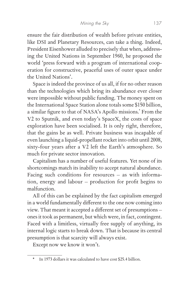ensure the fair distribution of wealth before private entities, like DSI and Planetary Resources, can take a thing. Indeed, President Eisenhower alluded to precisely that when, addressing the United Nations in September 1960, he proposed the world 'press forward with a program of international cooperation for constructive, peaceful uses of outer space under the United Nations'.

Space is indeed the province of us all, if for no other reason than the technologies which bring its abundance ever closer were impossible without public funding. The money spent on the International Space Station alone totals some \$150 billion, a similar figure to that of NASA's Apollo missions.\* From the V2 to Sputnik, and even today's SpaceX, the costs of space exploration have been socialised. It is only right, therefore, that the gains be as well. Private business was incapable of even launching a liquid-propellant rocket into orbit until 2008, sixty-four years after a V2 left the Earth's atmosphere. So much for private sector innovation.

Capitalism has a number of useful features. Yet none of its shortcomings match its inability to accept natural abundance. Facing such conditions for resources – as with information, energy and labour – production for profit begins to malfunction.

All of this can be explained by the fact capitalism emerged in a world fundamentally different to the one now coming into view. That meant it accepted a different set of presumptions – ones it took as permanent, but which were, in fact, contingent. Faced with a limitless, virtually free supply of anything, its internal logic starts to break down. That is because its central presumption is that scarcity will always exist.

Except now we know it won't.

In 1973 dollars it was calculated to have cost \$25.4 billion.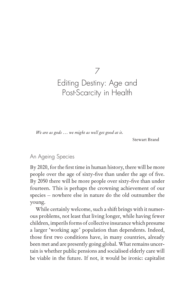7

# Editing Destiny: Age and Post-Scarcity in Health

*We are as gods … we might as well get good at it.*

Stewart Brand

### An Ageing Species

By 2020, for the first time in human history, there will be more people over the age of sixty-five than under the age of five. By 2050 there will be more people over sixty-five than under fourteen. This is perhaps the crowning achievement of our species – nowhere else in nature do the old outnumber the young.

While certainly welcome, such a shift brings with it numerous problems, not least that living longer, while having fewer children, imperils forms of collective insurance which presume a larger 'working age' population than dependents. Indeed, those first two conditions have, in many countries, already been met and are presently going global. What remains uncertain is whether public pensions and socialised elderly care will be viable in the future. If not, it would be ironic: capitalist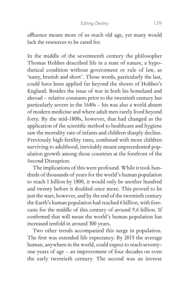affluence means more of us reach old age, yet many would lack the resources to be cared for.

In the middle of the seventeenth century the philosopher Thomas Hobbes described life in a state of nature, a hypothetical condition without government or rule of law, as 'nasty, brutish and short'. Those words, particularly the last, could have been applied far beyond the shores of Hobbes's England. Besides the issue of war in both his homeland and abroad – relative constants prior to the twentieth century but particularly severe in the 1640s – his was also a world absent of modern medicine and where adult men rarely lived beyond forty. By the mid-1800s, however, that had changed as the application of the scientific method to healthcare and hygiene saw the mortality rate of infants and children sharply decline. Previously high fertility rates, combined with more children surviving to adulthood, inevitably meant unprecedented population growth among those countries at the forefront of the Second Disruption.

The implications of this were profound. While it took hundreds of thousands of years for the world's human population to reach 1 billion by 1800, it would only be another hundred and twenty before it doubled once more. This proved to be just the start, however, and by the end of the twentieth century the Earth's human population had reached 6 billion, with forecasts for the middle of this century of around 9.6 billion. If confirmed that will mean the world's human population has increased tenfold in around 300 years.

Two other trends accompanied this surge in population. The first was extended life expectancy. By 2015 the average human, anywhere in the world, could expect to reach seventyone years of age – an improvement of four decades on even the early twentieth century. The second was an inverse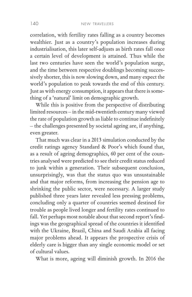correlation, with fertility rates falling as a country becomes wealthier. Just as a country's population increases during industrialisation, this later self-adjusts as birth rates fall once a certain level of development is attained. Thus while the last two centuries have seen the world's population surge, and the time between respective doublings becoming successively shorter, this is now slowing down, and many expect the world's population to peak towards the end of this century. Just as with energy consumption, it appears that there is something of a 'natural' limit on demographic growth.

While this is positive from the perspective of distributing limited resources – in the mid-twentieth century many viewed the rate of population growth as liable to continue indefinitely – the challenges presented by societal ageing are, if anything, even greater.

That much was clear in a 2013 simulation conducted by the credit ratings agency Standard & Poor's which found that, as a result of ageing demographics, 60 per cent of the countries analysed were predicted to see their credit status reduced to junk within a generation. Their subsequent conclusion, unsurprisingly, was that the status quo was unsustainable and that major reforms, from increasing the pension age to shrinking the public sector, were necessary. A larger study published three years later revealed less pressing problems, concluding only a quarter of countries seemed destined for trouble as people lived longer and fertility rates continued to fall. Yet perhaps most notable about that second report's findings was the geographical spread of the countries it identified with the Ukraine, Brazil, China and Saudi Arabia all facing major problems ahead. It appears the prospective crisis of elderly care is bigger than any single economic model or set of cultural values.

What is more, ageing will diminish growth. In 2016 the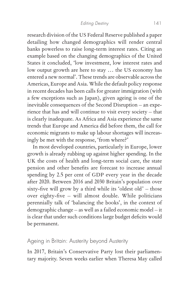research division of the US Federal Reserve published a paper detailing how changed demographics will render central banks powerless to raise long-term interest rates. Citing an example based on the changing demographics of the United States it concluded, 'low investment, low interest rates and low output growth are here to stay … the US economy has entered a new normal'. These trends are observable across the Americas, Europe and Asia. While the default policy response in recent decades has been calls for greater immigration (with a few exceptions such as Japan), given ageing is one of the inevitable consequences of the Second Disruption – an experience that has and will continue to visit every society – that is clearly inadequate. As Africa and Asia experience the same trends that Europe and America did before them, the call for economic migrants to make up labour shortages will increasingly be met with the response, 'from where?'

In most developed countries, particularly in Europe, lower growth is already rubbing up against higher spending. In the UK the costs of health and long-term social care, the state pension and other benefits are forecast to increase annual spending by 2.5 per cent of GDP every year in the decade after 2020. Between 2016 and 2030 Britain's population over sixty-five will grow by a third while its 'oldest old' – those over eighty-five – will almost double. While politicians perennially talk of 'balancing the books', in the context of demographic change – as well as a failed economic model – it is clear that under such conditions large budget deficits would be permanent.

### Ageing in Britain: Austerity beyond Austerity

In 2017, Britain's Conservative Party lost their parliamentary majority. Seven weeks earlier when Theresa May called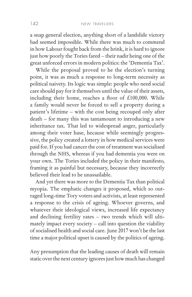a snap general election, anything short of a landslide victory had seemed impossible. While there was much to commend in how Labour fought back from the brink, it is hard to ignore just how poorly the Tories fared – their nadir being one of the great unforced errors in modern politics: the 'Dementia Tax'.

While the proposal proved to be the election's turning point, it was as much a response to long-term necessity as political naivety. Its logic was simple: people who need social care should pay for it themselves until the value of their assets, including their home, reaches a floor of  $£100,000$ . While a family would never be forced to sell a property during a patient's lifetime – with the cost being recouped only after death – for many this was tantamount to introducing a new inheritance tax. That led to widespread anger, particularly among their voter base, because while seemingly progressive, the policy created a lottery in how medical services were paid for. If you had cancer the cost of treatment was socialised through the NHS, whereas if you had dementia you were on your own. The Tories included the policy in their manifesto, framing it as painful but necessary, because they incorrectly believed their lead to be unassailable.

And yet there was more to the Dementia Tax than political myopia. The emphatic changes it proposed, which so outraged long-time Tory voters and activists, at least represented a response to the crisis of ageing. Whoever governs, and whatever their ideological views, increased life expectancy and declining fertility rates – two trends which will ultimately impact every society – call into question the viability of socialised health and social care. June 2017 won't be the last time a major political upset is caused by the politics of ageing.

Any presumption that the leading causes of death will remain static over the next century ignores just how much has changed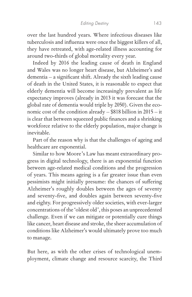over the last hundred years. Where infectious diseases like tuberculosis and influenza were once the biggest killers of all, they have retreated, with age-related illness accounting for around two-thirds of global mortality every year.

Indeed by 2016 the leading cause of death in England and Wales was no longer heart disease, but Alzheimer's and dementia – a significant shift. Already the sixth leading cause of death in the United States, it is reasonable to expect that elderly dementia will become increasingly prevalent as life expectancy improves (already in 2013 it was forecast that the global rate of dementia would triple by 2050). Given the economic cost of the condition already – \$818 billion in 2015 – it is clear that between squeezed public finances and a shrinking workforce relative to the elderly population, major change is inevitable.

Part of the reason why is that the challenges of ageing and healthcare are exponential.

Similar to how Moore's Law has meant extraordinary progress in digital technology, there is an exponential function between age-related medical conditions and the progression of years. This means ageing is a far greater issue than even pessimists might initially presume: the chances of suffering Alzheimer's roughly doubles between the ages of seventy and seventy-five, and doubles again between seventy-five and eighty. For progressively older societies, with ever-larger concentrations of the 'oldest old', this poses an unprecedented challenge. Even if we can mitigate or potentially cure things like cancer, heart disease and stroke, the sheer accumulation of conditions like Alzheimer's would ultimately prove too much to manage.

But here, as with the other crises of technological unemployment, climate change and resource scarcity, the Third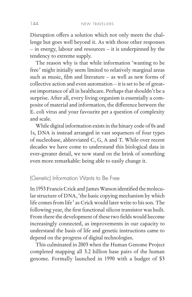Disruption offers a solution which not only meets the challenge but goes well beyond it. As with those other responses – in energy, labour and resources – it is underpinned by the tendency to extreme supply.

The reason why is that while information 'wanting to be free' might initially seem limited to relatively marginal areas such as music, film and literature – as well as new forms of collective action and even automation – it is set to be of greatest importance of all in healthcare. Perhaps that shouldn't be a surprise. After all, every living organism is essentially a composite of material and information, the difference between the E. coli virus and your favourite pet a question of complexity and scale.

While digital information exists in the binary code of 0s and 1s, DNA is instead arranged in vast sequences of four types of nucleobase, abbreviated C, G, A and T. While over recent decades we have come to understand this biological data in ever-greater detail, we now stand on the brink of something even more remarkable: being able to easily change it.

# (Genetic) Information Wants to Be Free

In 1953 Francis Crick and James Watson identified the molecular structure of DNA, 'the basic copying mechanism by which life comes from life' as Crick would later write to his son. The following year, the first functional silicon transistor was built. From there the development of these two fields would become increasingly connected, as improvements in our capacity to understand the basis of life and genetic instructions came to depend on the progress of digital technologies.

This culminated in 2003 when the Human Genome Project completed mapping all 3.2 billion base pairs of the human genome. Formally launched in 1990 with a budget of \$3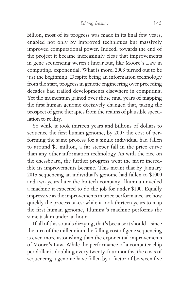billion, most of its progress was made in its final few years, enabled not only by improved techniques but massively improved computational power. Indeed, towards the end of the project it became increasingly clear that improvements in gene sequencing weren't linear but, like Moore 's Law in computing, exponential. What is more, 2003 turned out to be just the beginning. Despite being an information technology from the start, progress in genetic engineering over preceding decades had trailed developments elsewhere in computing. Yet the momentum gained over those final years of mapping the first human genome decisively changed that, taking the prospect of gene therapies from the realms of plausible speculation to reality.

So while it took thirteen years and billions of dollars to sequence the first human genome, by 2007 the cost of performing the same process for a single individual had fallen to around \$1 million, a far steeper fall in the price curve than any other information technology As with the rice on the chessboard, the further progress went the more incredible its improvements became. This meant that by January 2015 sequencing an individual's genome had fallen to \$1000 and two years later the biotech company Illumina unveiled a machine it expected to do the job for under \$100. Equally impressive as the improvements in price performance are how quickly the process takes: while it took thirteen years to map the first human genome, Illumina's machine performs the same task in under an hour.

If all of this sounds dizzying, that's because it should – since the turn of the millennium the falling cost of gene sequencing is even more astonishing than the exponential improvements of Moore's Law. While the performance of a computer chip per dollar is doubling every twenty-four months, the costs of sequencing a genome have fallen by a factor of between five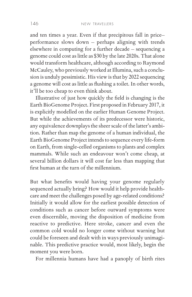and ten times a year. Even if that precipitous fall in price– performance slows down – perhaps aligning with trends elsewhere in computing for a further decade – sequencing a genome could cost as little as \$30 by the late 2020s. That alone would transform healthcare, although according to Raymond McCauley, who previously worked at Illumina, such a conclusion is unduly pessimistic. His view is that by 2022 sequencing a genome will cost as little as flushing a toilet. In other words, it'll be too cheap to even think about.

Illustrative of just how quickly the field is changing is the Earth BioGenome Project. First proposed in February 2017, it is explicitly modelled on the earlier Human Genome Project. But while the achievements of its predecessor were historic, any equivalence downplays the sheer scale of the latter's ambition. Rather than map the genome of a human individual, the Earth BioGenome Project intends to sequence every life-form on Earth, from single-celled organisms to plants and complex mammals. While such an endeavour won't come cheap, at several billion dollars it will cost far less than mapping that first human at the turn of the millennium.

But what benefits would having your genome regularly sequenced actually bring? How would it help provide healthcare and meet the challenges posed by age-related conditions? Initially it would allow for the earliest possible detection of conditions such as cancer before outward symptoms were even discernible, moving the disposition of medicine from reactive to predictive. Here stroke, cancer and even the common cold would no longer come without warning but could be foreseen and dealt with in ways previously unimaginable. This predictive practice would, most likely, begin the moment you were born.

For millennia humans have had a panoply of birth rites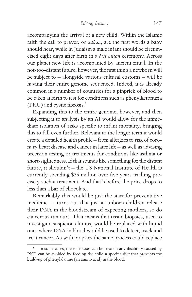accompanying the arrival of a new child. Within the Islamic faith the call to prayer, or *adhan*, are the first words a baby should hear, while in Judaism a male infant should be circumcised eight days after birth in a *brit milah* ceremony. Across our planet new life is accompanied by ancient ritual. In the not-too-distant future, however, the first thing a newborn will be subject to – alongside various cultural customs – will be having their entire genome sequenced. Indeed, it is already common in a number of countries for a pinprick of blood to be taken at birth to test for conditions such as phenylketonuria (PKU) and cystic fibrosis.\*

Expanding this to the entire genome, however, and then subjecting it to analysis by an AI would allow for the immediate isolation of risks specific to infant mortality, bringing this to fall even further. Relevant to the longer term it would create a detailed health profile – from allergies to risk of coronary heart disease and cancer in later life – as well as advising precision testing or treatments for conditions like asthma or short-sightedness. If that sounds like something for the distant future, it shouldn't – the US National Institute of Health is currently spending \$25 million over five years trialling precisely such a treatment. And that's before the price drops to less than a bar of chocolate.

Remarkably this would be just the start for preventative medicine. It turns out that just as unborn children release their DNA in the bloodstream of expecting mothers, so do cancerous tumours. That means that tissue biopsies, used to investigate suspicious lumps, would be replaced with liquid ones where DNA in blood would be used to detect, track and treat cancer. As with biopsies the same process could replace

In some cases, these diseases can be treated: any disability caused by PKU can be avoided by feeding the child a specific diet that prevents the build-up of phenylalanine (an amino acid) in the blood.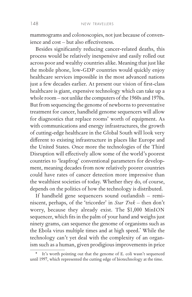mammograms and colonoscopies, not just because of convenience and cost – but also effectiveness.

Besides significantly reducing cancer-related deaths, this process would be relatively inexpensive and easily rolled out across poor and wealthy countries alike. Meaning that just like the mobile phone, low-GDP countries would quickly enjoy healthcare services impossible in the most advanced nations just a few decades earlier. At present our vision of first-class healthcare is giant, expensive technology which can take up a whole room – not unlike the computers of the 1960s and 1970s. But from sequencing the genome of newborns to preventative treatment for cancer, handheld genome sequencers will allow for diagnostics that replace rooms' worth of equipment. As with communications and energy infrastructures, the growth of cutting-edge healthcare in the Global South will look very different to existing infrastructure in places like Europe and the United States. Once more the technologies of the Third Disruption will effectively allow some of the world's poorest countries to 'leapfrog' conventional parameters for development, meaning decades from now relatively poorer countries could have rates of cancer detection more impressive than the wealthiest societies of today. Whether they do, of course, depends on the politics of how the technology is distributed.

If handheld gene sequencers sound outlandish – reminiscent, perhaps, of the 'tricorder' in *Star Trek* – then don't worry, because they already exist. The \$1,000 MinION sequencer, which fits in the palm of your hand and weighs just ninety grams, can sequence the genome of organisms such as the Ebola virus multiple times and at high speed.\* While the technology can't yet deal with the complexity of an organism such as a human, given prodigious improvements in price

It's worth pointing out that the genome of E. coli wasn't sequenced until 1997, which represented the cutting edge of biotechnology at the time.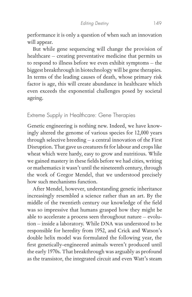performance it is only a question of when such an innovation will appear.

But while gene sequencing will change the provision of healthcare – creating preventative medicine that permits us to respond to illness before we even exhibit symptoms – the biggest breakthrough in biotechnology will be gene therapies. In terms of the leading causes of death, whose primary risk factor is age, this will create abundance in healthcare which even exceeds the exponential challenges posed by societal ageing.

### Extreme Supply in Healthcare: Gene Therapies

Genetic engineering is nothing new. Indeed, we have knowingly altered the genome of various species for 12,000 years through selective breeding – a central innovation of the First Disruption. That gave us creatures fit for labour and crops like wheat which were hardy, easy to grow and nutritious. While we gained mastery in these fields before we had cities, writing or mathematics it wasn't until the nineteenth century, through the work of Gregor Mendel, that we understood precisely how such mechanisms function.

After Mendel, however, understanding genetic inheritance increasingly resembled a science rather than an art. By the middle of the twentieth century our knowledge of the field was so impressive that humans grasped how they might be able to accelerate a process seen throughout nature – evolution – inside a laboratory. While DNA was understood to be responsible for heredity from 1952, and Crick and Watson's double helix model was formulated the following year, the first genetically-engineered animals weren't produced until the early 1970s. That breakthrough was arguably as profound as the transistor, the integrated circuit and even Watt's steam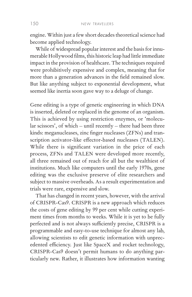engine. Within just a few short decades theoretical science had become applied technology.

While of widespread popular interest and the basis for innumerable Hollywood films, this historic leap had little immediate impact in the provision of healthcare. The techniques required were prohibitively expensive and complex, meaning that for more than a generation advances in the field remained slow. But like anything subject to exponential development, what seemed like inertia soon gave way to a deluge of change.

Gene editing is a type of genetic engineering in which DNA is inserted, deleted or replaced in the genome of an organism. This is achieved by using restriction enzymes, or 'molecular scissors', of which – until recently – there had been three kinds: meganucleases, zinc finger nucleases (ZFNs) and transcription activator-like effector-based nucleases (TALEN). While there is significant variation in the price of each process, ZFNs and TALEN were developed more recently, all three remained out of reach for all but the wealthiest of institutions. Much like computers until the early 1970s, gene editing was the exclusive preserve of elite researchers and subject to massive overheads. As a result experimentation and trials were rare, expensive and slow.

That has changed in recent years, however, with the arrival of CRISPR-Cas9. CRISPR is a new approach which reduces the costs of gene editing by 99 per cent while cutting experiment times from months to weeks. While it is yet to be fully perfected and is not always sufficiently precise, CRISPR is a programmable and easy-to-use technique for almost any lab, allowing scientists to edit genetic information with unprecedented efficiency. Just like SpaceX and rocket technology, CRISPR-Cas9 doesn't permit humans to do anything particularly new. Rather, it illustrates how information wanting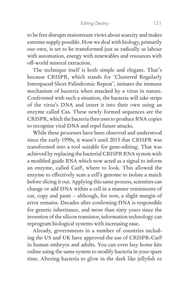to be free disrupts mainstream views about scarcity and makes extreme supply possible. How we deal with biology, primarily our own, is set to be transformed just as radically as labour with automation, energy with renewables and resources with off-world mineral extraction.

The technique itself is both simple and elegant. That's because CRISPR, which stands for 'Clustered Regularly Interspaced Short Palindromic Repeat', imitates the immune mechanism of bacteria when attacked by a virus in nature. Confronted with such a situation, the bacteria will take strips of the virus's DNA and insert it into their own using an enzyme called Cas. These newly formed sequences are the CRISPR, which the bacteria then uses to produce RNA copies to recognise viral DNA and repel future attacks.

While these processes have been observed and understood since the early 1990s, it wasn't until 2013 that CRISPR was transformed into a tool suitable for gene-editing. That was achieved by replacing the bacterial CRISPR RNA system with a modified guide RNA which now acted as a signal to inform an enzyme, called Cas9, where to look. This allowed the enzyme to effectively scan a cell's genome to isolate a match before slicing it out. Applying this same process, scientists can change or add DNA within a cell in a manner reminiscent of cut, copy and paste – although, for now, a slight margin of error remains. Decades after confirming DNA is responsible for genetic inheritance, and more than sixty years since the invention of the silicon transistor, information technology can reprogram biological systems with increasing ease.

Already, governments in a number of countries including the US and UK have approved the use of CRISPR-Cas9 in human embryos and adults. You can even buy home kits online using the same system to modify bacteria in your spare time. Altering bacteria to glow in the dark like jellyfish or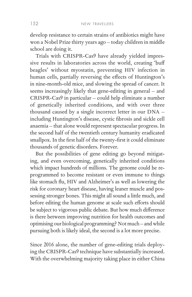develop resistance to certain strains of antibiotics might have won a Nobel Prize thirty years ago – today children in middle school are doing it.

Trials with CRISPR-Cas9 have already yielded impressive results in laboratories across the world, creating 'buff beagles' without myostatin, preventing HIV infection in human cells, partially reversing the effects of Huntington's in nine-month-old mice, and slowing the spread of cancer. It seems increasingly likely that gene-editing in general – and CRISPR-Cas9 in particular – could help eliminate a number of genetically inherited conditions, and with over three thousand caused by a single incorrect letter in our DNA – including Huntington's disease, cystic fibrosis and sickle cell anaemia – that alone would represent spectacular progress. In the second half of the twentieth century humanity eradicated smallpox. In the first half of the twenty-first it could eliminate thousands of genetic disorders. Forever.

But the possibilities of gene editing go beyond mitigating, and even overcoming, genetically inherited conditions which impact hundreds of millions. The genome could be reprogrammed to become resistant or even immune to things like stomach flu, HIV and Alzheimer's as well as lowering the risk for coronary heart disease, having leaner muscle and possessing stronger bones. This might all sound a little much, and before editing the human genome at scale such efforts should be subject to vigorous public debate. But how much difference is there between improving nutrition for health outcomes and optimising our biological programming? Not much – and while pursuing both is likely ideal, the second is a lot more precise.

Since 2016 alone, the number of gene-editing trials deploying the CRISPR-Cas9 technique have substantially increased. With the overwhelming majority taking place in either China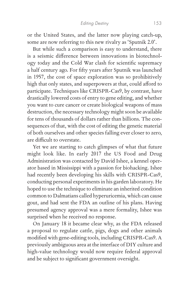or the United States, and the latter now playing catch-up, some are now referring to this new rivalry as 'Sputnik 2.0'.

But while such a comparison is easy to understand, there is a seismic difference between innovations in biotechnology today and the Cold War clash for scientific supremacy a half century ago. For fifty years after Sputnik was launched in 1957, the cost of space exploration was so prohibitively high that only states, and superpowers at that, could afford to participate. Techniques like CRISPR-Cas9, by contrast, have drastically lowered costs of entry to gene editing, and whether you want to cure cancer or create biological weapons of mass destruction, the necessary technology might soon be available for tens of thousands of dollars rather than billions. The consequences of that, with the cost of editing the genetic material of both ourselves and other species falling ever closer to zero, are difficult to overstate.

Yet we are starting to catch glimpses of what that future might look like. In early 2017 the US Food and Drug Administration was contacted by David Ishee, a kennel operator based in Mississippi with a passion for biohacking. Ishee had recently been developing his skills with CRISPR-Cas9, conducting personal experiments in his garden laboratory. He hoped to use the technique to eliminate an inherited condition common to Dalmatians called hyperuricemia, which can cause gout, and had sent the FDA an outline of his plans. Having presumed agency approval was a mere formality, Ishee was surprised when he received no response.

On January 18 it became clear why, as the FDA released a proposal to regulate cattle, pigs, dogs and other animals modified with gene-editing tools, including CRISPR-Cas9. A previously ambiguous area at the interface of DIY culture and high-value technology would now require federal approval and be subject to significant government oversight.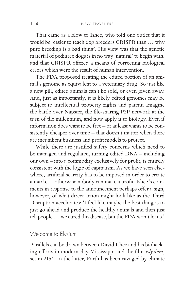That came as a blow to Ishee, who told one outlet that it would be 'easier to teach dog breeders CRISPR than … why pure breeding is a bad thing'. His view was that the genetic material of pedigree dogs is in no way 'natural' to begin with, and that CRISPR offered a means of correcting biological errors which were the result of human intervention.

The FDA proposed treating the edited portion of an animal's genome as equivalent to a veterinary drug. So just like a new pill, edited animals can't be sold, or even given away. And, just as importantly, it is likely edited genomes may be subject to intellectual property rights and patent. Imagine the battle over Napster, the file-sharing P2P network at the turn of the millennium, and now apply it to biology. Even if information does want to be free – or at least wants to be consistently cheaper over time – that doesn't matter when there are incumbent business and profit models to protect.

While there are justified safety concerns which need to be managed and regulated, turning edited DNA – including our own – into a commodity exclusively for profit, is entirely consistent with the logic of capitalism. As we have seen elsewhere, artificial scarcity has to be imposed in order to create a market – otherwise nobody can make a profit. Ishee's comments in response to the announcement perhaps offer a sign, however, of what direct action might look like as the Third Disruption accelerates: 'I feel like maybe the best thing is to just go ahead and produce the healthy animals and then just tell people … we cured this disease, but the FDA won't let us.'

## Welcome to Elysium

Parallels can be drawn between David Ishee and his biohacking efforts in modern-day Mississippi and the film *Elysium*, set in 2154. In the latter, Earth has been ravaged by climate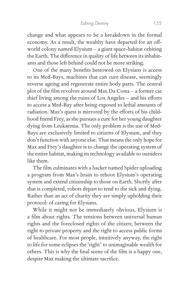change and what appears to be a breakdown in the formal economy. As a result, the wealthy have departed for an offworld colony named Elysium – a giant space-habitat orbiting the Earth. The difference in quality of life between its inhabitants and those left behind could not be more striking.

One of the many benefits bestowed on Elysians is access to its Med-Bays, machines that can cure disease, seemingly reverse ageing and regenerate entire body parts. The central plot of the film revolves around Max Da Costa – a former car thief living among the ruins of Los Angeles – and his efforts to access a Med-Bay after being exposed to lethal amounts of radiation. Max's quest is mirrored by the efforts of his childhood friend Frey, as she pursues a cure for her young daughter dying from Leukaemia. The only problem is the use of Med-Bays are exclusively limited to citizens of Elysium, and they don't function with anyone else. That means the only hope for Max and Frey's daughter is to change the operating system of the entire habitat, making its technology available to outsiders like them.

The film culminates with a hacker named Spider uploading a program from Max's brain to reboot Elysium's operating system and extend citizenship to those on Earth. Shortly after that is completed, robots depart to tend to the sick and dying. Rather than an act of charity they are simply upholding their protocol: of caring for Elysians.

While it might not be immediately obvious, Elysium is a film about rights. The tensions between universal human rights and the foreclosed rights of the citizen; between the right to private property and the right to access public forms of healthcare. For most people, intuitively anyway, the right to life for some eclipses the 'right' to unimaginable wealth for others. This is why the final scene of the film is a happy one, despite Max making the ultimate sacrifice.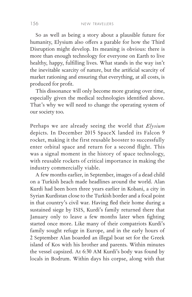So as well as being a story about a plausible future for humanity, Elysium also offers a parable for how the Third Disruption might develop. Its meaning is obvious: there is more than enough technology for everyone on Earth to live healthy, happy, fulfilling lives. What stands in the way isn't the inevitable scarcity of nature, but the artificial scarcity of market rationing and ensuring that everything, at all costs, is produced for profit.

This dissonance will only become more grating over time, especially given the medical technologies identified above. That's why we will need to change the operating system of our society too.

Perhaps we are already seeing the world that *Elysium* depicts. In December 2015 SpaceX landed its Falcon 9 rocket, making it the first reusable booster to successfully enter orbital space and return for a second flight. This was a signal moment in the history of space technology, with reusable rockets of critical importance in making the industry commercially viable.

A few months earlier, in September, images of a dead child on a Turkish beach made headlines around the world. Alan Kurdi had been born three years earlier in Kobani, a city in Syrian Kurdistan close to the Turkish border and a focal point in that country's civil war. Having fled their home during a sustained siege by ISIS, Kurdi's family returned there that January only to leave a few months later when fighting started once more. Like many of their compatriots Kurdi's family sought refuge in Europe, and in the early hours of 2 September Alan boarded an illegal boat set for the Greek island of Kos with his brother and parents. Within minutes the vessel capsized. At 6:30 AM Kurdi's body was found by locals in Bodrum. Within days his corpse, along with that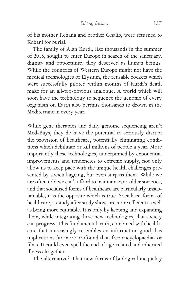of his mother Rehana and brother Ghalib, were returned to Kobani for burial.

The family of Alan Kurdi, like thousands in the summer of 2015, sought to enter Europe in search of the sanctuary, dignity and opportunity they deserved as human beings. While the countries of Western Europe might not have the medical technologies of Elysium, the reusable rockets which were successfully piloted within months of Kurdi's death make for an all-too-obvious analogue. A world which will soon have the technology to sequence the genome of every organism on Earth also permits thousands to drown in the Mediterranean every year.

While gene therapies and daily genome sequencing aren't Med-Bays, they do have the potential to seriously disrupt the provision of healthcare, potentially eliminating conditions which debilitate or kill millions of people a year. More importantly these technologies, underpinned by exponential improvements and tendencies to extreme supply, not only allow us to keep pace with the unique health challenges presented by societal ageing, but even surpass them. While we are often told we can't afford to maintain ever-older societies, and that socialised forms of healthcare are particularly unsustainable, it is the opposite which is true. Socialised forms of healthcare, as study after study show, are more efficient as well as being more equitable. It is only by keeping and expanding them, while integrating these new technologies, that society can progress. This fundamental truth, combined with healthcare that increasingly resembles an information good, has implications far more profound than free encyclopaedias or films. It could even spell the end of age-related and inherited illness altogether.

The alternative? That new forms of biological inequality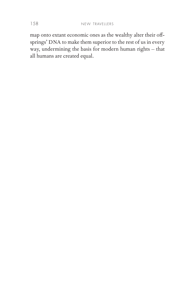map onto extant economic ones as the wealthy alter their offsprings' DNA to make them superior to the rest of us in every way, undermining the basis for modern human rights – that all humans are created equal.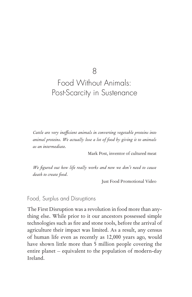8

# Food Without Animals: Post-Scarcity in Sustenance

*Cattle are very inefficient animals in converting vegetable proteins into animal proteins. We actually lose a lot of food by giving it to animals as an intermediate.*

Mark Post, inventor of cultured meat

*We figured out how life really works and now we don't need to cause death to create food.*

Just Food Promotional Video

Food, Surplus and Disruptions

The First Disruption was a revolution in food more than anything else. While prior to it our ancestors possessed simple technologies such as fire and stone tools, before the arrival of agriculture their impact was limited. As a result, any census of human life even as recently as 12,000 years ago, would have shown little more than 5 million people covering the entire planet – equivalent to the population of modern-day Ireland.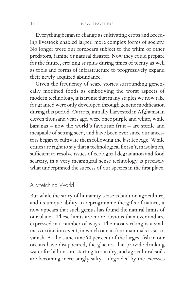Everything began to change as cultivating crops and breeding livestock enabled larger, more complex forms of society. No longer were our forebears subject to the whim of other predators, famine or natural disaster. Now they could prepare for the future, creating surplus during times of plenty as well as tools and forms of infrastructure to progressively expand their newly acquired abundance.

Given the frequency of scare stories surrounding genetically modified foods as embodying the worst aspects of modern technology, it is ironic that many staples we now take for granted were only developed through genetic modification during this period. Carrots, initially harvested in Afghanistan eleven thousand years ago, were once purple and white, while bananas – now the world's favourite fruit – are sterile and incapable of setting seed, and have been ever since our ancestors began to cultivate them following the last Ice Age. While critics are right to say that a technological fix isn't, in isolation, sufficient to resolve issues of ecological degradation and food scarcity, in a very meaningful sense technology is precisely what underpinned the success of our species in the first place.

## A Stretching World

But while the story of humanity's rise is built on agriculture, and its unique ability to reprogramme the gifts of nature, it now appears that such genius has found the natural limits of our planet. These limits are more obvious than ever and are expressed in a number of ways. The most striking is a sixth mass extinction event, in which one in four mammals is set to vanish. At the same time 90 per cent of the largest fish in our oceans have disappeared, the glaciers that provide drinking water for billions are starting to run dry, and agricultural soils are becoming increasingly salty – degraded by the excesses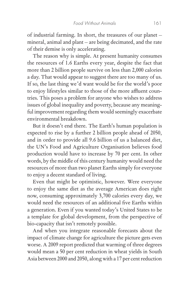of industrial farming. In short, the treasures of our planet – mineral, animal and plant – are being decimated, and the rate of their demise is only accelerating.

The reason why is simple. At present humanity consumes the resources of 1.6 Earths every year, despite the fact that more than 2 billion people survive on less than 2,000 calories a day. That would appear to suggest there are too many of us. If so, the last thing we'd want would be for the world's poor to enjoy lifestyles similar to those of the more affluent countries. This poses a problem for anyone who wishes to address issues of global inequality and poverty, because any meaningful improvement regarding them would seemingly exacerbate environmental breakdown.

But it doesn't end there. The Earth's human population is expected to rise by a further 2 billion people ahead of 2050, and in order to provide all 9.6 billion of us a balanced diet, the UN's Food and Agriculture Organisation believes food production would have to increase by 70 per cent. In other words, by the middle of this century humanity would need the resources of more than two planet Earths simply for everyone to enjoy a decent standard of living.

Even that might be optimistic, however. Were everyone to enjoy the same diet as the average American does right now, consuming approximately 3,700 calories every day, we would need the resources of an additional five Earths within a generation. Even if you wanted today's United States to be a template for global development, from the perspective of bio-capacity that isn't remotely possible.

And when you integrate reasonable forecasts about the impact of climate change for agriculture the picture gets even worse. A 2009 report predicted that warming of three degrees would mean a 50 per cent reduction in wheat yields in South Asia between 2000 and 2050, along with a 17 per cent reduction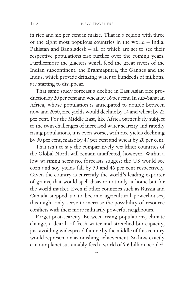in rice and six per cent in maize. That in a region with three of the eight most populous countries in the world – India, Pakistan and Bangladesh – all of which are set to see their respective populations rise further over the coming years. Furthermore the glaciers which feed the great rivers of the Indian subcontinent, the Brahmaputra, the Ganges and the Indus, which provide drinking water to hundreds of millions, are starting to disappear.

That same study forecast a decline in East Asian rice production by 20 per cent and wheat by 16 per cent. In sub-Saharan Africa, whose population is anticipated to double between now and 2050, rice yields would decline by 14 and wheat by 22 per cent. For the Middle East, like Africa particularly subject to the twin challenges of increased water scarcity and rapidly rising populations, it is even worse, with rice yields declining by 30 per cent, maize by 47 per cent and wheat by 20 per cent.

That isn't to say the comparatively wealthier countries of the Global North will remain unaffected, however. Within a low warming scenario, forecasts suggest the US would see corn and soy yields fall by 30 and 46 per cent respectively. Given the country is currently the world's leading exporter of grains, that would spell disaster not only at home but for the world market. Even if other countries such as Russia and Canada stepped up to become agricultural powerhouses, this might only serve to increase the possibility of resource conflicts with their more militarily powerful neighbours.

Forget post-scarcity. Between rising populations, climate change, a dearth of fresh water and stretched bio-capacity, just avoiding widespread famine by the middle of this century would represent an astonishing achievement. So how exactly can our planet sustainably feed a world of 9.6 billion people?

 $\sim$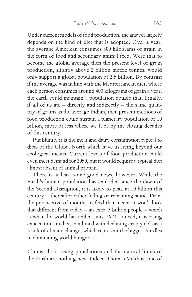Under current models of food production, the answer largely depends on the kind of diet that is adopted. Over a year, the average American consumes 800 kilograms of grain in the form of food and secondary animal feed. Were that to become the global average then the present level of grain production, slightly above 2 billion metric tonnes, would only support a global population of 2.5 billion. By contrast if the average was in line with the Mediterranean diet, where each person consumes around 400 kilograms of grain a year, the earth could maintain a population double that. Finally, if all of us ate  $-$  directly and indirectly  $-$  the same quantity of grains as the average Indian, then present methods of food production could sustain a planetary population of 10 billion, more or less where we 'll be by the closing decades of this century.

Put bluntly it is the meat and dairy consumption typical to diets of the Global North which have us living beyond our ecological means. Current levels of food production could even meet demand for 2050, but it would require a typical diet almost absent of animal protein.

There is at least some good news, however. While the Earth's human population has exploded since the dawn of the Second Disruption, it is likely to peak at 10 billion this century – thereafter either falling or remaining static. From the perspective of mouths to feed that means it won't look that different from today – an extra 3 billion people – which is what the world has added since 1974. Indeed, it is rising expectations in diet, combined with declining crop yields as a result of climate change, which represent the biggest hurdles in eliminating world hunger.

Claims about rising populations and the natural limits of the Earth are nothing new. Indeed Thomas Malthus, one of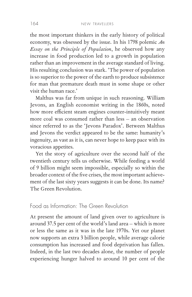the most important thinkers in the early history of political economy, was obsessed by the issue. In his 1798 polemic *An Essay on the Principle of Population*, he observed how any increase in food production led to a growth in population rather than an improvement in the average standard of living. His resulting conclusion was stark. 'The power of population is so superior to the power of the earth to produce subsistence for man that premature death must in some shape or other visit the human race.'

Malthus was far from unique in such reasoning. William Jevons, an English economist writing in the 1860s, noted how more efficient steam engines counter-intuitively meant more coal was consumed rather than less – an observation since referred to as the 'Jevons Paradox'. Between Malthus and Jevons the verdict appeared to be the same: humanity's ingenuity, as vast as it is, can never hope to keep pace with its voracious appetites.

Yet the story of agriculture over the second half of the twentieth century tells us otherwise. While feeding a world of 9 billion might seem impossible, especially so within the broader context of the five crises, the most important achievement of the last sixty years suggests it can be done. Its name? The Green Revolution.

## Food as Information: The Green Revolution

At present the amount of land given over to agriculture is around 37.5 per cent of the world's land area – which is more or less the same as it was in the late 1970s. Yet our planet now supports an extra 3 billion people, while average calorie consumption has increased and food deprivation has fallen. Indeed, in the last two decades alone, the number of people experiencing hunger halved to around 10 per cent of the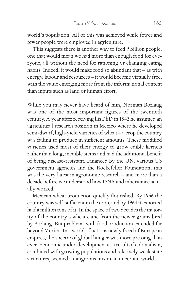world's population. All of this was achieved while fewer and fewer people were employed in agriculture.

This suggests there is another way to feed 9 billion people, one that would mean we had more than enough food for everyone, all without the need for rationing or changing eating habits. Indeed, it would make food so abundant that – as with energy, labour and resources – it would become virtually free, with the value emerging more from the informational content than inputs such as land or human effort.

While you may never have heard of him, Norman Borlaug was one of the most important figures of the twentieth century. A year after receiving his PhD in 1942 he assumed an agricultural research position in Mexico where he developed semi-dwarf, high-yield varieties of wheat – a crop the country was failing to produce in sufficient amounts. These modified varieties used most of their energy to grow edible kernels rather than long, inedible stems and had the additional benefit of being disease-resistant. Financed by the UN, various US government agencies and the Rockefeller Foundation, this was the very latest in agronomic research – and more than a decade before we understood how DNA and inheritance actually worked.

Mexican wheat production quickly flourished. By 1956 the country was self-sufficient in the crop, and by 1964 it exported half a million tons of it. In the space of two decades the majority of the country's wheat came from the newer grains bred by Borlaug. But problems with food production extended far beyond Mexico. In a world of nations newly freed of European empires, the spectre of global hunger was more pressing than ever. Economic under-development as a result of colonialism, combined with growing populations and relatively weak state structures, seemed a dangerous mix in an uncertain world.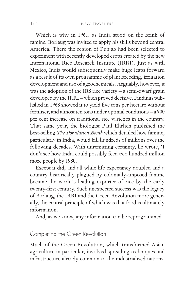Which is why in 1961, as India stood on the brink of famine, Borlaug was invited to apply his skills beyond central America. There the region of Punjab had been selected to experiment with recently developed crops created by the new International Rice Research Institute (IRRI). Just as with Mexico, India would subsequently make huge leaps forward as a result of its own programme of plant breeding, irrigation development and use of agrochemicals. Arguably, however, it was the adoption of the IR8 rice variety – a semi-dwarf grain developed by the IRRI – which proved decisive. Findings published in 1968 showed it to yield five tons per hectare without fertiliser, and almost ten tons under optimal conditions – a 900 per cent increase on traditional rice varieties in the country. That same year, the biologist Paul Ehrlich published the best-selling *The Population Bomb* which detailed how famine, particularly in India, would kill hundreds of millions over the following decades. With unremitting certainty, he wrote, 'I don't see how India could possibly feed two hundred million more people by 1980.'

Except it did, and all while life expectancy doubled and a country historically plagued by colonially-imposed famine became the world's leading exporter of rice by the early twenty-first century. Such unexpected success was the legacy of Borlaug, the IRRI and the Green Revolution more generally, the central principle of which was that food is ultimately information.

And, as we know, any information can be reprogrammed.

## Completing the Green Revolution

Much of the Green Revolution, which transformed Asian agriculture in particular, involved spreading techniques and infrastructure already common to the industrialised nations.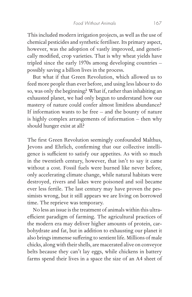This included modern irrigation projects, as well as the use of chemical pesticides and synthetic fertiliser. Its primary aspect, however, was the adoption of vastly improved, and genetically modified, crop varieties. That is why wheat yields have tripled since the early 1970s among developing countries – possibly saving a billion lives in the process.

But what if that Green Revolution, which allowed us to feed more people than ever before, and using less labour to do so, was only the beginning? What if, rather than inhabiting an exhausted planet, we had only begun to understand how our mastery of nature could confer almost limitless abundance? If information wants to be free – and the bounty of nature is highly complex arrangements of information – then why should hunger exist at all?

The first Green Revolution seemingly confounded Malthus, Jevons and Ehrlich, confirming that our collective intelligence is sufficient to satisfy our appetites. As with so much in the twentieth century, however, that isn't to say it came without a cost. Fossil fuels were burned like never before, only accelerating climate change, while natural habitats were destroyed, rivers and lakes were poisoned and soil became ever less fertile. The last century may have proven the pessimists wrong, but it still appears we are living on borrowed time. The reprieve was temporary.

No less an issue is the treatment of animals within this ultraefficient paradigm of farming. The agricultural practices of the modern era may deliver higher amounts of protein, carbohydrate and fat, but in addition to exhausting our planet it also brings immense suffering to sentient life. Millions of male chicks, along with their shells, are macerated alive on conveyor belts because they can't lay eggs, while chickens in battery farms spend their lives in a space the size of an A4 sheet of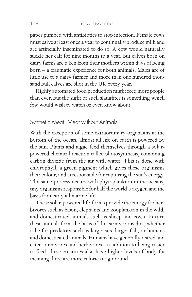paper pumped with antibiotics to stop infection. Female cows must calve at least once a year to continually produce milk and are artificially inseminated to do so. A cow would naturally suckle her calf for nine months to a year, but calves born on dairy farms are taken from their mothers within days of being born – a traumatic experience for both animals. Males are of little use to a dairy farmer and more than one hundred thousand bull calves are shot in the UK every year.

Highly automated food production might feed more people than ever, but the sight of such slaughter is something which few would wish to watch or even know about.

### Synthetic Meat: Meat without Animals

With the exception of some extraordinary organisms at the bottom of the ocean, almost all life on earth is powered by the sun. Plants and algae feed themselves through a solarpowered chemical reaction called photosynthesis, combining carbon dioxide from the air with water. This is done with chlorophyll, a green pigment which gives these organisms their colour, and is responsible for capturing the sun's energy. The same process occurs with phytoplankton in the oceans, tiny organisms responsible for half the world's oxygen and the basis for nearly all marine life.

These solar-powered life-forms provide the energy for herbivores such as bison, elephants and zooplankton in the wild, and domesticated animals such as sheep and cows. In turn these animals form the basis of the carnivorous diet, whether it be for predators such as large cats, larger fish, or humans and domesticated animals. Humans have generally reared and eaten omnivores and herbivores. In addition to being easier to feed, these creatures also have higher levels of body fat meaning there are more calories to go round.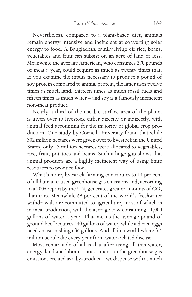Nevertheless, compared to a plant-based diet, animals remain energy intensive and inefficient at converting solar energy to food. A Bangladeshi family living off rice, beans, vegetables and fruit can subsist on an acre of land or less. Meanwhile the average American, who consumes 270 pounds of meat a year, could require as much as twenty times that. If you examine the inputs necessary to produce a pound of soy protein compared to animal protein, the latter uses twelve times as much land, thirteen times as much fossil fuels and fifteen times as much water – and soy is a famously inefficient non-meat product.

Nearly a third of the useable surface area of the planet is given over to livestock either directly or indirectly, with animal feed accounting for the majority of global crop production. One study by Cornell University found that while 302 million hectares were given over to livestock in the United States, only 13 million hectares were allocated to vegetables, rice, fruit, potatoes and beans. Such a huge gap shows that animal products are a highly inefficient way of using finite resources to produce food.

What's more, livestock farming contributes to 14 per cent of all human caused greenhouse gas emissions and, according to a 2006 report by the UN, generates greater amounts of CO<sub>2</sub> than cars. Meanwhile 69 per cent of the world's freshwater withdrawals are committed to agriculture, most of which is in meat production, with the average cow consuming 11,000 gallons of water a year. That means the average pound of ground beef requires 440 gallons of water, while a dozen eggs need an astonishing 636 gallons. And all in a world where 3.4 million people die every year from water-related disease.

Most remarkable of all is that after using all this water, energy, land and labour – not to mention the greenhouse gas emissions created as a by-product – we dispense with as much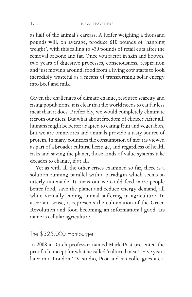as half of the animal's carcass. A heifer weighing a thousand pounds will, on average, produce 610 pounds of 'hanging weight', with this falling to 430 pounds of retail cuts after the removal of bone and fat. Once you factor in skin and hooves, two years of digestive processes, consciousness, respiration and just moving around, food from a living cow starts to look incredibly wasteful as a means of transforming solar energy into beef and milk.

Given the challenges of climate change, resource scarcity and rising populations, it is clear that the world needs to eat far less meat than it does. Preferably, we would completely eliminate it from our diets. But what about freedom of choice? After all, humans might be better adapted to eating fruit and vegetables, but we are omnivores and animals provide a tasty source of protein. In many countries the consumption of meat is viewed as part of a broader cultural heritage, and regardless of health risks and saving the planet, those kinds of value systems take decades to change, if at all.

Yet as with all the other crises examined so far, there is a solution running parallel with a paradigm which seems so utterly untenable. It turns out we could feed more people better food, save the planet and reduce energy demand, all while virtually ending animal suffering in agriculture. In a certain sense, it represents the culmination of the Green Revolution and food becoming an informational good. Its name is cellular agriculture.

# The \$325,000 Hamburger

In 2008 a Dutch professor named Mark Post presented the proof of concept for what he called 'cultured meat'. Five years later in a London TV studio, Post and his colleagues ate a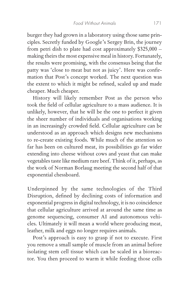burger they had grown in a laboratory using those same principles. Secretly funded by Google's Sergey Brin, the journey from petri dish to plate had cost approximately \$325,000 – making theirs the most expensive meal in history. Fortunately, the results were promising, with the consensus being that the patty was 'close to meat but not as juicy'. Here was confirmation that Post's concept worked. The next question was the extent to which it might be refined, scaled up and made cheaper. Much cheaper.

History will likely remember Post as the person who took the field of cellular agriculture to a mass audience. It is unlikely, however, that he will be the one to perfect it given the sheer number of individuals and organisations working in an increasingly crowded field. Cellular agriculture can be understood as an approach which designs new mechanisms to re-create existing foods. While much of the attention so far has been on cultured meat, its possibilities go far wider extending into cheese without cows and yeast that can make vegetables taste like medium rare beef. Think of it, perhaps, as the work of Norman Borlaug meeting the second half of that exponential chessboard.

Underpinned by the same technologies of the Third Disruption, defined by declining costs of information and exponential progress in digital technology, it is no coincidence that cellular agriculture arrived at around the same time as genome sequencing, consumer AI and autonomous vehicles. Ultimately it will mean a world where producing meat, leather, milk and eggs no longer requires animals.

Post's approach is easy to grasp if not to execute. First you remove a small sample of muscle from an animal before isolating stem cell tissue which can be scaled in a bioreactor. You then proceed to warm it while feeding those cells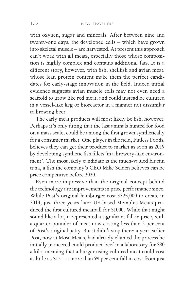with oxygen, sugar and minerals. After between nine and twenty-one days, the developed cells – which have grown into skeletal muscle – are harvested. At present this approach can't work with all meats, especially those whose composition is highly complex and contains additional fats. It is a different story, however, with fish, shellfish and avian meat, whose lean protein content make them the perfect candidates for early-stage innovation in the field. Indeed initial evidence suggests avian muscle cells may not even need a scaffold to grow like red meat, and could instead be cultured in a vessel-like keg or bioreactor in a manner not dissimilar to brewing beer.

The early meat products will most likely be fish, however. Perhaps it's only fitting that the last animals hunted for food on a mass scale, could be among the first grown synthetically for a consumer market. One player in the field, Finless Foods, believes they can get their product to market as soon as 2019 by developing synthetic fish fillets 'in a brewery-like environment'. The most likely candidate is the much-valued bluefin tuna, a fish the company's CEO Mike Selden believes can be price competitive before 2020.

Even more impressive than the original concept behind the technology are improvements in price performance since. While Post's original hamburger cost \$325,000 to create in 2013, just three years later US-based Memphis Meats produced the first cultured meatball for \$1000. While that might sound like a lot, it represented a significant fall in price, with a quarter-pounder of meat now costing less than 2 per cent of Post's original patty. But it didn't stop there: a year earlier Post, now at Mosa Meats, had already claimed the process he initially pioneered could produce beef in a laboratory for \$80 a kilo, meaning that a burger using cultured meat could cost as little as \$12 – a more than 99 per cent fall in cost from just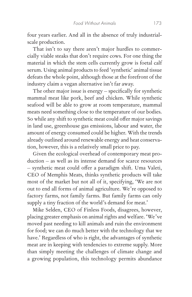four years earlier. And all in the absence of truly industrialscale production.

That isn't to say there aren't major hurdles to commercially viable steaks that don't require cows. For one thing the material in which the stem cells currently grow is foetal calf serum. Using animal products to feed 'synthetic' animal tissue defeats the whole point, although those at the forefront of the industry claim a vegan alternative isn't far away.

The other major issue is energy – specifically for synthetic mammal meat like pork, beef and chicken. While synthetic seafood will be able to grow at room temperature, mammal meats need something close to the temperature of our bodies. So while any shift to synthetic meat could offer major savings in land use, greenhouse gas emissions, labour and water, the amount of energy consumed could be higher. With the trends already outlined around renewable energy and heat conservation, however, this is a relatively small price to pay.

Given the ecological overhead of contemporary meat production – as well as its intense demand for scarce resources – synthetic meat could offer a paradigm shift. Uma Valeti, CEO of Memphis Meats, thinks synthetic products will take most of the market but not all of it, specifying, 'We are not out to end all forms of animal agriculture. We're opposed to factory farms, not family farms. But family farms can only supply a tiny fraction of the world's demand for meat.'

Mike Selden, CEO of Finless Foods, disagrees, however, placing greater emphasis on animal rights and welfare. 'We've moved past needing to kill animals and ruin the environment for food; we can do much better with the technology that we have.' Regardless of who is right, the advantages of synthetic meat are in keeping with tendencies to extreme supply. More than simply meeting the challenges of climate change and a growing population, this technology permits abundance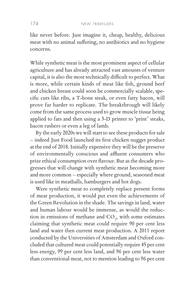like never before. Just imagine it, cheap, healthy, delicious meat with no animal suffering, no antibiotics and no hygiene concerns.

While synthetic meat is the most prominent aspect of cellular agriculture and has already attracted vast amounts of venture capital, it is also the most technically difficult to perfect. What is more, while certain kinds of meat like fish, ground beef and chicken breast could soon be commercially scalable, specific cuts like ribs, a T-bone steak, or even fatty bacon, will prove far harder to replicate. The breakthrough will likely come from the same process used to grow muscle tissue being applied to fats and then using a 3-D printer to 'print' steaks, bacon rashers or even a leg of lamb.

By the early 2020s we will start to see these products for sale – indeed Just Food launched its first chicken nugget product at the end of 2018. Initially expensive they will be the preserve of environmentally conscious and affluent consumers who prize ethical consumption over flavour. But as the decade progresses that will change with synthetic meat becoming more and more common – especially where ground, seasoned meat is used like in meatballs, hamburgers and hot dogs.

Were synthetic meat to completely replace present forms of meat production, it would put even the achievements of the Green Revolution in the shade. The savings in land, water and human labour would be immense, as would the reduction in emissions of methane and  $CO_2$ , with some estimates claiming that synthetic meat could require 90 per cent less land and water then current meat production. A 2011 report conducted by the Universities of Amsterdam and Oxford concluded that cultured meat could potentially require 45 per cent less energy, 99 per cent less land, and 96 per cent less water than conventional meat, not to mention leading to 96 per cent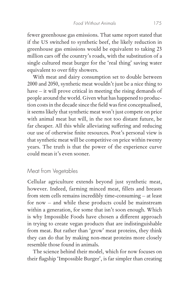fewer greenhouse gas emissions. That same report stated that if the US switched to synthetic beef, the likely reduction in greenhouse gas emissions would be equivalent to taking 23 million cars off the country's roads, with the substitution of a single cultured meat burger for the 'real thing' saving water equivalent to over fifty showers.

With meat and dairy consumption set to double between 2000 and 2050, synthetic meat wouldn't just be a nice thing to have – it will prove critical in meeting the rising demands of people around the world. Given what has happened to production costs in the decade since the field was first conceptualised, it seems likely that synthetic meat won't just compete on price with animal meat but will, in the not too distant future, be far cheaper. All this while alleviating suffering and reducing our use of otherwise finite resources. Post's personal view is that synthetic meat will be competitive on price within twenty years. The truth is that the power of the experience curve could mean it's even sooner.

#### Meat from Vegetables

Cellular agriculture extends beyond just synthetic meat, however. Indeed, farming minced meat, fillets and breasts from stem cells remains incredibly time-consuming – at least for now – and while these products could be mainstream within a generation, for some that isn't soon enough. Which is why Impossible Foods have chosen a different approach in trying to create vegan products that are indistinguishable from meat. But rather than 'grow' meat proteins, they think they can do that by making non-meat proteins more closely resemble those found in animals.

The science behind their model, which for now focuses on their flagship 'Impossible Burger', is far simpler than creating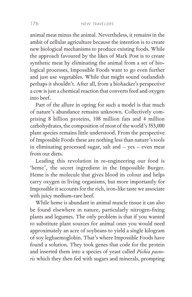animal meat minus the animal. Nevertheless, it remains in the ambit of cellular agriculture because the intention is to create new biological mechanisms to produce existing foods. While the approach favoured by the likes of Mark Post is to create synthetic meat by eliminating the animal from a set of biological processes, Impossible Foods want to go even further and just use vegetables. While that might sound outlandish perhaps it shouldn't. After all, from a biohacker's perspective a cow is just a chemical reaction that converts feed and oxygen into beef.

Part of the allure in opting for such a model is that much of nature's abundance remains unknown. Collectively comprising 8 billion proteins, 108 million fats and 4 million carbohydrates, the composition of most of the world's 353,000 plant species remains little understood. From the perspective of Impossible Foods these are nothing less than nature's tools in eliminating processed sugar, salt and  $-$  yes  $-$  even meat from our diets.

Leading this revolution in re-engineering our food is 'heme', the secret ingredient in the Impossible Burger. Heme is the molecule that gives blood its colour and helps carry oxygen in living organisms, but more importantly for Impossible it accounts for the rich, iron-like taste we associate with juicy medium-rare beef.

While heme is abundant in animal muscle tissue it can also be found elsewhere in nature, particularly nitrogen-fixing plants and legumes. The only problem is that if you wanted to substitute plant sources for animal ones you would need approximately an acre of soybeans to yield a single kilogram of soy leghaemoglobin. That's where Impossible Foods have found a solution. They took genes that code for the protein and inserted them into a species of yeast called *Pichia pastoris* which they then fed with sugars and minerals, prompting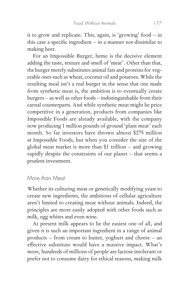it to grow and replicate. This, again, is 'growing' food – in this case a specific ingredient – in a manner not dissimilar to making beer.

For an Impossible Burger, heme is the decisive element adding the taste, texture and smell of 'meat'. Other than that, the burger merely substitutes animal fats and proteins for vegetable ones such as wheat, coconut oil and potatoes. While the resulting meal isn't a real burger in the sense that one made from synthetic meat is, the ambition is to eventually create burgers – as well as other foods – indistinguishable from their carnal counterparts. And while synthetic meat might be price competitive in a generation, products from companies like Impossible Foods are already available, with the company now producing 1 million pounds of ground 'plant meat' each month. So far investors have thrown almost \$275 million at Impossible Foods, but when you consider the size of the global meat market is more than \$1 trillion – and growing rapidly despite the constraints of our planet – that seems a prudent investment.

#### More than Meat

Whether its culturing meat or genetically modifying yeast to create new ingredients, the ambitions of cellular agriculture aren't limited to creating meat without animals. Indeed, the principles are more easily adopted with other foods such as milk, egg whites and even wine.

At present milk appears to be the easiest one of all, and given it is such an important ingredient in a range of animal products – from cream to butter, yoghurt and cheese – an effective substitute would have a massive impact. What's more, hundreds of millions of people are lactose intolerant or prefer not to consume dairy for ethical reasons, making milk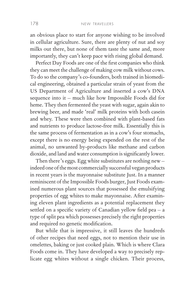an obvious place to start for anyone wishing to be involved in cellular agriculture. Sure, there are plenty of nut and soy milks out there, but none of them taste the same and, more importantly, they can't keep pace with rising global demand.

Perfect Day Foods are one of the first companies who think they can meet the challenge of making cow milk without cows. To do so the company's co-founders, both trained in biomedical engineering, obtained a particular strain of yeast from the US Department of Agriculture and inserted a cow's DNA sequence into it – much like how Impossible Foods did for heme. They then fermented the yeast with sugar, again akin to brewing beer, and made 'real' milk proteins with both casein and whey. These were then combined with plant-based fats and nutrients to produce lactose-free milk. Essentially this is the same process of fermentation as in a cow's four stomachs, except there is no energy being expended on the rest of the animal, no unwanted by-products like methane and carbon dioxide, and land and water consumption is significantly lower.

Then there's eggs. Egg white substitutes are nothing new – indeed one of the most commercially successful vegan products in recent years is the mayonnaise substitute Just. In a manner reminiscent of the Impossible Foods burger, Just Foods examined numerous plant sources that possessed the emulsifying properties of egg whites to make mayonnaise. After examining eleven plant ingredients as a potential replacement they settled on a specific variety of Canadian yellow field pea – a type of split pea which possesses precisely the right properties and required no genetic modification.

But while that is impressive, it still leaves the hundreds of other recipes that need eggs, not to mention their use in omelettes, baking or just cooked plain. Which is where Clara Foods come in. They have developed a way to precisely replicate egg whites without a single chicken. Their process,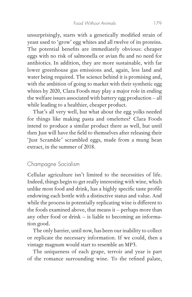unsurprisingly, starts with a genetically modified strain of yeast used to 'grow' egg whites and all twelve of its proteins. The potential benefits are immediately obvious: cheaper eggs with no risk of salmonella or avian flu and no need for antibiotics. In addition, they are more sustainable, with far lower greenhouse gas emissions and, again, less land and water being required. The science behind it is promising and, with the ambition of going to market with their synthetic egg whites by 2020, Clara Foods may play a major role in ending the welfare issues associated with battery egg production – all while leading to a healthier, cheaper product.

That's all very well, but what about the egg yolks needed for things like making pasta and omelettes? Clara Foods intend to produce a similar product there as well, but until then Just will have the field to themselves after releasing their 'Just Scramble' scrambled eggs, made from a mung bean extract, in the summer of 2018.

#### Champagne Socialism

Cellular agriculture isn't limited to the necessities of life. Indeed, things begin to get really interesting with wine, which unlike most food and drink, has a highly specific taste profile endowing each bottle with a distinctive status and value. And while the process in potentially replicating wine is different to the foods examined above, that means it – perhaps more than any other food or drink – is liable to becoming an information good.

The only barrier, until now, has been our inability to collect or replicate the necessary information. If we could, then a vintage magnum would start to resemble an MP3.

The uniqueness of each grape, terroir and year is part of the romance surrounding wine. To the refined palate,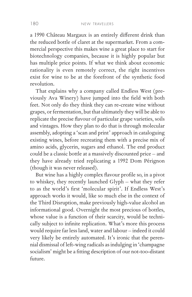a 1990 Château Margaux is an entirely different drink than the reduced bottle of claret at the supermarket. From a commercial perspective this makes wine a great place to start for biotechnology companies, because it is highly popular but has multiple price points. If what we think about economic rationality is even remotely correct, the right incentives exist for wine to be at the forefront of the synthetic food revolution.

That explains why a company called Endless West (previously Ava Winery) have jumped into the field with both feet. Not only do they think they can re-create wine without grapes, or fermentation, but that ultimately they will be able to replicate the precise flavour of particular grape varieties, soils and vintages. How they plan to do that is through molecular assembly, adopting a 'scan and print' approach in cataloguing existing wines, before recreating them with a precise mix of amino acids, glycerin, sugars and ethanol. The end product could be a classic bottle at a massively discounted price – and they have already tried replicating a 1992 Dom Pérignon (though it was never released).

But wine has a highly complex flavour profile so, in a pivot to whiskey, they recently launched Glyph – what they refer to as the world's first 'molecular spirit'. If Endless West's approach works it would, like so much else in the context of the Third Disruption, make previously high-value alcohol an informational good. Overnight the most precious of bottles, whose value is a function of their scarcity, would be technically subject to infinite replication. What's more this process would require far less land, water and labour – indeed it could very likely be entirely automated. It's ironic that the perennial dismissal of left-wing radicals as indulging in 'champagne socialism' might be a fitting description of our not-too-distant future.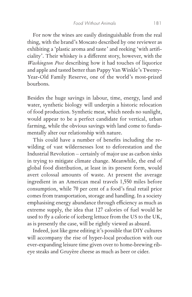For now the wines are easily distinguishable from the real thing, with the brand's Moscato described by one reviewer as exhibiting a 'plastic aroma and taste' and reeking 'with artificiality'. Their whiskey is a different story, however, with the *Washington Post* describing how it had touches of liquorice and apple and tasted better than Pappy Van Winkle's Twenty-Year-Old Family Reserve, one of the world's most-prized bourbons.

Besides the huge savings in labour, time, energy, land and water, synthetic biology will underpin a historic relocation of food production. Synthetic meat, which needs no sunlight, would appear to be a perfect candidate for vertical, urban farming, while the obvious savings with land come to fundamentally alter our relationship with nature.

This could have a number of benefits including the rewilding of vast wildernesses lost to deforestation and the Industrial Revolution – certainly of major use as carbon sinks in trying to mitigate climate change. Meanwhile, the end of global food distribution, at least in its present form, would avert colossal amounts of waste. At present the average ingredient in an American meal travels 1,550 miles before consumption, while 70 per cent of a food's final retail price comes from transportation, storage and handling. In a society emphasising energy abundance through efficiency as much as extreme supply, the idea that 127 calories of fuel would be used to fly a calorie of iceberg lettuce from the US to the UK, as is presently the case, will be rightly viewed as absurd.

Indeed, just like gene editing it's possible that DIY cultures will accompany the rise of hyper-local production with our ever-expanding leisure time given over to home-brewing ribeye steaks and Gruyère cheese as much as beer or cider.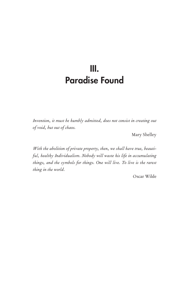# III. Paradise Found

*Invention, it must be humbly admitted, does not consist in creating out of void, but out of chaos.*

Mary Shelley

*With the abolition of private property, then, we shall have true, beautiful, healthy Individualism. Nobody will waste his life in accumulating things, and the symbols for things. One will live. To live is the rarest thing in the world*.

Oscar Wilde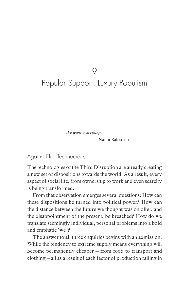$\bigcirc$ 

### Popular Support: Luxury Populism

*We want everything.* Nanni Balestrini

Against Elite Technocracy

The technologies of the Third Disruption are already creating a new set of dispositions towards the world. As a result, every aspect of social life, from ownership to work and even scarcity is being transformed.

From that observation emerges several questions: How can these dispositions be turned into political power? How can the distance between the future we thought was on offer, and the disappointment of the present, be breached? How do we translate seemingly individual, personal problems into a bold and emphatic 'we'?

The answer to all three enquiries begins with an admission. While the tendency to extreme supply means everything will become permanently cheaper – from food to transport and clothing – all as a result of each factor of production falling in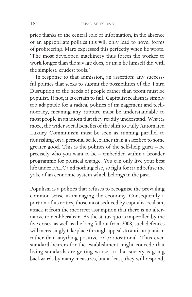price thanks to the central role of information, in the absence of an appropriate politics this will only lead to novel forms of profiteering. Marx expressed this perfectly when he wrote, 'The most developed machinery thus forces the worker to work longer than the savage does, or than he himself did with the simplest, crudest tools.'

In response to that admission, an assertion: any successful politics that seeks to submit the possibilities of the Third Disruption to the needs of people rather than profit must be populist. If not, it is certain to fail. Capitalist realism is simply too adaptable for a radical politics of management and technocracy, meaning any rupture must be understandable to most people in an idiom that they readily understand. What is more, the wider social benefits of the shift to Fully Automated Luxury Communism must be seen as running parallel to flourishing on a personal scale, rather than a sacrifice to some greater good. This is the politics of the self-help guru – be precisely who you want to be – embedded within a broader programme for political change. You can only live your best life under FALC and nothing else, so fight for it and refuse the yoke of an economic system which belongs in the past.

Populism is a politics that refuses to recognise the prevailing common sense in managing the economy. Consequently a portion of its critics, those most seduced by capitalist realism, attack it from the incorrect assumption that there is no alternative to neoliberalism. As the status quo is imperilled by the five crises, as well as the long fallout from 2008, such defences will increasingly take place through appeals to anti-utopianism rather than anything positive or propositional. Thus even standard-bearers for the establishment might concede that living standards are getting worse, or that society is going backwards by many measures, but at least, they will respond,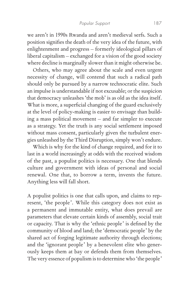we aren't in 1990s Rwanda and aren't medieval serfs. Such a position signifies the death of the very idea of the future, with enlightenment and progress – formerly ideological pillars of liberal capitalism – exchanged for a vision of the good society where decline is marginally slower than it might otherwise be.

Others, who may agree about the scale and even urgent necessity of change, will contend that such a radical path should only be pursued by a narrow technocratic elite. Such an impulse is understandable if not excusable; or the suspicion that democracy unleashes 'the mob' is as old as the idea itself. What is more, a superficial changing of the guard exclusively at the level of policy-making is easier to envisage than building a mass political movement – and far simpler to execute as a strategy. Yet the truth is any social settlement imposed without mass consent, particularly given the turbulent energies unleashed by the Third Disruption, simply won't endure.

Which is why for the kind of change required, and for it to last in a world increasingly at odds with the received wisdom of the past, a populist politics is necessary. One that blends culture and government with ideas of personal and social renewal. One that, to borrow a term, invents the future. Anything less will fall short.

A populist politics is one that calls upon, and claims to represent, 'the people'. While this category does not exist as a permanent and immutable entity, what does prevail are parameters that elevate certain kinds of assembly, social trait or capacity. That is why the 'ethnic people' is defined by the community of blood and land; the 'democratic people' by the shared act of forging legitimate authority through elections; and the 'ignorant people' by a benevolent elite who generously keeps them at bay or defends them from themselves. The very essence of populism is to determine who 'the people'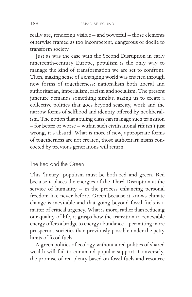really are, rendering visible – and powerful – those elements otherwise framed as too incompetent, dangerous or docile to transform society.

Just as was the case with the Second Disruption in early nineteenth-century Europe, populism is the only way to manage the kind of transformation we are set to confront. Then, making sense of a changing world was enacted through new forms of togetherness: nationalism both liberal and authoritarian, imperialism, racism and socialism. The present juncture demands something similar, asking us to create a collective politics that goes beyond scarcity, work and the narrow forms of selfhood and identity offered by neoliberalism. The notion that a ruling class can manage such transition – for better or worse – within such civilisational rift isn't just wrong, it's absurd. What is more if new, appropriate forms of togetherness are not created, those authoritarianisms concocted by previous generations will return.

#### The Red and the Green

This 'luxury' populism must be both red and green. Red because it places the energies of the Third Disruption at the service of humanity – in the process enhancing personal freedom like never before. Green because it knows climate change is inevitable and that going beyond fossil fuels is a matter of critical urgency. What is more, rather than reducing our quality of life, it grasps how the transition to renewable energy offers a bridge to energy abundance – permitting more prosperous societies than previously possible under the petty limits of fossil fuels.

A green politics of ecology without a red politics of shared wealth will fail to command popular support. Conversely, the promise of red plenty based on fossil fuels and resource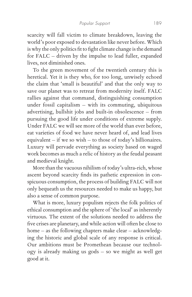scarcity will fall victim to climate breakdown, leaving the world's poor exposed to devastation like never before. Which is why the only politics fit to fight climate change is the demand for FALC – driven by the impulse to lead fuller, expanded lives, not diminished ones.

To the green movement of the twentieth century this is heretical. Yet it is they who, for too long, unwisely echoed the claim that 'small is beautiful' and that the only way to save our planet was to retreat from modernity itself. FALC rallies against that command, distinguishing consumption under fossil capitalism – with its commuting, ubiquitous advertising, bullshit jobs and built-in obsolescence – from pursuing the good life under conditions of extreme supply. Under FALC we will see more of the world than ever before, eat varieties of food we have never heard of, and lead lives equivalent – if we so wish – to those of today's billionaires. Luxury will pervade everything as society based on waged work becomes as much a relic of history as the feudal peasant and medieval knight.

More than the vacuous nihilism of today's ultra-rich, whose ascent beyond scarcity finds its pathetic expression in conspicuous consumption, the process of building FALC will not only bequeath us the resources needed to make us happy, but also a sense of common purpose.

What is more, luxury populism rejects the folk politics of ethical consumption and the sphere of 'the local' as inherently virtuous. The extent of the solutions needed to address the five crises are planetary, and while action will often be close to home – as the following chapters make clear – acknowledging the historic and global scale of any response is critical. Our ambitions must be Promethean because our technology is already making us gods – so we might as well get good at it.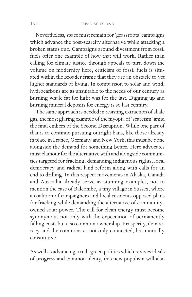Nevertheless, space must remain for 'grassroots' campaigns which advance the post-scarcity alternative while attacking a broken status quo. Campaigns around divestment from fossil fuels offer one example of how that will work. Rather than calling for climate justice through appeals to turn down the volume on modernity here, criticism of fossil fuels is situated within the broader frame that they are an obstacle to yet higher standards of living. In comparison to solar and wind, hydrocarbons are as unsuitable to the needs of our century as burning whale fat for light was for the last. Digging up and burning mineral deposits for energy is so last century.

The same approach is needed in resisting extraction of shale gas, the most glaring example of the myopia of 'scarcism' amid the final embers of the Second Disruption. While one part of that is to continue pursuing outright bans, like those already in place in France, Germany and New York, this must be done alongside the demand for something better. Here advocates must clamour for the alternative with and alongside communities targeted for fracking, demanding indigenous rights, local democracy and radical land reform along with calls for an end to drilling. In this respect movements in Alaska, Canada and Australia already serve as stunning examples, not to mention the case of Balcombe, a tiny village in Sussex, where a coalition of campaigners and local residents opposed plans for fracking while demanding the alternative of communityowned solar power. The call for clean energy must become synonymous not only with the expectation of permanently falling costs but also common ownership. Prosperity, democracy and the commons as not only connected, but mutually constitutive.

As well as advancing a red–green politics which revives ideals of progress and common plenty, this new populism will also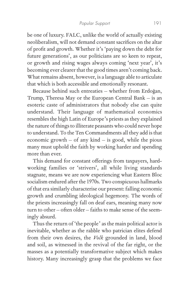be one of luxury. FALC, unlike the world of actually existing neoliberalism, will not demand constant sacrifices on the altar of profit and growth. Whether it's 'paying down the debt for future generations', as our politicians are so keen to repeat, or growth and rising wages always coming 'next year', it's becoming ever clearer that the good times aren't coming back. What remains absent, however, is a language able to articulate that which is both accessible and emotionally resonant.

Because behind such entreaties – whether from Erdoğan, Trump, Theresa May or the European Central Bank – is an esoteric caste of administrators that nobody else can quite understand. Their language of mathematical economics resembles the high Latin of Europe's priests as they explained the nature of things to illiterate peasants who could never hope to understand. To the Ten Commandments all they add is that economic growth  $-$  of any kind  $-$  is good, while the pious many must uphold the faith by working harder and spending more than ever.

This demand for constant offerings from taxpayers, hardworking families or 'strivers', all while living standards stagnate, means we are now experiencing what Eastern Bloc socialism endured after the 1970s. Two conspicuous hallmarks of that era similarly characterise our present: falling economic growth and crumbling ideological hegemony. The words of the priests increasingly fall on deaf ears, meaning many now turn to other – often older – faiths to make sense of the seemingly absurd.

Thus the return of 'the people' as the main political actor is inevitable, whether as the rabble who patrician elites defend from their own desires, the *Volk* grounded in land, blood and soil, as witnessed in the revival of the far right, or the masses as a potentially transformative subject which makes history. Many increasingly grasp that the problems we face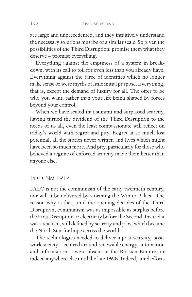are large and unprecedented, and they intuitively understand the necessary solutions must be of a similar scale. So given the possibilities of the Third Disruption, promise them what they deserve – promise everything.

Everything against the emptiness of a system in breakdown, with its call to toil for even less than you already have. Everything against the farce of identities which no longer make sense or were myths of little initial purpose. Everything, that is, except the demand of luxury for all. The offer to be who you want, rather than your life being shaped by forces beyond your control.

When we have scaled that summit and surpassed scarcity, having turned the dividend of the Third Disruption to the needs of us all, even the least compassionate will reflect on today's world with regret and pity. Regret at so much lost potential, all the stories never written and lives which might have been so much more. And pity, particularly for those who believed a regime of enforced scarcity made them better than anyone else.

#### This Is Not 1917

FALC is not the communism of the early twentieth century, nor will it be delivered by storming the Winter Palace. The reason why is that, until the opening decades of the Third Disruption, communism was as impossible as surplus before the First Disruption or electricity before the Second. Instead it was socialism, still defined by scarcity and jobs, which became the North Star for hope across the world.

The technologies needed to deliver a post-scarcity, postwork society – centred around renewable energy, automation and information – were absent in the Russian Empire, or indeed anywhere else until the late 1960s. Indeed, amid efforts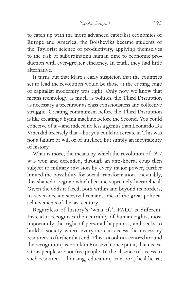to catch up with the more advanced capitalist economies of Europe and America, the Bolsheviks became students of the Taylorist science of productivity, applying themselves to the task of subordinating human time to economic production with ever-greater efficiency. In truth, they had little alternative.

It turns out that Marx's early suspicion that the countries set to lead the revolution would be those at the cutting edge of capitalist modernity was right. Only now we know that means technology as much as politics, the Third Disruption as necessary a precursor as class consciousness and collective struggle. Creating communism before the Third Disruption is like creating a flying machine before the Second. You could conceive of it – and indeed no less a genius than Leonardo Da Vinci did precisely that – but you could not create it. This was not a failure of will or of intellect, but simply an inevitability of history.

What is more, the means by which the revolution of 1917 was won and defended, through an anti-liberal coup then subject to military invasion by every major power, further limited the possibility for social transformation. Inevitably, this shaped a regime which became supremely hierarchical. Given the odds it faced, both within and beyond its borders, its seven-decade survival remains one of the great political achievements of the last century.

Regardless of history's 'what ifs', FALC is different. Instead it recognises the centrality of human rights, most importantly the right of personal happiness, and seeks to build a society where everyone can access the necessary resources to further that end. This is a politics centred around the recognition, as Franklin Roosevelt once put it, that necessitous people are not free people. In the absence of access to such resources – housing, education, transport, healthcare,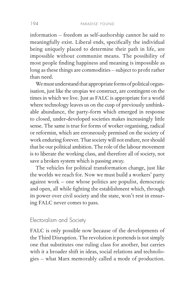information – freedom as self-authorship cannot be said to meaningfully exist. Liberal ends, specifically the individual being uniquely placed to determine their path in life, are impossible without communist means. The possibility of most people finding happiness and meaning is impossible as long as these things are commodities – subject to profit rather than need.

We must understand that appropriate forms of political organisation, just like the utopias we construct, are contingent on the times in which we live. Just as FALC is appropriate for a world where technology leaves us on the cusp of previously unthinkable abundance, the party-form which emerged in response to closed, under-developed societies makes increasingly little sense. The same is true for forms of worker organising, radical or reformist, which are erroneously premised on the society of work enduring forever. That society will not endure, nor should that be our political ambition. The role of the labour movement is to liberate the working class, and therefore all of society, not save a broken system which is passing away.

The vehicles for political transformation change, just like the worlds we reach for. Now we must build a workers' party against work – one whose politics are populist, democratic and open, all while fighting the establishment which, through its power over civil society and the state, won't rest in ensuring FALC never comes to pass.

#### Electoralism and Society

FALC is only possible now because of the developments of the Third Disruption. The revolution it portends is not simply one that substitutes one ruling class for another, but carries with it a broader shift in ideas, social relations and technologies – what Marx memorably called a mode of production.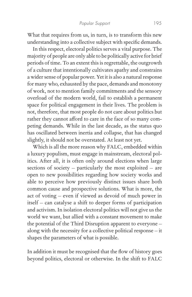What that requires from us, in turn, is to transform this new understanding into a collective subject with specific demands.

In this respect, electoral politics serves a vital purpose. The majority of people are only able to be politically active for brief periods of time. To an extent this is regrettable, the outgrowth of a culture that intentionally cultivates apathy and constrains a wider sense of popular power. Yet it is also a natural response for many who, exhausted by the pace, demands and monotony of work, not to mention family commitments and the sensory overload of the modern world, fail to establish a permanent space for political engagement in their lives. The problem is not, therefore, that most people do not care about politics but rather they cannot afford to care in the face of so many competing demands. While in the last decade, as the status quo has oscillated between inertia and collapse, that has changed slightly, it should not be overstated. At least not yet.

Which is all the more reason why FALC, embedded within a luxury populism, must engage in mainstream, electoral politics. After all, it is often only around elections when large sections of society – particularly the most exploited – are open to new possibilities regarding how society works and able to perceive how previously distinct issues share both common cause and prospective solutions. What is more, the act of voting – even if viewed as devoid of much power in itself – can catalyse a shift to deeper forms of participation and activism. In isolation electoral politics will not give us the world we want, but allied with a constant movement to make the potential of the Third Disruption apparent to everyone – along with the necessity for a collective political response – it shapes the parameters of what is possible.

In addition it must be recognised that the flow of history goes beyond politics, electoral or otherwise. In the shift to FALC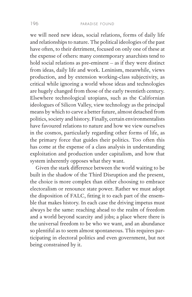we will need new ideas, social relations, forms of daily life and relationships to nature. The political ideologies of the past have often, to their detriment, focused on only one of these at the expense of others: many contemporary anarchists tend to hold social relations as pre-eminent – as if they were distinct from ideas, daily life and work. Leninism, meanwhile, views production, and by extension working-class subjectivity, as critical while ignoring a world whose ideas and technologies are hugely changed from those of the early twentieth century. Elsewhere technological utopians, such as the Californian ideologues of Silicon Valley, view technology as the principal means by which to carve a better future, almost detached from politics, society and history. Finally, certain environmentalists have favoured relations to nature and how we view ourselves in the cosmos, particularly regarding other forms of life, as the primary force that guides their politics. Too often this has come at the expense of a class analysis in understanding exploitation and production under capitalism, and how that system inherently opposes what they want.

Given the stark difference between the world waiting to be built in the shadow of the Third Disruption and the present, the choice is more complex than either choosing to embrace electoralism or renounce state power. Rather we must adopt the disposition of FALC, fitting it to each part of the ensemble that makes history. In each case the driving impetus must always be the same: reaching ahead to the realm of freedom and a world beyond scarcity and jobs; a place where there is the universal freedom to be who we want, and an abundance so plentiful as to seem almost spontaneous. This requires participating in electoral politics and even government, but not being constrained by it.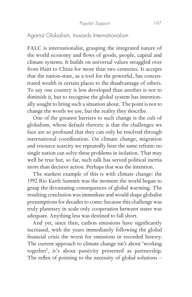#### Against Globalism, towards Internationalism

FALC is internationalist, grasping the integrated nature of the world economy and flows of goods, people, capital and climate systems. It builds on universal values struggled over from Haiti to China for more than two centuries. It accepts that the nation-state, as a tool for the powerful, has concentrated wealth in certain places to the disadvantage of others. To say one country is less developed than another is not to diminish it, but to recognise the global system has intentionally sought to bring such a situation about. The point is not to change the words we use, but the reality they describe.

One of the greatest barriers to such change is the cult of globalism, whose default rhetoric is that the challenges we face are so profound that they can only be resolved through international coordination. On climate change, migration and resource scarcity we repeatedly hear the same refrain: no single nation can solve these problems in isolation. That may well be true but, so far, such talk has served political inertia more than decisive action. Perhaps that was the intention.

The starkest example of this is with climate change: the 1992 Rio Earth Summit was the moment the world began to grasp the devastating consequences of global warming. The resulting conclusion was immediate and would shape globalist presumptions for decades to come: because this challenge was truly planetary in scale only cooperation between states was adequate. Anything less was destined to fall short.

And yet, since then, carbon emissions have significantly increased, with the years immediately following the global financial crisis the worst for emissions in recorded history. The current approach to climate change isn't about 'working together', it's about passivity presented as partnership. The reflex of pointing to the necessity of global solutions –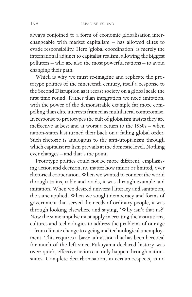always conjoined to a form of economic globalisation interchangeable with market capitalism – has allowed elites to evade responsibility. Here 'global coordination' is merely the international adjunct to capitalist realism, allowing the biggest polluters – who are also the most powerful nations – to avoid changing their path.

Which is why we must re-imagine and replicate the prototype politics of the nineteenth century, itself a response to the Second Disruption as it recast society on a global scale the first time round. Rather than integration we need imitation, with the power of the demonstrable example far more compelling than elite interests framed as multilateral compromise. In response to prototypes the cult of globalism insists they are ineffective at best and at worst a return to the 1930s – when nation-states last turned their back on a failing global order. Such rhetoric is analogous to the anti-utopianism through which capitalist realism prevails at the domestic level. Nothing ever changes – and that's the point.

Prototype politics could not be more different, emphasising action and decision, no matter how minor or limited, over rhetorical cooperation. When we wanted to connect the world through trains, cable and roads, it was through example and imitation. When we desired universal literacy and sanitation, the same applied. When we sought democracy and forms of government that served the needs of ordinary people, it was through looking elsewhere and saying, 'Why isn't that us?' Now the same impulse must apply in creating the institutions, cultures and technologies to address the problems of our age – from climate change to ageing and technological unemployment. This requires a basic admission that has been heretical for much of the left since Fukuyama declared history was over: quick, effective action can only happen through nationstates. Complete decarbonisation, in certain respects, is no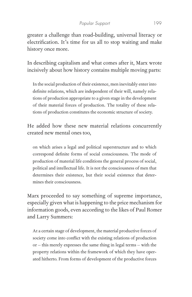greater a challenge than road-building, universal literacy or electrification. It's time for us all to stop waiting and make history once more.

In describing capitalism and what comes after it, Marx wrote incisively about how history contains multiple moving parts:

In the social production of their existence, men inevitably enter into definite relations, which are independent of their will, namely relations of production appropriate to a given stage in the development of their material forces of production. The totality of these relations of production constitutes the economic structure of society.

He added how these new material relations concurrently created new mental ones too,

on which arises a legal and political superstructure and to which correspond definite forms of social consciousness. The mode of production of material life conditions the general process of social, political and intellectual life. It is not the consciousness of men that determines their existence, but their social existence that determines their consciousness.

Marx proceeded to say something of supreme importance, especially given what is happening to the price mechanism for information goods, even according to the likes of Paul Romer and Larry Summers:

At a certain stage of development, the material productive forces of society come into conflict with the existing relations of production or – this merely expresses the same thing in legal terms – with the property relations within the framework of which they have operated hitherto. From forms of development of the productive forces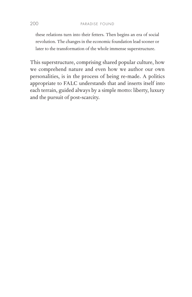these relations turn into their fetters. Then begins an era of social revolution. The changes in the economic foundation lead sooner or later to the transformation of the whole immense superstructure.

This superstructure, comprising shared popular culture, how we comprehend nature and even how we author our own personalities, is in the process of being re-made. A politics appropriate to FALC understands that and inserts itself into each terrain, guided always by a simple motto: liberty, luxury and the pursuit of post-scarcity.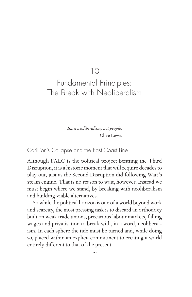## 10 Fundamental Principles: The Break with Neoliberalism

*Burn neoliberalism, not people.* Clive Lewis

#### Carillion's Collapse and the East Coast Line

Although FALC is the political project befitting the Third Disruption, it is a historic moment that will require decades to play out, just as the Second Disruption did following Watt's steam engine. That is no reason to wait, however. Instead we must begin where we stand, by breaking with neoliberalism and building viable alternatives.

So while the political horizon is one of a world beyond work and scarcity, the most pressing task is to discard an orthodoxy built on weak trade unions, precarious labour markets, falling wages and privatisation to break with, in a word, neoliberalism. In each sphere the tide must be turned and, while doing so, placed within an explicit commitment to creating a world entirely different to that of the present.

 $\sim$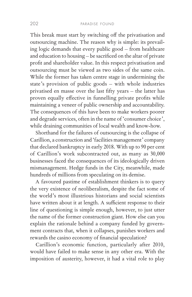This break must start by switching off the privatisation and outsourcing machine. The reason why is simple: its prevailing logic demands that every public good – from healthcare and education to housing – be sacrificed on the altar of private profit and shareholder value. In this respect privatisation and outsourcing must be viewed as two sides of the same coin. While the former has taken centre stage in undermining the state 's provision of public goods – with whole industries privatised en masse over the last fifty years – the latter has proven equally effective in funnelling private profits while maintaining a veneer of public ownership and accountability. The consequences of this have been to make workers poorer and degrade services, often in the name of 'consumer choice', while draining communities of local wealth and know-how.

Shorthand for the failures of outsourcing is the collapse of Carillion, a construction and 'facilities management' company that declared bankruptcy in early 2018. With up to 90 per cent of Carillion's work subcontracted out, as many as 30,000 businesses faced the consequences of its ideologically driven mismanagement. Hedge funds in the City, meanwhile, made hundreds of millions from speculating on its demise.

A favoured pastime of establishment thinkers is to query the very existence of neoliberalism, despite the fact some of the world's most illustrious historians and social scientists have written about it at length. A sufficient response to their line of questioning is simple enough, however, to just utter the name of the former construction giant. How else can you explain the rationale behind a company funded by government contracts that, when it collapses, punishes workers and rewards the casino economy of financial speculation?

Carillion's economic function, particularly after 2010, would have failed to make sense in any other era. With the imposition of austerity, however, it had a vital role to play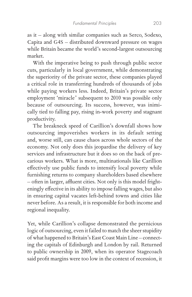as it – along with similar companies such as Serco, Sodexo, Capita and G4S – distributed downward pressure on wages while Britain became the world's second-largest outsourcing market.

With the imperative being to push through public sector cuts, particularly in local government, while demonstrating the superiority of the private sector, these companies played a critical role in transferring hundreds of thousands of jobs while paying workers less. Indeed, Britain's private sector employment 'miracle' subsequent to 2010 was possible only because of outsourcing. Its success, however, was inimically tied to falling pay, rising in-work poverty and stagnant productivity.

The breakneck speed of Carillion's downfall shows how outsourcing impoverishes workers in its default setting and, worse still, can cause chaos across whole sectors of the economy. Not only does this jeopardise the delivery of key services and infrastructure but it does so on the back of precarious workers. What is more, multinationals like Carillion effectively use public funds to intensify local poverty while furnishing returns to company shareholders based elsewhere – often in larger, affluent cities. Not only is this model frighteningly effective in its ability to impose falling wages, but also in ensuring capital vacates left-behind towns and cities like never before. As a result, it is responsible for both income and regional inequality.

Yet, while Carillion's collapse demonstrated the pernicious logic of outsourcing, even it failed to match the sheer stupidity of what happened to Britain's East Coast Main Line – connecting the capitals of Edinburgh and London by rail. Returned to public ownership in 2009, when its operator Stagecoach said profit margins were too low in the context of recession, it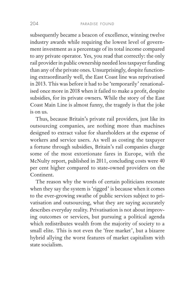subsequently became a beacon of excellence, winning twelve industry awards while requiring the lowest level of government investment as a percentage of its total income compared to any private operator. Yes, you read that correctly: the only rail provider in public ownership needed less taxpayer funding than any of the private ones. Unsurprisingly, despite functioning extraordinarily well, the East Coast line was reprivatised in 2013. This was before it had to be 'temporarily' renationalised once more in 2018 when it failed to make a profit, despite subsidies, for its private owners. While the story of the East Coast Main Line is almost funny, the tragedy is that the joke is on us.

Thus, because Britain's private rail providers, just like its outsourcing companies, are nothing more than machines designed to extract value for shareholders at the expense of workers and service users. As well as costing the taxpayer a fortune through subsidies, Britain's rail companies charge some of the most extortionate fares in Europe, with the McNulty report, published in 2011, concluding costs were 40 per cent higher compared to state-owned providers on the Continent.

The reason why the words of certain politicians resonate when they say the system is 'rigged' is because when it comes to the ever-growing swathe of public services subject to privatisation and outsourcing, what they are saying accurately describes everyday reality. Privatisation is not about improving outcomes or services, but pursuing a political agenda which redistributes wealth from the majority of society to a small elite. This is not even the 'free market', but a bizarre hybrid allying the worst features of market capitalism with state socialism.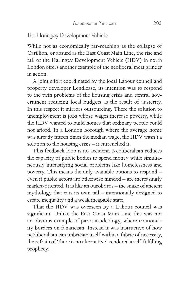#### The Haringey Development Vehicle

While not as economically far-reaching as the collapse of Carillion, or absurd as the East Coast Main Line, the rise and fall of the Haringey Development Vehicle (HDV) in north London offers another example of the neoliberal meat grinder in action.

A joint effort coordinated by the local Labour council and property developer Lendlease, its intention was to respond to the twin problems of the housing crisis and central government reducing local budgets as the result of austerity. In this respect it mirrors outsourcing. There the solution to unemployment is jobs whose wages increase poverty, while the HDV wanted to build homes that ordinary people could not afford. In a London borough where the average home was already fifteen times the median wage, the HDV wasn't a solution to the housing crisis – it entrenched it.

This feedback loop is no accident. Neoliberalism reduces the capacity of public bodies to spend money while simultaneously intensifying social problems like homelessness and poverty. This means the only available options to respond – even if public actors are otherwise minded – are increasingly market-oriented. It is like an ouroboros – the snake of ancient mythology that eats its own tail – intentionally designed to create inequality and a weak incapable state.

That the HDV was overseen by a Labour council was significant. Unlike the East Coast Main Line this was not an obvious example of partisan ideology, where irrationality borders on fanaticism. Instead it was instructive of how neoliberalism can imbricate itself within a fabric of necessity, the refrain of 'there is no alternative' rendered a self-fulfilling prophecy.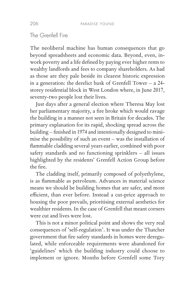The Grenfell Fire

The neoliberal machine has human consequences that go beyond spreadsheets and economic data. Beyond, even, inwork poverty and a life defined by paying ever higher rents to wealthy landlords and fees to company shareholders. As bad as those are they pale beside its clearest historic expression in a generation: the derelict husk of Grenfell Tower – a 24 storey residential block in West London where, in June 2017, seventy-two people lost their lives.

Just days after a general election where Theresa May lost her parliamentary majority, a fire broke which would ravage the building in a manner not seen in Britain for decades. The primary explanation for its rapid, shocking spread across the building – finished in 1974 and intentionally designed to minimise the possibility of such an event – was the installation of flammable cladding several years earlier, combined with poor safety standards and no functioning sprinklers – all issues highlighted by the residents' Grenfell Action Group before the fire.

The cladding itself, primarily composed of polyethylene, is as flammable as petroleum. Advances in material science means we should be building homes that are safer, and more efficient, than ever before. Instead a cut-price approach to housing the poor prevails, prioritising external aesthetics for wealthier residents. In the case of Grenfell that meant corners were cut and lives were lost.

This is not a minor political point and shows the very real consequences of 'self-regulation'. It was under the Thatcher government that fire safety standards in homes were deregulated, while enforceable requirements were abandoned for 'guidelines' which the building industry could choose to implement or ignore. Months before Grenfell some Tory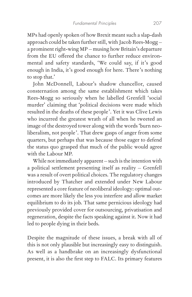MPs had openly spoken of how Brexit meant such a slap-dash approach could be taken further still, with Jacob Rees-Mogg – a prominent right-wing MP – musing how Britain's departure from the EU offered the chance to further reduce environmental and safety standards, 'We could say, if it's good enough in India, it's good enough for here. There's nothing to stop that.'

John McDonnell, Labour's shadow chancellor, caused consternation among the same establishment which takes Rees-Mogg so seriously when he labelled Grenfell 'social murder' claiming that 'political decisions were made which resulted in the deaths of these people'. Yet it was Clive Lewis who incurred the greatest wrath of all when he tweeted an image of the destroyed tower along with the words 'burn neoliberalism, not people'. That drew gasps of anger from some quarters, but perhaps that was because those eager to defend the status quo grasped that much of the public would agree with the Labour MP.

While not immediately apparent – such is the intention with a political settlement presenting itself as reality – Grenfell was a result of overt political choices. The regulatory changes introduced by Thatcher and extended under New Labour represented a core feature of neoliberal ideology: optimal outcomes are more likely the less you interfere and allow market equilibrium to do its job. That same pernicious ideology had previously provided cover for outsourcing, privatisation and regeneration, despite the facts speaking against it. Now it had led to people dying in their beds.

Despite the magnitude of these issues, a break with all of this is not only plausible but increasingly easy to distinguish. As well as a handbrake on an increasingly dysfunctional present, it is also the first step to FALC. Its primary features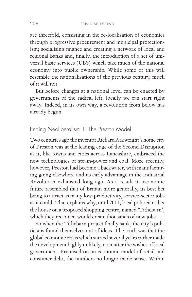are threefold, consisting in the re-localisation of economies through progressive procurement and municipal protectionism; socialising finance and creating a network of local and regional banks and, finally, the introduction of a set of universal basic services (UBS) which take much of the national economy into public ownership. While some of this will resemble the nationalisations of the previous century, much of it will not.

But before changes at a national level can be enacted by governments of the radical left, locally we can start right away. Indeed, in its own way, a revolution from below has already begun.

## Ending Neoliberalism 1: The Preston Model

Two centuries ago the inventor Richard Arkwright's home city of Preston was at the leading edge of the Second Disruption as it, like towns and cities across Lancashire, embraced the new technologies of steam-power and coal. More recently, however, Preston had become a backwater, with manufacturing going elsewhere and its early advantage in the Industrial Revolution exhausted long ago. As a result its economic future resembled that of Britain more generally, its best bet being to attract as many low-productivity, service-sector jobs as it could. That explains why, until 2011, local politicians bet the house on a proposed shopping centre, named 'Tithebarn', which they reckoned would create thousands of new jobs.

So when the Tithebarn project finally sank, the city's politicians found themselves out of ideas. The truth was that the global economic crisis which started several years earlier made the development highly unlikely, no matter the wishes of local government. Premised on an economic model of retail and consumer debt, the numbers no longer made sense. Within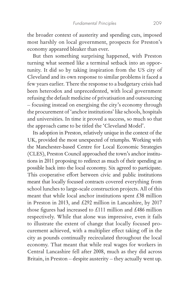the broader context of austerity and spending cuts, imposed most harshly on local government, prospects for Preston's economy appeared bleaker than ever.

But then something surprising happened, with Preston turning what seemed like a terminal setback into an opportunity. It did so by taking inspiration from the US city of Cleveland and its own response to similar problems it faced a few years earlier. There the response to a budgetary crisis had been heterodox and unprecedented, with local government refusing the default medicine of privatisation and outsourcing – focusing instead on energising the city's economy through the procurement of 'anchor institutions' like schools, hospitals and universities. In time it proved a success, so much so that the approach came to be titled the 'Cleveland Model'.

Its adoption in Preston, relatively unique in the context of the UK, provided the most unexpected of triumphs. Working with the Manchester-based Centre for Local Economic Strategies (CLES), Preston Council approached the town's anchor institutions in 2011 proposing to redirect as much of their spending as possible back into the local economy. Six agreed to participate. This cooperative effort between civic and public institutions meant that locally focused contracts covered everything from school lunches to large-scale construction projects. All of this meant that while local anchor institutions spent  $£38$  million in Preston in 2013, and £292 million in Lancashire, by 2017 those figures had increased to £111 million and £486 million respectively. While that alone was impressive, even it fails to illustrate the extent of change that locally focused procurement achieved, with a multiplier effect taking off in the city as pounds continually recirculated throughout the local economy. That meant that while real wages for workers in Central Lancashire fell after 2008, much as they did across Britain, in Preston – despite austerity – they actually went up.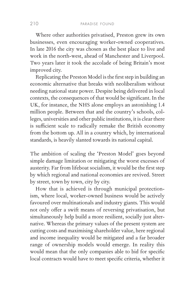Where other authorities privatised, Preston grew its own businesses, even encouraging worker-owned cooperatives. In late 2016 the city was chosen as the best place to live and work in the north-west, ahead of Manchester and Liverpool. Two years later it took the accolade of being Britain's most improved city.

Replicating the Preston Model is the first step in building an economic alternative that breaks with neoliberalism without needing national state power. Despite being delivered in local contexts, the consequences of that would be significant. In the UK, for instance, the NHS alone employs an astonishing 1.4 million people. Between that and the country's schools, colleges, universities and other public institutions, it is clear there is sufficient scale to radically remake the British economy from the bottom up. All in a country which, by international standards, is heavily slanted towards its national capital.

The ambition of scaling the 'Preston Model' goes beyond simple damage limitation or mitigating the worst excesses of austerity. Far from lifeboat socialism, it would be the first step by which regional and national economies are revived. Street by street, town by town, city by city.

How that is achieved is through municipal protectionism, where local, worker-owned business would be actively favoured over multinationals and industry giants. This would not only offer a swift means of reversing privatisation, but simultaneously help build a more resilient, socially just alternative. Whereas the primary values of the present system are cutting costs and maximising shareholder value, here regional and income inequality would be mitigated and a far broader range of ownership models would emerge. In reality this would mean that the only companies able to bid for specific local contracts would have to meet specific criteria, whether it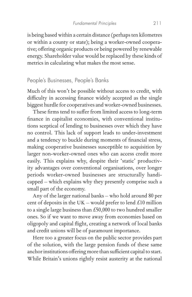is being based within a certain distance (perhaps ten kilometres or within a county or state); being a worker-owned cooperative; offering organic products or being powered by renewable energy. Shareholder value would be replaced by these kinds of metrics in calculating what makes the most sense.

## People's Businesses, People's Banks

Much of this won't be possible without access to credit, with difficulty in accessing finance widely accepted as the single biggest hurdle for cooperatives and worker-owned businesses.

These firms tend to suffer from limited access to long-term finance in capitalist economies, with conventional institutions sceptical of lending to businesses over which they have no control. This lack of support leads to under-investment and a tendency to buckle during moments of financial stress, making cooperative businesses susceptible to acquisition by larger non-worker-owned ones who can access credit more easily. This explains why, despite their 'static' productivity advantages over conventional organisations, over longer periods worker-owned businesses are structurally handicapped – which explains why they presently comprise such a small part of the economy.

Any of the larger national banks – who hold around 80 per cent of deposits in the UK – would prefer to lend  $\pounds 10$  million to a single large business than  $£50,000$  to two hundred smaller ones. So if we want to move away from economies based on oligopoly and capital flight, creating a network of local banks and credit unions will be of paramount importance.

Here too a greater focus on the public sector provides part of the solution, with the large pension funds of these same anchor institutions offering more than sufficient capital to start. While Britain's unions rightly resist austerity at the national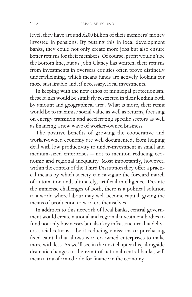level, they have around  $£200$  billion of their members' money invested in pensions. By putting this in local development banks, they could not only create more jobs but also ensure better returns for their members. Of course, profit wouldn't be the bottom line, but as John Clancy has written, their returns from investments in overseas equities often prove distinctly underwhelming, which means funds are actively looking for more sustainable and, if necessary, local investments.

In keeping with the new ethos of municipal protectionism, these banks would be similarly restricted in their lending both by amount and geographical area. What is more, their remit would be to maximise social value as well as returns, focusing on energy transition and accelerating specific sectors as well as financing a new wave of worker-owned business.

The positive benefits of growing the cooperative and worker-owned economy are well documented, from helping deal with low productivity to under-investment in small and medium-sized enterprises – not to mention reducing economic and regional inequality. Most importantly, however, within the context of the Third Disruption they offer a practical means by which society can navigate the forward march of automation and, ultimately, artificial intelligence. Despite the immense challenges of both, there is a political solution to a world where labour may well become capital: giving the means of production to workers themselves.

In addition to this network of local banks, central government would create national and regional investment bodies to fund not only businesses but also key infrastructure that delivers social returns – be it reducing emissions or purchasing fixed capital that allows worker-owned enterprises to make more with less. As we'll see in the next chapter this, alongside dramatic changes to the remit of national central banks, will mean a transformed role for finance in the economy.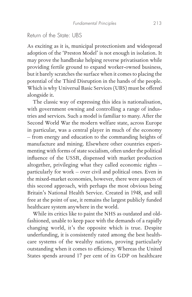## Return of the State: UBS

As exciting as it is, municipal protectionism and widespread adoption of the 'Preston Model' is not enough in isolation. It may prove the handbrake helping reverse privatisation while providing fertile ground to expand worker-owned business, but it barely scratches the surface when it comes to placing the potential of the Third Disruption in the hands of the people. Which is why Universal Basic Services (UBS) must be offered alongside it.

The classic way of expressing this idea is nationalisation, with government owning and controlling a range of industries and services. Such a model is familiar to many. After the Second World War the modern welfare state, across Europe in particular, was a central player in much of the economy – from energy and education to the commanding heights of manufacture and mining. Elsewhere other countries experimenting with forms of state socialism, often under the political influence of the USSR, dispensed with market production altogether, privileging what they called economic rights – particularly for work – over civil and political ones. Even in the mixed-market economies, however, there were aspects of this second approach, with perhaps the most obvious being Britain's National Health Service. Created in 1948, and still free at the point of use, it remains the largest publicly funded healthcare system anywhere in the world.

While its critics like to paint the NHS as outdated and oldfashioned, unable to keep pace with the demands of a rapidly changing world, it's the opposite which is true. Despite underfunding, it is consistently rated among the best healthcare systems of the wealthy nations, proving particularly outstanding when it comes to efficiency. Whereas the United States spends around 17 per cent of its GDP on healthcare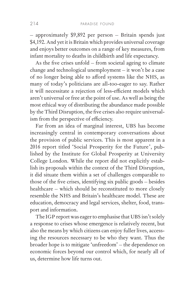– approximately \$9,892 per person – Britain spends just \$4,192. And yet it is Britain which provides universal coverage and enjoys better outcomes on a range of key measures, from infant mortality to deaths in childbirth and life expectancy.

As the five crises unfold – from societal ageing to climate change and technological unemployment – it won't be a case of no longer being able to afford systems like the NHS, as many of today's politicians are all-too-eager to say. Rather it will necessitate a rejection of less-efficient models which aren't universal or free at the point of use. As well as being the most ethical way of distributing the abundance made possible by the Third Disruption, the five crises also require universalism from the perspective of efficiency.

Far from an idea of marginal interest, UBS has become increasingly central in contemporary conversations about the provision of public services. This is most apparent in a 2016 report titled 'Social Prosperity for the Future', published by the Institute for Global Prosperity at University College London. While the report did not explicitly establish its proposals within the context of the Third Disruption, it did situate them within a set of challenges comparable to those of the five crises, identifying six public goods – besides healthcare – which should be reconstituted to more closely resemble the NHS and Britain's healthcare model. These are education, democracy and legal services, shelter, food, transport and information.

The IGP report was eager to emphasise that UBS isn't solely a response to crises whose emergence is relatively recent, but also the means by which citizens can enjoy fuller lives, accessing the resources necessary to be who they want. Thus the broader hope is to mitigate 'unfreedom' – the dependence on economic forces beyond our control which, for nearly all of us, determine how life turns out.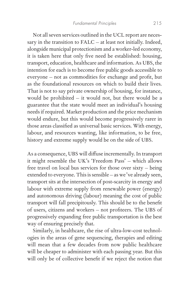Not all seven services outlined in the UCL report are necessary in the transition to FALC – at least not initially. Indeed, alongside municipal protectionism and a worker-led economy, it is taken here that only five need be established: housing, transport, education, healthcare and information. As UBS, the intention for each is to become free public goods accessible to everyone – not as commodities for exchange and profit, but as the foundational resources on which to build their lives. That is not to say private ownership of housing, for instance, would be prohibited – it would not, but there would be a guarantee that the state would meet an individual's housing needs if required. Market production and the price mechanism would endure, but this would become progressively rarer in those areas classified as universal basic services. With energy, labour, and resources wanting, like information, to be free, history and extreme supply would be on the side of UBS.

As a consequence, UBS will diffuse incrementally. In transport it might resemble the UK's 'Freedom Pass' – which allows free travel on local bus services for those over sixty – being extended to everyone. This is sensible – as we've already seen, transport sits at the intersection of post-scarcity in energy and labour with extreme supply from renewable power (energy) and autonomous driving (labour) meaning the cost of public transport will fall precipitously. This should be to the benefit of users, citizens and workers – not profiteers. The UBS of progressively expanding free public transportation is the best way of ensuring precisely that.

Similarly, in healthcare, the rise of ultra-low-cost technologies in the areas of gene sequencing, therapies and editing will mean that a few decades from now public healthcare will be cheaper to administer with each passing year. But this will only be of collective benefit if we reject the notion that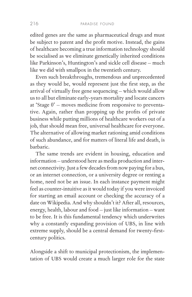edited genes are the same as pharmaceutical drugs and must be subject to patent and the profit motive. Instead, the gains of healthcare becoming a true information technology should be socialised as we eliminate genetically inherited conditions like Parkinson's, Huntington's and sickle cell disease – much like we did with smallpox in the twentieth century.

Even such breakthroughs, tremendous and unprecedented as they would be, would represent just the first step, as the arrival of virtually free gene sequencing – which would allow us to all but eliminate early-years mortality and locate cancers at 'Stage 0' – moves medicine from responsive to preventative. Again, rather than propping up the profits of private business while putting millions of healthcare workers out of a job, that should mean free, universal healthcare for everyone. The alternative of allowing market rationing amid conditions of such abundance, and for matters of literal life and death, is barbaric.

The same trends are evident in housing, education and information – understood here as media production and internet connectivity. Just a few decades from now paying for a bus, or an internet connection, or a university degree or renting a home, need not be an issue. In each instance payment might feel as counter-intuitive as it would today if you were invoiced for starting an email account or checking the accuracy of a date on Wikipedia. And why shouldn't it? After all, resources, energy, health, labour and food – just like information – want to be free. It is this fundamental tendency which underwrites why a constantly expanding provision of UBS, in line with extreme supply, should be a central demand for twenty-firstcentury politics.

Alongside a shift to municipal protectionism, the implementation of UBS would create a much larger role for the state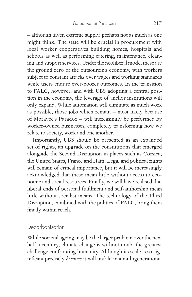– although given extreme supply, perhaps not as much as one might think. The state will be crucial in procurement with local worker cooperatives building homes, hospitals and schools as well as performing catering, maintenance, cleaning and support services. Under the neoliberal model these are the ground zero of the outsourcing economy, with workers subject to constant attacks over wages and working standards while users endure ever-poorer outcomes. In the transition to FALC, however, and with UBS adopting a central position in the economy, the leverage of anchor institutions will only expand. While automation will eliminate as much work as possible, those jobs which remain – most likely because of Moravec's Paradox – will increasingly be performed by worker-owned businesses, completely transforming how we relate to society, work and one another.

Importantly, UBS should be presented as an expanded set of rights, an upgrade on the constitutions that emerged alongside the Second Disruption in places such as Corsica, the United States, France and Haiti. Legal and political rights will remain of critical importance, but it will be increasingly acknowledged that these mean little without access to economic and social resources. Finally, we will have realised that liberal ends of personal fulfilment and self-authorship mean little without socialist means. The technology of the Third Disruption, combined with the politics of FALC, bring them finally within reach.

### Decarbonisation

While societal ageing may be the larger problem over the next half a century, climate change is without doubt the greatest challenge confronting humanity. Although its scale is so significant precisely *because* it will unfold in a multigenerational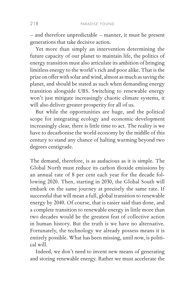– and therefore unpredictable – manner, it must be present generations that take decisive action.

Yet more than simply an intervention determining the future capacity of our planet to maintain life, the politics of energy transition must also articulate its ambition of bringing limitless energy to the world's rich and poor alike. That is the prize on offer with solar and wind, almost as much as saving the planet, and should be stated as such when demanding energy transition alongside UBS. Switching to renewable energy won't just mitigate increasingly chaotic climate systems, it will also deliver greater prosperity for all of us.

But while the opportunities are huge, and the political scope for integrating ecology and economic development increasingly clear, there is little time to act. The reality is we have to decarbonise the world economy by the middle of this century to stand any chance of halting warming beyond two degrees centigrade.

The demand, therefore, is as audacious as it is simple. The Global North must reduce its carbon dioxide emissions by an annual rate of 8 per cent each year for the decade following 2020. Then, starting in 2030, the Global South will embark on the same journey at precisely the same rate. If successful that will mean a full, global transition to renewable energy by 2040. Of course, that is easier said than done, and a complete transition to renewable energy in little more than two decades would be the greatest feat of collective action in human history. But the truth is we have no alternative. Fortunately, the technology we already possess means it is entirely possible. What has been missing, until now, is political will.

Indeed, we don't need to invent new means of generating and storing renewable energy. Rather we must accelerate the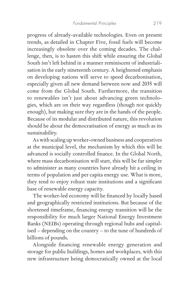progress of already-available technologies. Even on present trends, as detailed in Chapter Five, fossil fuels will become increasingly obsolete over the coming decades. The challenge, then, is to hasten this shift while ensuring the Global South isn't left behind in a manner reminiscent of industrialisation in the early nineteenth century. A heightened emphasis on developing nations will serve to speed decarbonisation, especially given all new demand between now and 2035 will come from the Global South. Furthermore, the transition to renewables isn't just about advancing green technologies, which are on their way regardless (though not quickly enough), but making sure they are in the hands of the people. Because of its modular and distributed nature, this revolution should be about the democratisation of energy as much as its sustainability.

As with scaling up worker-owned business and cooperatives at the municipal level, the mechanism by which this will be advanced is socially controlled finance. In the Global North, where mass decarbonisation will start, this will be far simpler to administer as many countries have already hit a ceiling in terms of population and per capita energy use. What is more, they tend to enjoy robust state institutions and a significant base of renewable energy capacity.

The worker-led economy will be financed by locally based and geographically restricted institutions. But because of the shortened timeframe, financing energy transition will be the responsibility for much larger National Energy Investment Banks (NEIBs) operating through regional hubs and capitalised – depending on the country – to the tune of hundreds of billions of pounds.

Alongside financing renewable energy generation and storage for public buildings, homes and workplaces, with this new infrastructure being democratically owned at the local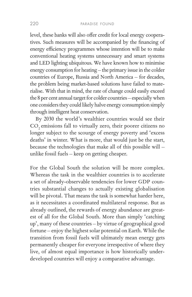level, these banks will also offer credit for local energy cooperatives. Such measures will be accompanied by the financing of energy efficiency programmes whose intention will be to make conventional heating systems unnecessary and smart systems and LED lighting ubiquitous. We have known how to minimise energy consumption for heating – the primary issue in the colder countries of Europe, Russia and North America – for decades, the problem being market-based solutions have failed to materialise. With that in mind, the rate of change could easily exceed the 8 per cent annual target for colder countries – especially when one considers they could likely halve energy consumption simply through intelligent heat conservation.

By 2030 the world's wealthier countries would see their CO<sub>2</sub> emissions fall to virtually zero, their poorer citizens no longer subject to the scourge of energy poverty and 'excess deaths' in winter. What is more, that would just be the start, because the technologies that make all of this possible will – unlike fossil fuels – keep on getting cheaper.

For the Global South the solution will be more complex. Whereas the task in the wealthier countries is to accelerate a set of already-observable tendencies for lower GDP countries substantial changes to actually existing globalisation will be pivotal. That means the task is somewhat harder here, as it necessitates a coordinated multilateral response. But as already outlined, the rewards of energy abundance are greatest of all for the Global South. More than simply 'catching up', many of these countries – by virtue of geographical good fortune – enjoy the highest solar potential on Earth. While the transition from fossil fuels will ultimately mean energy gets permanently cheaper for everyone irrespective of where they live, of almost equal importance is how historically underdeveloped countries will enjoy a comparative advantage.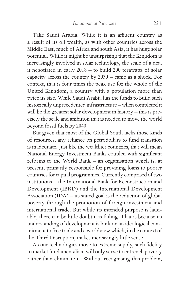Take Saudi Arabia. While it is an affluent country as a result of its oil wealth, as with other countries across the Middle East, much of Africa and south Asia, it has huge solar potential. While it might be unsurprising that the Kingdom is increasingly involved in solar technology, the scale of a deal it negotiated in early 2018 – to build 200 terawatts of solar capacity across the country by 2030 – came as a shock. For context, that is four times the peak use for the whole of the United Kingdom, a country with a population more than twice its size. While Saudi Arabia has the funds to build such historically unprecedented infrastructure – when completed it will be the greatest solar development in history – this is precisely the scale and ambition that is needed to move the world beyond fossil fuels by 2040.

But given that most of the Global South lacks those kinds of resources, any reliance on petrodollars to fund transition is inadequate. Just like the wealthier countries, that will mean National Energy Investment Banks coupled with significant reforms to the World Bank – an organisation which is, at present, primarily responsible for providing loans to poorer countries for capital programmes. Currently comprised of two institutions – the International Bank for Reconstruction and Development (IBRD) and the International Development Association (IDA) – its stated goal is the reduction of global poverty through the promotion of foreign investment and international trade. But while its intended purpose is laudable, there can be little doubt it is failing. That is because its understanding of development is built on an ideological commitment to free trade and a worldview which, in the context of the Third Disruption, makes increasingly little sense.

As our technologies move to extreme supply, such fidelity to market fundamentalism will only serve to entrench poverty rather than eliminate it. Without recognising this problem,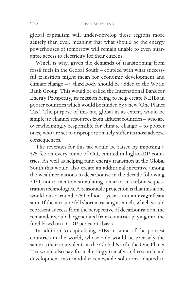global capitalism will under-develop these regions more acutely than ever, meaning that what should be the energy powerhouses of tomorrow will remain unable to even guarantee access to electricity for their citizens.

Which is why, given the demands of transitioning from fossil fuels in the Global South – coupled with what successful transition might mean for economic development and climate change – a third body should be added to the World Bank Group. This would be called the International Bank for Energy Prosperity, its mission being to help create NEIBs in poorer countries which would be funded by a new 'One Planet Tax'. The purpose of this tax, global in its extent, would be simple: to channel resources from affluent countries – who are overwhelmingly responsible for climate change – to poorer ones, who are set to disproportionately suffer its most adverse consequences.

The revenues for this tax would be raised by imposing a \$25 fee on every tonne of  $\mathrm{CO}_2$  emitted in high-GDP countries. As well as helping fund energy transition in the Global South this would also create an additional incentive among the wealthier nations to decarbonise in the decade following 2020, not to mention stimulating a market in carbon sequestration technologies. A reasonable projection is that this alone would raise around \$250 billion a year – not an insignificant sum. If the measure fell short in raising as much, which would represent success from the perspective of decarbonisation, the remainder would be generated from countries paying into the fund based on a GDP per capita basis.

In addition to capitalising EIBs in some of the poorest countries in the world, whose role would be precisely the same as their equivalents in the Global North, the One Planet Tax would also pay for technology transfer and research and development into modular renewable solutions adapted to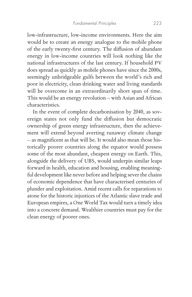low-infrastructure, low-income environments. Here the aim would be to create an energy analogue to the mobile phone of the early twenty-first century. The diffusion of abundant energy in low-income countries will look nothing like the national infrastructures of the last century. If household PV does spread as quickly as mobile phones have since the 2000s, seemingly unbridgeable gulfs between the world's rich and poor in electricity, clean drinking water and living standards will be overcome in an extraordinarily short span of time. This would be an energy revolution – with Asian and African characteristics.

In the event of complete decarbonisation by 2040, as sovereign states not only fund the diffusion but democratic ownership of green energy infrastructure, then the achievement will extend beyond averting runaway climate change – as magnificent as that will be. It would also mean those historically poorer countries along the equator would possess some of the most abundant, cheapest energy on Earth. This, alongside the delivery of UBS, would underpin similar leaps forward in health, education and housing, enabling meaningful development like never before and helping sever the chains of economic dependence that have characterised centuries of plunder and exploitation. Amid recent calls for reparations to atone for the historic injustices of the Atlantic slave trade and European empires, a One World Tax would turn a timely idea into a concrete demand. Wealthier countries must pay for the clean energy of poorer ones.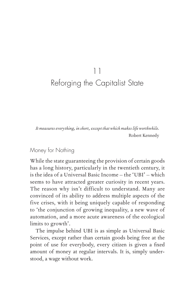## 11 Reforging the Capitalist State

*It measures everything, in short, except that which makes life worthwhile.*  Robert Kennedy

## Money for Nothing

While the state guaranteeing the provision of certain goods has a long history, particularly in the twentieth century, it is the idea of a Universal Basic Income – the 'UBI' – which seems to have attracted greater curiosity in recent years. The reason why isn't difficult to understand. Many are convinced of its ability to address multiple aspects of the five crises, with it being uniquely capable of responding to 'the conjunction of growing inequality, a new wave of automation, and a more acute awareness of the ecological limits to growth'.

The impulse behind UBI is as simple as Universal Basic Services, except rather than certain goods being free at the point of use for everybody, every citizen is given a fixed amount of money at regular intervals. It is, simply understood, a wage without work.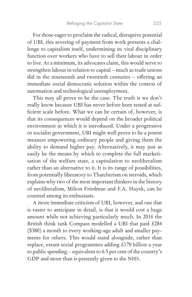For those eager to proclaim the radical, disruptive potential of UBI, this severing of payment from work presents a challenge to capitalism itself, undermining its vital disciplinary function over workers who have to sell their labour in order to live. At a minimum, its advocates claim, this would serve to strengthen labour in relation to capital – much as trade unions did in the nineteenth and twentieth centuries – offering an immediate social democratic solution within the context of automation and technological unemployment.

This may all prove to be the case. The truth is we don't really know because UBI has never before been tested at sufficient scale before. What we can be certain of, however, is that its consequences would depend on the broader political environment in which it is introduced. Under a progressive or socialist government, UBI might well prove to be a potent measure empowering ordinary people and giving them the ability to demand higher pay. Alternatively, it may just as easily be the means by which to complete the full marketisation of the welfare state, a capitulation to neoliberalism rather than an alternative to it. It is its range of possibilities, from potentially liberatory to Thatcherism on steroids, which explains why two of the most important thinkers in the history of neoliberalism, Milton Friedman and F.A. Hayek, can be counted among its enthusiasts.

A more immediate criticism of UBI, however, and one that is easier to anticipate in detail, is that it would cost a huge amount while not achieving particularly much. In 2016 the British think tank Compass modelled a UBI that paid £284 (\$380) a month to every working-age adult and smaller payments for others. This would stand alongside, rather than replace, extant social programmes adding  $£170$  billion a year to public spending – equivalent to 6.5 per cent of the country's GDP and more than is presently given to the NHS.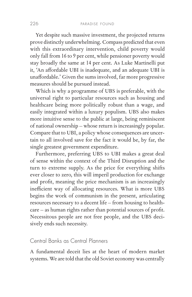Yet despite such massive investment, the projected returns prove distinctly underwhelming. Compass predicted that even with this extraordinary intervention, child poverty would only fall from 16 to 9 per cent, while pensioner poverty would stay broadly the same at 14 per cent. As Luke Martinelli put it, 'An affordable UBI is inadequate, and an adequate UBI is unaffordable.' Given the sums involved, far more progressive measures should be pursued instead.

Which is why a programme of UBS is preferable, with the universal right to particular resources such as housing and healthcare being more politically robust than a wage, and easily integrated within a luxury populism. UBS also makes more intuitive sense to the public at large, being reminiscent of national ownership – whose return is increasingly popular. Compare that to UBI, a policy whose consequences are uncertain to all involved save for the fact it would be, by far, the single greatest government expenditure.

Furthermore, preferring UBS to UBI makes a great deal of sense within the context of the Third Disruption and the turn to extreme supply. As the price for everything shifts ever closer to zero, this will imperil production for exchange and profit, meaning the price mechanism is an increasingly inefficient way of allocating resources. What is more UBS begins the work of communism in the present, articulating resources necessary to a decent life – from housing to healthcare – as human rights rather than potential sources of profit. Necessitous people are not free people, and the UBS decisively ends such necessity.

## Central Banks as Central Planners

A fundamental deceit lies at the heart of modern market systems. We are told that the old Soviet economy was centrally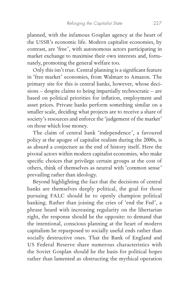planned, with the infamous Gosplan agency at the heart of the USSR's economic life. Modern capitalist economies, by contrast, are 'free', with autonomous actors participating in market exchange to maximise their own interests and, fortunately, promoting the general welfare too.

Only this isn't true. Central planning is a significant feature in 'free market' economies, from Walmart to Amazon. The primary site for this is central banks, however, whose decisions – despite claims to being impartially technocratic – are based on political priorities for inflation, employment and asset prices. Private banks perform something similar on a smaller scale, deciding what projects are to receive a share of society's resources and enforce the 'judgement of the market' on those which lose money.

The claim of central bank 'independence ', a favoured policy at the apogee of capitalist realism during the 2000s, is as absurd a conjecture as the end of history itself. Here the pivotal actors within modern capitalist economies, who make specific choices that privilege certain groups at the cost of others, think of themselves as neutral with 'common sense' prevailing rather than ideology.

Beyond highlighting the fact that the decisions of central banks are themselves deeply political, the goal for those pursuing FALC should be to openly champion political banking. Rather than joining the cries of 'end the Fed', a phrase heard with increasing regularity on the libertarian right, the response should be the opposite: to demand that the intentional, conscious planning at the heart of modern capitalism be repurposed to socially useful ends rather than socially destructive ones. That the Bank of England and US Federal Reserve share numerous characteristics with the Soviet Gosplan should be the basis for political hopes rather than lamented as obstructing the mythical operation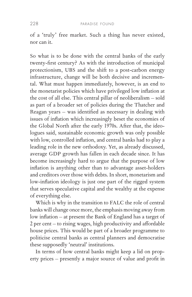of a 'truly' free market. Such a thing has never existed, nor can it.

So what is to be done with the central banks of the early twenty-first century? As with the introduction of municipal protectionism, UBS and the shift to a post-carbon energy infrastructure, change will be both decisive and incremental. What must happen immediately, however, is an end to the monetarist policies which have privileged low inflation at the cost of all else. This central pillar of neoliberalism – sold as part of a broader set of policies during the Thatcher and Reagan years – was identified as necessary in dealing with issues of inflation which increasingly beset the economies of the Global North after the early 1970s. After that, the ideologues said, sustainable economic growth was only possible with low, controlled inflation, and central banks had to play a leading role in the new orthodoxy. Yet, as already discussed, average GDP growth has fallen in each decade since. It has become increasingly hard to argue that the purpose of low inflation is anything other than to advantage asset-holders and creditors over those with debts. In short, monetarism and low-inflation ideology is just one part of the rigged system that serves speculative capital and the wealthy at the expense of everything else.

Which is why in the transition to FALC the role of central banks will change once more, the emphasis moving away from low inflation – at present the Bank of England has a target of 2 per cent – to rising wages, high productivity and affordable house prices. This would be part of a broader programme to politicise central banks as central planners and democratise these supposedly 'neutral' institutions.

In terms of how central banks might keep a lid on property prices – presently a major source of value and profit in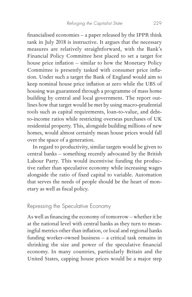financialised economies – a paper released by the IPPR think tank in July 2018 is instructive. It argues that the necessary measures are relatively straightforward, with the Bank's Financial Policy Committee best placed to set a target for house price inflation – similar to how the Monetary Policy Committee is presently tasked with consumer price inflation. Under such a target the Bank of England would aim to keep nominal house price inflation at zero while the UBS of housing was guaranteed through a programme of mass home building by central and local government. The report outlines how that target would be met by using macro-prudential tools such as capital requirements, loan-to-value, and debtto-income ratios while restricting overseas purchases of UK residential property. This, alongside building millions of new homes, would almost certainly mean house prices would fall over the space of a generation.

In regard to productivity, similar targets would be given to central banks – something recently advocated by the British Labour Party. This would incentivise funding the productive rather than speculative economy while increasing wages alongside the ratio of fixed capital to variable. Automation that serves the needs of people should be the heart of monetary as well as fiscal policy.

### Repressing the Speculative Economy

As well as financing the economy of tomorrow – whether it be at the national level with central banks as they turn to meaningful metrics other than inflation, or local and regional banks funding worker-owned business – a critical task remains in shrinking the size and power of the speculative financial economy. In many countries, particularly Britain and the United States, capping house prices would be a major step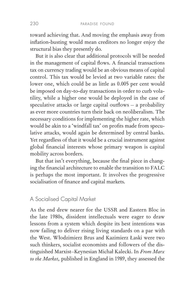toward achieving that. And moving the emphasis away from inflation-busting would mean creditors no longer enjoy the structural bias they presently do.

But it is also clear that additional protocols will be needed in the management of capital flows. A financial transactions tax on currency trading would be an obvious means of capital control. This tax would be levied at two variable rates: the lower one, which could be as little as 0.005 per cent would be imposed on day-to-day transactions in order to curb volatility, while a higher one would be deployed in the case of speculative attacks or large capital outflows – a probability as ever more countries turn their back on neoliberalism. The necessary conditions for implementing the higher rate, which would be akin to a 'windfall tax' on profits made from speculative attacks, would again be determined by central banks. Yet regardless of that it would be a crucial instrument against global financial interests whose primary weapon is capital mobility across borders.

But that isn't everything, because the final piece in changing the financial architecture to enable the transition to FALC is perhaps the most important. It involves the progressive socialisation of finance and capital markets.

## A Socialised Capital Market

As the end drew nearer for the USSR and Eastern Bloc in the late 1980s, dissident intellectuals were eager to draw lessons from a system which despite its best intentions was now failing to deliver rising living standards on a par with the West. Włodzimierz Brus and Kazimierz Łaski were two such thinkers, socialist economists and followers of the distinguished Marxist–Keynesian Michał Kalecki. In *From Marx to the Market,* published in England in 1989, they assessed the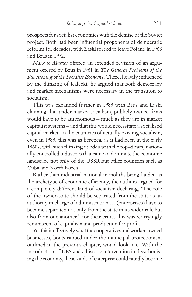prospects for socialist economics with the demise of the Soviet project. Both had been influential proponents of democratic reforms for decades, with Łaski forced to leave Poland in 1968 and Brus in 1972.

*Marx to Market* offered an extended revision of an argument offered by Brus in 1961 in *The General Problems of the Functioning of the Socialist Economy.* There, heavily influenced by the thinking of Kalecki, he argued that both democracy and market mechanisms were necessary in the transition to socialism.

This was expanded further in 1989 with Brus and Łaski claiming that under market socialism, publicly owned firms would have to be autonomous – much as they are in market capitalist systems – and that this would necessitate a socialised capital market. In the countries of actually existing socialism, even in 1989, this was as heretical as it had been in the early 1960s, with such thinking at odds with the top–down, nationally controlled industries that came to dominate the economic landscape not only of the USSR but other countries such as Cuba and North Korea.

Rather than industrial national monoliths being lauded as the archetype of economic efficiency, the authors argued for a completely different kind of socialism declaring, 'The role of the owner-state should be separated from the state as an authority in charge of administration … (enterprises) have to become separated not only from the state in its wider role but also from one another.' For their critics this was worryingly reminiscent of capitalism and production for profit.

Yet this is effectively what the cooperatives and worker-owned businesses, bootstrapped under the municipal protectionism outlined in the previous chapter, would look like. With the introduction of UBS and a historic intervention in decarbonising the economy, these kinds of enterprise could rapidly become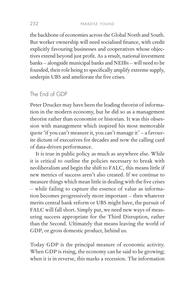the backbone of economies across the Global North and South. But worker ownership will need socialised finance, with credit explicitly favouring businesses and cooperatives whose objectives extend beyond just profit. As a result, national investment banks – alongside municipal banks and NEIBs – will need to be founded, their role being to specifically amplify extreme supply, underpin UBS and ameliorate the five crises.

## The End of GDP

Peter Drucker may have been the leading theorist of information in the modern economy, but he did so as a management theorist rather than economist or historian. It was this obsession with management which inspired his most memorable quote 'if you can't measure it, you can't manage it' – a favourite dictum of executives for decades and now the calling card of data-driven performance.

It is true in public policy as much as anywhere else. While it is critical to outline the policies necessary to break with neoliberalism and begin the shift to FALC, this means little if new metrics of success aren't also created. If we continue to measure things which mean little in dealing with the five crises – while failing to capture the essence of value as information becomes progressively more important – then whatever merits central bank reform or UBS might have, the pursuit of FALC will fall short. Simply put, we need new ways of measuring success appropriate for the Third Disruption, rather than the Second. Ultimately that means leaving the world of GDP, or gross domestic product, behind us.

Today GDP is the principal measure of economic activity. When GDP is rising, the economy can be said to be growing; when it is in reverse, this marks a recession. The information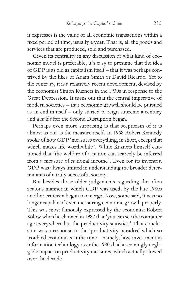it expresses is the value of all economic transactions within a fixed period of time, usually a year. That is, all the goods and services that are produced, sold and purchased.

Given its centrality in any discussion of what kind of economic model is preferable, it's easy to presume that the idea of GDP is as old as capitalism itself – that it was perhaps contrived by the likes of Adam Smith or David Ricardo. Yet to the contrary, it is a relatively recent development, devised by the economist Simon Kuznets in the 1930s in response to the Great Depression. It turns out that the central imperative of modern societies – that economic growth should be pursued as an end in itself – only started to reign supreme a century and a half after the Second Disruption began.

Perhaps even more surprising is that scepticism of it is almost as old as the measure itself. In 1968 Robert Kennedy spoke of how GDP 'measures everything, in short, except that which makes life worthwhile '. While Kuznets himself cautioned that 'the welfare of a nation can scarcely be inferred from a measure of national income '. Even for its inventor, GDP was always limited in understanding the broader determinants of a truly successful society.

But besides those older judgements regarding the often zealous manner in which GDP was used, by the late 1980s another criticism began to emerge. Now, some said, it was no longer capable of even measuring economic growth properly. This was most famously expressed by the economist Robert Solow when he claimed in 1987 that 'you can see the computer age everywhere but the productivity statistics.' That conclusion was a response to the 'productivity paradox' which so troubled economists at the time – namely, how investment in information technology over the 1980s had a seemingly negligible impact on productivity measures, which actually slowed over the decade.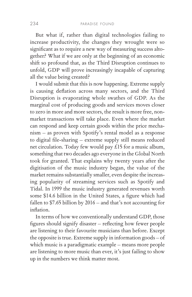But what if, rather than digital technologies failing to increase productivity, the changes they wrought were so significant as to require a new way of measuring success altogether? What if we are only at the beginning of an economic shift so profound that, as the Third Disruption continues to unfold, GDP will prove increasingly incapable of capturing all the value being created?

I would submit that this is now happening. Extreme supply is causing deflation across many sectors, and the Third Disruption is evaporating whole swathes of GDP. As the marginal cost of producing goods and services moves closer to zero in more and more sectors, the result is more free, nonmarket transactions will take place. Even where the market can respond and keep certain goods within the price mechanism – as proven with Spotify's rental model as a response to digital file-sharing – extreme supply still means reduced net circulation. Today few would pay  $£15$  for a music album, something that two decades ago everyone in the Global North took for granted. That explains why twenty years after the digitisation of the music industry began, the value of the market remains substantially smaller, even despite the increasing popularity of streaming services such as Spotify and Tidal. In 1999 the music industry generated revenues worth some \$14.6 billion in the United States, a figure which had fallen to \$7.65 billion by 2016 – and that's not accounting for inflation.

In terms of how we conventionally understand GDP, those figures should signify disaster – reflecting how fewer people are listening to their favourite musicians than before. Except the opposite is true. Extreme supply in information goods – of which music is a paradigmatic example – means more people are listening to more music than ever, it's just failing to show up in the numbers we think matter most.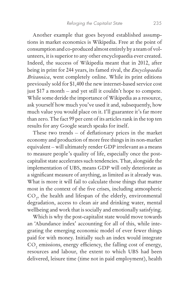Another example that goes beyond established assumptions in market economics is Wikipedia. Free at the point of consumption and co-produced almost entirely by a team of volunteers, it is superior to any other encyclopaedia ever created. Indeed, the success of Wikipedia meant that in 2012, after being in print for 244 years, its famed rival, the *Encyclopaedia Britannica*, went completely online. While its print editions previously sold for \$1,400 the new internet-based service cost just \$17 a month – and yet still it couldn't hope to compete. While some deride the importance of Wikipedia as a resource, ask yourself how much you've used it and, subsequently, how much value you would place on it. I'll guarantee it's far more than zero. The fact 99 per cent of its articles rank in the top ten results for any Google search speaks for itself.

These two trends – of deflationary prices in the market economy and production of more free things in its non-market equivalent – will ultimately render GDP irrelevant as a means to measure people's quality of life, especially once the postcapitalist state accelerates such tendencies. That, alongside the implementation of UBS, means GDP will only deteriorate as a significant measure of anything, as limited as it already was. What is more it will fail to calculate those things that matter most in the context of the five crises, including atmospheric  $\mathrm{CO}_2^{}$ , the health and lifespan of the elderly, environmental degradation, access to clean air and drinking water, mental wellbeing and work that is socially and emotionally satisfying.

Which is why the post-capitalist state would move towards an 'Abundance index' accounting for all of this, while integrating the emerging economic model of ever fewer things paid for with money. Initially such an index would integrate  $\mathrm{CO}_2$  emissions, energy efficiency, the falling cost of energy, resources and labour, the extent to which UBS had been delivered, leisure time (time not in paid employment), health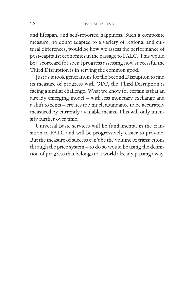and lifespan, and self-reported happiness. Such a composite measure, no doubt adapted to a variety of regional and cultural differences, would be how we assess the performance of post-capitalist economies in the passage to FALC. This would be a scorecard for social progress assessing how successful the Third Disruption is in serving the common good.

Just as it took generations for the Second Disruption to find its measure of progress with GDP, the Third Disruption is facing a similar challenge. What we know for certain is that an already emerging model – with less monetary exchange and a shift to rents – creates too much abundance to be accurately measured by currently available means. This will only intensify further over time.

Universal basic services will be fundamental in the transition to FALC and will be progressively easier to provide. But the measure of success can't be the volume of transactions through the price system – to do so would be using the definition of progress that belongs to a world already passing away.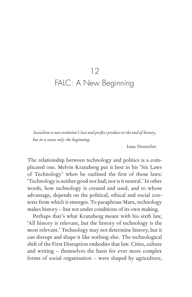# 12 FALC: A New Beginning

*Socialism is not evolution's last and perfect product or the end of history, but in a sense only the beginning.*

Isaac Deutscher

The relationship between technology and politics is a complicated one. Melvin Kranzberg put it best in his 'Six Laws of Technology' when he outlined the first of those laws: 'Technology is neither good nor bad; nor is it neutral.' In other words, how technology is created and used, and to whose advantage, depends on the political, ethical and social contexts from which it emerges. To paraphrase Marx, technology makes history – but not under conditions of its own making.

Perhaps that's what Kranzberg meant with his sixth law, 'All history is relevant, but the history of technology is the most relevant.' Technology may not determine history, but it can disrupt and shape it like nothing else. The technological shift of the First Disruption embodies that law. Cities, culture and writing – themselves the basis for ever more complex forms of social organisation – were shaped by agriculture,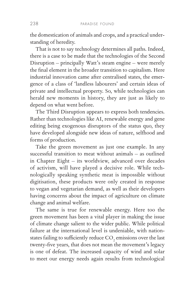the domestication of animals and crops, and a practical understanding of heredity.

That is not to say technology determines all paths. Indeed, there is a case to be made that the technologies of the Second Disruption – principally Watt's steam engine – were merely the final element in the broader transition to capitalism. Here industrial innovation came after centralised states, the emergence of a class of 'landless labourers' and certain ideas of private and intellectual property. So, while technologies can herald new moments in history, they are just as likely to depend on what went before.

The Third Disruption appears to express both tendencies. Rather than technologies like AI, renewable energy and gene editing being exogenous disruptors of the status quo, they have developed alongside new ideas of nature, selfhood and forms of production.

Take the green movement as just one example. In any successful transition to meat without animals – as outlined in Chapter Eight – its worldview, advanced over decades of activism, will have played a decisive role. While technologically speaking synthetic meat is impossible without digitisation, these products were only created in response to vegan and vegetarian demand, as well as their developers having concerns about the impact of agriculture on climate change and animal welfare.

The same is true for renewable energy. Here too the green movement has been a vital player in making the issue of climate change salient to the wider public. While political failure at the international level is undeniable, with nationstates failing to sufficiently reduce  $\mathrm{CO}_2$  emissions over the last twenty-five years, that does not mean the movement's legacy is one of defeat. The increased capacity of wind and solar to meet our energy needs again results from technological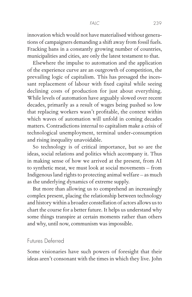#### *FALC* 239

innovation which would not have materialised without generations of campaigners demanding a shift away from fossil fuels. Fracking bans in a constantly growing number of countries, municipalities and cities, are only the latest testament to that.

Elsewhere the impulse to automation and the application of the experience curve are an outgrowth of competition, the prevailing logic of capitalism. This has presaged the incessant replacement of labour with fixed capital while seeing declining costs of production for just about everything. While levels of automation have arguably slowed over recent decades, primarily as a result of wages being pushed so low that replacing workers wasn't profitable, the context within which waves of automation will unfold in coming decades matters. Contradictions internal to capitalism make a crisis of technological unemployment, terminal under-consumption and rising inequality unavoidable.

So technology is of critical importance, but so are the ideas, social relations and politics which accompany it. Thus in making sense of how we arrived at the present, from AI to synthetic meat, we must look at social movements – from Indigenous land rights to protecting animal welfare – as much as the underlying dynamics of extreme supply.

But more than allowing us to comprehend an increasingly complex present, placing the relationship between technology and history within a broader constellation of actors allows us to chart the course for a better future. It helps us understand why some things transpire at certain moments rather than others and why, until now, communism was impossible.

## Futures Deferred

Some visionaries have such powers of foresight that their ideas aren't consonant with the times in which they live. John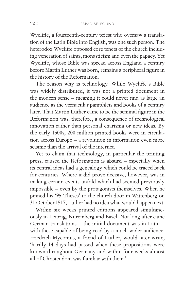Wycliffe, a fourteenth-century priest who oversaw a translation of the Latin Bible into English, was one such person. The heterodox Wycliffe opposed core tenets of the church including veneration of saints, monasticism and even the papacy. Yet Wycliffe, whose Bible was spread across England a century before Martin Luther was born, remains a peripheral figure in the history of the Reformation.

The reason why is technology. While Wycliffe 's Bible was widely distributed, it was not a printed document in the modern sense – meaning it could never find as large an audience as the vernacular pamphlets and books of a century later. That Martin Luther came to be the seminal figure in the Reformation was, therefore, a consequence of technological innovation rather than personal charisma or new ideas. By the early 1500s, 200 million printed books were in circulation across Europe – a revolution in information even more seismic than the arrival of the internet.

Yet to claim that technology, in particular the printing press, caused the Reformation is absurd – especially when its central ideas had a genealogy which could be traced back for centuries. Where it did prove decisive, however, was in making certain events unfold which had seemed previously impossible – even by the protagonists themselves. When he pinned his '95 Theses' to the church door in Wittenberg on 31 October 1517, Luther had no idea what would happen next.

Within six weeks printed editions appeared simultaneously in Leipzig, Nuremberg and Basel. Not long after came German translations – the initial document was in Latin – with these capable of being read by a much wider audience. Friedrich Myconius, a friend of Luther, would later write, 'hardly 14 days had passed when these propositions were known throughout Germany and within four weeks almost all of Christendom was familiar with them.'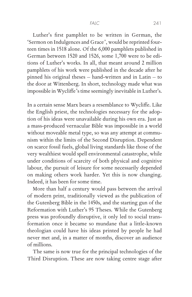Luther's first pamphlet to be written in German, the 'Sermon on Indulgences and Grace', would be reprinted fourteen times in 1518 alone. Of the 6,000 pamphlets published in German between 1520 and 1526, some 1,700 were to be editions of Luther's works. In all, that meant around 2 million pamphlets of his work were published in the decade after he pinned his original theses – hand-written and in Latin – to the door at Wittenberg. In short, technology made what was impossible in Wycliffe's time seemingly inevitable in Luther's.

In a certain sense Marx bears a resemblance to Wycliffe. Like the English priest, the technologies necessary for the adoption of his ideas were unavailable during his own era. Just as a mass-produced vernacular Bible was impossible in a world without moveable metal type, so was any attempt at communism within the limits of the Second Disruption. Dependent on scarce fossil fuels, global living standards like those of the very wealthiest would spell environmental catastrophe, while under conditions of scarcity of both physical and cognitive labour, the pursuit of leisure for some necessarily depended on making others work harder. Yet this is now changing. Indeed, it has been for some time.

More than half a century would pass between the arrival of modern print, traditionally viewed as the publication of the Gutenberg Bible in the 1450s, and the starting gun of the Reformation with Luther's 95 Theses. While the Gutenberg press was profoundly disruptive, it only led to social transformation once it became so mundane that a little-known theologian could have his ideas printed by people he had never met and, in a matter of months, discover an audience of millions.

The same is now true for the principal technologies of the Third Disruption. These are now taking centre stage after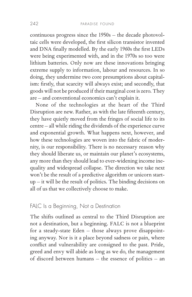continuous progress since the 1950s – the decade photovoltaic cells were developed, the first silicon transistor invented and DNA finally modelled. By the early 1960s the first LEDs were being experimented with, and in the 1970s so too were lithium batteries. Only now are these innovations bringing extreme supply to information, labour and resources. In so doing, they undermine two core presumptions about capitalism: firstly, that scarcity will always exist; and secondly, that goods will not be produced if their marginal cost is zero. They are – and conventional economics can't explain it.

None of the technologies at the heart of the Third Disruption are new. Rather, as with the late fifteenth century, they have quietly moved from the fringes of social life to its centre – all while riding the dividends of the experience curve and exponential growth. What happens next, however, and how these technologies are woven into the fabric of modernity, is our responsibility. There is no necessary reason why they should liberate us, or maintain our planet's ecosystems, any more than they should lead to ever-widening income inequality and widespread collapse. The direction we take next won't be the result of a predictive algorithm or unicorn startup – it will be the result of politics. The binding decisions on all of us that we collectively choose to make.

## FALC Is a Beginning, Not a Destination

The shifts outlined as central to the Third Disruption are not a destination, but a beginning. FALC is not a blueprint for a steady-state Eden – those always prove disappointing anyway. Nor is it a place beyond sadness or pain, where conflict and vulnerability are consigned to the past. Pride, greed and envy will abide as long as we do, the management of discord between humans – the essence of politics – an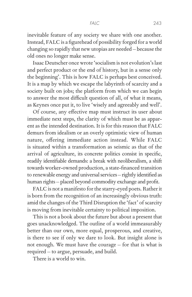inevitable feature of any society we share with one another. Instead, FALC is a figurehead of possibility forged for a world changing so rapidly that new utopias are needed – because the old ones no longer make sense.

Isaac Deutscher once wrote 'socialism is not evolution's last and perfect product or the end of history, but in a sense only the beginning'. This is how FALC is perhaps best conceived. It is a map by which we escape the labyrinth of scarcity and a society built on jobs; the platform from which we can begin to answer the most difficult question of all, of what it means, as Keynes once put it, to live 'wisely and agreeably and well'.

Of course, any effective map must instruct its user about immediate next steps, the clarity of which must be as apparent as the intended destination. It is for this reason that FALC demurs from idealism or an overly optimistic view of human nature, offering immediate action instead. While FALC is situated within a transformation as seismic as that of the arrival of agriculture, its concrete politics consist in specific, readily identifiable demands: a break with neoliberalism, a shift towards worker-owned production, a state-financed transition to renewable energy and universal services – rightly identified as human rights – placed beyond commodity exchange and profit.

FALC is not a manifesto for the starry-eyed poets. Rather it is born from the recognition of an increasingly obvious truth: amid the changes of the Third Disruption the 'fact' of scarcity is moving from inevitable certainty to political imposition.

This is not a book about the future but about a present that goes unacknowledged. The outline of a world immeasurably better than our own, more equal, prosperous, and creative, is there to see if only we dare to look. But insight alone is not enough. We must have the courage – for that is what is required – to argue, persuade, and build.

There is a world to win.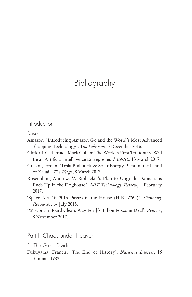# Bibliography

## Introduction

#### *Doug*

- Amazon. 'Introducing Amazon Go and the World's Most Advanced Shopping Technology'. *YouTube.com*, 5 December 2016.
- Clifford, Catherine. 'Mark Cuban: The World's First Trillionaire Will Be an Artificial Intelligence Entrepreneur.' *CNBC*, 13 March 2017.
- Golson, Jordan. 'Tesla Built a Huge Solar Energy Plant on the Island of Kauai'. *The Verge*, 8 March 2017.
- Rosenblum, Andrew. 'A Biohacker's Plan to Upgrade Dalmatians Ends Up in the Doghouse'. *MIT Technology Review*, 1 February 2017.
- 'Space Act Of 2015 Passes in the House (H.R. 2262)'. *Planetary Resources*, 14 July 2015.
- 'Wisconsin Board Clears Way For \$3 Billion Foxconn Deal'. *Reuters*, 8 November 2017.

# Part I. Chaos under Heaven

- 1. The Great Divide
- Fukuyama, Francis. 'The End of History'. *National Interest*, 16 Summer 1989.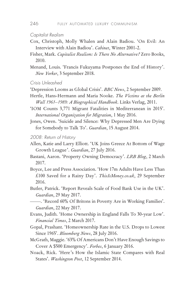#### *Capitalist Realism*

- Cox, Christoph, Molly Whalen and Alain Badiou. 'On Evil: An Interview with Alain Badiou'. *Cabinet*, Winter 2001-2.
- Fisher, Mark. *Capitalist Realism: Is There No Alternative?* Zero Books, 2010.
- Menand, Louis. 'Francis Fukuyama Postpones the End of History'. *New Yorker*, 3 September 2018.
- *Crisis Unleashed*
- 'Depression Looms as Global Crisis'. *BBC News*, 2 September 2009.
- Hertle, Hans-Hermann and Maria Nooke. *The Victims at the Berlin Wall 1961–1989: A Biographical Handbook.* Links Verlag, 2011.
- 'IOM Counts 3,771 Migrant Fatalities in Mediterranean in 2015'. *International Organization for Migration*, 1 May 2016.
- Jones, Owen. 'Suicide and Silence: Why Depressed Men Are Dying for Somebody to Talk To'. *Guardian*, 15 August 2014.
- *2008: Return of History*
- Allen, Katie and Larry Elliott. 'UK Joins Greece At Bottom of Wage Growth League'. *Guardian*, 27 July 2016.
- Bastani, Aaron. 'Property Owning Democracy'. *LRB Blog*, 2 March 2017.
- Boyce, Lee and Press Association. 'How 17m Adults Have Less Than £100 Saved for a Rainy Day'. *ThisIsMoney.co.uk*, 29 September 2016.
- Butler, Patrick. 'Report Reveals Scale of Food Bank Use in the UK'. *Guardian*, 29 May 2017.
- ——. 'Record 60% Of Britons in Poverty Are in Working Families'. *Guardian*, 22 May 2017.
- Evans, Judith. 'Home Ownership in England Falls To 30-year Low'. *Financial Times*, 2 March 2017.
- Gopal, Prashant. 'Homeownership Rate in the U.S. Drops to Lowest Since 1965'. *Bloomberg News*, 28 July 2016.
- McGrath, Maggie. '63% Of Americans Don't Have Enough Savings to Cover A \$500 Emergency'. *Forbes*, 6 January 2016.
- Noack, Rick. 'Here 's How the Islamic State Compares with Real States'. *Washington Post*, 12 September 2014.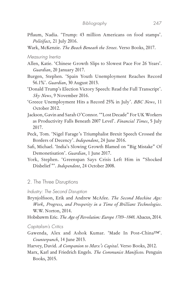- Pflaum, Nadia. 'Trump: 43 million Americans on food stamps'. *Politifact,* 21 July 2016.
- Wark, McKenzie. *The Beach Beneath the Street.* Verso Books, 2017.

*Measuring Inertia*

- Allen, Katie. 'Chinese Growth Slips to Slowest Pace For 26 Years'. *Guardian*, 20 January 2017.
- Burgen, Stephen. 'Spain Youth Unemployment Reaches Record 56.1%'. *Guardian*, 30 August 2013.
- 'Donald Trump's Election Victory Speech: Read the Full Transcript'. *Sky News*, 9 November 2016.
- 'Greece Unemployment Hits a Record 25% in July'. *BBC News*, 11 October 2012.
- Jackson, Gavin and Sarah O'Connor. '"Lost Decade" For UK Workers as Productivity Falls Beneath 2007 Level'. *Financial Times*, 5 July 2017.
- Peck, Tom. 'Nigel Farage's Triumphalist Brexit Speech Crossed the Borders of Decency'. *Independent*, 24 June 2016.
- Safi, Michael. 'India's Slowing Growth Blamed on "Big Mistake" Of Demonetisation'. *Guardian*, 1 June 2017.
- York, Stephen. 'Greenspan Says Crisis Left Him in "Shocked Disbelief "'. *Independent*, 24 October 2008.

#### 2. The Three Disruptions

*Industry: The Second Disruption*

Brynjolfsson, Erik and Andrew McAfee. *The Second Machine Age: Work, Progress, and Prosperity in a Time of Brilliant Technologies*. W.W. Norton, 2014.

Hobsbawm Eric. *The Age of Revolution: Europe 1789–1848*. Abacus, 2014.

*Capitalism's Critics*

Gawenda, Alex and Ashok Kumar. 'Made In Post-China™'. *Counterpunch*, 14 June 2013.

Harvey, David. *A Companion to Marx's Capital*. Verso Books, 2012.

Marx, Karl and Friedrich Engels. *The Communist Manifesto.* Penguin Books, 2015.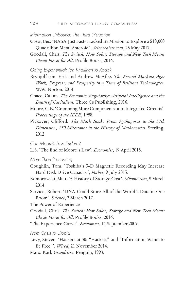*Information Unbound: The Third Disruption*

- Crew, Bec. 'NASA Just Fast-Tracked Its Mission to Explore a \$10,000 Quadrillion Metal Asteroid'. *Sciencealert.com*, 25 May 2017.
- Goodall, Chris. *The Switch: How Solar, Storage and New Tech Means Cheap Power for All*. Profile Books, 2016.

*Going Exponential: Ibn Khallikan to Kodak*

- Brynjolfsson, Erik and Andrew McAfee. *The Second Machine Age: Work, Progress, and Prosperity in a Time of Brilliant Technologies*. W.W. Norton, 2014.
- Chace, Calum. *The Economic Singularity: Artificial Intelligence and the Death of Capitalism*. Three Cs Publishing, 2016.
- Moore, G.E. 'Cramming More Components onto Integrated Circuits'. *Proceedings of the IEEE*, 1998.
- Pickover, Clifford. *The Math Book: From Pythagoras to the 57th Dimension, 250 Milestones in the History of Mathematics.* Sterling, 2012.
- *Can Moore's Law Endure?*

L.S. 'The End of Moore's Law'. *Economist*, 19 April 2015.

- *More Than Processing*
- Coughlin, Tom. 'Toshiba's 3-D Magnetic Recording May Increase Hard Disk Drive Capacity', *Forbes*, 9 July 2015.
- Komorowski, Matt. 'A History of Storage Cost'. *Mkomo.com*, 9 March 2014.
- Service, Robert. 'DNA Could Store All of the World's Data in One Room'. *Science*, 2 March 2017.

The Power of Experience

- Goodall, Chris. *The Switch: How Solar, Storage and New Tech Means Cheap Power for All*. Profile Books, 2016.
- 'The Experience Curve'. *Economist*, 14 September 2009.

#### *From Crisis to Utopia*

- Levy, Steven. 'Hackers at 30: "Hackers" and "Information Wants to Be Free"'. *Wired*, 21 November 2014.
- Marx, Karl. *Grundrisse*. Penguin, 1993.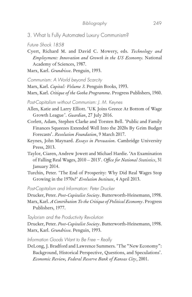3. What Is Fully Automated Luxury Communism?

*Future Shock 1858*

Cyert, Richard M. and David C. Mowery, eds. *Technology and Employment: Innovation and Growth in the US Economy.* National Academy of Sciences, 1987.

Marx, Karl. *Grundrisse*. Penguin, 1993.

- *Communism: A World beyond Scarcity*
- Marx, Karl. *Capital: Volume 3*. Penguin Books, 1993.
- Marx, Karl. *Critique of the Gotha Programme*. Progress Publishers, 1960.

*Post-Capitalism without Communism: J. M. Keynes*

- Allen, Katie and Larry Elliott. 'UK Joins Greece At Bottom of Wage Growth League'. *Guardian*, 27 July 2016.
- Corlett, Adam, Stephen Clarke and Torsten Bell. 'Public and Family Finances Squeezes Extended Well Into the 2020s By Grim Budget Forecasts'. *Resolution Foundation*, 9 March 2017.
- Keynes, John Maynard. *Essays in Persuasion.* Cambridge University Press, 2013.
- Taylor, Ciaren, Andrew Jowett and Michael Hardie. 'An Examination of Falling Real Wages, 2010 – 2013'. *Office for National Statistics*, 31 January 2014.
- Turchin, Peter. 'The End of Prosperity: Why Did Real Wages Stop Growing in the 1970s?' *Evolution Institute*, 4 April 2013.

*Post-Capitalism and Information: Peter Drucker*

Drucker, Peter. *Post-Capitalist Society*. Butterworth-Heinemann, 1998.

Marx, Karl. *A Contribution To the Critique of Political Economy*. Progress Publishers, 1977.

*Taylorism and the Productivity Revolution*

Drucker, Peter. *Post-Capitalist Society*. Butterworth-Heinemann, 1998. Marx, Karl. *Grundrisse.* Penguin, 1993.

*Information Goods Want to Be Free – Really*

DeLong, J. Bradford and Lawrence Summers. 'The "New Economy": Background, Historical Perspective, Questions, and Speculations'. *Economic Review, Federal Reserve Bank of Kansas City*, 2001.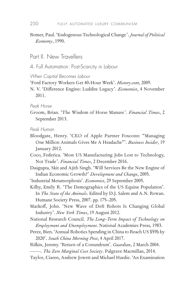Romer, Paul. 'Endogenous Technological Change'. *Journal of Political Economy*, 1990.

# Part II. New Travellers

4. Full Automation: Post-Scarcity in Labour

*When Capital Becomes Labour*

'Ford Factory Workers Get 40-Hour Week'. *History.com*, 2009.

N. V. 'Difference Engine: Luddite Legacy'. *Economist*, 4 November 2011.

*Peak Horse*

Groom, Brian. 'The Wisdom of Horse Manure'. *Financial Times*, 2 September 2013.

*Peak Human*

- Bloodgate, Henry. 'CEO of Apple Partner Foxconn: "Managing One Million Animals Gives Me A Headache"'. *Business Insider*, 19 January 2012.
- Coco, Federica. 'Most US Manufacturing Jobs Lost to Technology, Not Trade'. *Financial Times*, 2 December 2016.
- Dasgupta, Skit and Ajith Singh. 'Will Services Be the New Engine of Indian Economic Growth?' *Development and Change*, 2005.
- 'Industrial Metamorphosis'. *Economist*, 29 September 2005.
- Kilby, Emily R. 'The Demographics of the US Equine Population'. In *The State of the Animals*. Edited by D.J. Salem and A.N. Rowan. Humane Society Press, 2007. pp. 175–205.
- Markoff, John. 'New Wave of Deft Robots Is Changing Global Industry'. *New York Times*, 19 August 2012.
- National Research Council. *The Long-Term Impact of Technology on Employment and Unemployment.* National Academies Press, 1983.
- Perez, Bien. 'Annual Robotics Spending in China to Reach US \$59b by 2020'. *South China Morning Post*, 4 April 2017.
- Rifkin, Jeremy. 'Return of a Conundrum'. *Guardian*, 2 March 2004.
	- ——. *The Zero Marginal Cost Society*. Palgrave Macmillan, 2014.
- Taylor, Ciaren, Andrew Jowett and Michael Hardie. 'An Examination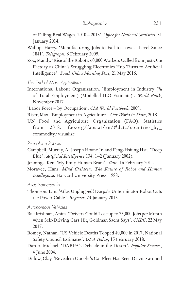of Falling Real Wages, 2010 – 2013'. *Office for National Statistics*, 31 January 2014.

- Wallop, Harry. 'Manufacturing Jobs to Fall to Lowest Level Since 1841'. *Telegraph,* 6 February 2009.
- Zoo, Mandy. 'Rise of the Robots: 60,000 Workers Culled from Just One Factory as China's Struggling Electronics Hub Turns to Artificial Intelligence'. *South China Morning Post*, 21 May 2016.
- *The End of Mass Agriculture*
- International Labour Organization. 'Employment in Industry (% of Total Employment) (Modelled ILO Estimate)'. *World Bank*, November 2017.
- 'Labor Force by Occupation'. *CIA World Factbook*, 2009.
- Riser, Max. 'Employment in Agriculture'. *Our World in Data*, 2018.
- UN Food and Agriculture Organization (FAO). Statistics from 2018. fao.org/faostat/en/#data/countries\_by\_ commodity/visualize

#### *Rise of the Robots*

- Campbell, Murray, A. Joseph Hoane Jr. and Feng-Hsiung Hsu. 'Deep Blue'. *Artificial Intelligence* 134: 1–2 (January 2002).
- Jennings, Ken. 'My Puny Human Brain'. *Slate*, 16 February 2011.
- Moravec, Hans. *Mind Children: The Future of Robot and Human Intelligence*. Harvard University Press, 1988.

*Atlas Somersaults*

Thomson, Iain. 'Atlas Unplugged! Darpa's Unterminator Robot Cuts the Power Cable'. *Register*, 23 January 2015.

*Autonomous Vehicles*

- Balakrishnan, Anita. 'Drivers Could Lose up to 25,000 Jobs per Month when Self-Driving Cars Hit, Goldman Sachs Says'. *CNBC*, 22 May 2017.
- Bomey, Nathan. 'US Vehicle Deaths Topped 40,000 in 2017, National Safety Council Estimates'. *USA Today*, 15 February 2018.
- Darter, Michael. 'DARPA's Debacle in the Desert'. *Popular Science*, 4 June 2004.
- Dillow, Clay. 'Revealed: Google's Car Fleet Has Been Driving around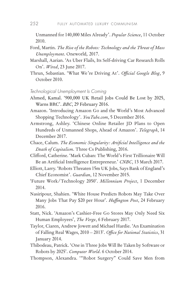Unmanned for 140,000 Miles Already'. *Popular Science*, 11 October 2010.

- Ford, Martin. *The Rise of the Robots: Technology and the Threat of Mass Unemployment*. Oneworld*,* 2017.
- Marshall, Aarian. 'As Uber Flails, Its Self-driving Car Research Rolls On'. *Wired*, 23 June 2017.
- Thrun, Sebastian. 'What We're Driving At'. *Official Google Blog*, 9 October 2010.

#### *Technological Unemployment Is Coming*

Ahmed, Kamal. '900,000 UK Retail Jobs Could Be Lost by 2025, Warns BRC'. *BBC*, 29 February 2016.

- Amazon. 'Introducing Amazon Go and the World's Most Advanced Shopping Technology'. *YouTube.com*, 5 December 2016.
- Armstrong, Ashley. 'Chinese Online Retailer JD Plans to Open Hundreds of Unmanned Shops, Ahead of Amazon'. *Telegraph*, 14 December 2017.
- Chace, Calum. *The Economic Singularity: Artificial Intelligence and the Death of Capitalism*. Three Cs Publishing, 2016.
- Clifford, Catherine. 'Mark Cuban: The World's First Trillionaire Will Be an Artificial Intelligence Entrepreneur.' *CNBC*, 13 March 2017.
- Elliott, Larry. 'Robots Threaten 15m UK Jobs, Says Bank of England's Chief Economist'. *Guardian*, 12 November 2015.
- 'Future Work/Technology 2050'. *Millennium Project*, 1 December 2014.
- Nasiripour, Shahien. 'White House Predicts Robots May Take Over Many Jobs That Pay \$20 per Hour'. *Huffington Post*, 24 February 2016.
- Statt, Nick. 'Amazon's Cashier-Free Go Stores May Only Need Six Human Employees', *The Verge*, 6 February 2017.
- Taylor, Ciaren, Andrew Jowett and Michael Hardie. 'An Examination of Falling Real Wages, 2010 – 2013'. *Office for National Statistics*, 31 January 2014.
- Thibodeau, Patrick. 'One in Three Jobs Will Be Taken by Software or Robots by 2025'. *Computer World*. 6 October 2014.
- Thompson, Alexandra. '"Robot Surgery" Could Save Men from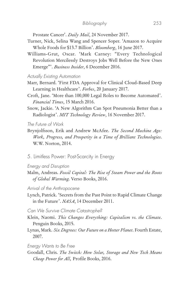Prostate Cancer'. *Daily Mail*, 24 November 2017.

- Turner, Nick, Selina Wang and Spencer Soper. 'Amazon to Acquire Whole Foods for \$13.7 Billion'. *Bloomberg*, 16 June 2017.
- Williams-Grut, Oscar. 'Mark Carney: "Every Technological Revolution Mercilessly Destroys Jobs Well Before the New Ones Emerge"'. *Business Insider*, 6 December 2016.

*Actually Existing Automation*

- Marr, Bernard. 'First FDA Approval for Clinical Cloud-Based Deep Learning in Healthcare'. *Forbes*, 20 January 2017.
- Croft, Jane. 'More than 100,000 Legal Roles to Become Automated'. *Financial Times*, 15 March 2016.
- Snow, Jackie. 'A New Algorithm Can Spot Pneumonia Better than a Radiologist'. *MIT Technology Review*, 16 November 2017.
- *The Future of Work*
- Brynjolfsson, Erik and Andrew McAfee. *The Second Machine Age: Work, Progress, and Prosperity in a Time of Brilliant Technologies*. W.W. Norton, 2014.
- 5. Limitless Power: Post-Scarcity in Energy
- *Energy and Disruption*
- Malm, Andreas. *Fossil Capital: The Rise of Steam Power and the Roots of Global Warming.* Verso Books, 2016.

*Arrival of the Anthropocene*

- Lynch, Patrick. 'Secrets from the Past Point to Rapid Climate Change in the Future'. *NASA*, 14 December 2011.
- *Can We Survive Climate Catastrophe?*
- Klein, Naomi. *This Changes Everything: Capitalism vs. the Climate*. Penguin Books, 2015.
- Lynas, Mark. *Six Degrees: Our Future on a Hotter Planet*. Fourth Estate, 2007.

#### *Energy Wants to Be Free*

Goodall, Chris. *The Switch: How Solar, Storage and New Tech Means Cheap Power for All,* Profile Books, 2016.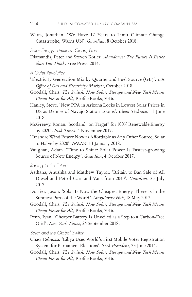Watts, Jonathan. 'We Have 12 Years to Limit Climate Change Catastrophe, Warns UN'. *Guardian*, 8 October 2018.

*Solar Energy: Limitless, Clean, Free*

- Diamandis, Peter and Steven Kotler. *Abundance: The Future Is Better than You Think*. Free Press, 2014.
- *A Quiet Revolution*
- 'Electricity Generation Mix by Quarter and Fuel Source (GB)'. *UK Office of Gas and Electricity Markets*, October 2018.
- Goodall, Chris. *The Switch: How Solar, Storage and New Tech Means Cheap Power for All,* Profile Books, 2016.
- Hanley, Steve. 'New PPA in Arizona Locks in Lowest Solar Prices in US as Demise of Navajo Station Looms'. *Clean Technica*, 11 June 2018.
- McGreevy, Ronan. 'Scotland "on Target" for 100% Renewable Energy by 2020'. *Irish Times*, 4 November 2017.
- 'Onshore Wind Power Now as Affordable as Any Other Source, Solar to Halve by 2020'. *IRENA*, 13 January 2018.
- Vaughan, Adam. 'Time to Shine: Solar Power Is Fastest-growing Source of New Energy'. *Guardian*, 4 October 2017.

*Racing to the Future*

- Asthana, Anushka and Matthew Taylor. 'Britain to Ban Sale of All Diesel and Petrol Cars and Vans from 2040'. *Guardian*, 25 July 2017.
- Dorrier, Jason. 'Solar Is Now the Cheapest Energy There Is in the Sunniest Parts of the World'. *Singularity Hub*, 18 May 2017.
- Goodall, Chris. *The Switch: How Solar, Storage and New Tech Means Cheap Power for All,* Profile Books, 2016.
- Penn, Ivan. 'Cheaper Battery Is Unveiled as a Step to a Carbon-Free Grid'. *New York Times*, 26 September 2018.

*Solar and the Global Switch*

- Chao, Rebecca. 'Libya Uses World's First Mobile Voter Registration System for Parliament Elections'. *Tech President*, 25 June 2014.
- Goodall, Chris. *The Switch: How Solar, Storage and New Tech Means Cheap Power for All,* Profile Books, 2016.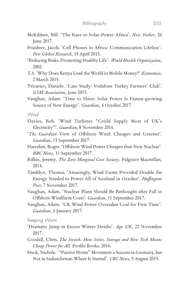- McKibben, Bill. 'The Race to Solar-Power Africa'. *New Yorker*, 26 June 2017.
- Poushter, Jacob. 'Cell Phones in Africa: Communication Lifeline '. *Pew Global Research*, 15 April 2015.
- 'Reducing Risks, Promoting Healthy Life'. *World Health Organization*, 2002.
- T.S. 'Why Does Kenya Lead the World in Mobile Money?' *Economist*, 2 March 2015.
- Tricarico, Daniele. 'Case Study: Vodafone Turkey Farmers' Club'. *GSM Association*, June 2015.
- Vaughan, Adam. 'Time to Shine: Solar Power Is Fastest-growing Source of New Energy'. *Guardian*, 4 October 2017.

#### *Wind*

- Davies, Rob. 'Wind Turbines "Could Supply Most of UK's Electricity"'. *Guardian*, 8 November 2016.
- '*The Guardian* View of Offshore Wind: Cheaper and Greener'. *Guardian*, 13 September 2017.
- Harrabin, Roger. 'Offshore Wind Power Cheaper than New Nuclear'. *BBC News*, 11 September 2017.
- Rifkin, Jeremy. *The Zero Marginal Cost Society*. Palgrave Macmillan, 2014.
- Tamblyn, Thomas. 'Amazingly, Wind Farms Provided Double the Energy Needed to Power All of Scotland in October'. *Huffington Post*, 7 November 2017.
- Vaughan, Adam. 'Nuclear Plans Should Be Rethought after Fall in Offshore Windfarm Costs'. *Guardian*, 11 September 2017.
- Vaughan, Adam. 'UK Wind Power Overtakes Coal for First Time'. *Guardian*, 6 January 2017.

#### *Keeping Warm*

- 'Dramatic Jump in Excess Winter Deaths'. *Age UK*, 22 November 2017.
- Goodall, Chris. *The Switch: How Solar, Storage and New Tech Means Cheap Power for All*. Profile Books, 2016.
- Huck, Nichole. "Passive Home" Movement a Success in Germany, but Not in Saskatchewan Where It Started'. *CBC News*, 5 August 2015.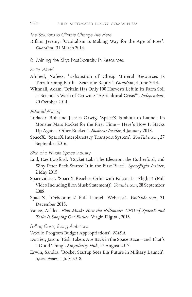#### 256 fully automated luxury communism

#### *The Solutions to Climate Change Are Here*

Rifkin, Jeremy. 'Capitalism Is Making Way for the Age of Free '. *Guardian,* 31 March 2014*.*

### 6. Mining the Sky: Post-Scarcity in Resources

#### *Finite World*

- Ahmed, Nafeez. 'Exhaustion of Cheap Mineral Resources Is Terraforming Earth – Scientific Report'. *Guardian*, 4 June 2014.
- Withnall, Adam. 'Britain Has Only 100 Harvests Left in Its Farm Soil as Scientists Warn of Growing "Agricultural Crisis"'. *Independent*, 20 October 2014.

#### *Asteroid Mining*

- Ludacer, Rob and Jessica Orwig. 'SpaceX Is about to Launch Its Monster Mars Rocket for the First Time – Here's How It Stacks Up Against Other Rockets'. *Business Insider*, 4 January 2018.
- SpaceX. 'SpaceX Interplanetary Transport System'. *YouTube.com*, 27 September 2016.

#### *Birth of a Private Space Industry*

- End, Rae Botsford. 'Rocket Lab: The Electron, the Rutherford, and Why Peter Beck Started It in the First Place'. *Spaceflight Insider*, 2 May 2015.
- Spacevidcast. 'SpaceX Reaches Orbit with Falcon 1 Flight 4 (Full Video Including Elon Musk Statement)'. *Youtube.com*, 28 September 2008.
- SpaceX. 'Orbcomm-2 Full Launch Webcast'. *YouTube.com*, 21 December 2015.
- Vance, Ashlee. *Elon Musk: How the Billionaire CEO of SpaceX and Tesla Is Shaping Our Future*. Virgin Digital, 2015.

*Falling Costs, Rising Ambitions*

'Apollo Program Budget Appropriations'. *NASA*.

- Dorrier, Jason. 'Risk Takers Are Back in the Space Race and That's a Good Thing'. *Singularity Hub*, 17 August 2017.
- Erwin, Sandra. 'Rocket Startup Sees Big Future in Military Launch'. *Space News*, 1 July 2018.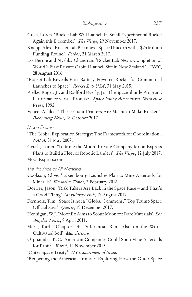- Gush, Loren. 'Rocket Lab Will Launch Its Small Experimental Rocket Again this December'. *The Verge*, 29 November 2017.
- Knapp, Alex. 'Rocket Lab Becomes a Space Unicorn with a \$75 Million Funding Round'. *Forbes*, 21 March 2017.
- Lo, Bernie and Nyshka Chandran. 'Rocket Lab Nears Completion of World's First Private Orbital Launch Site in New Zealand'. *CNBC*, 28 August 2016.
- 'Rocket Lab Reveals First Battery-Powered Rocket for Commercial Launches to Space'. *Rocket Lab USA*, 31 May 2015.
- Pielke, Roger, Jr. and Radford Byerly, Jr. 'The Space Shuttle Program: Performance versus Promise'. *Space Policy Alternatives*, Westview Press, 1992.
- Vance, Ashlee. 'These Giant Printers Are Meant to Make Rockets'. *Bloomberg News*, 18 October 2017.

*Moon Express*

- 'The Global Exploration Strategy: The Framework for Coordination'. *NASA*, 31 May 2007.
- Grush, Loren. 'To Mine the Moon, Private Company Moon Express Plans to Build a Fleet of Robotic Landers'. *The Verge*, 12 July 2017.

MoonExpress.com

- *The Province of All Mankind*
- Cookson, Clive. 'Luxembourg Launches Plan to Mine Asteroids for Minerals'. *Financial Times*, 2 February 2016.
- Dorrier, Jason. 'Risk Takers Are Back in the Space Race and That's a Good Thing'. *Singularity Hub*, 17 August 2017.
- Fernholz, Tim. 'Space Is not a "Global Commons," Top Trump Space Official Says'. *Quartz*, 19 December 2017.
- Hennigan, W.J. 'MoonEx Aims to Scour Moon for Rare Materials'. *Los Angeles Times*, 8 April 2011.
- Marx, Karl. 'Chapter 44: Differential Rent Also on the Worst Cultivated Soil'. *Marxists.org*.
- Orphanides, K.G. 'American Companies Could Soon Mine Asteroids for Profit'. *Wired*, 12 November 2015.

'Outer Space Treaty'. *US Department of State*.

'Reopening the American Frontier: Exploring How the Outer Space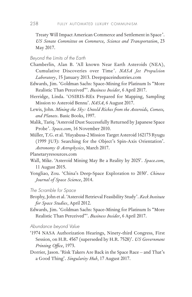Treaty Will Impact American Commerce and Settlement in Space'. *US Senate Committee on Commerce, Science and Transportation*, 23 May 2017.

*Beyond the Limits of the Earth*

- Chamberlin, Alan B. 'All known Near Earth Asteroids (NEA), Cumulative Discoveries over Time '. *NASA Jet Propulsion Laboratory*, 15 January 2013. Deepspaceindustries.com
- Edwards, Jim. 'Goldman Sachs: Space-Mining for Platinum Is "More Realistic Than Perceived"'. *Business Insider*, 6 April 2017.
- Herridge, Linda. 'OSIRIS-REx Prepared for Mapping, Sampling Mission to Asteroid Bennu'. *NASA*, 6 August 2017.
- Lewis, John. *Mining the Sky: Untold Riches from the Asteroids, Comets, and Planets*. Basic Books, 1997.
- Malik, Tariq. 'Asteroid Dust Successfully Returned by Japanese Space Probe'. *Space.com*, 16 November 2010.
- Müller, T.G. et al. 'Hayabusa-2 Mission Target Asteroid 162173 Ryugu (1999 JU3): Searching for the Object's Spin-Axis Orientation'. *Astronomy & Astrophysics*, March 2017.

Planetaryresources.com

- Wall, Mike. 'Asteroid Mining May Be a Reality by 2025'. *Space.com*, 11 August 2015.
- Yongliao, Zou. 'China's Deep-Space Exploration to 2030'. *Chinese Journal of Space Science*, 2014.

*The Scramble for Space*

- Brophy, John et al. 'Asteroid Retrieval Feasibility Study'. *Keck Institute for Space Studies*, April 2012.
- Edwards, Jim. 'Goldman Sachs: Space-Mining for Platinum Is "More Realistic Than Perceived"'. *Business Insider*, 6 April 2017.

*Abundance beyond Value*

- '1974 NASA Authorization Hearings, Ninety-third Congress, First Session, on H.R. 4567 (superseded by H.R. 7528)'. *US Government Printing Office*, 1973.
- Dorrier, Jason. 'Risk Takers Are Back in the Space Race and That's a Good Thing'. *Singularity Hub*, 17 August 2017.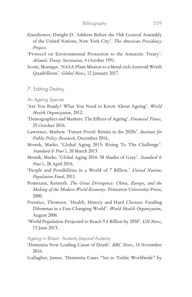- Eisenhower, Dwight D. 'Address Before the 15th General Assembly of the United Nations, New York City'. *The American Presidency Project.*
- 'Protocol on Environmental Protection to the Antarctic Treaty'. *Atlantic Treaty Secretariat*, 4 October 1991.
- Scotti, Monique. 'NASA Plans Mission to a Metal-rich Asteroid Worth Quadrillions'. *Global News*, 12 January 2017.
- 7. Editing Destiny

*An Ageing Species*

- 'Are You Ready? What You Need to Know About Ageing'. *World Health Organization*, 2012.
- 'Demographics and Markets: The Effects of Ageing'. *Financial Times*, 25 October 2016.
- Lawrence, Mathew. 'Future Proof: Britain in the 2020s'. *Institute for Public Policy Research*, December 2016.
- Mrsnik, Marko. 'Global Aging 2013: Rising To The Challenge '. *Standard & Poor's*, 20 March 2013.
- Mrsnik, Marko. 'Global Aging 2016: 58 Shades of Gray'. *Standard & Poor's*, 28 April 2016.
- 'People and Possibilities in a World of 7 Billion.' *United Nations Population Fund*, 2011.
- Pomeranz, Kenneth. *The Great Divergence: China, Europe, and the Making of the Modern World Economy*. Princeton University Press, 2000.
- Prentice, Thomson. 'Health, History and Hard Choices: Funding Dilemmas in a Fast-Changing World'. *World Health Organization*, August 2006.
- 'World Population Projected to Reach 9.6 Billion by 2050'. *UN News*, 13 June 2013.

*Ageing in Britain: Austerity beyond Austerity*

- 'Dementia Now Leading Cause of Death'. *BBC News*, 14 November 2016.
- Gallagher, James. 'Dementia Cases "Set to Treble Worldwide" by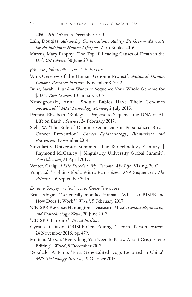2050'. *BBC News*, 5 December 2013.

- Lain, Douglas. *Advancing Conversations: Aubrey De Grey Advocate for An Indefinite Human Lifespan.* Zero Books, 2016.
- Marcus, Mary Brophy. 'The Top 10 Leading Causes of Death in the US'. *CBS News*, 30 June 2016.

*(Genetic) Information Wants to Be Free*

- 'An Overview of the Human Genome Project'. *National Human Genome Research Institute*, November 8, 2012.
- Buhr, Sarah. 'Illumina Wants to Sequence Your Whole Genome for \$100'. *Tech Crunch*, 10 January 2017.
- Nowogrodzki, Anna. 'Should Babies Have Their Genomes Sequenced?' *MIT Technology Review*, 2 July 2015.
- Pennisi, Elizabeth. 'Biologists Propose to Sequence the DNA of All Life on Earth'. *Science*, 24 February 2017.
- Sieh, W. 'The Role of Genome Sequencing in Personalized Breast Cancer Prevention'. *Cancer Epidemiology, Biomarkers and Prevention*, November 2014.
- Singularity University Summits. 'The Biotechnology Century | Raymond McCauley | Singularity University Global Summit'. *YouTube.com*, 21 April 2017.
- Venter, Craig. *A Life Decoded: My Genome, My Life*. Viking, 2007.
- Yong, Ed. 'Fighting Ebola With a Palm-Sized DNA Sequencer'. *The Atlantic*, 16 September 2015.

*Extreme Supply in Healthcare: Gene Therapies*

- Beall, Abigail. 'Genetically-modified Humans: What Is CRISPR and How Does It Work?' *Wired*, 5 February 2017.
- 'CRISPR Reverses Huntington's Disease in Mice'. *Genetic Engineering and Biotechnology News*, 20 June 2017.

'CRISPR Timeline'. *Broad Institute*.

- Cyranoski, David. 'CRISPR Gene Editing Tested in a Person'. *Nature*, 24 November 2016. pp. 479.
- Molteni, Megan. 'Everything You Need to Know About Crispr Gene Editing'. *Wired*, 5 December 2017.
- Regalado, Antonio. 'First Gene-Edited Dogs Reported in China'. *MIT Technology Review*, 19 October 2015.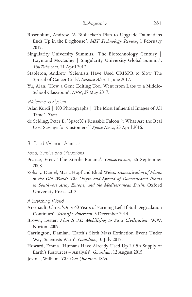- Rosenblum, Andrew. 'A Biohacker's Plan to Upgrade Dalmatians Ends Up in the Doghouse'. *MIT Technology Review*, 1 February 2017.
- Singularity University Summits. 'The Biotechnology Century | Raymond McCauley | Singularity University Global Summit'. *YouTube.com*, 21 April 2017.
- Stapleton, Andrew. 'Scientists Have Used CRISPR to Slow The Spread of Cancer Cells'. *Science Alert*, 1 June 2017.
- Yu, Alan. 'How a Gene Editing Tool Went from Labs to a Middle-School Classroom'. *NPR*, 27 May 2017.
- *Welcome to Elysium*
- 'Alan Kurdi | 100 Photographs | The Most Influential Images of All Time'. *Time.*
- de Selding, Peter B. 'SpaceX's Reusable Falcon 9: What Are the Real Cost Savings for Customers?' *Space News*, 25 April 2016.

#### 8. Food Without Animals

*Food, Surplus and Disruptions*

- Pearce, Fred. 'The Sterile Banana'. *Conservation*, 26 September 2008.
- Zohary, Daniel, Maria Hopf and Ehud Weiss. *Domestication of Plants in the Old World: The Origin and Spread of Domesticated Plants in Southwest Asia, Europe, and the Mediterranean Basin*. Oxford University Press, 2012.
- *A Stretching World*
- Arsenault, Chris. 'Only 60 Years of Farming Left If Soil Degradation Continues'. *Scientific American*, 5 December 2014.
- Brown, Lester. *Plan B 3.0: Mobilizing to Save Civilization*. W.W. Norton, 2009.
- Carrington, Damian. 'Earth's Sixth Mass Extinction Event Under Way, Scientists Warn'. *Guardian*, 10 July 2017.
- Howard, Emma. 'Humans Have Already Used Up 2015's Supply of Earth's Resources – Analysis'. *Guardian*, 12 August 2015.
- Jevons, William. *The Coal Question.* 1865.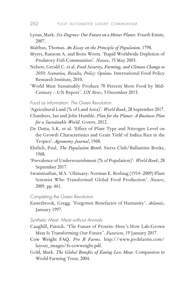- Lynas, Mark. *Six Degrees: Our Future on a Hotter Planet*. Fourth Estate, 2007.
- Malthus, Thomas. *An Essay on the Principle of Population.* 1798.
- Myers, Ransom A. and Boris Worm. 'Rapid Worldwide Depletion of Predatory Fish Communities'. *Nature*, 15 May 2003.
- Nelson, Gerald C. et al. *Food Security, Farming, and Climate Change to 2050: Scenarios, Results, Policy Options.* International Food Policy Research Institute, 2010.
- 'World Must Sustainably Produce 70 Percent More Food by Mid-Century – UN Report'. *UN News*, 3 December 2013.

*Food as Information: The Green Revolution*

'Agricultural Land (% of Land Area)'. *World Bank*, 28 September 2017.

- Chambers, Ian and John Humble. *Plan for the Planet: A Business Plan for a Sustainable World*. Gower, 2012.
- De Datta, S.K. et al. 'Effect of Plant Type and Nitrogen Level on the Growth Characteristics and Grain Yield of Indica Rice in the Tropics'. *Agronomy Journal*, 1968.
- Ehrlich, Paul, *The Population Bomb.* Sierra Club/Ballantine Books, 1968.
- 'Prevalence of Undernourishment (% of Population)'. *World Bank*, 28 September 2017.
- Swaminathan, M.S. 'Obituary: Norman E. Borlaug (1914–2009) Plant Scientist Who Transformed Global Food Production'. *Nature*, 2009. pp. 461.

#### *Completing the Green Revolution*

Easterbrook, Gregg. 'Forgotten Benefactor of Humanity'. *Atlantic*, January 1997.

#### *Synthetic Meat: Meat without Animals*

- Caughill, Patrick. 'The Future of Protein: Here's How Lab-Grown Meat Is Transforming Our Future'. *Futurism*, 19 January 2017.
- Cow Weight FAQ. *Pro B Farms*. http://www.probfarms.com/ layout\_images/fs-cowweight.pdf.
- Gold, Mark. *The Global Benefits of Eating Less Meat.* Compassion in World Farming Trust, 2004.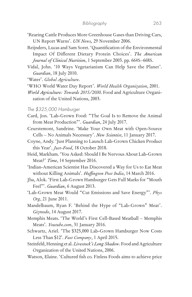- 'Rearing Cattle Produces More Greenhouse Gases than Driving Cars, UN Report Warns'. *UN News,* 29 November 2006.
- Reijnders, Lucas and Sam Soret. 'Quantification of the Environmental Impact Of Different Dietary Protein Choices'. *The American Journal of Clinical Nutrition*, 1 September 2003. pp. 664S–668S.
- Vidal, John. '10 Ways Vegetarianism Can Help Save the Planet'. *Guardian*, 18 July 2010.
- 'Water'. *Global Agriculture*.
- 'WHO World Water Day Report'. *World Health Organization*, 2001.
- *World Agriculture: Towards 2015/2030*. Food and Agriculture Organization of the United Nations, 2003.

*The \$325,000 Hamburger*

- Card, Jon. 'Lab-Grown Food: "The Goal Is to Remove the Animal from Meat Production"'. *Guardian*, 24 July 2017.
- Ceurstemont, Sandrine. 'Make Your Own Meat with Open-Source Cells – No Animals Necessary'. *New Scientist*, 11 January 2017*.*
- Coyne, Andy. 'Just Planning to Launch Lab-Grown Chicken Product this Year'. *Just-Food*, 18 October 2018.
- Heid, Markham. 'You Asked: Should I Be Nervous About Lab-Grown Meat?' *Time*, 14 September 2016.
- 'Indian-American Scientist Has Discovered a Way for Us to Eat Meat without Killing Animals'. *Huffington Post India*, 14 March 2016.
- Jha, Alok. 'First Lab-Grown Hamburger Gets Full Marks for "Mouth Feel"'. *Guardian*, 6 August 2013.
- 'Lab-Grown Meat Would "Cut Emissions and Save Energy"'. *Phys Org*, 21 June 2011.
- Mandelbaum, Ryan F. 'Behind the Hype of "Lab-Grown" Meat'. *Gizmodo*, 14 August 2017.
- Memphis Meats. 'The World's First Cell-Based Meatball Memphis Meats'. *Youtube.com*, 31 January 2016.
- Schwartz, Ariel. 'The \$325,000 Lab-Grown Hamburger Now Costs Less Than \$12'. *Fast Company*, 1 April 2015.
- Steinfeld, Henning et al. *Livestock's Long Shadow*. Food and Agriculture Organization of the United Nations, 2006.
- Watson, Elaine. 'Cultured fish co. Finless Foods aims to achieve price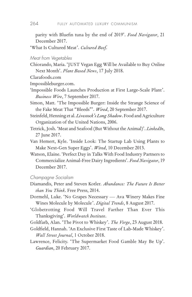parity with Bluefin tuna by the end of 2019'. *Food Navigator*, 21 December 2017.

'What Is Cultured Meat'. *Cultured Beef*.

- *Meat from Vegetables*
- Chiorando, Maria. 'JUST Vegan Egg Will be Available to Buy Online Next Month'. *Plant Based News*, 17 July 2018.
- Clarafoods.com
- Impossibleburger.com.
- 'Impossible Foods Launches Production at First Large-Scale Plant'. *Business Wire*, 7 September 2017.
- Simon, Matt. 'The Impossible Burger: Inside the Strange Science of the Fake Meat That "Bleeds"'. *Wired*, 20 September 2017.
- Steinfeld, Henning et al. *Livestock's Long Shadow*. Food and Agriculture Organization of the United Nations, 2006.
- Tetrick, Josh. 'Meat and Seafood (But Without the Animal)'. *LinkedIn*, 27 June 2017.
- Van Hemert, Kyle. 'Inside Look: The Startup Lab Using Plants to Make Next-Gen Super Eggs'. *Wired*, 10 December 2013.
- Watson, Elaine. 'Perfect Day in Talks With Food Industry Partners to Commercialize Animal-Free Dairy Ingredients'. *Food Navigator*, 19 December 2017.

#### *Champagne Socialism*

- Diamandis, Peter and Steven Kotler. *Abundance: The Future Is Better than You Think*. Free Press, 2014.
- Dormehl, Luke. 'No Grapes Necessary Ava Winery Makes Fine Wines Molecule by Molecule'. *Digital Trends*, 8 August 2017.
- 'Globetrotting Food Will Travel Farther Than Ever This Thanksgiving'. *Worldwatch Institute*.
- Goldfarb, Alan. 'The Pivot to Whiskey'. *The Verge*, 23 August 2018.
- Goldfield, Hannah. 'An Exclusive First Taste of Lab-Made Whiskey'. *Wall Street Journal*, 1 October 2018.
- Lawrence, Felicity. 'The Supermarket Food Gamble May Be Up'. *Guardian*, 20 February 2017.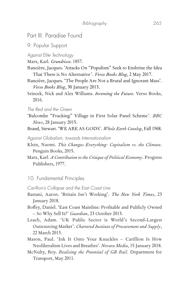# Part III. Paradise Found

- 9. Popular Support
- *Against Elite Technology*
- Marx, Karl. *Grundrisse.* 1857.
- Rancière, Jacques. 'Attacks On "Populism" Seek to Enshrine the Idea That There is No Alternative'. *Verso Books Blog*, 2 May 2017.
- Rancière, Jacques. 'The People Are Not a Brutal and Ignorant Mass'. *Verso Books Blog*, 30 January 2013.
- Srincek, Nick and Alex Williams. *Inventing the Future*. Verso Books, 2016.
- *The Red and the Green*
- 'Balcombe "Fracking" Village in First Solar Panel Scheme'. *BBC News*, 28 January 2015.
- Brand, Stewart. 'WE ARE AS GODS'. *Whole Earth Catalog*, Fall 1968.
- *Against Globalism, towards Internationalism*
- Klein, Naomi. *This Changes Everything: Capitalism vs. the Climate*. Penguin Books, 2015.
- Marx, Karl. *A Contribution to the Critique of Political Economy*. Progress Publishers, 1977.
- 10. Fundamental Principles
- *Carillion's Collapse and the East Coast Line*
- Bastani, Aaron. 'Britain Isn't Working'. *The New York Times*, 23 January 2018.
- Boffey, Daniel. 'East Coast Mainline: Profitable and Publicly Owned – So Why Sell It?' *Guardian*, 23 October 2013.
- Leach, Adam. 'UK Public Sector is World's Second-Largest Outsourcing Market'. *Chartered Institute of Procurement and Supply*, 22 March 2013.
- Mason, Paul. 'Ink It Onto Your Knuckles Carillion Is How Neoliberalism Lives and Breathes'. *Novara Media*, 15 January 2018.
- McNulty, Roy. *Realising the Potential of GB Rail*. Department for Transport, May 2011.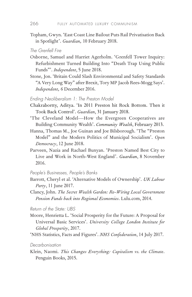Topham, Gwyn. 'East Coast Line Bailout Puts Rail Privatisation Back in Spotlight'. *Guardian,* 10 February 2018.

#### *The Grenfell Fire*

- Osborne, Samuel and Harriet Agerholm. 'Grenfell Tower Inquiry: Refurbishment Turned Building Into "Death Trap Using Public Funds"'. *Independent*, 5 June 2018.
- Stone, Jon. 'Britain Could Slash Environmental and Safety Standards "A Very Long Way" after Brexit, Tory MP Jacob Rees-Mogg Says'. *Independent,* 6 December 2016.

# *Ending Neoliberalism 1: The Preston Model*

- Chakrabortty, Aditya. 'In 2011 Preston hit Rock Bottom. Then it Took Back Control'. *Guardian*, 31 January 2018.
- 'The Cleveland Model—How the Evergreen Cooperatives are Building Community Wealth'. *Community Wealth*, February 2013.
- Hanna, Thomas M., Joe Guinan and Joe Bilsborough. 'The "Preston Model" and the Modern Politics of Municipal Socialism'. *Open Democracy*, 12 June 2018.
- Parveen, Nazia and Rachael Bunyan. 'Preston Named Best City to Live and Work in North-West England'. *Guardian*, 8 November 2016.

#### *People's Businesses, People's Banks*

- Barrott, Cheryl et al. 'Alternative Models of Ownership'. *UK Labour Party*, 11 June 2017.
- Clancy, John. *The Secret Wealth Garden: Re-Wiring Local Government Pension Funds back into Regional Economies*. Lulu.com, 2014.

*Return of the State: UBS*

- Moore, Henrietta L. 'Social Prosperity for the Future: A Proposal for Universal Basic Services'. *University College London Institute for Global Prosperity*, 2017.
- 'NHS Statistics, Facts and Figures'. *NHS Confederation*, 14 July 2017.

#### *Decarbonisation*

Klein, Naomi. *This Changes Everything: Capitalism vs. the Climate*. Penguin Books, 2015.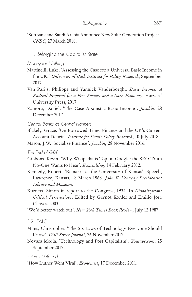'Softbank and Saudi Arabia Announce New Solar Generation Project'. *CNBC*, 27 March 2018.

### 11. Reforging the Capitalist State

- *Money for Nothing*
- Martinelli, Luke. 'Assessing the Case for a Universal Basic Income in the UK.' *University of Bath Institute for Policy Research*, September 2017.
- Van Parijs, Philippe and Yannick Vanderborght. *Basic Income: A Radical Proposal for a Free Society and a Sane Economy*. Harvard University Press, 2017.
- Zamora, Daniel. 'The Case Against a Basic Income'. *Jacobin*, 28 December 2017.
- *Central Banks as Central Planners*
- Blakely, Grace. 'On Borrowed Time: Finance and the UK's Current Account Deficit'. *Institute for Public Policy Research*, 10 July 2018.
- Mason, J.W. 'Socialize Finance'. *Jacobin,* 28 November 2016.
- *The End of GDP*
- Gibbons, Kevin. 'Why Wikipedia is Top on Google: the SEO Truth No-One Wants to Hear'. *Econsulting*, 14 February 2012.
- Kennedy, Robert. 'Remarks at the University of Kansas'. Speech, Lawrence, Kansas, 18 March 1968. *John F. Kennedy Presidential Library and Museum*.
- Kuznets, Simon in report to the Congress, 1934. In *Globalization: Critical Perspectives*. Edited by Gernot Kohler and Emilio José Chaves, 2003.
- 'We'd better watch out'. *New York Times Book Review*, July 12 1987.

12 FAIC

- Mims, Christopher. 'The Six Laws of Technology Everyone Should Know'. *Wall Street Journal*, 26 November 2017.
- Novara Media. 'Technology and Post Capitalism'. *Youtube.com*, 25 September 2017.

*Futures Deferred*

'How Luther Went Viral'. *Economist*, 17 December 2011.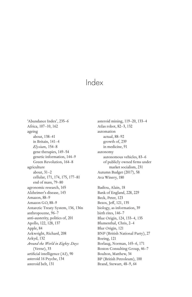# Index

'Abundance Index', 235–6 Africa, 107–10, 162 ageing about, 138–41 in Britain, 141–4 *Elysium,* 154–8 gene therapies, 149–54 genetic information, 144–9 Green Revolution, 164–8 agriculture about, 31–2 cellular, 171, 174, 175, 177–81 end of mass, 79–80 agronomic research, 165 Alzheimer's disease, 143 Amazon, 88–9 Amazon GO, 88–9 Antarctic Treaty System, 136, 136n anthropocene, 96–7 anti-austerity, politics of, 201 Apollo, 122, 128, 137 Apple, 84 Arkwright, Richard, 208 Arkyd, 132 *Around the World in Eighty Days* (Verne), 33 artificial intelligence (AI), 90 asteroid 16 Psyche, 134 asteroid belt, 131

asteroid mining, 119–20, 133–4 Atlas robot, 82–3, 132 automation actual, 88–92 growth of, 239 in medicine, 91 autonomy autonomous vehicles, 83–6 of publicly owned firms under market socialism, 231 Autumn Budget (2017), 58 Ava Winery, 180 Badiou, Alain, 18 Bank of England, 228, 229 Beck, Peter, 123 Bezos, Jeff, 121, 135 biology, as information, 39 birth rites, 146–7 Blue Origin, 124, 133–4, 135 Blumenthal, Chris, 2–4 Blur Origin, 121 BNP (British National Party), 27 Boeing, 121 Borlaug, Norman, 165–6, 171 Boston Consulting Group, 46–7 Boulton, Matthew, 34 BP (British Petroleum), 100 Brand, Stewart, 48–9, 64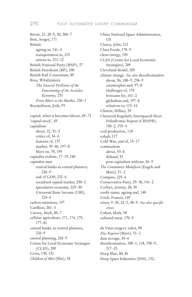#### 270 fully automated luxury communism

Brexit, 21, 28–9, 30, 206–7 Brin, Sergey, 171 Britain ageing in, 141–4 transportation in, 215 unions in, 211–12 British National Party (BNP), 27 British Petroleum (BP), 100 British Rail Consortium, 89 Brus, Włodzimierz *The General Problems of the Functioning of the Socialist Economy,* 231 *From Marx to the Market,* 230–1 Brynjolfsson, Erik, 93 capital, when it becomes labour, 69–71 'capital stock', 69 capitalism about, 22, 51–3 critics of, 34–6 features of, 137 market, 39–40, 197–8 Marx on, 35, 199 capitalist realism, 17–19, 186 capitalist state central banks as central planners, 226–9 end of GDP, 232–6 socialised capital market, 230–2 speculative economy, 229–30 Universal Basic Income (UBI), 224–6 carbon emissions, 197 Carillion, 201–3 Carney, Mark, 86–7 cellular agriculture, 171, 174, 175, 177–81 central banks, as central planners, 226–9 central planning, 226–9 Centre for Local Economic Strategies (CLES), 209 Ceres, 130, 131 *Children of Men* (film), 18

China National Space Administration, 131 Clancy, John, 212 Clara Foods, 178–9 clean energy, 190 CLES (Centre for Local Economic Strategies), 209 Cleveland Model, 209 climate change. *See also* decarbonisation about, 96, 188–9, 238–9 catastrophes and, 97–8 challenges of, 170 forecasts for, 161–2 globalism and, 197–8 solutions to, 115–16 Clinton, Hillary, 29 Clustered Regularly Interspaced Short Palindromic Repeat (CRISPR), 150–2, 153–4 coal production, 118 cobalt, 117 Cold War, end of, 15–17 communism about, 53–6 defined, 51 post-capitalism without, 56–9 *The Communist Manifesto* (Engels and Marx), 51–2 Compass, 225–6 Conservative Party, 29–30, 141–2 Corbyn, Jeremy, 28, 30 credit status, ageing and, 140 Crick, Francis, 149 crises, 9–20, 22–3, 48–9. *See also specific crises* Cuban, Mark, 90 cultured meat, 170–5 da Vinci surgery robot, 90 *Das Kapital* (Marx), 51–2 data storage, 45–6

decarbonisation, 100–1, 118, 198–9, 217–23 Deep Blue, 80, 81 Deep Space Industries (DSI), 132,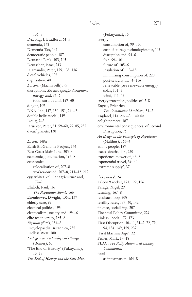136–7 DeLong, J. Bradford, 64–5 dementia, 143 Dementia Tax, 142 democratic people, 187 Deutsche Bank, 103, 105 Deutscher, Isaac, 243 Diamandis, Peter, 129, 135, 136 diesel vehicles, 105 digitisation, 40 *Discorsi* (Machiavelli), 95 disruptions. *See also specific disruptions* energy and, 94–6 food, surplus and, 159–60 d.light, 109 DNA, 144, 147, 150, 151, 241–2 double helix model, 149 Doug, 7–8 Drucker, Peter, 51, 59–60, 79, 85, 232 dwarf planets, 130

*E. coli,* 148n Earth BioGenome Project, 146 East Coast Main Line, 203–4 economic globalisation, 197–8 economies relocalisation of, 207–8 worker-owned, 207–8, 211–12, 219 egg whites, cellular agriculture and, 177–9 Ehrlich, Paul, 167 *The Population Bomb,* 166 Eisenhower, Dwight, 136n, 137 elderly care, 92 electoral politics, 195 electoralism, society and, 194–6 elite technocracy, 185–8 *Elysium* (film), 154–8 Encyclopaedia Britannica, 235 Endless West, 180 *Endogenous Technological Change* (Romer), 63 'The End of History' (Fukuyama), 15–17 *The End of History and the Last Man*

(Fukuyama), 16 energy consumption of, 99–100 cost of storage technologies for, 105 disruption and, 94–6 free, 99–101 future of, 105–6 insulation of, 113–15 minimising consumption of, 220 post-scarcity in, 94–116 renewable (*See* renewable energy) solar, 101–5 wind, 111–13 energy transition, politics of, 218 Engels, Friedrich *The Communist Manifesto,* 51–2 England, 114. *See also* Britain enlightenment, 187 environmental consequences, of Second Disruption, 96 *An Essay on the Principle of Population* (Malthus), 163–4 ethnic people, 187 excess deaths, 114, 220 experience, power of, 46–8 exponential travel, 39–40 'extreme supply', 37

'fake news', 24 Falcon 9 rocket, 121, 122, 156 Farage, Nigel, 29 farming, 167–8 feedback loop, 205 fertility rates, 139–40, 142 finance, socialising, 207 Financial Policy Committee, 229 Finless Foods, 172, 173 First Disruption, 10–11, 31–2, 72, 79, 94, 134, 149, 159, 237 'First Machine Age', 32 Fisher, Mark, 17–18 FLAC. See *Fully Automated Luxury Communism* food as information, 164–8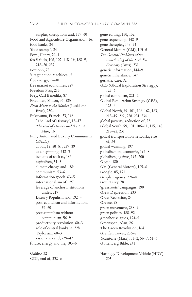surplus, disruptions and, 159–60 Food and Agriculture Organisation, 161 food banks, 24 'food stamps', 24 Ford, Henry, 70–1 fossil fuels, 106, 107, 118–19, 188–9, 218–20, 239 Foxconn, 78 'Fragment on Machines', 51 free energy, 99–101 free market economies, 227 Freedom Pass, 215 Frey, Carl Benedikt, 87 Friedman, Milton, 36, 225 *From Marx to the Market* (Łaski and Brus), 230–1 Fukuyama, Francis, 23, 198 'The End of History', 15–17 *The End of History and the Last Man,* 16 Fully Automated Luxury Communism (FALC) about, 12, 50–51, 237–39 as a beginning, 242–3 benefits of shift to, 186 capitalism, 51–3 climate change and, 189 communism, 53–6 information goods, 63–5 internationalism of, 197 leverage of anchor institutions under, 217 Luxury Populism and, 192–4 post-capitalism and information, 59–60 post-capitalism without communism, 56–9 productivity revolution, 60–3 role of central banks in, 228 Taylorism, 60–3 visionaries and, 239–42 future, energy and the, 105–6

Galileo, 32 GDP, end of, 232–6 gene editing, 150, 152 gene sequencing, 148–9 gene therapies, 149–54 General Motors (GM), 105–6 *The General Problems of the Functioning of the Socialist Economy* (Brus), 231 genetic information, 144–9 genetic inheritance, 149 geriatric care, 92 GES (Global Exploration Strategy), 125–6 global capitalism, 221–2 Global Exploration Strategy (GES), 125–6 Global North, 99, 101, 106, 162, 163, 218–19, 222, 228, 231, 234 global poverty, reduction of, 221 Global South, 99, 101, 106–11, 115, 148, 218–22, 231 global transportation networks, rise of, 34 global warming, 197 globalisation, economic, 197–8 globalism, against, 197–200 Glyph, 180 GM (General Motors), 105–6 Google, 85, 171 Gosplan agency, 226–8 Gou, Terry, 78 'grassroots' campaigns, 190 Great Depression, 233 Great Recession, 24 Greece, 28 green movement, 238–9 green politics, 188–92 greenhouse gases, 174–5 Greenspan, Alan, 26 The Green Revolution, 164 Grenfell Tower, 206–8 *Grundrisse* (Marx), 51–2, 56–7, 61–3 Guttenberg Bible, 241

Haringey Development Vehicle (HDV), 205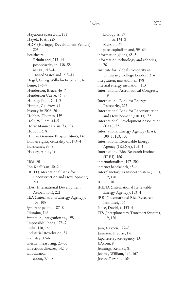Hayabusa spacecraft, 131 Hayek, F. A., 225 HDV (Haringey Development Vehicle), 205 healthcare Britain and, 213–14 post-scarcity in, 138–58 in UK, 215–16 United States and, 213–14 Hegel, Georg Wilhelm Friedrich, 16 heme, 176–7 Henderson, Bruce, 46–7 Henderson Curve, 46–7 Hinkley Point C, 113 Hinton, Geoffrey, 91 history, in 2008, 20–1 Hobbes, Thomas, 139 Holt, William, 44–5 Horse Manure Crisis, 73, 134 Houdini 6, 81 Human Genome Project, 144–5, 146 human rights, centrality of, 193–4 hurricanes, 97–8 Huxley, Aldus, 19 IBM, 80 Ibn Khallikan, 40–2 IBRD (International Bank for Reconstruction and Development),

221 IDA (International Development Association), 221 IEA (International Energy Agency), 103, 105 ignorant people, 187–8 Illumina, 146 imitation, integration *vs.,* 198 Impossible Foods, 175–7 India, 110, 166 Industrial Revolution, 33 industry, 32–6 inertia, measuring, 25–30 infectious diseases, 142–3 information about, 37–48

biology as, 39 food as, 164–8 Marx on, 49 post-capitalism and, 59–60 information goods, 63–5 information technology and robotics, 76 Institute for Global Prosperity at University College London, 214 integration, imitation *vs.,* 198 internal energy insulation, 113 International Astronautical Congress, 119 International Bank for Energy Prosperity, 222 International Bank for Reconstruction and Development (IBRD), 221 International Development Association (IDA), 221 International Energy Agency (IEA), 100–1, 103, 105 International Renewable Energy Agency (IRENA), 103–4 International Rice Research Institute (IRRI), 166 internationalism, 197–200 internet bandwidth, 45–6 Interplanetary Transport System (ITS), 119, 120 IPCC, 101 IRENA (International Renewable Energy Agency), 103–4 IRRI (International Rice Research Institute), 166 Ishee, David, 9, 153–4 ITS (Interplanetary Transport System), 119, 120 Jain, Naveen, 127–8 Jameson, Fredric, 17n Japanese Space Agency, 131 JD.com, 89 Jennings, Ken, 80, 81

Jevons, William, 164, 167 Jevons Paradox, 164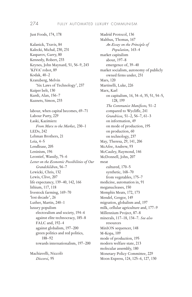#### 274 fully automated luxury communism

Just Foods, 174, 178 Kalanick, Travis, 84 Kalecki, Michał, 230, 231 Kasparov, Garry, 80 Kennedy, Robert, 233 Keynes, John Maynard, 51, 56–9, 243 'KIVA' robot, 89 Kodak, 40–2 Kranzberg, Melvin 'Six Laws of Technology', 237 Kuiper belt, 130 Kurdi, Alan, 156–7 Kuznets, Simon, 233 labour, when capital becomes, 69–71 Labour Party, 229 Łaski, Kazimierz *From Marx to the Market,* 230–1 LEDs, 242 Lehman Brothers, 21 Leia, 4–5 Lendlease, 205 Leninism, 196 Leontief, Wassily, 75–6 *Letter on the Economic Possibilities of Our Grandchildren*, 56–7 Lewicki, Chris, 132 Lewis, Clive, 207 life expectancy, 139–40, 142, 166 lithium, 117, 118 livestock farming, 169–70 'lost decade', 26 Luther, Martin, 240–1 luxury populism electoralism and society, 194–6 against elite technocracy, 185–8 FALC and, 192–4 against globalism, 197–200 green politics and red politics, 188–92 towards internationalism, 197–200 Machiavelli, Niccolò *Discorsi,* 95

Madrid Protocol, 136 Malthus, Thomas, 167 *An Essay on the Principle of Population,* 163–4 market capitalism about, 197–8 emergence of, 39–40 market socialism, autonomy of publicly owned firms under, 231 Mars, 120 Martinelli, Luke, 226 Marx, Karl on capitalism, 16, 34–6, 35, 51, 54–5, 128, 199 *The Communist Manifesto,* 51–2 compared to Wycliffe, 241 *Grundrisse,* 51–2, 56–7, 61–3 on information, 49 on mode of production, 195 on production, 60 on technology, 237 May, Theresa, 29, 141, 206 McAfee, Andrew, 93 McCauley, Raymond, 146 McDonnell, John, 207 meat cultured, 170–5 synthetic, 168–70 from vegetables, 175–7 medicine, automation in, 91 meganucleases, 150 Memphis Meats, 172, 173 Mendel, Gregor, 149 migration, globalism and, 197 milk, cellular agriculture and, 177–9 Millennium Project, 87–8 minerals, 117–18, 134–7. *See also* resources MinION sequencer, 148 M-Kopa, 109 mode of production, 195 modern welfare state, 213 molecular assembly, 180 Monetary Policy Committee, 229 Moon Express, 124, 125–6, 127, 130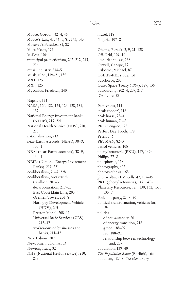#### *Index* 275

Moore, Gordon, 42–4, 46 Moore's Law, 41, 44–5, 81, 143, 145 Moravec's Paradox, 81, 82 Mosa Meats, 172 M-Pesa, 109 municipal protectionism, 207, 212, 213, 216 music industry, 234–5 Musk, Elon, 119–21, 135 MX1, 125 MX9, 125 Myconius, Friedrich, 240 Napster, 154 NASA, 120, 122, 124, 126, 128, 131, 137 National Energy Investment Banks (NEIBs), 219, 221 National Health Service (NHS), 210, 213 nationalisation, 213 near-Earth asteroids (NEAs), 38–9, 130–1 NEAs (near-Earth asteroids), 38–9, 130–1 NEIBs (National Energy Investment Banks), 219, 221 neoliberalism, 26–7, 228 neoliberalism, break with Carillion, 201–3 decarbonisation, 217–23 East Coast Main Line, 203–4 Grenfell Tower, 206–8 Haringey Development Vehicle (HDV), 205 Preston Model, 208–11 Universal Basic Services (UBS), 213–17 worker-owned businesses and banks, 211–12 New Labour, 207 Newcomen, Thomas, 33 Newton, Isaac, 32 NHS (National Health Service), 210, 213

nickel, 118 Nigeria, 107–8 Obama, Barack, 2, 9, 21, 128 Off-Grid, 109–10 One Planet Tax, 222 Orwell, George, 19 Osborne, Michael, 87 OSIRIS-REx study, 131 ouroboros, 205 Outer Space Treaty (1967), 127, 136 outsourcing, 202–4, 207, 217 'Oxi' vote, 28 Passivhaus, 114 'peak copper', 118 peak horse, 72–4 peak human, 74–8 PECO engine, 125 Perfect Day Foods, 178 Peter, 5–6 PETMAN, 82–3 petrol vehicles, 105 phenylketonuria (PKU), 147, 147n Philips, 77–8 phosphorus, 118 photography, 402 photosynthesis, 168 photovoltaic (PV) cells, 47, 102–15 PKU (phenylketonuria), 147, 147n Planetary Resources, 129, 130, 132, 135, 136–7 Podemos party, 27–8, 30 political transformation, vehicles for, 194 politics of anti-austerity, 201 of energy transition, 218 green, 188–92 red, 188–92 relationship between technology and, 237 population, 139–40 *The Population Bomb* (Ehrlich), 166 populism, 187–8. *See also* luxury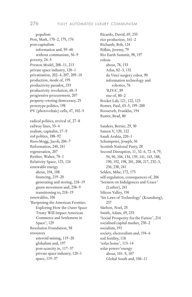#### 276 fully automated luxury communism

populism Post, Mark, 170–2, 175, 176 post-capitalism information and, 59–60 without communism, 56–9 poverty, 24–5 Preston Model, 208–11, 213 private space industry, 120–1 privatisation, 202–4, 207, 209–10 production, mode of, 195 productivity paradox, 233 productivity revolution, 60–3 progressive procurement, 207 property-owning democracy, 25 prototype politics, 198 PV (photovoltaic) cells, 47, 102–5 radical politics, revival of, 27–8 railway lines, 33–4 realism, capitalist, 17–9 red politics, 188–92 Rees-Mogg, Jacob, 206–7 Reformation, 240, 241 regeneration, 207 Reither, Walter, 70–1 Relativity Space, 123, 124 renewable energy about, 104, 108 financing, 219–20 generating and storing, 218–19 green movement and, 238–9 transitioning to, 218–19 renewables, 106 'Reopening the American Frontier: Exploring How the Outer Space Treaty Will Impact American Commerce and Settlement in Space', 129 Resolution Foundation, 58 resources asteroid mining, 119–20 globalism and, 197 post-scarcity in, 117–37 private space industry, 120–1 space, 119–37

Ricardo, David, 69, 233 rice production, 161–2 Richards, Bob, 124 Rifkin, Jeremy, 79 Rio Earth Summit, 98, 197 robots about, 78, 133 Atlas, 82–3, 132 da Vinci surgery robot, 90 information technology and robotics, 76 'KIVA', 89 rise of, 80–2 Rocket Lab, 121, 122, 123 Romer, Paul, 63–5, 199–200 Roosevelt, Franklin, 194 Rutter, Brad, 80 Sanders, Bernie, 29, 30 Saturn V, 120, 122 Saudi Arabia, 220–1 Schumpeter, Joseph, 36 Scottish National Party, 28 Second Disruption, 11, 32–6, 72–4, 79, 94, 96, 106, 134, 139, 141, 163, 188, 190, 192, 198, 201, 208, 217, 232–3, 236, 238, 241 Selden, Mike, 172, 173 self-regulation, consequences of, 206 'Sermon on Indulgences and Grace' (Luther), 241 Silicon Valley, 196 'Six Laws of Technology' (Kranzberg), 237 Skelton, Noel, 25 Smith, Adam, 69, 233 'Social Prosperity for the Future', 214 socialised capital market, 230–2 socialism, 191 society, electoralism and, 194–6 soil fertility, 118 'solar home', 113–14 solar power/energy about, 101–5, 107 Global South and, 106–11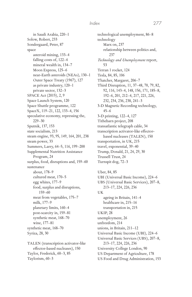in Saudi Arabia, 220–1 Solow, Robert, 233 Sondergaard, Peter, 87 space asteroid mining, 133–4 falling costs of, 122–4 mineral wealth in, 134–7 Moon Express, 125–6 near-Earth asteroids (NEAs), 130–1 Outer Space Treaty (1967), 127 as private industry, 120–1 private sector, 132–3 SPACE Act (2015), 2, 9 Space Launch System, 120 Space Shuttle programme, 122 SpaceX, 119–21, 122, 133–4, 156 speculative economy, repressing the, 229–30 Sputnik, 137, 153 state socialism, 213 steam engine, 93, 95, 149, 164, 201, 238 steam power, 33 Summers, Larry, 64–5, 116, 199–200 Supplemental Nutrition Assistance Program, 24 surplus, food, disruptions and, 159–60 sustenance about, 178–9 cultured meat, 170–5 egg whites, 177–9 food, surplus and disruptions, 159–60 meat from vegetables, 175–7 milk, 177–9 planetary limits, 160–4 post-scarcity in, 159–81 synthetic meat, 168–70 wine, 177–81 synthetic meat, 168–70 Syriza, 28, 30 TALEN (transcription activator-like effector-based nucleases), 150

Taylor, Frederick, 60–3, 85

Taylorism, 60–3

technological unemployment, 86–8 technology Marx on, 237 relationship between politics and, 237 *Technology and Unemployment* report, 53 Terran 1 rocket, 124 Tesla, 84, 85, 106 Thatcher, Margaret, 206–7 Third Disruption, 11, 37–48, 70, 79, 82, 92, 116, 143–4, 148, 156, 171, 185–8, 192–6, 201, 212–4, 217, 221, 226, 232, 234, 236, 238, 241–3 3-D Magnetic Recording technology, 45–6 3-D printing, 122–4, 127 Tithebarn project, 208 transatlantic telegraph cable, 34 transcription activator-like effectorbased nucleases (TALEN), 150 transportation, in UK, 215 travel, exponential, 39–40 Trump, Donald, 21, 24, 29, 30 Trussell Trust, 24 Turnspit dog, 72–3 Uber, 84, 85 UBI (Universal Basic Income), 224–6 UBS (Universal Basic Services), 207–8, 213–17, 224, 226, 236 UK ageing in Britain, 141–4 healthcare in, 215–16 transportation in, 215 UKIP, 28 unemployment, 26 unfreedom, 214 unions, in Britain, 211–12 Universal Basic Income (UBI), 224–6 Universal Basic Services (UBS), 207–8, 213–17, 224, 226, 236 University College London, 90 US Department of Agriculture, 178 US Food and Drug Administration, 153